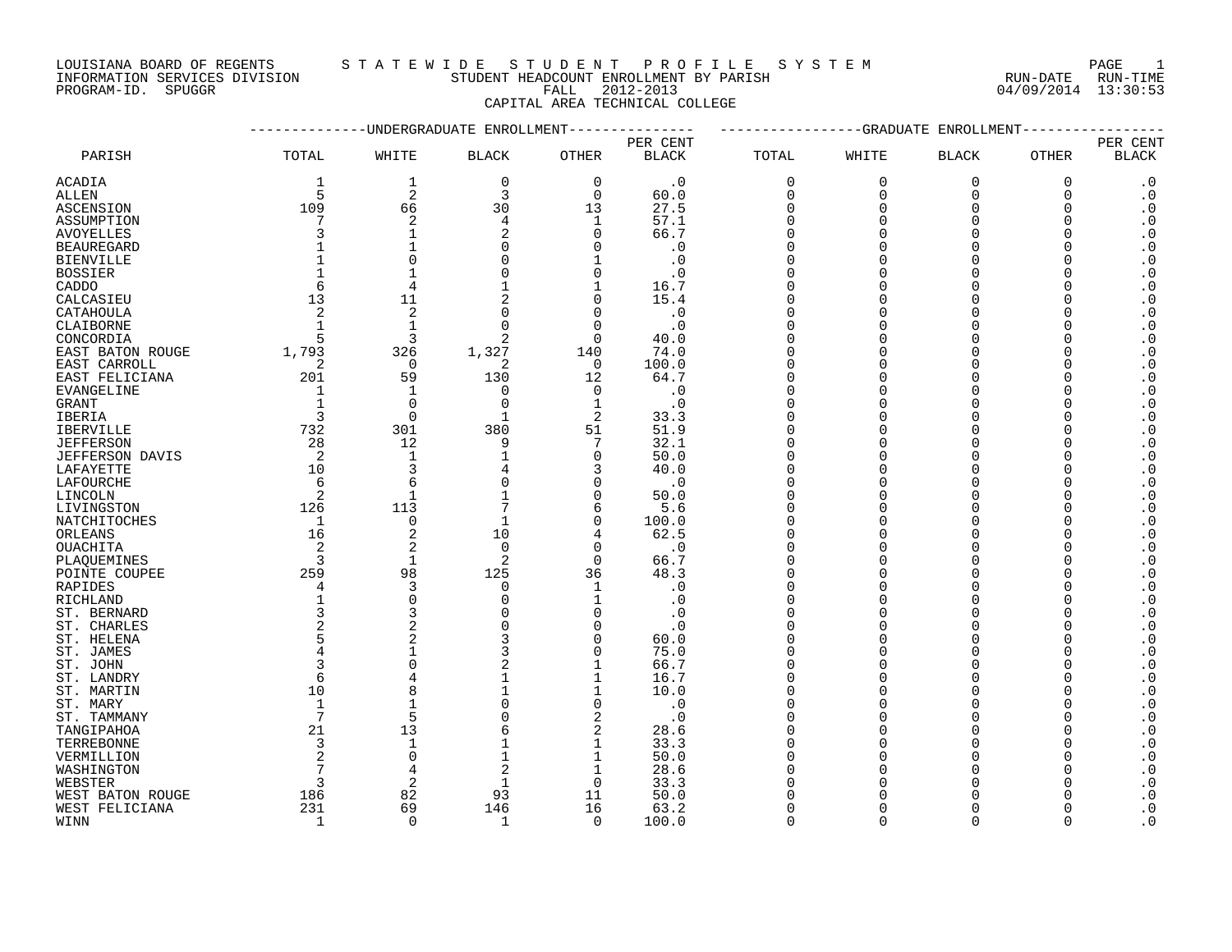INFORMATION SERVICES DIVISION STUDENT HEADCOUNT ENROLLMENT BY PARISH RUN-DATE RUN-TIME

### LOUISIANA BOARD OF REGENTS S T A T E W I D E S T U D E N T P R O F I L E S Y S T E M PAGE 1

PROGRAM-ID. SPUGGR FALL 2012-2013 04/09/2014 13:30:53 CAPITAL AREA TECHNICAL COLLEGE

|                        |                |                | -UNDERGRADUATE ENROLLMENT |                |              |             | -GRADUATE    | ENROLLMENT     |          |                                     |
|------------------------|----------------|----------------|---------------------------|----------------|--------------|-------------|--------------|----------------|----------|-------------------------------------|
|                        |                |                |                           |                | PER CENT     |             |              |                |          | PER CENT                            |
| PARISH                 | TOTAL          | WHITE          | $\operatorname{BLACK}$    | <b>OTHER</b>   | <b>BLACK</b> | TOTAL       | WHITE        | <b>BLACK</b>   | OTHER    | <b>BLACK</b>                        |
| ACADIA                 | 1              | $\mathbf{1}$   | $\mathbf 0$               | $\mathbf 0$    | $\cdot$ 0    | $\mathbf 0$ | $\mathbf{0}$ | $\overline{0}$ | 0        | $\cdot$ 0                           |
| ALLEN                  | 5              | $\overline{2}$ | 3                         | $\mathbf 0$    | 60.0         | $\mathbf 0$ | $\mathbf{0}$ | $\mathbf 0$    | 0        | $\boldsymbol{\cdot}$ 0              |
| ASCENSION              | 109            | 66             | 30                        | 13             | 27.5         | $\Omega$    | $\Omega$     | $\Omega$       | $\Omega$ | $\boldsymbol{\cdot}$ 0              |
| ASSUMPTION             | 7              | $\overline{2}$ | 4                         | 1              | 57.1         | $\Omega$    | $\Omega$     | $\Omega$       | $\Omega$ | $\cdot$ 0                           |
| AVOYELLES              | 3              | $\mathbf{1}$   | 2                         | $\Omega$       | 66.7         | $\Omega$    |              | $\Omega$       |          | $\cdot$ 0                           |
| <b>BEAUREGARD</b>      |                |                | $\Omega$                  | ∩              | $\cdot$ 0    | $\Omega$    | ∩            | $\Omega$       |          | $\boldsymbol{\cdot}$ 0              |
| <b>BIENVILLE</b>       |                | $\Omega$       |                           |                | $\cdot$ 0    | $\Omega$    |              |                |          | $\cdot$ 0                           |
| <b>BOSSIER</b>         |                |                |                           | $\Omega$       | $\cdot$ 0    | $\Omega$    |              |                |          | $\boldsymbol{\cdot}$ 0              |
| CADDO                  | 6              | 4              |                           | $\mathbf 1$    | 16.7         | $\Omega$    |              | $\Omega$       |          | $\cdot$ 0                           |
| CALCASIEU              | 13             | 11             |                           | $\Omega$       | 15.4         | $\Omega$    |              | $\Omega$       |          | $\boldsymbol{\cdot}$ 0              |
| CATAHOULA              | 2              | $\overline{c}$ | $\Omega$                  | $\Omega$       | $\cdot$ 0    | $\Omega$    |              | $\Omega$       |          | $\cdot$ 0                           |
| CLAIBORNE              | $\mathbf{1}$   | $\mathbf{1}$   | $\Omega$                  | $\Omega$       | $\cdot$ 0    | $\Omega$    | $\cap$       | $\Omega$       |          | $\cdot$ 0                           |
| CONCORDIA              | 5              | 3              | 2                         | $\mathbf 0$    | 40.0         | $\Omega$    |              | $\Omega$       |          | $\cdot$ 0                           |
| EAST BATON ROUGE       | 1,793          | 326            | 1,327                     | 140            | 74.0         | $\Omega$    |              | $\Omega$       |          | $\boldsymbol{\cdot}$ 0              |
| EAST CARROLL           | 2              | $\overline{0}$ | 2                         | $\Omega$       | 100.0        | $\Omega$    |              |                |          | $\boldsymbol{\cdot}$ 0              |
| EAST FELICIANA         | 201            | 59             | 130                       | 12             | 64.7         | $\Omega$    |              |                |          | $\cdot$ 0                           |
| <b>EVANGELINE</b>      | 1              | $\mathbf{1}$   | $\Omega$                  | $\Omega$       | $\cdot$ 0    | $\Omega$    |              | $\Omega$       |          | $\cdot$ 0                           |
| <b>GRANT</b>           | $\mathbf{1}$   | $\mathbf 0$    | 0                         | $\mathbf 1$    | $\cdot$ 0    | $\Omega$    |              | $\Omega$       |          | $\boldsymbol{\cdot}$ 0              |
| IBERIA                 | 3              | $\mathbf 0$    |                           | $\overline{2}$ | 33.3         | $\Omega$    |              | $\Omega$       |          | $\boldsymbol{\cdot}$ 0              |
| <b>IBERVILLE</b>       | 732            | 301            | 380                       | 51             | 51.9         | $\Omega$    |              | $\Omega$       | U        | $\cdot$ 0                           |
| <b>JEFFERSON</b>       | 28             | 12             | 9                         | 7              | 32.1         | $\Omega$    |              | $\Omega$       |          | $\cdot$ 0                           |
| <b>JEFFERSON DAVIS</b> | 2              | $\mathbf{1}$   |                           | $\Omega$       | 50.0         | $\Omega$    | O            | $\Omega$       | ∩        | $\cdot$ 0                           |
| LAFAYETTE              | 10             | 3              |                           | 3              | 40.0         | $\Omega$    |              | $\Omega$       |          | $\boldsymbol{\cdot}$ 0              |
| LAFOURCHE              | 6              | 6              |                           | 0              | $\cdot$ 0    | $\Omega$    |              | $\Omega$       |          | $\boldsymbol{\cdot}$ 0              |
| LINCOLN                | 2              |                |                           | $\Omega$       | 50.0         | $\Omega$    |              |                |          | $\boldsymbol{\cdot}$ 0              |
| LIVINGSTON             | 126            | 113            |                           | 6              | 5.6          | $\Omega$    |              | $\Omega$       |          | $\boldsymbol{\cdot}$ 0              |
| NATCHITOCHES           | -1             | $\mathbf 0$    | $\mathbf{1}$              | $\Omega$       | 100.0        | $\Omega$    |              | $\Omega$       |          | $\boldsymbol{\cdot}$ 0              |
| ORLEANS                | 16             | $\overline{2}$ | 10                        | 4              | 62.5         | $\Omega$    |              |                |          | $\boldsymbol{\cdot}$ 0              |
| OUACHITA               | 2              | $\overline{2}$ | $\mathbf 0$               | $\mathbf 0$    | $\cdot$ 0    | $\Omega$    |              | $\Omega$       |          | $\boldsymbol{\cdot}$ 0              |
| PLAQUEMINES            | $\overline{3}$ | $\mathbf{1}$   | 2                         | $\Omega$       | 66.7         | $\Omega$    |              | $\Omega$       |          | $\boldsymbol{\cdot}$ 0              |
| POINTE COUPEE          | 259            | 98             | 125                       | 36             | 48.3         | $\Omega$    |              | $\Omega$       |          | $\boldsymbol{\cdot}$ 0              |
| RAPIDES                | 4              | 3              | 0                         | 1              | . 0          | $\Omega$    |              | $\Omega$       |          | $\boldsymbol{\cdot}$ 0              |
| <b>RICHLAND</b>        | $\mathbf 1$    | $\Omega$       | $\Omega$                  | 1              | $\cdot$ 0    |             |              |                |          | $\boldsymbol{\cdot}$ 0              |
| ST. BERNARD            | 3              | 3              | $\Omega$                  | ∩              | $\cdot$ 0    | $\Omega$    |              |                |          | $\cdot$ 0                           |
| ST. CHARLES            | 2<br>5         |                |                           | $\Omega$       | . 0          | $\Omega$    |              | ∩              |          | $\boldsymbol{\cdot}$ 0<br>$\cdot$ 0 |
| ST. HELENA             | $\overline{4}$ |                | 3                         | $\Omega$       | 60.0<br>75.0 | $\Omega$    |              | $\Omega$       |          | $\boldsymbol{\cdot}$ 0              |
| ST. JAMES<br>ST. JOHN  | 3              | $\Omega$       |                           |                | 66.7         | $\Omega$    |              | $\Omega$       |          | $\boldsymbol{\cdot}$ 0              |
| ST. LANDRY             | 6              | 4              | 1                         | 1              | 16.7         | $\Omega$    |              | $\cap$         |          | $\boldsymbol{\cdot}$ 0              |
| ST. MARTIN             | 10             | 8              |                           | $\mathbf 1$    | 10.0         | $\Omega$    |              | $\Omega$       |          | $\boldsymbol{\cdot}$ 0              |
| ST. MARY               | 1              | $\mathbf{1}$   | $\Omega$                  | $\overline{0}$ | $\cdot$ 0    | 0           |              | $\Omega$       |          | $\boldsymbol{\cdot}$ 0              |
| ST. TAMMANY            | 7              | 5              |                           | $\overline{2}$ | $\cdot$ 0    | $\Omega$    |              | $\Omega$       |          | $\cdot$ 0                           |
| TANGIPAHOA             | 21             | 13             | 6                         | $\overline{2}$ | 28.6         | ∩           |              |                |          | $\boldsymbol{\cdot}$ 0              |
| TERREBONNE             | 3              | $\mathbf{1}$   |                           | $\mathbf 1$    | 33.3         | $\Omega$    |              |                |          | $\cdot$ 0                           |
| VERMILLION             | 2              | $\overline{0}$ |                           | $\mathbf 1$    | 50.0         | $\Omega$    |              | $\Omega$       |          | $\boldsymbol{\cdot}$ 0              |
| WASHINGTON             |                | 4              | 2                         | 1              | 28.6         |             |              |                |          | $\cdot$ 0                           |
| WEBSTER                | 3              | 2              | 1                         | 0              | 33.3         |             |              |                |          | $\cdot$ 0                           |
| WEST BATON ROUGE       | 186            | 82             | 93                        | 11             | 50.0         |             |              |                |          | $\cdot$ 0                           |
| WEST FELICIANA         | 231            | 69             | 146                       | 16             | 63.2         | $\Omega$    |              | ∩              |          | $\cdot$ 0                           |
| WINN                   | $\overline{1}$ | $\cap$         | $\mathbf{1}$              | $\Omega$       | 100.0        | $\Omega$    | $\cap$       | $\cap$         |          | $\overline{\phantom{0}}$ .          |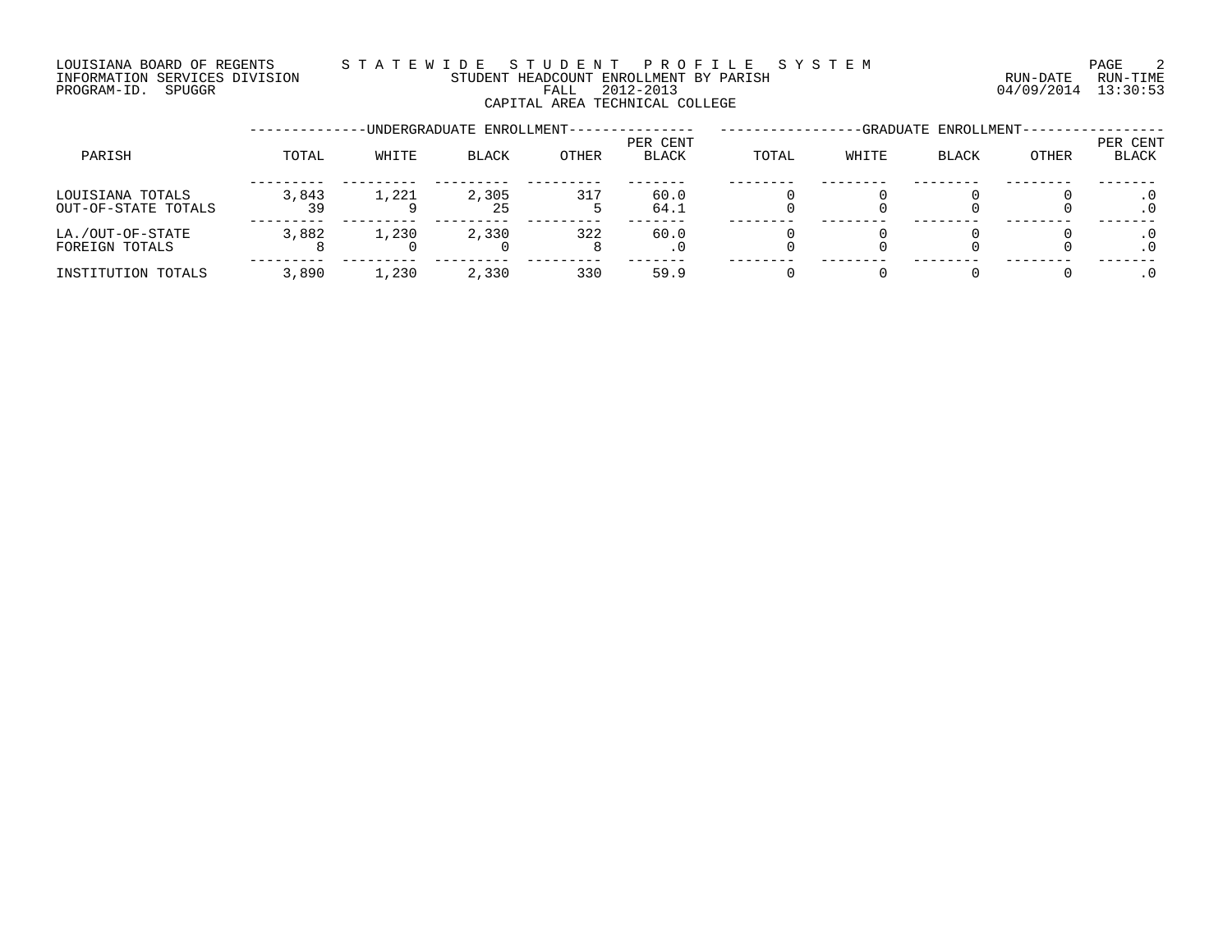### LOUISIANA BOARD OF REGENTS S T A T E W I D E S T U D E N T P R O F I L E S Y S T E M PAGE 2 INFORMATION SERVICES DIVISION STUDENT HEADCOUNT ENROLLMENT BY PARISH RUN-DATE RUN-TIME DOUISIANA BOARD OF REGENTS STAILMENT HEADCOUNT ENROLLMENT BY PARISH (RUN-DATE RUN-TIME RUN-TIME<br>INFORMATION SERVICES DIVISION STUDENT HEADCOUNT ENROLLMENT BY PARISH (RUN-DATE RUN-TIME FALL 2012-2013) (94/09/2014 13:30:53 CAPITAL AREA TECHNICAL COLLEGE

|                                         |       |       | -UNDERGRADUATE ENROLLMENT- |              |                          |       |       | -GRADUATE ENROLLMENT- |       |                   |
|-----------------------------------------|-------|-------|----------------------------|--------------|--------------------------|-------|-------|-----------------------|-------|-------------------|
| PARISH                                  | TOTAL | WHITE | <b>BLACK</b>               | <b>OTHER</b> | PER CENT<br><b>BLACK</b> | TOTAL | WHITE | BLACK                 | OTHER | PER CENT<br>BLACK |
| LOUISIANA TOTALS<br>OUT-OF-STATE TOTALS | 3,843 | 1,221 | 2,305<br>25                | 317          | 60.0<br>64.1             |       |       |                       |       |                   |
| LA./OUT-OF-STATE<br>FOREIGN TOTALS      | 3,882 | 1,230 | 2,330                      | 322          | 60.0                     |       |       |                       |       |                   |
| INSTITUTION TOTALS                      | 3,890 | 1,230 | 2,330                      | 330          | 59.9                     |       |       |                       |       |                   |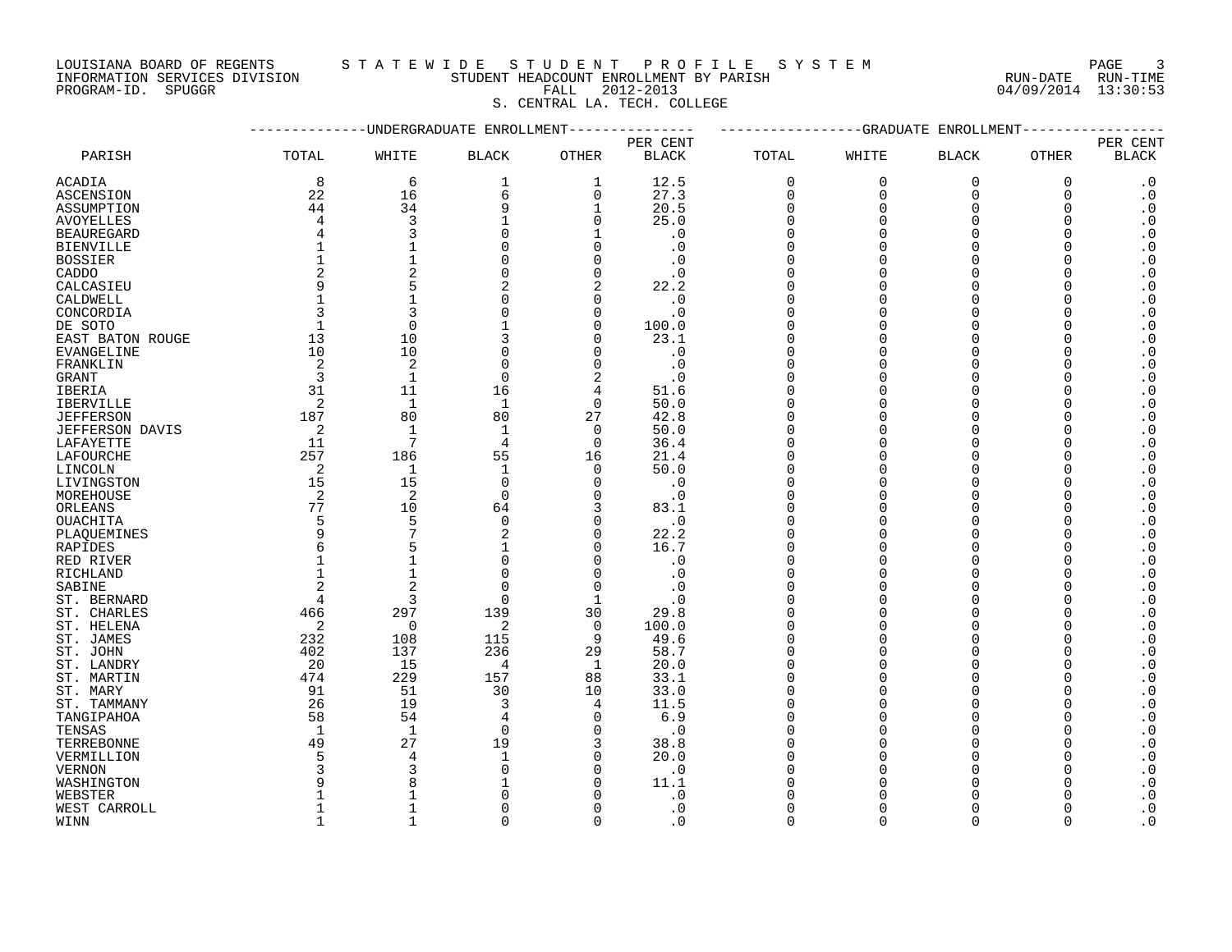INFORMATION SERVICES DIVISION STUDENT HEADCOUNT ENROLLMENT BY PARISH RUN-DATE RUN-TIME PROGRAM-ID. SPUGGR FALL 2012-2013 04/09/2014 13:30:53

### LOUISIANA BOARD OF REGENTS S T A T E W I D E S T U D E N T P R O F I L E S Y S T E M PAGE 3

S. CENTRAL LA. TECH. COLLEGE

|                        |                |                | -UNDERGRADUATE ENROLLMENT |                |              |             | -GRADUATE | ENROLLMENT     |              |                            |
|------------------------|----------------|----------------|---------------------------|----------------|--------------|-------------|-----------|----------------|--------------|----------------------------|
|                        |                |                |                           |                | PER CENT     |             |           |                |              | PER CENT                   |
| PARISH                 | TOTAL          | WHITE          | <b>BLACK</b>              | OTHER          | <b>BLACK</b> | TOTAL       | WHITE     | <b>BLACK</b>   | OTHER        | <b>BLACK</b>               |
| ACADIA                 | 8              | 6              | 1                         | 1              | 12.5         | $\mathbf 0$ | $\Omega$  | $\overline{0}$ | 0            | $\cdot$ 0                  |
| <b>ASCENSION</b>       | 22             | 16             | 6                         | $\mathbf 0$    | 27.3         | $\mathbf 0$ | $\Omega$  | $\mathbf 0$    | 0            | $\cdot$ 0                  |
| ASSUMPTION             | 44             | 34             | 9                         | $\mathbf 1$    | 20.5         | $\mathbf 0$ | $\Omega$  | $\Omega$       | $\Omega$     | $\cdot$ 0                  |
| <b>AVOYELLES</b>       | $\overline{4}$ | 3              |                           | $\Omega$       | 25.0         | $\Omega$    | $\Omega$  | $\Omega$       | $\Omega$     | $\boldsymbol{\cdot}$ 0     |
| <b>BEAUREGARD</b>      | 4              | 3              | $\Omega$                  |                | $\cdot$ 0    | $\Omega$    | $\cap$    | $\Omega$       | $\Omega$     | $\boldsymbol{\cdot}$ 0     |
| <b>BIENVILLE</b>       | $\mathbf{1}$   |                | $\Omega$                  | $\Omega$       | $\cdot$ 0    | $\mathbf 0$ |           | $\Omega$       |              | $\cdot$ 0                  |
| <b>BOSSIER</b>         | $\mathbf{1}$   |                | O                         | $\Omega$       | . 0          | $\mathbf 0$ | ∩         | $\Omega$       | <sup>0</sup> | $\cdot$ 0                  |
| CADDO                  | 2              | $\overline{2}$ | 0                         | $\Omega$       | $\cdot$ 0    | $\Omega$    |           | $\Omega$       |              | $\boldsymbol{\cdot}$ 0     |
| CALCASIEU              | 9              | 5              | 2                         | 2              | 22.2         | $\Omega$    |           | $\Omega$       | $\Omega$     | $\cdot$ 0                  |
| CALDWELL               |                |                | O                         | $\Omega$       | $\cdot$ 0    | $\Omega$    | ∩         | $\Omega$       | U            | $\cdot$ 0                  |
| CONCORDIA              | 3              | 3              | U                         | $\Omega$       | $\cdot$ 0    | $\Omega$    |           | $\Omega$       |              | $\boldsymbol{\cdot}$ 0     |
| DE SOTO                | $\mathbf{1}$   | $\overline{0}$ |                           | $\Omega$       | 100.0        | $\Omega$    |           | $\Omega$       | ∩            | $\boldsymbol{\cdot}$ 0     |
|                        | 13             | 10             |                           | $\Omega$       | 23.1         | $\Omega$    |           | $\Omega$       | $\Omega$     |                            |
| EAST BATON ROUGE       | 10             | 10             | O                         | $\Omega$       |              | $\Omega$    |           | $\Omega$       | $\Omega$     | $\boldsymbol{\cdot}$ 0     |
| EVANGELINE             |                |                |                           |                | $\cdot$ 0    | $\Omega$    | ∩         |                |              | $\boldsymbol{\cdot}$ 0     |
| FRANKLIN               | 2              | $\overline{c}$ | $\Omega$                  | $\Omega$       | $\cdot$ 0    |             |           | $\Omega$       |              | $\cdot$ 0                  |
| GRANT                  | 3              | $\mathbf{1}$   | 0                         | 2              | $\cdot$ 0    | $\Omega$    |           | $\Omega$       | <sup>0</sup> | $\boldsymbol{\cdot}$ 0     |
| IBERIA                 | 31             | 11             | 16                        | 4              | 51.6         | $\Omega$    |           | $\Omega$       | O            | $\boldsymbol{\cdot}$ 0     |
| <b>IBERVILLE</b>       | 2              | $\mathbf{1}$   | $\mathbf{1}$              | $\Omega$       | 50.0         | $\Omega$    |           | $\Omega$       |              | $\boldsymbol{\cdot}$ 0     |
| <b>JEFFERSON</b>       | 187            | 80             | 80                        | 27             | 42.8         | $\Omega$    | U         | $\Omega$       | ∩            | $\cdot$ 0                  |
| <b>JEFFERSON DAVIS</b> | 2              | $\mathbf{1}$   | $\mathbf{1}$              | $\Omega$       | 50.0         | $\Omega$    | $\cap$    | $\Omega$       |              | $\cdot$ 0                  |
| LAFAYETTE              | 11             | 7              | 4                         | $\Omega$       | 36.4         | $\Omega$    | U         | $\Omega$       | $\Omega$     | $\cdot$ 0                  |
| LAFOURCHE              | 257            | 186            | 55                        | 16             | 21.4         | $\Omega$    |           | $\Omega$       | $\Omega$     | $\boldsymbol{\cdot}$ 0     |
| LINCOLN                | 2              | $\mathbf{1}$   | $\mathbf{1}$              | $\Omega$       | 50.0         | $\Omega$    | O         | $\Omega$       | $\Omega$     | $\boldsymbol{\cdot}$ 0     |
| LIVINGSTON             | 15             | 15             | $\mathsf 0$               | $\Omega$       | $\cdot$ 0    | $\mathbf 0$ | ∩         | $\Omega$       | ∩            | $\cdot$ 0                  |
| MOREHOUSE              | 2              | $\overline{c}$ | $\mathbf 0$               | $\Omega$       | $\cdot$ 0    | $\Omega$    | O         | $\Omega$       |              | $\boldsymbol{\cdot}$ 0     |
| ORLEANS                | 77             | 10             | 64                        | 3              | 83.1         | $\Omega$    |           | $\Omega$       | O            | $\cdot$ 0                  |
| <b>OUACHITA</b>        | 5              | 5              | $\mathbf 0$               | $\Omega$       | $\cdot$ 0    | $\Omega$    |           | $\Omega$       | ∩            | $\boldsymbol{\cdot}$ 0     |
| PLAQUEMINES            | 9              | 7              | $\overline{2}$            | $\Omega$       | 22.2         | $\Omega$    |           | $\Omega$       | $\Omega$     | $\boldsymbol{\cdot}$ 0     |
| RAPIDES                | 6              | 5              |                           | $\Omega$       | 16.7         | $\Omega$    | O         | $\Omega$       | ∩            | $\boldsymbol{\cdot}$ 0     |
| RED RIVER              |                |                | $\Omega$                  | $\Omega$       | $\cdot$ 0    | $\Omega$    | $\Omega$  | $\Omega$       |              | $\boldsymbol{\cdot}$ 0     |
| RICHLAND               | $\mathbf{1}$   | $\mathbf{1}$   | $\Omega$                  | $\Omega$       | $\cdot$ 0    | $\Omega$    |           | $\Omega$       | $\Omega$     | $\boldsymbol{\cdot}$ 0     |
| SABINE                 | $\overline{a}$ | $\overline{2}$ | $\Omega$                  | $\Omega$       | $\cdot$ 0    | $\Omega$    | O         | $\Omega$       | $\Omega$     | $\boldsymbol{\cdot}$ 0     |
| ST. BERNARD            | 4              | 3              | $\mathbf 0$               | -1             | $\cdot$ 0    | $\Omega$    | ∩         | $\Omega$       | ∩            | $\cdot$ 0                  |
| ST. CHARLES            | 466            | 297            | 139                       | 30             | 29.8         | $\Omega$    | U         | $\Omega$       |              | $\boldsymbol{\cdot}$ 0     |
| ST. HELENA             | 2              | $\overline{0}$ | 2                         | $\mathbf 0$    | 100.0        | $\Omega$    | U         | $\Omega$       | O            | $\boldsymbol{\cdot}$ 0     |
| ST. JAMES              | 232            | 108            | 115                       | 9              | 49.6         | $\Omega$    | O         | $\Omega$       | $\Omega$     | $\boldsymbol{\cdot}$ 0     |
| ST. JOHN               | 402            | 137            | 236                       | 29             | 58.7         | $\Omega$    | U         | $\Omega$       | $\Omega$     | $\cdot$ 0                  |
| ST. LANDRY             | 20             | 15             | 4                         | 1              | 20.0         | $\mathbf 0$ | $\cap$    | $\Omega$       |              | $\cdot$ 0                  |
| ST. MARTIN             | 474            | 229            | 157                       | 88             | 33.1         | $\Omega$    | O         | $\Omega$       | ∩            | $\cdot$ 0                  |
| ST. MARY               | 91             | 51             | 30                        | 10             | 33.0         | $\Omega$    | U         | $\Omega$       | $\Omega$     | $\boldsymbol{\cdot}$ 0     |
| ST. TAMMANY            | 26             | 19             | 3                         | $\overline{4}$ | 11.5         | $\Omega$    |           | $\Omega$       | $\Omega$     | $\boldsymbol{\cdot}$ 0     |
| TANGIPAHOA             | 58             | 54             | 4                         | 0              | 6.9          | $\Omega$    | U         | $\Omega$       | O            | $\boldsymbol{\cdot}$ 0     |
| TENSAS                 | $\mathbf{1}$   | $\mathbf{1}$   | $\mathbf 0$               | $\Omega$       | $\cdot$ 0    | $\Omega$    | $\cap$    | $\Omega$       |              | $\boldsymbol{\cdot}$ 0     |
| TERREBONNE             | 49             | 27             | 19                        | 3              | 38.8         | $\Omega$    |           | $\Omega$       |              | $\boldsymbol{\cdot}$ 0     |
| VERMILLION             | 5              | 4              | -1                        | $\Omega$       | 20.0         | $\Omega$    |           | $\Omega$       | ∩            | $\boldsymbol{\cdot}$ 0     |
| <b>VERNON</b>          | 3              | 3              | $\Omega$                  | n              | $\cdot$ 0    | $\Omega$    |           |                |              | $\cdot$ 0                  |
| WASHINGTON             | 9              | 8              |                           | ∩              | 11.1         | $\Omega$    |           |                |              | $\cdot$ 0                  |
| WEBSTER                |                |                |                           |                | $\cdot$ 0    |             |           |                |              | $\boldsymbol{\cdot}$ 0     |
| WEST CARROLL           | 1              |                |                           | ∩              | $\cdot$ 0    | $\Omega$    |           | $\Omega$       |              | $\cdot$ 0                  |
|                        | $\mathbf{1}$   | $\mathbf{1}$   | $\Omega$                  | $\Omega$       | $\Omega$     | $\Omega$    | $\Omega$  | $\Omega$       | $\Omega$     | $\overline{\phantom{0}}$ . |
| WINN                   |                |                |                           |                |              |             |           |                |              |                            |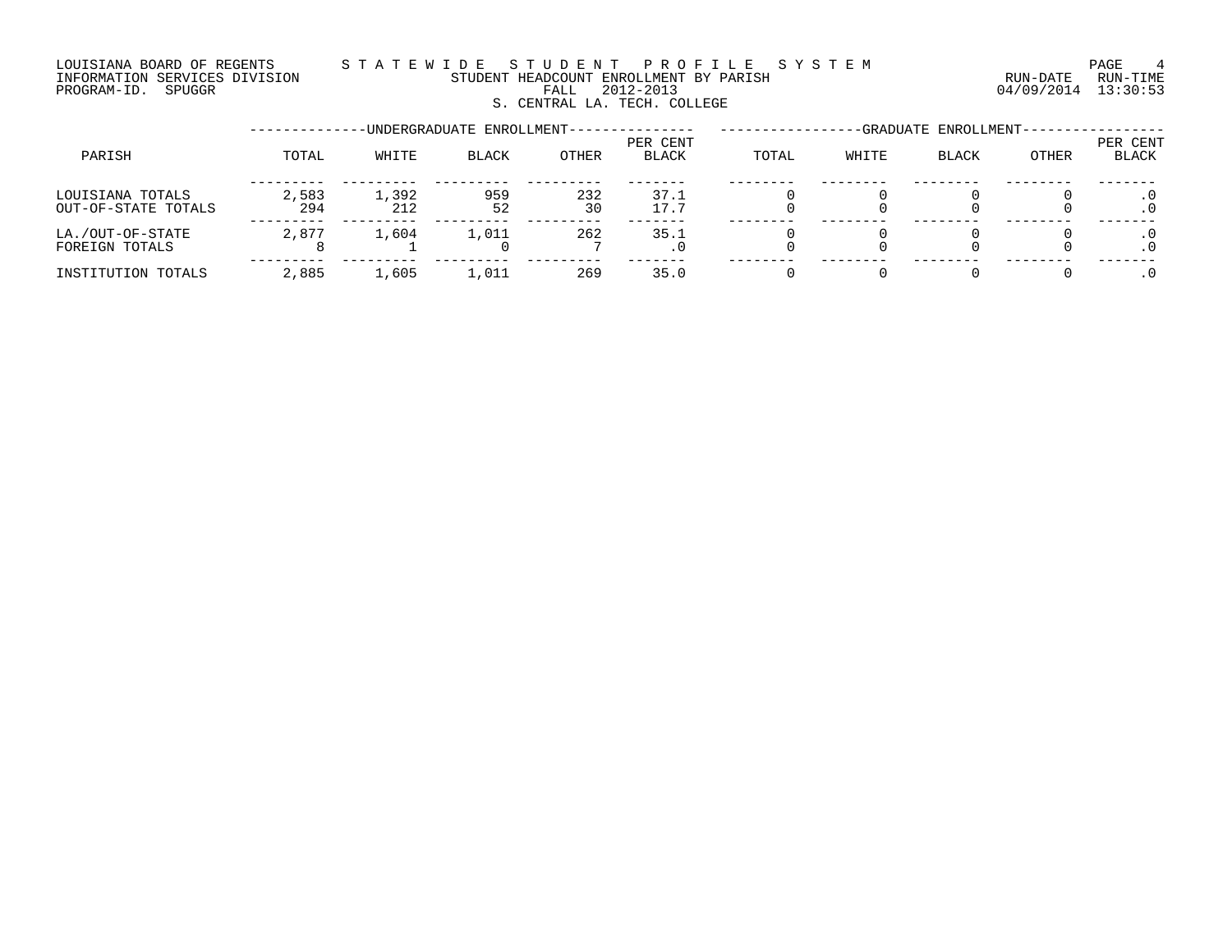### LOUISIANA BOARD OF REGENTS STATEWIDE STUDENT PROFILE SYSTEM CONDECTEMENT PAGE 4 INFORMATION SERVICES DIVISION STUDENT HEADCOUNT ENROLLMENT BY PARISH RUN-DATE RUN-TIME PROGRAM-ID. SPUGGR FALL 2012-2013 04/09/2014 13:30:53 S. CENTRAL LA. TECH. COLLEGE

--------------UNDERGRADUATE ENROLLMENT--------------- -----------------GRADUATE ENROLLMENT----------------- PER CENT PER CENT PARISH TOTAL WHITE BLACK OTHER BLACK TOTAL WHITE BLACK OTHER BLACK --------- --------- --------- --------- ------- -------- -------- -------- -------- ------- LOUISIANA TOTALS 2,583 1,392 959 232 37.1 0 0 0 0 .0 OUT-OF-STATE TOTALS 294 212 52 30 17.7 0 0 0 0 .0 --------- --------- --------- --------- ------- -------- -------- -------- -------- ------- LA./OUT-OF-STATE 2,877 1,604 1,011 262 35.1 0 0 0 0 .0 FOREIGN TOTALS 8 1 0 7 .0 0 0 0 0 .0 --------- --------- --------- --------- ------- -------- -------- -------- -------- ------- INSTITUTION TOTALS 2,885 1,605 1,011 269 35.0 0 0 0 0 .0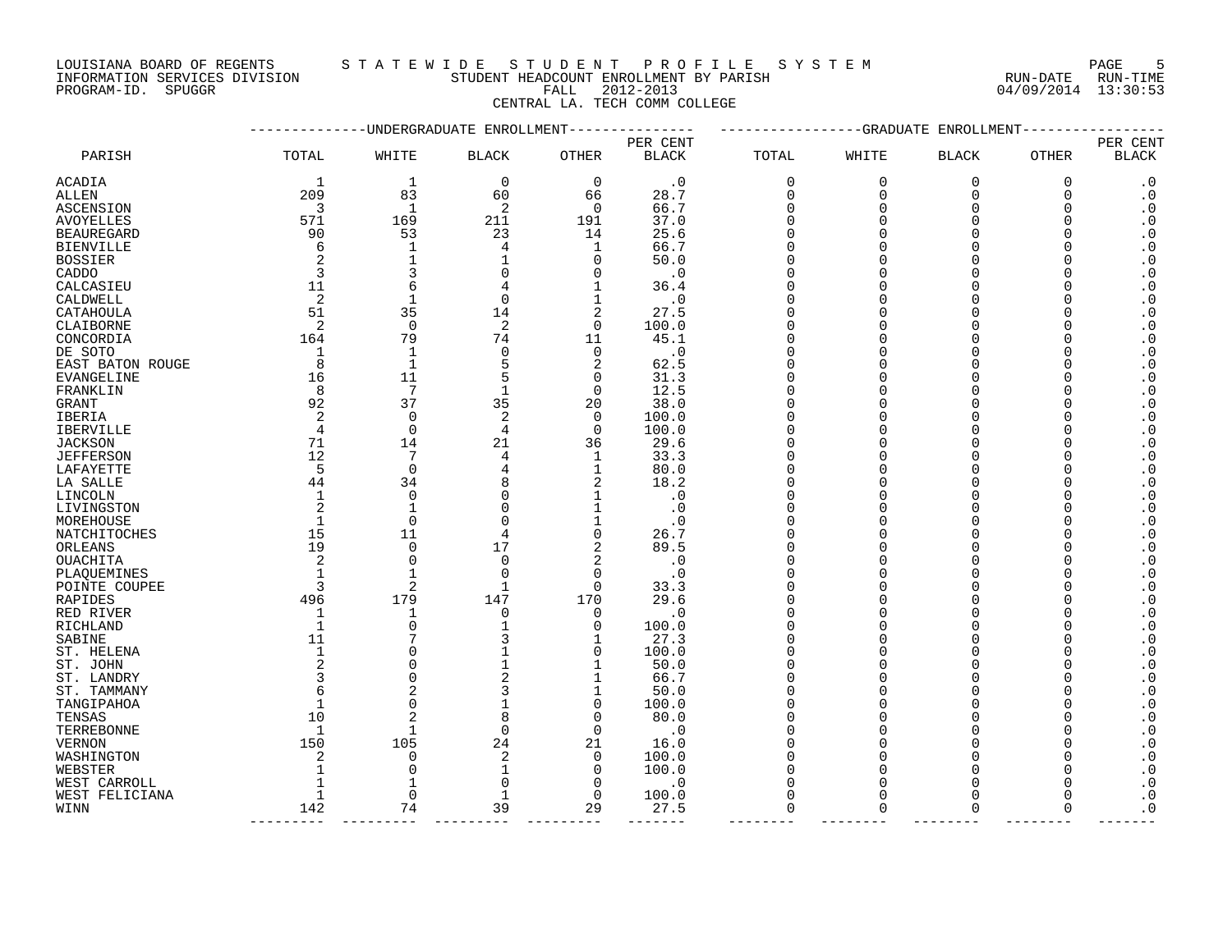LOUISIANA BOARD OF REGENTS S T A T E W I D E S T U D E N T P R O F I L E S Y S T E M PAGE 5 DOUISIANA BOARD OF REGENTS STAILMENT HEADCOUNT ENROLLMENT BY PARISH CONTRACTION SERVICES DIVISION STUDENT HEADCOUNT ENROLLMENT BY PARISH (RUN-DATE RUN-TIME PROGRAM-ID. SPUGGR (13:30:53)

INFORMATION SERVICES DIVISION STUDENT HEADCOUNT ENROLLMENT BY PARISH RUN-DATE RUN-TIME

CENTRAL LA. TECH COMM COLLEGE

| PER CENT<br>PER CENT<br>TOTAL<br><b>BLACK</b><br>PARISH<br>WHITE<br><b>BLACK</b><br>OTHER<br>BLACK<br>TOTAL<br>WHITE<br><b>BLACK</b><br>OTHER<br>$\mathbf 0$<br>$\mathbf 0$<br>0<br>$\cdot$ 0<br>1<br>$\cdot$ 0<br>0<br>0<br>0<br>1<br>209<br>83<br>28.7<br>$\cdot$ 0<br>60<br>66<br>$\Omega$<br>$\mathbf 0$<br>$\mathbf 0$<br>0<br>ALLEN<br>3<br>$\mathbf{1}$<br>2<br>$\mathbf 0$<br>66.7<br>$\cdot$ 0<br>ASCENSION<br>$\Omega$<br>$\Omega$<br>$\Omega$<br>O<br>571<br>169<br>211<br>$\cdot$ 0<br><b>AVOYELLES</b><br>191<br>37.0<br>$\Omega$<br>$\Omega$<br>O<br>O<br>53<br>$\boldsymbol{\cdot}$ 0<br>90<br>23<br>14<br>25.6<br><b>BEAUREGARD</b><br>$\Omega$<br>$\Omega$<br>$\boldsymbol{\cdot}$ 0<br><b>BIENVILLE</b><br>1<br>1<br>66.7<br>$\Omega$<br>$\Omega$<br>6<br>4<br>$\cdot$ 0<br>$\mathbf 1$<br>50.0<br><b>BOSSIER</b><br>0<br>$\Omega$<br>∩<br>3<br>$\boldsymbol{\cdot}$ 0<br>3<br>. 0<br>CADDO<br>0<br>$\Omega$<br>$\Omega$<br><sup>0</sup><br>$\boldsymbol{\cdot}$ 0<br>11<br>6<br>CALCASIEU<br>1<br>36.4<br>$\Omega$<br>$\Omega$<br>4<br>$\boldsymbol{\cdot}$ 0<br>2<br>$\mathbf{1}$<br>1<br>$\cdot$ 0<br>CALDWELL<br>0<br>$\Omega$<br>$\Omega$<br>51<br>35<br>14<br>2<br>27.5<br>$\boldsymbol{\cdot}$ 0<br>CATAHOULA<br>$\Omega$<br>$\Omega$<br>2<br>$\cdot$ 0<br>2<br>$\overline{0}$<br>$\mathbf 0$<br>CLAIBORNE<br>100.0<br>O<br>∩<br>79<br>$\boldsymbol{\cdot}$ 0<br>74<br>11<br>45.1<br>CONCORDIA<br>164<br>$\Omega$<br>$\Omega$<br>$\boldsymbol{\cdot}$ 0<br>DE SOTO<br>1<br>0<br>0<br>$\cdot$ 0<br>$\Omega$<br>$\Omega$<br>1<br>O<br>$\overline{2}$<br>$\boldsymbol{\cdot}$ 0<br>8<br>$\mathbf{1}$<br>62.5<br>EAST BATON ROUGE<br>$\Omega$<br>$\Omega$<br>16<br>11<br>31.3<br>$\boldsymbol{\cdot}$ 0<br>0<br>$\Omega$<br>$\Omega$<br>EVANGELINE<br>7<br>$\cdot$ 0<br>8<br>$\mathbf 0$<br>12.5<br>FRANKLIN<br>$\mathbf{1}$<br>$\Omega$<br>∩<br>37<br>$\boldsymbol{\cdot}$ 0<br>92<br>35<br>20<br>38.0<br>GRANT<br>$\Omega$<br>$\Omega$<br>$\boldsymbol{\cdot}$ 0<br>2<br>2<br>IBERIA<br>0<br>0<br>100.0<br>$\Omega$<br>$\Omega$<br>O<br>$\mathbf 0$<br>$\boldsymbol{\cdot}$ 0<br>$\overline{4}$<br>0<br>4<br>100.0<br>$\Omega$<br>$\Omega$<br><b>IBERVILLE</b><br>71<br>14<br>21<br>29.6<br>$\boldsymbol{\cdot}$ 0<br><b>JACKSON</b><br>36<br>$\Omega$<br>$\Omega$<br>12<br>7<br>$\boldsymbol{\cdot}$ 0<br>33.3<br><b>JEFFERSON</b><br>1<br>$\Omega$<br>4<br>∩<br>$\boldsymbol{\cdot}$ 0<br>LAFAYETTE<br>5<br>$\Omega$<br>1<br>80.0<br>$\Omega$<br>$\Omega$<br>$\boldsymbol{\cdot}$ 0<br>34<br>2<br>18.2<br>44<br>$\Omega$<br>$\Omega$<br>LA SALLE<br>O<br>$\boldsymbol{\cdot}$ 0<br>0<br>1<br>$\cdot$ 0<br>LINCOLN<br>1<br>$\Omega$<br>$\Omega$<br>0<br>2<br>$\mathbf{1}$<br>$\boldsymbol{\cdot}$ 0<br>LIVINGSTON<br>$\Omega$<br>1<br>$\cdot$ 0<br>$\Omega$<br>$\Omega$<br>$\Omega$<br>$\cdot$ 0<br>MOREHOUSE<br>1<br>1<br>0<br>. 0<br>∩<br>15<br>11<br>$\boldsymbol{\cdot}$ 0<br>NATCHITOCHES<br>0<br>26.7<br>$\Omega$<br>$\Omega$<br>4<br>$\boldsymbol{\cdot}$ 0<br>19<br>17<br>2<br>89.5<br>ORLEANS<br>0<br>$\Omega$<br>$\Omega$<br>O<br>$\overline{2}$<br>2<br>$\boldsymbol{\cdot}$ 0<br>$\mathbf 0$<br>$\mathbf 0$<br>$\cdot$ 0<br>OUACHITA<br>$\Omega$<br>$\Omega$<br>$\mathbf{1}$<br>0<br>$\boldsymbol{\cdot}$ 0<br>PLAQUEMINES<br>$\Omega$<br>. 0<br>$\Omega$<br>$\Omega$<br>$\overline{2}$<br>$\boldsymbol{\cdot}$ 0<br>$\mathbf 0$<br>-1<br>33.3<br>∩<br>POINTE COUPEE<br>O<br>$\boldsymbol{\cdot}$ 0<br>496<br>179<br>147<br>170<br>29.6<br>RAPIDES<br>$\Omega$<br>$\Omega$<br>$\boldsymbol{\cdot}$ 0<br>RED RIVER<br>0<br>0<br>$\cdot$ 0<br>$\Omega$<br>$\Omega$<br>1<br>1<br>O<br>$\boldsymbol{\cdot}$ 0<br>0<br>0<br>1<br>100.0<br>$\Omega$<br>$\Omega$<br>RICHLAND<br>7<br>11<br>27.3<br>$\boldsymbol{\cdot}$ 0<br>1<br>$\Omega$<br>$\Omega$<br>SABINE<br>$\boldsymbol{\cdot}$ 0<br>$\mathbf 0$<br>0<br>100.0<br>$\Omega$<br>ST. HELENA<br>∩<br>$\boldsymbol{\cdot}$ 0<br>2<br>$\Omega$<br>$\mathbf{1}$<br>50.0<br>ST. JOHN<br>1<br>$\Omega$<br>$\Omega$<br>$\boldsymbol{\cdot}$ 0<br>$\mathbf 0$<br>1<br>66.7<br>$\Omega$<br>$\Omega$<br>ST. LANDRY<br>O<br>$\overline{2}$<br>$\boldsymbol{\cdot}$ 0<br>1<br>50.0<br>$\Omega$<br>$\Omega$<br>ST. TAMMANY<br>6<br>$\mathbf 0$<br>$\boldsymbol{\cdot}$ 0<br>TANGIPAHOA<br>1<br>0<br>100.0<br>$\Omega$<br>$\Omega$<br>$\overline{2}$<br>$\cdot$ 0<br>10<br>$\mathbf 0$<br>8<br>80.0<br>TENSAS<br>O<br>∩<br>$\boldsymbol{\cdot}$ 0<br>$\mathbf 1$<br>$\mathbf 1$<br>$\mathbf 0$<br>TERREBONNE<br>$\Omega$<br>. 0<br>$\Omega$<br>$\Omega$<br>150<br>105<br>$\cdot$ 0<br>24<br>21<br>$\Omega$<br>$\Omega$<br>VERNON<br>16.0<br>O<br>O<br>$\boldsymbol{\cdot}$ 0<br>2<br>0<br>WASHINGTON<br>2<br>0<br>100.0<br>$\Omega$<br>$\Omega$<br>$\mathbf 0$<br>100.0<br>$\boldsymbol{\cdot}$ 0<br>$\mathbf{1}$<br>0<br>$\Omega$<br>$\Omega$<br>WEBSTER<br>$\boldsymbol{\cdot}$ 0<br>WEST CARROLL<br>$\mathbf{1}$<br>0<br>0<br>$\cdot$ 0<br>$\Omega$<br>0<br><sup>0</sup><br>$\boldsymbol{\cdot}$ 0<br>$\mathbf 0$<br>$\mathbf{1}$<br>$\mathbf 0$<br>100.0<br>WEST FELICIANA<br>1<br>0<br>$\Omega$<br>$\Omega$<br>$\boldsymbol{\cdot}$ 0<br>142<br>74<br>39<br>29<br>$\Omega$<br>WINN<br>27.5<br>$\Omega$<br>$\Omega$<br>0 |               |  | -UNDERGRADUATE ENROLLMENT |  | ----------GRADUATE | ENROLLMENT |  |
|---------------------------------------------------------------------------------------------------------------------------------------------------------------------------------------------------------------------------------------------------------------------------------------------------------------------------------------------------------------------------------------------------------------------------------------------------------------------------------------------------------------------------------------------------------------------------------------------------------------------------------------------------------------------------------------------------------------------------------------------------------------------------------------------------------------------------------------------------------------------------------------------------------------------------------------------------------------------------------------------------------------------------------------------------------------------------------------------------------------------------------------------------------------------------------------------------------------------------------------------------------------------------------------------------------------------------------------------------------------------------------------------------------------------------------------------------------------------------------------------------------------------------------------------------------------------------------------------------------------------------------------------------------------------------------------------------------------------------------------------------------------------------------------------------------------------------------------------------------------------------------------------------------------------------------------------------------------------------------------------------------------------------------------------------------------------------------------------------------------------------------------------------------------------------------------------------------------------------------------------------------------------------------------------------------------------------------------------------------------------------------------------------------------------------------------------------------------------------------------------------------------------------------------------------------------------------------------------------------------------------------------------------------------------------------------------------------------------------------------------------------------------------------------------------------------------------------------------------------------------------------------------------------------------------------------------------------------------------------------------------------------------------------------------------------------------------------------------------------------------------------------------------------------------------------------------------------------------------------------------------------------------------------------------------------------------------------------------------------------------------------------------------------------------------------------------------------------------------------------------------------------------------------------------------------------------------------------------------------------------------------------------------------------------------------------------------------------------------------------------------------------------------------------------------------------------------------------------------------------------------------------------------------------------------------------------------------------------------------------------------------------------------------------------------------------------------------------------------------------------------------------------------------------------------------------------------------------------------------------------------------------------------------------------------------------------------------------------------------------------------------------------------------------------------------------------------------------------------------------------------------------------------------------------------------------------------------------------------------------------------------------------------------------------------------------------------------------------------------------------------------------------------------------------------------------------------------------------------------------------------------------------------------------------------------------------------------------------------------------------------------------------------------------------------------------------------------------------------------------------------------------------------------------------------------------------------|---------------|--|---------------------------|--|--------------------|------------|--|
|                                                                                                                                                                                                                                                                                                                                                                                                                                                                                                                                                                                                                                                                                                                                                                                                                                                                                                                                                                                                                                                                                                                                                                                                                                                                                                                                                                                                                                                                                                                                                                                                                                                                                                                                                                                                                                                                                                                                                                                                                                                                                                                                                                                                                                                                                                                                                                                                                                                                                                                                                                                                                                                                                                                                                                                                                                                                                                                                                                                                                                                                                                                                                                                                                                                                                                                                                                                                                                                                                                                                                                                                                                                                                                                                                                                                                                                                                                                                                                                                                                                                                                                                                                                                                                                                                                                                                                                                                                                                                                                                                                                                                                                                                                                                                                                                                                                                                                                                                                                                                                                                                                                                                                                                   |               |  |                           |  |                    |            |  |
|                                                                                                                                                                                                                                                                                                                                                                                                                                                                                                                                                                                                                                                                                                                                                                                                                                                                                                                                                                                                                                                                                                                                                                                                                                                                                                                                                                                                                                                                                                                                                                                                                                                                                                                                                                                                                                                                                                                                                                                                                                                                                                                                                                                                                                                                                                                                                                                                                                                                                                                                                                                                                                                                                                                                                                                                                                                                                                                                                                                                                                                                                                                                                                                                                                                                                                                                                                                                                                                                                                                                                                                                                                                                                                                                                                                                                                                                                                                                                                                                                                                                                                                                                                                                                                                                                                                                                                                                                                                                                                                                                                                                                                                                                                                                                                                                                                                                                                                                                                                                                                                                                                                                                                                                   |               |  |                           |  |                    |            |  |
|                                                                                                                                                                                                                                                                                                                                                                                                                                                                                                                                                                                                                                                                                                                                                                                                                                                                                                                                                                                                                                                                                                                                                                                                                                                                                                                                                                                                                                                                                                                                                                                                                                                                                                                                                                                                                                                                                                                                                                                                                                                                                                                                                                                                                                                                                                                                                                                                                                                                                                                                                                                                                                                                                                                                                                                                                                                                                                                                                                                                                                                                                                                                                                                                                                                                                                                                                                                                                                                                                                                                                                                                                                                                                                                                                                                                                                                                                                                                                                                                                                                                                                                                                                                                                                                                                                                                                                                                                                                                                                                                                                                                                                                                                                                                                                                                                                                                                                                                                                                                                                                                                                                                                                                                   | <b>ACADIA</b> |  |                           |  |                    |            |  |
|                                                                                                                                                                                                                                                                                                                                                                                                                                                                                                                                                                                                                                                                                                                                                                                                                                                                                                                                                                                                                                                                                                                                                                                                                                                                                                                                                                                                                                                                                                                                                                                                                                                                                                                                                                                                                                                                                                                                                                                                                                                                                                                                                                                                                                                                                                                                                                                                                                                                                                                                                                                                                                                                                                                                                                                                                                                                                                                                                                                                                                                                                                                                                                                                                                                                                                                                                                                                                                                                                                                                                                                                                                                                                                                                                                                                                                                                                                                                                                                                                                                                                                                                                                                                                                                                                                                                                                                                                                                                                                                                                                                                                                                                                                                                                                                                                                                                                                                                                                                                                                                                                                                                                                                                   |               |  |                           |  |                    |            |  |
|                                                                                                                                                                                                                                                                                                                                                                                                                                                                                                                                                                                                                                                                                                                                                                                                                                                                                                                                                                                                                                                                                                                                                                                                                                                                                                                                                                                                                                                                                                                                                                                                                                                                                                                                                                                                                                                                                                                                                                                                                                                                                                                                                                                                                                                                                                                                                                                                                                                                                                                                                                                                                                                                                                                                                                                                                                                                                                                                                                                                                                                                                                                                                                                                                                                                                                                                                                                                                                                                                                                                                                                                                                                                                                                                                                                                                                                                                                                                                                                                                                                                                                                                                                                                                                                                                                                                                                                                                                                                                                                                                                                                                                                                                                                                                                                                                                                                                                                                                                                                                                                                                                                                                                                                   |               |  |                           |  |                    |            |  |
|                                                                                                                                                                                                                                                                                                                                                                                                                                                                                                                                                                                                                                                                                                                                                                                                                                                                                                                                                                                                                                                                                                                                                                                                                                                                                                                                                                                                                                                                                                                                                                                                                                                                                                                                                                                                                                                                                                                                                                                                                                                                                                                                                                                                                                                                                                                                                                                                                                                                                                                                                                                                                                                                                                                                                                                                                                                                                                                                                                                                                                                                                                                                                                                                                                                                                                                                                                                                                                                                                                                                                                                                                                                                                                                                                                                                                                                                                                                                                                                                                                                                                                                                                                                                                                                                                                                                                                                                                                                                                                                                                                                                                                                                                                                                                                                                                                                                                                                                                                                                                                                                                                                                                                                                   |               |  |                           |  |                    |            |  |
|                                                                                                                                                                                                                                                                                                                                                                                                                                                                                                                                                                                                                                                                                                                                                                                                                                                                                                                                                                                                                                                                                                                                                                                                                                                                                                                                                                                                                                                                                                                                                                                                                                                                                                                                                                                                                                                                                                                                                                                                                                                                                                                                                                                                                                                                                                                                                                                                                                                                                                                                                                                                                                                                                                                                                                                                                                                                                                                                                                                                                                                                                                                                                                                                                                                                                                                                                                                                                                                                                                                                                                                                                                                                                                                                                                                                                                                                                                                                                                                                                                                                                                                                                                                                                                                                                                                                                                                                                                                                                                                                                                                                                                                                                                                                                                                                                                                                                                                                                                                                                                                                                                                                                                                                   |               |  |                           |  |                    |            |  |
|                                                                                                                                                                                                                                                                                                                                                                                                                                                                                                                                                                                                                                                                                                                                                                                                                                                                                                                                                                                                                                                                                                                                                                                                                                                                                                                                                                                                                                                                                                                                                                                                                                                                                                                                                                                                                                                                                                                                                                                                                                                                                                                                                                                                                                                                                                                                                                                                                                                                                                                                                                                                                                                                                                                                                                                                                                                                                                                                                                                                                                                                                                                                                                                                                                                                                                                                                                                                                                                                                                                                                                                                                                                                                                                                                                                                                                                                                                                                                                                                                                                                                                                                                                                                                                                                                                                                                                                                                                                                                                                                                                                                                                                                                                                                                                                                                                                                                                                                                                                                                                                                                                                                                                                                   |               |  |                           |  |                    |            |  |
|                                                                                                                                                                                                                                                                                                                                                                                                                                                                                                                                                                                                                                                                                                                                                                                                                                                                                                                                                                                                                                                                                                                                                                                                                                                                                                                                                                                                                                                                                                                                                                                                                                                                                                                                                                                                                                                                                                                                                                                                                                                                                                                                                                                                                                                                                                                                                                                                                                                                                                                                                                                                                                                                                                                                                                                                                                                                                                                                                                                                                                                                                                                                                                                                                                                                                                                                                                                                                                                                                                                                                                                                                                                                                                                                                                                                                                                                                                                                                                                                                                                                                                                                                                                                                                                                                                                                                                                                                                                                                                                                                                                                                                                                                                                                                                                                                                                                                                                                                                                                                                                                                                                                                                                                   |               |  |                           |  |                    |            |  |
|                                                                                                                                                                                                                                                                                                                                                                                                                                                                                                                                                                                                                                                                                                                                                                                                                                                                                                                                                                                                                                                                                                                                                                                                                                                                                                                                                                                                                                                                                                                                                                                                                                                                                                                                                                                                                                                                                                                                                                                                                                                                                                                                                                                                                                                                                                                                                                                                                                                                                                                                                                                                                                                                                                                                                                                                                                                                                                                                                                                                                                                                                                                                                                                                                                                                                                                                                                                                                                                                                                                                                                                                                                                                                                                                                                                                                                                                                                                                                                                                                                                                                                                                                                                                                                                                                                                                                                                                                                                                                                                                                                                                                                                                                                                                                                                                                                                                                                                                                                                                                                                                                                                                                                                                   |               |  |                           |  |                    |            |  |
|                                                                                                                                                                                                                                                                                                                                                                                                                                                                                                                                                                                                                                                                                                                                                                                                                                                                                                                                                                                                                                                                                                                                                                                                                                                                                                                                                                                                                                                                                                                                                                                                                                                                                                                                                                                                                                                                                                                                                                                                                                                                                                                                                                                                                                                                                                                                                                                                                                                                                                                                                                                                                                                                                                                                                                                                                                                                                                                                                                                                                                                                                                                                                                                                                                                                                                                                                                                                                                                                                                                                                                                                                                                                                                                                                                                                                                                                                                                                                                                                                                                                                                                                                                                                                                                                                                                                                                                                                                                                                                                                                                                                                                                                                                                                                                                                                                                                                                                                                                                                                                                                                                                                                                                                   |               |  |                           |  |                    |            |  |
|                                                                                                                                                                                                                                                                                                                                                                                                                                                                                                                                                                                                                                                                                                                                                                                                                                                                                                                                                                                                                                                                                                                                                                                                                                                                                                                                                                                                                                                                                                                                                                                                                                                                                                                                                                                                                                                                                                                                                                                                                                                                                                                                                                                                                                                                                                                                                                                                                                                                                                                                                                                                                                                                                                                                                                                                                                                                                                                                                                                                                                                                                                                                                                                                                                                                                                                                                                                                                                                                                                                                                                                                                                                                                                                                                                                                                                                                                                                                                                                                                                                                                                                                                                                                                                                                                                                                                                                                                                                                                                                                                                                                                                                                                                                                                                                                                                                                                                                                                                                                                                                                                                                                                                                                   |               |  |                           |  |                    |            |  |
|                                                                                                                                                                                                                                                                                                                                                                                                                                                                                                                                                                                                                                                                                                                                                                                                                                                                                                                                                                                                                                                                                                                                                                                                                                                                                                                                                                                                                                                                                                                                                                                                                                                                                                                                                                                                                                                                                                                                                                                                                                                                                                                                                                                                                                                                                                                                                                                                                                                                                                                                                                                                                                                                                                                                                                                                                                                                                                                                                                                                                                                                                                                                                                                                                                                                                                                                                                                                                                                                                                                                                                                                                                                                                                                                                                                                                                                                                                                                                                                                                                                                                                                                                                                                                                                                                                                                                                                                                                                                                                                                                                                                                                                                                                                                                                                                                                                                                                                                                                                                                                                                                                                                                                                                   |               |  |                           |  |                    |            |  |
|                                                                                                                                                                                                                                                                                                                                                                                                                                                                                                                                                                                                                                                                                                                                                                                                                                                                                                                                                                                                                                                                                                                                                                                                                                                                                                                                                                                                                                                                                                                                                                                                                                                                                                                                                                                                                                                                                                                                                                                                                                                                                                                                                                                                                                                                                                                                                                                                                                                                                                                                                                                                                                                                                                                                                                                                                                                                                                                                                                                                                                                                                                                                                                                                                                                                                                                                                                                                                                                                                                                                                                                                                                                                                                                                                                                                                                                                                                                                                                                                                                                                                                                                                                                                                                                                                                                                                                                                                                                                                                                                                                                                                                                                                                                                                                                                                                                                                                                                                                                                                                                                                                                                                                                                   |               |  |                           |  |                    |            |  |
|                                                                                                                                                                                                                                                                                                                                                                                                                                                                                                                                                                                                                                                                                                                                                                                                                                                                                                                                                                                                                                                                                                                                                                                                                                                                                                                                                                                                                                                                                                                                                                                                                                                                                                                                                                                                                                                                                                                                                                                                                                                                                                                                                                                                                                                                                                                                                                                                                                                                                                                                                                                                                                                                                                                                                                                                                                                                                                                                                                                                                                                                                                                                                                                                                                                                                                                                                                                                                                                                                                                                                                                                                                                                                                                                                                                                                                                                                                                                                                                                                                                                                                                                                                                                                                                                                                                                                                                                                                                                                                                                                                                                                                                                                                                                                                                                                                                                                                                                                                                                                                                                                                                                                                                                   |               |  |                           |  |                    |            |  |
|                                                                                                                                                                                                                                                                                                                                                                                                                                                                                                                                                                                                                                                                                                                                                                                                                                                                                                                                                                                                                                                                                                                                                                                                                                                                                                                                                                                                                                                                                                                                                                                                                                                                                                                                                                                                                                                                                                                                                                                                                                                                                                                                                                                                                                                                                                                                                                                                                                                                                                                                                                                                                                                                                                                                                                                                                                                                                                                                                                                                                                                                                                                                                                                                                                                                                                                                                                                                                                                                                                                                                                                                                                                                                                                                                                                                                                                                                                                                                                                                                                                                                                                                                                                                                                                                                                                                                                                                                                                                                                                                                                                                                                                                                                                                                                                                                                                                                                                                                                                                                                                                                                                                                                                                   |               |  |                           |  |                    |            |  |
|                                                                                                                                                                                                                                                                                                                                                                                                                                                                                                                                                                                                                                                                                                                                                                                                                                                                                                                                                                                                                                                                                                                                                                                                                                                                                                                                                                                                                                                                                                                                                                                                                                                                                                                                                                                                                                                                                                                                                                                                                                                                                                                                                                                                                                                                                                                                                                                                                                                                                                                                                                                                                                                                                                                                                                                                                                                                                                                                                                                                                                                                                                                                                                                                                                                                                                                                                                                                                                                                                                                                                                                                                                                                                                                                                                                                                                                                                                                                                                                                                                                                                                                                                                                                                                                                                                                                                                                                                                                                                                                                                                                                                                                                                                                                                                                                                                                                                                                                                                                                                                                                                                                                                                                                   |               |  |                           |  |                    |            |  |
|                                                                                                                                                                                                                                                                                                                                                                                                                                                                                                                                                                                                                                                                                                                                                                                                                                                                                                                                                                                                                                                                                                                                                                                                                                                                                                                                                                                                                                                                                                                                                                                                                                                                                                                                                                                                                                                                                                                                                                                                                                                                                                                                                                                                                                                                                                                                                                                                                                                                                                                                                                                                                                                                                                                                                                                                                                                                                                                                                                                                                                                                                                                                                                                                                                                                                                                                                                                                                                                                                                                                                                                                                                                                                                                                                                                                                                                                                                                                                                                                                                                                                                                                                                                                                                                                                                                                                                                                                                                                                                                                                                                                                                                                                                                                                                                                                                                                                                                                                                                                                                                                                                                                                                                                   |               |  |                           |  |                    |            |  |
|                                                                                                                                                                                                                                                                                                                                                                                                                                                                                                                                                                                                                                                                                                                                                                                                                                                                                                                                                                                                                                                                                                                                                                                                                                                                                                                                                                                                                                                                                                                                                                                                                                                                                                                                                                                                                                                                                                                                                                                                                                                                                                                                                                                                                                                                                                                                                                                                                                                                                                                                                                                                                                                                                                                                                                                                                                                                                                                                                                                                                                                                                                                                                                                                                                                                                                                                                                                                                                                                                                                                                                                                                                                                                                                                                                                                                                                                                                                                                                                                                                                                                                                                                                                                                                                                                                                                                                                                                                                                                                                                                                                                                                                                                                                                                                                                                                                                                                                                                                                                                                                                                                                                                                                                   |               |  |                           |  |                    |            |  |
|                                                                                                                                                                                                                                                                                                                                                                                                                                                                                                                                                                                                                                                                                                                                                                                                                                                                                                                                                                                                                                                                                                                                                                                                                                                                                                                                                                                                                                                                                                                                                                                                                                                                                                                                                                                                                                                                                                                                                                                                                                                                                                                                                                                                                                                                                                                                                                                                                                                                                                                                                                                                                                                                                                                                                                                                                                                                                                                                                                                                                                                                                                                                                                                                                                                                                                                                                                                                                                                                                                                                                                                                                                                                                                                                                                                                                                                                                                                                                                                                                                                                                                                                                                                                                                                                                                                                                                                                                                                                                                                                                                                                                                                                                                                                                                                                                                                                                                                                                                                                                                                                                                                                                                                                   |               |  |                           |  |                    |            |  |
|                                                                                                                                                                                                                                                                                                                                                                                                                                                                                                                                                                                                                                                                                                                                                                                                                                                                                                                                                                                                                                                                                                                                                                                                                                                                                                                                                                                                                                                                                                                                                                                                                                                                                                                                                                                                                                                                                                                                                                                                                                                                                                                                                                                                                                                                                                                                                                                                                                                                                                                                                                                                                                                                                                                                                                                                                                                                                                                                                                                                                                                                                                                                                                                                                                                                                                                                                                                                                                                                                                                                                                                                                                                                                                                                                                                                                                                                                                                                                                                                                                                                                                                                                                                                                                                                                                                                                                                                                                                                                                                                                                                                                                                                                                                                                                                                                                                                                                                                                                                                                                                                                                                                                                                                   |               |  |                           |  |                    |            |  |
|                                                                                                                                                                                                                                                                                                                                                                                                                                                                                                                                                                                                                                                                                                                                                                                                                                                                                                                                                                                                                                                                                                                                                                                                                                                                                                                                                                                                                                                                                                                                                                                                                                                                                                                                                                                                                                                                                                                                                                                                                                                                                                                                                                                                                                                                                                                                                                                                                                                                                                                                                                                                                                                                                                                                                                                                                                                                                                                                                                                                                                                                                                                                                                                                                                                                                                                                                                                                                                                                                                                                                                                                                                                                                                                                                                                                                                                                                                                                                                                                                                                                                                                                                                                                                                                                                                                                                                                                                                                                                                                                                                                                                                                                                                                                                                                                                                                                                                                                                                                                                                                                                                                                                                                                   |               |  |                           |  |                    |            |  |
|                                                                                                                                                                                                                                                                                                                                                                                                                                                                                                                                                                                                                                                                                                                                                                                                                                                                                                                                                                                                                                                                                                                                                                                                                                                                                                                                                                                                                                                                                                                                                                                                                                                                                                                                                                                                                                                                                                                                                                                                                                                                                                                                                                                                                                                                                                                                                                                                                                                                                                                                                                                                                                                                                                                                                                                                                                                                                                                                                                                                                                                                                                                                                                                                                                                                                                                                                                                                                                                                                                                                                                                                                                                                                                                                                                                                                                                                                                                                                                                                                                                                                                                                                                                                                                                                                                                                                                                                                                                                                                                                                                                                                                                                                                                                                                                                                                                                                                                                                                                                                                                                                                                                                                                                   |               |  |                           |  |                    |            |  |
|                                                                                                                                                                                                                                                                                                                                                                                                                                                                                                                                                                                                                                                                                                                                                                                                                                                                                                                                                                                                                                                                                                                                                                                                                                                                                                                                                                                                                                                                                                                                                                                                                                                                                                                                                                                                                                                                                                                                                                                                                                                                                                                                                                                                                                                                                                                                                                                                                                                                                                                                                                                                                                                                                                                                                                                                                                                                                                                                                                                                                                                                                                                                                                                                                                                                                                                                                                                                                                                                                                                                                                                                                                                                                                                                                                                                                                                                                                                                                                                                                                                                                                                                                                                                                                                                                                                                                                                                                                                                                                                                                                                                                                                                                                                                                                                                                                                                                                                                                                                                                                                                                                                                                                                                   |               |  |                           |  |                    |            |  |
|                                                                                                                                                                                                                                                                                                                                                                                                                                                                                                                                                                                                                                                                                                                                                                                                                                                                                                                                                                                                                                                                                                                                                                                                                                                                                                                                                                                                                                                                                                                                                                                                                                                                                                                                                                                                                                                                                                                                                                                                                                                                                                                                                                                                                                                                                                                                                                                                                                                                                                                                                                                                                                                                                                                                                                                                                                                                                                                                                                                                                                                                                                                                                                                                                                                                                                                                                                                                                                                                                                                                                                                                                                                                                                                                                                                                                                                                                                                                                                                                                                                                                                                                                                                                                                                                                                                                                                                                                                                                                                                                                                                                                                                                                                                                                                                                                                                                                                                                                                                                                                                                                                                                                                                                   |               |  |                           |  |                    |            |  |
|                                                                                                                                                                                                                                                                                                                                                                                                                                                                                                                                                                                                                                                                                                                                                                                                                                                                                                                                                                                                                                                                                                                                                                                                                                                                                                                                                                                                                                                                                                                                                                                                                                                                                                                                                                                                                                                                                                                                                                                                                                                                                                                                                                                                                                                                                                                                                                                                                                                                                                                                                                                                                                                                                                                                                                                                                                                                                                                                                                                                                                                                                                                                                                                                                                                                                                                                                                                                                                                                                                                                                                                                                                                                                                                                                                                                                                                                                                                                                                                                                                                                                                                                                                                                                                                                                                                                                                                                                                                                                                                                                                                                                                                                                                                                                                                                                                                                                                                                                                                                                                                                                                                                                                                                   |               |  |                           |  |                    |            |  |
|                                                                                                                                                                                                                                                                                                                                                                                                                                                                                                                                                                                                                                                                                                                                                                                                                                                                                                                                                                                                                                                                                                                                                                                                                                                                                                                                                                                                                                                                                                                                                                                                                                                                                                                                                                                                                                                                                                                                                                                                                                                                                                                                                                                                                                                                                                                                                                                                                                                                                                                                                                                                                                                                                                                                                                                                                                                                                                                                                                                                                                                                                                                                                                                                                                                                                                                                                                                                                                                                                                                                                                                                                                                                                                                                                                                                                                                                                                                                                                                                                                                                                                                                                                                                                                                                                                                                                                                                                                                                                                                                                                                                                                                                                                                                                                                                                                                                                                                                                                                                                                                                                                                                                                                                   |               |  |                           |  |                    |            |  |
|                                                                                                                                                                                                                                                                                                                                                                                                                                                                                                                                                                                                                                                                                                                                                                                                                                                                                                                                                                                                                                                                                                                                                                                                                                                                                                                                                                                                                                                                                                                                                                                                                                                                                                                                                                                                                                                                                                                                                                                                                                                                                                                                                                                                                                                                                                                                                                                                                                                                                                                                                                                                                                                                                                                                                                                                                                                                                                                                                                                                                                                                                                                                                                                                                                                                                                                                                                                                                                                                                                                                                                                                                                                                                                                                                                                                                                                                                                                                                                                                                                                                                                                                                                                                                                                                                                                                                                                                                                                                                                                                                                                                                                                                                                                                                                                                                                                                                                                                                                                                                                                                                                                                                                                                   |               |  |                           |  |                    |            |  |
|                                                                                                                                                                                                                                                                                                                                                                                                                                                                                                                                                                                                                                                                                                                                                                                                                                                                                                                                                                                                                                                                                                                                                                                                                                                                                                                                                                                                                                                                                                                                                                                                                                                                                                                                                                                                                                                                                                                                                                                                                                                                                                                                                                                                                                                                                                                                                                                                                                                                                                                                                                                                                                                                                                                                                                                                                                                                                                                                                                                                                                                                                                                                                                                                                                                                                                                                                                                                                                                                                                                                                                                                                                                                                                                                                                                                                                                                                                                                                                                                                                                                                                                                                                                                                                                                                                                                                                                                                                                                                                                                                                                                                                                                                                                                                                                                                                                                                                                                                                                                                                                                                                                                                                                                   |               |  |                           |  |                    |            |  |
|                                                                                                                                                                                                                                                                                                                                                                                                                                                                                                                                                                                                                                                                                                                                                                                                                                                                                                                                                                                                                                                                                                                                                                                                                                                                                                                                                                                                                                                                                                                                                                                                                                                                                                                                                                                                                                                                                                                                                                                                                                                                                                                                                                                                                                                                                                                                                                                                                                                                                                                                                                                                                                                                                                                                                                                                                                                                                                                                                                                                                                                                                                                                                                                                                                                                                                                                                                                                                                                                                                                                                                                                                                                                                                                                                                                                                                                                                                                                                                                                                                                                                                                                                                                                                                                                                                                                                                                                                                                                                                                                                                                                                                                                                                                                                                                                                                                                                                                                                                                                                                                                                                                                                                                                   |               |  |                           |  |                    |            |  |
|                                                                                                                                                                                                                                                                                                                                                                                                                                                                                                                                                                                                                                                                                                                                                                                                                                                                                                                                                                                                                                                                                                                                                                                                                                                                                                                                                                                                                                                                                                                                                                                                                                                                                                                                                                                                                                                                                                                                                                                                                                                                                                                                                                                                                                                                                                                                                                                                                                                                                                                                                                                                                                                                                                                                                                                                                                                                                                                                                                                                                                                                                                                                                                                                                                                                                                                                                                                                                                                                                                                                                                                                                                                                                                                                                                                                                                                                                                                                                                                                                                                                                                                                                                                                                                                                                                                                                                                                                                                                                                                                                                                                                                                                                                                                                                                                                                                                                                                                                                                                                                                                                                                                                                                                   |               |  |                           |  |                    |            |  |
|                                                                                                                                                                                                                                                                                                                                                                                                                                                                                                                                                                                                                                                                                                                                                                                                                                                                                                                                                                                                                                                                                                                                                                                                                                                                                                                                                                                                                                                                                                                                                                                                                                                                                                                                                                                                                                                                                                                                                                                                                                                                                                                                                                                                                                                                                                                                                                                                                                                                                                                                                                                                                                                                                                                                                                                                                                                                                                                                                                                                                                                                                                                                                                                                                                                                                                                                                                                                                                                                                                                                                                                                                                                                                                                                                                                                                                                                                                                                                                                                                                                                                                                                                                                                                                                                                                                                                                                                                                                                                                                                                                                                                                                                                                                                                                                                                                                                                                                                                                                                                                                                                                                                                                                                   |               |  |                           |  |                    |            |  |
|                                                                                                                                                                                                                                                                                                                                                                                                                                                                                                                                                                                                                                                                                                                                                                                                                                                                                                                                                                                                                                                                                                                                                                                                                                                                                                                                                                                                                                                                                                                                                                                                                                                                                                                                                                                                                                                                                                                                                                                                                                                                                                                                                                                                                                                                                                                                                                                                                                                                                                                                                                                                                                                                                                                                                                                                                                                                                                                                                                                                                                                                                                                                                                                                                                                                                                                                                                                                                                                                                                                                                                                                                                                                                                                                                                                                                                                                                                                                                                                                                                                                                                                                                                                                                                                                                                                                                                                                                                                                                                                                                                                                                                                                                                                                                                                                                                                                                                                                                                                                                                                                                                                                                                                                   |               |  |                           |  |                    |            |  |
|                                                                                                                                                                                                                                                                                                                                                                                                                                                                                                                                                                                                                                                                                                                                                                                                                                                                                                                                                                                                                                                                                                                                                                                                                                                                                                                                                                                                                                                                                                                                                                                                                                                                                                                                                                                                                                                                                                                                                                                                                                                                                                                                                                                                                                                                                                                                                                                                                                                                                                                                                                                                                                                                                                                                                                                                                                                                                                                                                                                                                                                                                                                                                                                                                                                                                                                                                                                                                                                                                                                                                                                                                                                                                                                                                                                                                                                                                                                                                                                                                                                                                                                                                                                                                                                                                                                                                                                                                                                                                                                                                                                                                                                                                                                                                                                                                                                                                                                                                                                                                                                                                                                                                                                                   |               |  |                           |  |                    |            |  |
|                                                                                                                                                                                                                                                                                                                                                                                                                                                                                                                                                                                                                                                                                                                                                                                                                                                                                                                                                                                                                                                                                                                                                                                                                                                                                                                                                                                                                                                                                                                                                                                                                                                                                                                                                                                                                                                                                                                                                                                                                                                                                                                                                                                                                                                                                                                                                                                                                                                                                                                                                                                                                                                                                                                                                                                                                                                                                                                                                                                                                                                                                                                                                                                                                                                                                                                                                                                                                                                                                                                                                                                                                                                                                                                                                                                                                                                                                                                                                                                                                                                                                                                                                                                                                                                                                                                                                                                                                                                                                                                                                                                                                                                                                                                                                                                                                                                                                                                                                                                                                                                                                                                                                                                                   |               |  |                           |  |                    |            |  |
|                                                                                                                                                                                                                                                                                                                                                                                                                                                                                                                                                                                                                                                                                                                                                                                                                                                                                                                                                                                                                                                                                                                                                                                                                                                                                                                                                                                                                                                                                                                                                                                                                                                                                                                                                                                                                                                                                                                                                                                                                                                                                                                                                                                                                                                                                                                                                                                                                                                                                                                                                                                                                                                                                                                                                                                                                                                                                                                                                                                                                                                                                                                                                                                                                                                                                                                                                                                                                                                                                                                                                                                                                                                                                                                                                                                                                                                                                                                                                                                                                                                                                                                                                                                                                                                                                                                                                                                                                                                                                                                                                                                                                                                                                                                                                                                                                                                                                                                                                                                                                                                                                                                                                                                                   |               |  |                           |  |                    |            |  |
|                                                                                                                                                                                                                                                                                                                                                                                                                                                                                                                                                                                                                                                                                                                                                                                                                                                                                                                                                                                                                                                                                                                                                                                                                                                                                                                                                                                                                                                                                                                                                                                                                                                                                                                                                                                                                                                                                                                                                                                                                                                                                                                                                                                                                                                                                                                                                                                                                                                                                                                                                                                                                                                                                                                                                                                                                                                                                                                                                                                                                                                                                                                                                                                                                                                                                                                                                                                                                                                                                                                                                                                                                                                                                                                                                                                                                                                                                                                                                                                                                                                                                                                                                                                                                                                                                                                                                                                                                                                                                                                                                                                                                                                                                                                                                                                                                                                                                                                                                                                                                                                                                                                                                                                                   |               |  |                           |  |                    |            |  |
|                                                                                                                                                                                                                                                                                                                                                                                                                                                                                                                                                                                                                                                                                                                                                                                                                                                                                                                                                                                                                                                                                                                                                                                                                                                                                                                                                                                                                                                                                                                                                                                                                                                                                                                                                                                                                                                                                                                                                                                                                                                                                                                                                                                                                                                                                                                                                                                                                                                                                                                                                                                                                                                                                                                                                                                                                                                                                                                                                                                                                                                                                                                                                                                                                                                                                                                                                                                                                                                                                                                                                                                                                                                                                                                                                                                                                                                                                                                                                                                                                                                                                                                                                                                                                                                                                                                                                                                                                                                                                                                                                                                                                                                                                                                                                                                                                                                                                                                                                                                                                                                                                                                                                                                                   |               |  |                           |  |                    |            |  |
|                                                                                                                                                                                                                                                                                                                                                                                                                                                                                                                                                                                                                                                                                                                                                                                                                                                                                                                                                                                                                                                                                                                                                                                                                                                                                                                                                                                                                                                                                                                                                                                                                                                                                                                                                                                                                                                                                                                                                                                                                                                                                                                                                                                                                                                                                                                                                                                                                                                                                                                                                                                                                                                                                                                                                                                                                                                                                                                                                                                                                                                                                                                                                                                                                                                                                                                                                                                                                                                                                                                                                                                                                                                                                                                                                                                                                                                                                                                                                                                                                                                                                                                                                                                                                                                                                                                                                                                                                                                                                                                                                                                                                                                                                                                                                                                                                                                                                                                                                                                                                                                                                                                                                                                                   |               |  |                           |  |                    |            |  |
|                                                                                                                                                                                                                                                                                                                                                                                                                                                                                                                                                                                                                                                                                                                                                                                                                                                                                                                                                                                                                                                                                                                                                                                                                                                                                                                                                                                                                                                                                                                                                                                                                                                                                                                                                                                                                                                                                                                                                                                                                                                                                                                                                                                                                                                                                                                                                                                                                                                                                                                                                                                                                                                                                                                                                                                                                                                                                                                                                                                                                                                                                                                                                                                                                                                                                                                                                                                                                                                                                                                                                                                                                                                                                                                                                                                                                                                                                                                                                                                                                                                                                                                                                                                                                                                                                                                                                                                                                                                                                                                                                                                                                                                                                                                                                                                                                                                                                                                                                                                                                                                                                                                                                                                                   |               |  |                           |  |                    |            |  |
|                                                                                                                                                                                                                                                                                                                                                                                                                                                                                                                                                                                                                                                                                                                                                                                                                                                                                                                                                                                                                                                                                                                                                                                                                                                                                                                                                                                                                                                                                                                                                                                                                                                                                                                                                                                                                                                                                                                                                                                                                                                                                                                                                                                                                                                                                                                                                                                                                                                                                                                                                                                                                                                                                                                                                                                                                                                                                                                                                                                                                                                                                                                                                                                                                                                                                                                                                                                                                                                                                                                                                                                                                                                                                                                                                                                                                                                                                                                                                                                                                                                                                                                                                                                                                                                                                                                                                                                                                                                                                                                                                                                                                                                                                                                                                                                                                                                                                                                                                                                                                                                                                                                                                                                                   |               |  |                           |  |                    |            |  |
|                                                                                                                                                                                                                                                                                                                                                                                                                                                                                                                                                                                                                                                                                                                                                                                                                                                                                                                                                                                                                                                                                                                                                                                                                                                                                                                                                                                                                                                                                                                                                                                                                                                                                                                                                                                                                                                                                                                                                                                                                                                                                                                                                                                                                                                                                                                                                                                                                                                                                                                                                                                                                                                                                                                                                                                                                                                                                                                                                                                                                                                                                                                                                                                                                                                                                                                                                                                                                                                                                                                                                                                                                                                                                                                                                                                                                                                                                                                                                                                                                                                                                                                                                                                                                                                                                                                                                                                                                                                                                                                                                                                                                                                                                                                                                                                                                                                                                                                                                                                                                                                                                                                                                                                                   |               |  |                           |  |                    |            |  |
|                                                                                                                                                                                                                                                                                                                                                                                                                                                                                                                                                                                                                                                                                                                                                                                                                                                                                                                                                                                                                                                                                                                                                                                                                                                                                                                                                                                                                                                                                                                                                                                                                                                                                                                                                                                                                                                                                                                                                                                                                                                                                                                                                                                                                                                                                                                                                                                                                                                                                                                                                                                                                                                                                                                                                                                                                                                                                                                                                                                                                                                                                                                                                                                                                                                                                                                                                                                                                                                                                                                                                                                                                                                                                                                                                                                                                                                                                                                                                                                                                                                                                                                                                                                                                                                                                                                                                                                                                                                                                                                                                                                                                                                                                                                                                                                                                                                                                                                                                                                                                                                                                                                                                                                                   |               |  |                           |  |                    |            |  |
|                                                                                                                                                                                                                                                                                                                                                                                                                                                                                                                                                                                                                                                                                                                                                                                                                                                                                                                                                                                                                                                                                                                                                                                                                                                                                                                                                                                                                                                                                                                                                                                                                                                                                                                                                                                                                                                                                                                                                                                                                                                                                                                                                                                                                                                                                                                                                                                                                                                                                                                                                                                                                                                                                                                                                                                                                                                                                                                                                                                                                                                                                                                                                                                                                                                                                                                                                                                                                                                                                                                                                                                                                                                                                                                                                                                                                                                                                                                                                                                                                                                                                                                                                                                                                                                                                                                                                                                                                                                                                                                                                                                                                                                                                                                                                                                                                                                                                                                                                                                                                                                                                                                                                                                                   |               |  |                           |  |                    |            |  |
|                                                                                                                                                                                                                                                                                                                                                                                                                                                                                                                                                                                                                                                                                                                                                                                                                                                                                                                                                                                                                                                                                                                                                                                                                                                                                                                                                                                                                                                                                                                                                                                                                                                                                                                                                                                                                                                                                                                                                                                                                                                                                                                                                                                                                                                                                                                                                                                                                                                                                                                                                                                                                                                                                                                                                                                                                                                                                                                                                                                                                                                                                                                                                                                                                                                                                                                                                                                                                                                                                                                                                                                                                                                                                                                                                                                                                                                                                                                                                                                                                                                                                                                                                                                                                                                                                                                                                                                                                                                                                                                                                                                                                                                                                                                                                                                                                                                                                                                                                                                                                                                                                                                                                                                                   |               |  |                           |  |                    |            |  |
|                                                                                                                                                                                                                                                                                                                                                                                                                                                                                                                                                                                                                                                                                                                                                                                                                                                                                                                                                                                                                                                                                                                                                                                                                                                                                                                                                                                                                                                                                                                                                                                                                                                                                                                                                                                                                                                                                                                                                                                                                                                                                                                                                                                                                                                                                                                                                                                                                                                                                                                                                                                                                                                                                                                                                                                                                                                                                                                                                                                                                                                                                                                                                                                                                                                                                                                                                                                                                                                                                                                                                                                                                                                                                                                                                                                                                                                                                                                                                                                                                                                                                                                                                                                                                                                                                                                                                                                                                                                                                                                                                                                                                                                                                                                                                                                                                                                                                                                                                                                                                                                                                                                                                                                                   |               |  |                           |  |                    |            |  |
|                                                                                                                                                                                                                                                                                                                                                                                                                                                                                                                                                                                                                                                                                                                                                                                                                                                                                                                                                                                                                                                                                                                                                                                                                                                                                                                                                                                                                                                                                                                                                                                                                                                                                                                                                                                                                                                                                                                                                                                                                                                                                                                                                                                                                                                                                                                                                                                                                                                                                                                                                                                                                                                                                                                                                                                                                                                                                                                                                                                                                                                                                                                                                                                                                                                                                                                                                                                                                                                                                                                                                                                                                                                                                                                                                                                                                                                                                                                                                                                                                                                                                                                                                                                                                                                                                                                                                                                                                                                                                                                                                                                                                                                                                                                                                                                                                                                                                                                                                                                                                                                                                                                                                                                                   |               |  |                           |  |                    |            |  |
|                                                                                                                                                                                                                                                                                                                                                                                                                                                                                                                                                                                                                                                                                                                                                                                                                                                                                                                                                                                                                                                                                                                                                                                                                                                                                                                                                                                                                                                                                                                                                                                                                                                                                                                                                                                                                                                                                                                                                                                                                                                                                                                                                                                                                                                                                                                                                                                                                                                                                                                                                                                                                                                                                                                                                                                                                                                                                                                                                                                                                                                                                                                                                                                                                                                                                                                                                                                                                                                                                                                                                                                                                                                                                                                                                                                                                                                                                                                                                                                                                                                                                                                                                                                                                                                                                                                                                                                                                                                                                                                                                                                                                                                                                                                                                                                                                                                                                                                                                                                                                                                                                                                                                                                                   |               |  |                           |  |                    |            |  |
|                                                                                                                                                                                                                                                                                                                                                                                                                                                                                                                                                                                                                                                                                                                                                                                                                                                                                                                                                                                                                                                                                                                                                                                                                                                                                                                                                                                                                                                                                                                                                                                                                                                                                                                                                                                                                                                                                                                                                                                                                                                                                                                                                                                                                                                                                                                                                                                                                                                                                                                                                                                                                                                                                                                                                                                                                                                                                                                                                                                                                                                                                                                                                                                                                                                                                                                                                                                                                                                                                                                                                                                                                                                                                                                                                                                                                                                                                                                                                                                                                                                                                                                                                                                                                                                                                                                                                                                                                                                                                                                                                                                                                                                                                                                                                                                                                                                                                                                                                                                                                                                                                                                                                                                                   |               |  |                           |  |                    |            |  |
|                                                                                                                                                                                                                                                                                                                                                                                                                                                                                                                                                                                                                                                                                                                                                                                                                                                                                                                                                                                                                                                                                                                                                                                                                                                                                                                                                                                                                                                                                                                                                                                                                                                                                                                                                                                                                                                                                                                                                                                                                                                                                                                                                                                                                                                                                                                                                                                                                                                                                                                                                                                                                                                                                                                                                                                                                                                                                                                                                                                                                                                                                                                                                                                                                                                                                                                                                                                                                                                                                                                                                                                                                                                                                                                                                                                                                                                                                                                                                                                                                                                                                                                                                                                                                                                                                                                                                                                                                                                                                                                                                                                                                                                                                                                                                                                                                                                                                                                                                                                                                                                                                                                                                                                                   |               |  |                           |  |                    |            |  |
|                                                                                                                                                                                                                                                                                                                                                                                                                                                                                                                                                                                                                                                                                                                                                                                                                                                                                                                                                                                                                                                                                                                                                                                                                                                                                                                                                                                                                                                                                                                                                                                                                                                                                                                                                                                                                                                                                                                                                                                                                                                                                                                                                                                                                                                                                                                                                                                                                                                                                                                                                                                                                                                                                                                                                                                                                                                                                                                                                                                                                                                                                                                                                                                                                                                                                                                                                                                                                                                                                                                                                                                                                                                                                                                                                                                                                                                                                                                                                                                                                                                                                                                                                                                                                                                                                                                                                                                                                                                                                                                                                                                                                                                                                                                                                                                                                                                                                                                                                                                                                                                                                                                                                                                                   |               |  |                           |  |                    |            |  |
|                                                                                                                                                                                                                                                                                                                                                                                                                                                                                                                                                                                                                                                                                                                                                                                                                                                                                                                                                                                                                                                                                                                                                                                                                                                                                                                                                                                                                                                                                                                                                                                                                                                                                                                                                                                                                                                                                                                                                                                                                                                                                                                                                                                                                                                                                                                                                                                                                                                                                                                                                                                                                                                                                                                                                                                                                                                                                                                                                                                                                                                                                                                                                                                                                                                                                                                                                                                                                                                                                                                                                                                                                                                                                                                                                                                                                                                                                                                                                                                                                                                                                                                                                                                                                                                                                                                                                                                                                                                                                                                                                                                                                                                                                                                                                                                                                                                                                                                                                                                                                                                                                                                                                                                                   |               |  |                           |  |                    |            |  |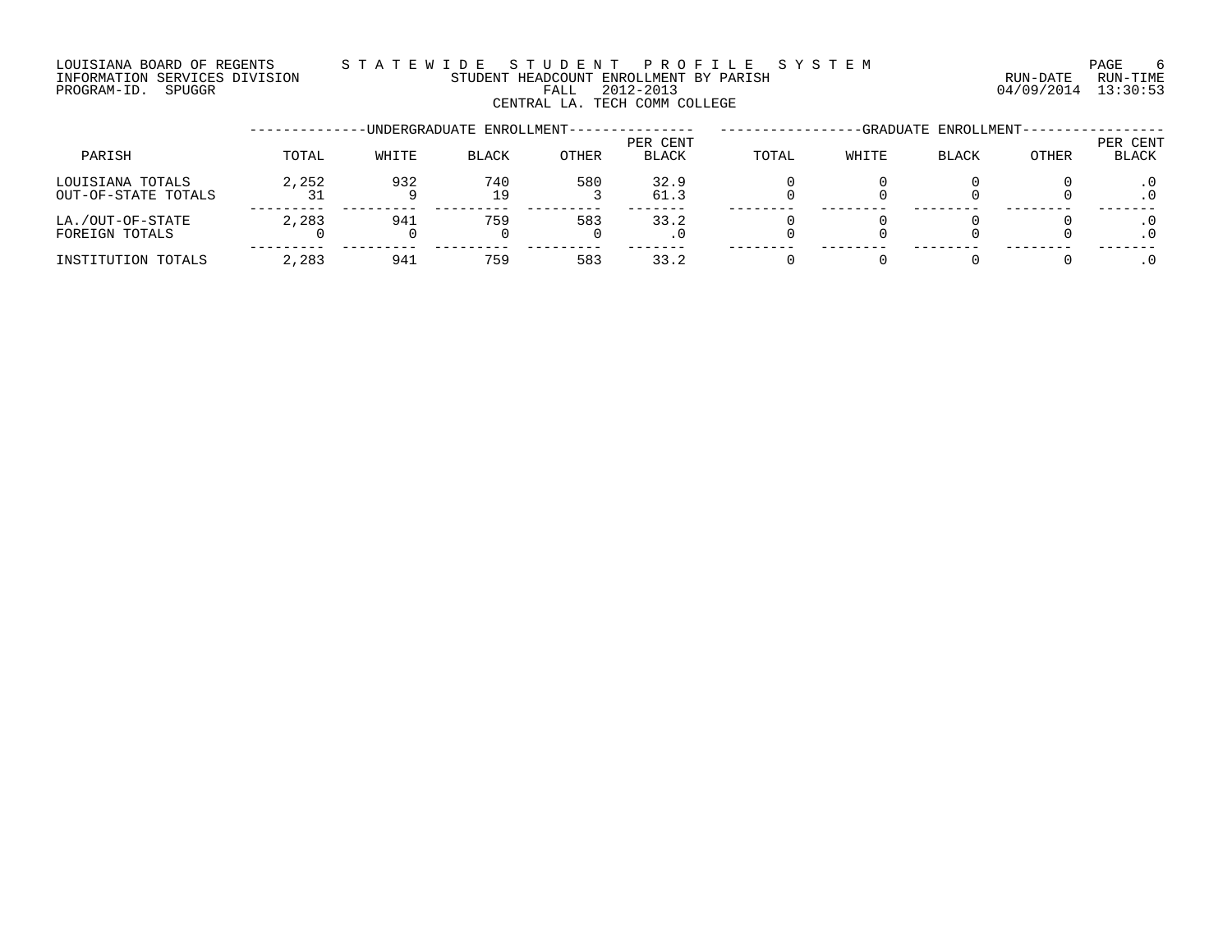### LOUISIANA BOARD OF REGENTS S T A T E W I D E S T U D E N T P R O F I L E S Y S T E M PAGE 6 INFORMATION SERVICES DIVISION STUDENT HEADCOUNT ENROLLMENT BY PARISH RUN-DATE RUN-TIME PROGRAM-ID. SPUGGR FALL 2012-2013 04/09/2014 13:30:53

CENTRAL LA. TECH COMM COLLEGE

|                                         |       |       | -UNDERGRADUATE ENROLLMENT- |       |                          |       |       | -GRADUATE ENROLLMENT- |       |                   |
|-----------------------------------------|-------|-------|----------------------------|-------|--------------------------|-------|-------|-----------------------|-------|-------------------|
| PARISH                                  | TOTAL | WHITE | <b>BLACK</b>               | OTHER | PER CENT<br><b>BLACK</b> | TOTAL | WHITE | <b>BLACK</b>          | OTHER | PER CENT<br>BLACK |
| LOUISIANA TOTALS<br>OUT-OF-STATE TOTALS | 2,252 | 932   | 740<br>19                  | 580   | 32.9<br>61.3             |       |       |                       |       |                   |
| LA./OUT-OF-STATE<br>FOREIGN TOTALS      | 2,283 | 941   | 759                        | 583   | 33.2<br>. 0              |       |       |                       |       |                   |
| INSTITUTION TOTALS                      | 2,283 | 941   | 759                        | 583   | 33.2                     |       |       |                       |       |                   |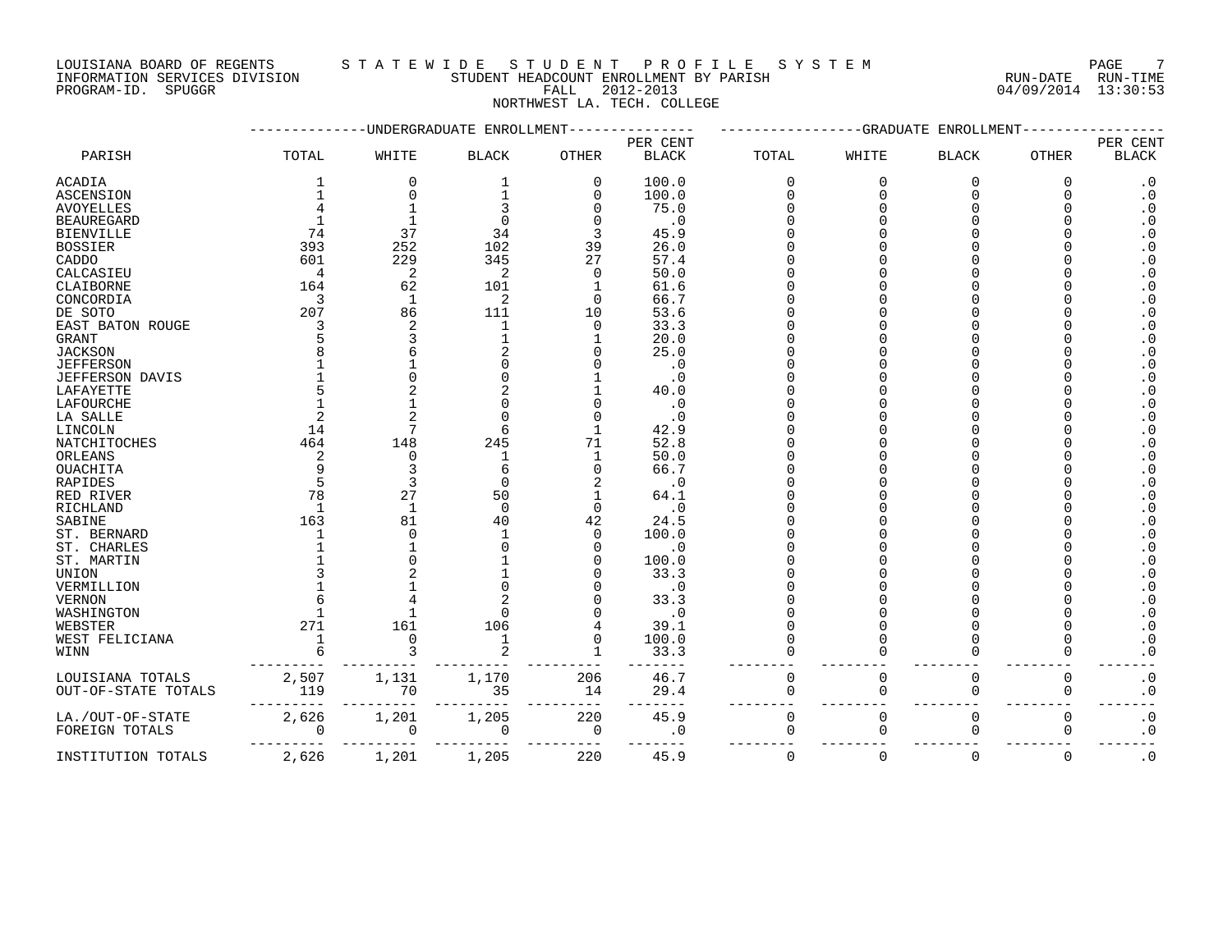PROGRAM-ID. SPUGGR FALL 2012-2013 04/09/2014 13:30:53

### LOUISIANA BOARD OF REGENTS STA TEWIDE STUDENT PROFILE SYSTEM NAGE 7 INFORMATION SERVICES DIVISION STUDENT HEADCOUNT ENROLLMENT BY PARISH RUN-DATE RUN-TIME

NORTHWEST LA. TECH. COLLEGE

|                     |                  | UNDERGRADUATE  | ENROLLMENT   |              |                            |                | -GRADUATE   | ENROLLMEN      |              |                          |
|---------------------|------------------|----------------|--------------|--------------|----------------------------|----------------|-------------|----------------|--------------|--------------------------|
| PARISH              | TOTAL            | WHITE          | <b>BLACK</b> | <b>OTHER</b> | PER CENT<br><b>BLACK</b>   | TOTAL          | WHITE       | <b>BLACK</b>   | <b>OTHER</b> | PER CENT<br><b>BLACK</b> |
|                     | 1                | 0              | 1            | 0            | 100.0                      | $\mathbf 0$    | $\mathbf 0$ | $\overline{0}$ | $\mathbf 0$  | $\boldsymbol{\cdot}$ 0   |
| ACADIA              |                  | 0              |              | $\Omega$     |                            | $\Omega$       | $\Omega$    | $\Omega$       |              | $\boldsymbol{\cdot}$ 0   |
| <b>ASCENSION</b>    |                  |                |              |              | 100.0                      |                |             |                |              |                          |
| <b>AVOYELLES</b>    |                  |                |              |              | 75.0                       |                |             |                |              | $\boldsymbol{\cdot}$ 0   |
| <b>BEAUREGARD</b>   |                  | 1              |              |              | . 0                        |                |             |                |              | $\cdot$ 0                |
| <b>BIENVILLE</b>    | 74               | 37             | 34           | 3            | 45.9                       |                |             |                |              | $\boldsymbol{\cdot}$ 0   |
| <b>BOSSIER</b>      | 393              | 252            | 102          | 39           | 26.0                       |                |             |                |              | $\boldsymbol{\cdot}$ 0   |
| CADDO               | 601              | 229            | 345          | 27           | 57.4                       |                |             |                |              | $\boldsymbol{\cdot}$ 0   |
| CALCASIEU           | $\overline{4}$   | 2              | 2            | $\Omega$     | 50.0                       |                |             |                |              | $\cdot$ 0                |
| CLAIBORNE           | 164              | 62             | 101          |              | 61.6                       |                |             |                |              | $\boldsymbol{\cdot}$ 0   |
| CONCORDIA           | 3                | $\mathbf{1}$   | 2            | $\Omega$     | 66.7                       |                |             |                |              | $\cdot$ 0                |
| DE SOTO             | 207              | 86             | 111          | 10           | 53.6                       |                |             |                |              | $\cdot$ 0                |
| EAST BATON ROUGE    |                  | 2              | $\mathbf{1}$ | $\Omega$     | 33.3                       |                |             |                |              | $\boldsymbol{\cdot}$ 0   |
| <b>GRANT</b>        |                  | 3              |              |              | 20.0                       |                |             |                |              | $\boldsymbol{\cdot}$ 0   |
| <b>JACKSON</b>      |                  |                |              |              | 25.0                       |                |             |                |              | $\boldsymbol{\cdot}$ 0   |
| <b>JEFFERSON</b>    |                  |                |              |              | . 0                        |                |             |                |              | $\cdot$ 0                |
| JEFFERSON DAVIS     |                  | O              |              |              | . 0                        |                |             |                |              | $\cdot$ 0                |
| LAFAYETTE           |                  |                |              |              | 40.0                       |                |             |                |              | $\cdot$ 0                |
| <b>LAFOURCHE</b>    |                  |                |              |              | . 0                        |                |             |                |              | $\cdot$ 0                |
|                     |                  | $\overline{2}$ |              |              |                            |                |             |                |              | $\ddot{0}$               |
| LA SALLE            |                  |                |              |              | . 0                        |                |             |                |              |                          |
| LINCOLN             | 14               | 7              |              |              | 42.9                       |                |             |                |              | $\boldsymbol{\cdot}$ 0   |
| NATCHITOCHES        | 464              | 148            | 245          | 71           | 52.8                       |                |             |                |              | $\boldsymbol{\cdot}$ 0   |
| ORLEANS             |                  | $\Omega$       | -1           |              | 50.0                       |                |             |                |              | $\boldsymbol{\cdot}$ 0   |
| OUACHITA            |                  | 3              |              |              | 66.7                       |                |             |                |              | $\cdot$ 0                |
| <b>RAPIDES</b>      |                  | 3              | ∩            |              | $\cdot$ 0                  |                |             |                |              | $\boldsymbol{\cdot}$ 0   |
| RED RIVER           | 78               | 27             | 50           |              | 64.1                       |                |             |                |              | $\boldsymbol{\cdot}$ 0   |
| RICHLAND            | -1               | $\mathbf{1}$   | $\Omega$     | $\Omega$     | $\overline{\phantom{0}}$ . |                |             |                |              | $\cdot$ 0                |
| SABINE              | 163              | 81             | 40           | 42           | 24.5                       |                |             |                |              | $\cdot$ 0                |
| ST. BERNARD         |                  | $\Omega$       |              | $\Omega$     | 100.0                      |                |             |                |              | $\cdot$ 0                |
| ST. CHARLES         |                  |                |              | U            | . 0                        |                |             |                |              | $\ddot{0}$               |
| ST. MARTIN          |                  |                |              |              | 100.0                      |                |             |                |              | $\boldsymbol{\cdot}$ 0   |
| <b>UNION</b>        |                  |                |              |              | 33.3                       |                |             |                |              | $\boldsymbol{\cdot}$ 0   |
| VERMILLION          |                  |                |              |              | . 0                        |                |             |                |              | $\cdot$ 0                |
| <b>VERNON</b>       |                  |                |              |              | 33.3                       |                |             |                |              | $\cdot$ 0                |
| WASHINGTON          |                  |                |              |              | . 0                        |                |             |                |              | $\cdot$ 0                |
| WEBSTER             | 271              | 161            | 106          |              | 39.1                       |                |             |                |              | $\boldsymbol{\cdot}$ 0   |
| WEST FELICIANA      | $\overline{1}$   | $\Omega$       | -1           | O            | 100.0                      |                |             |                |              | $\boldsymbol{\cdot}$ 0   |
| WINN                |                  |                |              |              | 33.3                       |                |             | $\Omega$       |              | $\cdot$ 0                |
|                     |                  |                |              |              |                            |                |             |                |              |                          |
| LOUISIANA TOTALS    |                  | 1,131          | 1,170        | 206          | 46.7                       | $\overline{0}$ | $\Omega$    | $\Omega$       | $\mathbf 0$  | $\boldsymbol{\cdot}$ 0   |
| OUT-OF-STATE TOTALS | $2,507$<br>$119$ | 70             | 35           | 14           | 29.4                       | $\Omega$       | ∩           | $\Omega$       | 0            | $\cdot$ 0                |
|                     |                  |                |              |              |                            |                |             |                |              |                          |
| LA./OUT-OF-STATE    | 2,626            | 1,201          | 1,205        | 220          | 45.9                       | 0              | $\mathbf 0$ | $\mathbf 0$    | $\mathbf 0$  | $\cdot$ 0                |
| FOREIGN TOTALS      | $\mathbf 0$      | 0              | 0            | 0            | $\cdot$ 0                  | $\Omega$       | $\Omega$    | $\Omega$       | 0            | $\boldsymbol{\cdot}$ 0   |
| INSTITUTION TOTALS  | 2,626            | 1,201          | 1,205        | 220          | 45.9                       | $\Omega$       | $\Omega$    | $\Omega$       | $\Omega$     | $\boldsymbol{\cdot}$ 0   |
|                     |                  |                |              |              |                            |                |             |                |              |                          |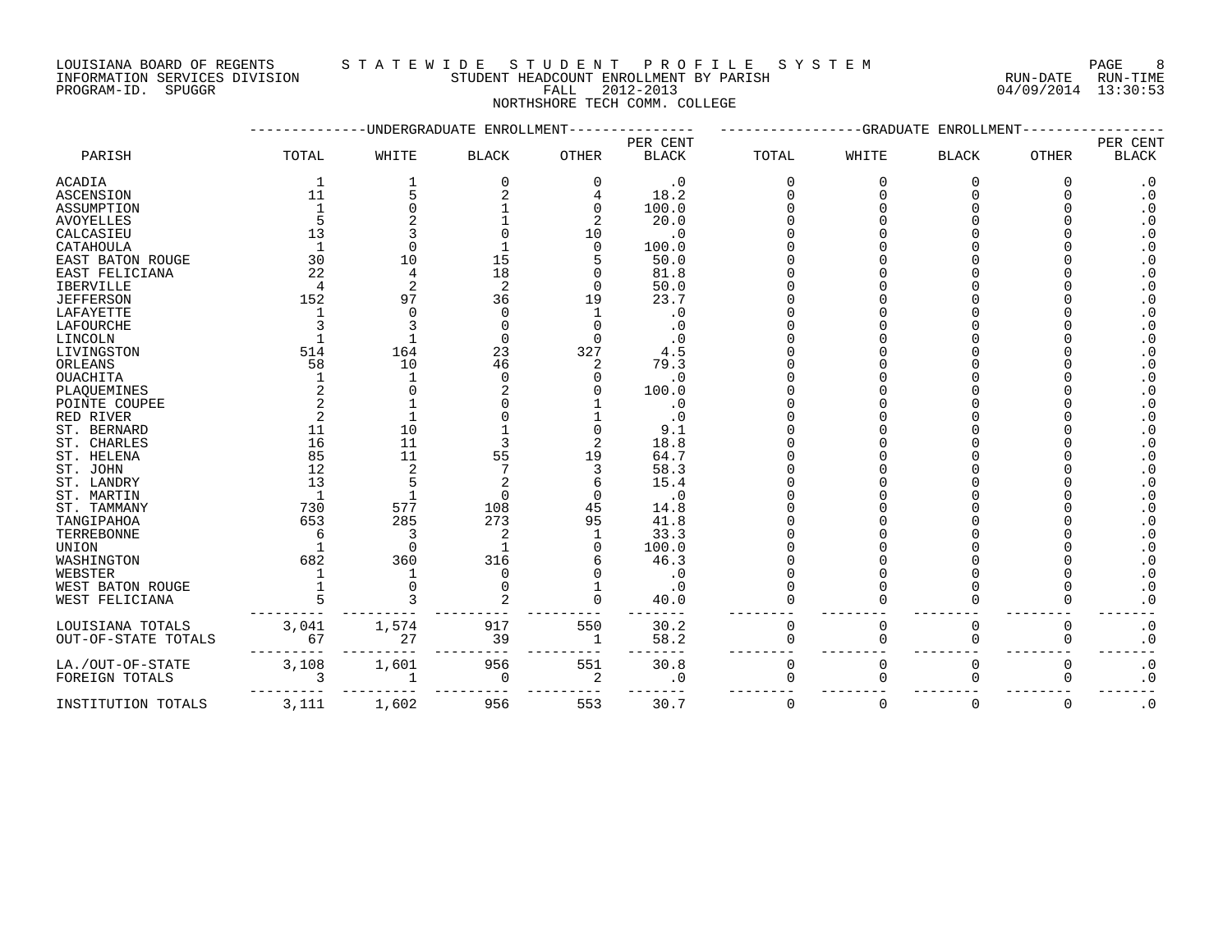INFORMATION SERVICES DIVISION STUDENT HEADCOUNT ENROLLMENT BY PARISH RUN-DATE RUN-TIME PROGRAM-ID. SPUGGR FALL 2012-2013 04/09/2014 13:30:53

### LOUISIANA BOARD OF REGENTS STATEWIDE STUDENT PROFILE SYSTEM NAGE 8

NORTHSHORE TECH COMM. COLLEGE

|                     |       | -UNDERGRADUATE | ENROLLMENT     |              |              |          | -GRADUATE | ENROLLMENT   |              |                        |
|---------------------|-------|----------------|----------------|--------------|--------------|----------|-----------|--------------|--------------|------------------------|
|                     |       |                |                |              | PER CENT     |          |           |              |              | PER CENT               |
| PARISH              | TOTAL | WHITE          | <b>BLACK</b>   | OTHER        | <b>BLACK</b> | TOTAL    | WHITE     | <b>BLACK</b> | <b>OTHER</b> | <b>BLACK</b>           |
| <b>ACADIA</b>       | -1    |                | 0              | $\Omega$     | . 0          | O        | $\Omega$  | $\Omega$     | O            | $\cdot$ 0              |
| <b>ASCENSION</b>    | 11    |                |                |              | 18.2         |          |           |              |              | $\cdot$ 0              |
| ASSUMPTION          |       | O              |                | 0            | 100.0        |          |           |              |              | $\cdot$ 0              |
| <b>AVOYELLES</b>    |       |                |                | 2            | 20.0         |          |           |              |              | $\boldsymbol{\cdot}$ 0 |
| CALCASIEU           | 13    |                |                | 10           | . 0          |          |           |              |              | $\cdot$ 0              |
| CATAHOULA           |       | $\Omega$       |                | $\Omega$     | 100.0        |          |           |              |              | $\cdot$ 0              |
| EAST BATON ROUGE    | 30    | 10             | 15             |              | 50.0         |          |           |              |              | $\cdot$ 0              |
| EAST FELICIANA      | 22    | 4              | 18             |              | 81.8         |          |           |              |              | $\boldsymbol{\cdot}$ 0 |
| <b>IBERVILLE</b>    |       | 2              | $\overline{2}$ | ∩            | 50.0         |          |           |              |              | $\cdot$ 0              |
| <b>JEFFERSON</b>    | 152   | 97             | 36             | 19           | 23.7         |          |           |              |              | $\cdot$ 0              |
| LAFAYETTE           |       | 0              | $\Omega$       |              | . 0          |          |           |              |              | $\cdot$ 0              |
| LAFOURCHE           |       |                |                |              | . 0          |          |           |              |              | $\boldsymbol{\cdot}$ 0 |
| LINCOLN             |       |                | $\Omega$       | U            |              |          |           |              |              | $\cdot$ 0              |
| LIVINGSTON          | 514   | 164            | 23             | 327          | 4.5          |          |           |              |              | $\boldsymbol{\cdot}$ 0 |
| ORLEANS             | 58    | 10             | 46             | 2            | 79.3         |          |           |              |              | $\boldsymbol{\cdot}$ 0 |
| OUACHITA            |       |                | ∩              |              | . 0          |          |           |              |              | $\cdot$ 0              |
| PLAQUEMINES         |       |                |                |              | 100.0        |          |           |              |              | $\boldsymbol{\cdot}$ 0 |
| POINTE COUPEE       |       |                |                |              | $\cdot$ 0    |          |           |              |              | $\cdot$ 0              |
| RED RIVER           |       |                |                |              | . 0          |          |           |              |              | $\cdot$ 0              |
| ST. BERNARD         | 11    | 10             |                |              | 9.1          |          |           |              |              | $\cdot$ 0              |
| ST. CHARLES         | 16    | 11             |                | 2            | 18.8         |          |           |              |              | $\cdot$ 0              |
| ST. HELENA          | 85    | 11             | 55             | 19           | 64.7         |          |           |              |              | $\cdot$ 0              |
| ST. JOHN            | 12    | 2              |                |              | 58.3         |          |           |              |              | $\cdot$ 0              |
| ST. LANDRY          | 13    | 5              |                |              | 15.4         |          |           |              |              | $\cdot$ 0              |
| ST. MARTIN          | -1    | $\mathbf{1}$   | $\Omega$       | O            | . 0          |          |           |              |              | $\cdot$ 0              |
| ST. TAMMANY         | 730   | 577            | 108            | 45           | 14.8         |          |           |              |              | $\cdot$ 0              |
| TANGIPAHOA          | 653   | 285            | 273            | 95           | 41.8         |          |           |              |              | $\boldsymbol{\cdot}$ 0 |
| TERREBONNE          |       | 3              | 2              |              | 33.3         |          |           |              |              | $\cdot$ 0              |
| <b>UNION</b>        |       | $\Omega$       | $\mathbf{1}$   |              | 100.0        |          |           |              |              | $\cdot$ 0              |
| WASHINGTON          | 682   | 360            | 316            |              | 46.3         |          |           |              |              | $\cdot$ 0              |
| WEBSTER             |       |                |                |              | . 0          |          |           |              |              | $\cdot$ 0              |
| WEST BATON ROUGE    |       | O              |                |              | $\cdot$ 0    |          |           |              |              | $\cdot$ 0              |
| WEST FELICIANA      |       |                |                | O            | 40.0         |          |           |              |              | $\boldsymbol{\cdot}$ 0 |
|                     |       |                |                |              |              |          |           |              |              |                        |
| LOUISIANA TOTALS    | 3,041 | 1,574          | 917            | 550          | 30.2         | 0        | 0         | 0            | 0            | $\boldsymbol{\cdot}$ 0 |
| OUT-OF-STATE TOTALS | 67    | 27             | 39             | $\mathbf{1}$ | 58.2         | $\Omega$ | ∩         | $\mathbf 0$  | $\Omega$     | $\boldsymbol{\cdot}$ 0 |
|                     |       |                |                |              |              |          |           |              |              |                        |
| LA./OUT-OF-STATE    | 3,108 | 1,601          | 956            | 551          | 30.8         | 0        | 0         | 0            | 0            | $\cdot$ 0              |
| FOREIGN TOTALS      |       | $\mathbf{1}$   | 0              | 2            | . 0          | $\Omega$ | ∩         | $\Omega$     | $\Omega$     | $\boldsymbol{\cdot}$ 0 |
| INSTITUTION TOTALS  | 3,111 | 1,602          | 956            | 553          | 30.7         | $\Omega$ | $\Omega$  | $\Omega$     | $\Omega$     | $\cdot$ 0              |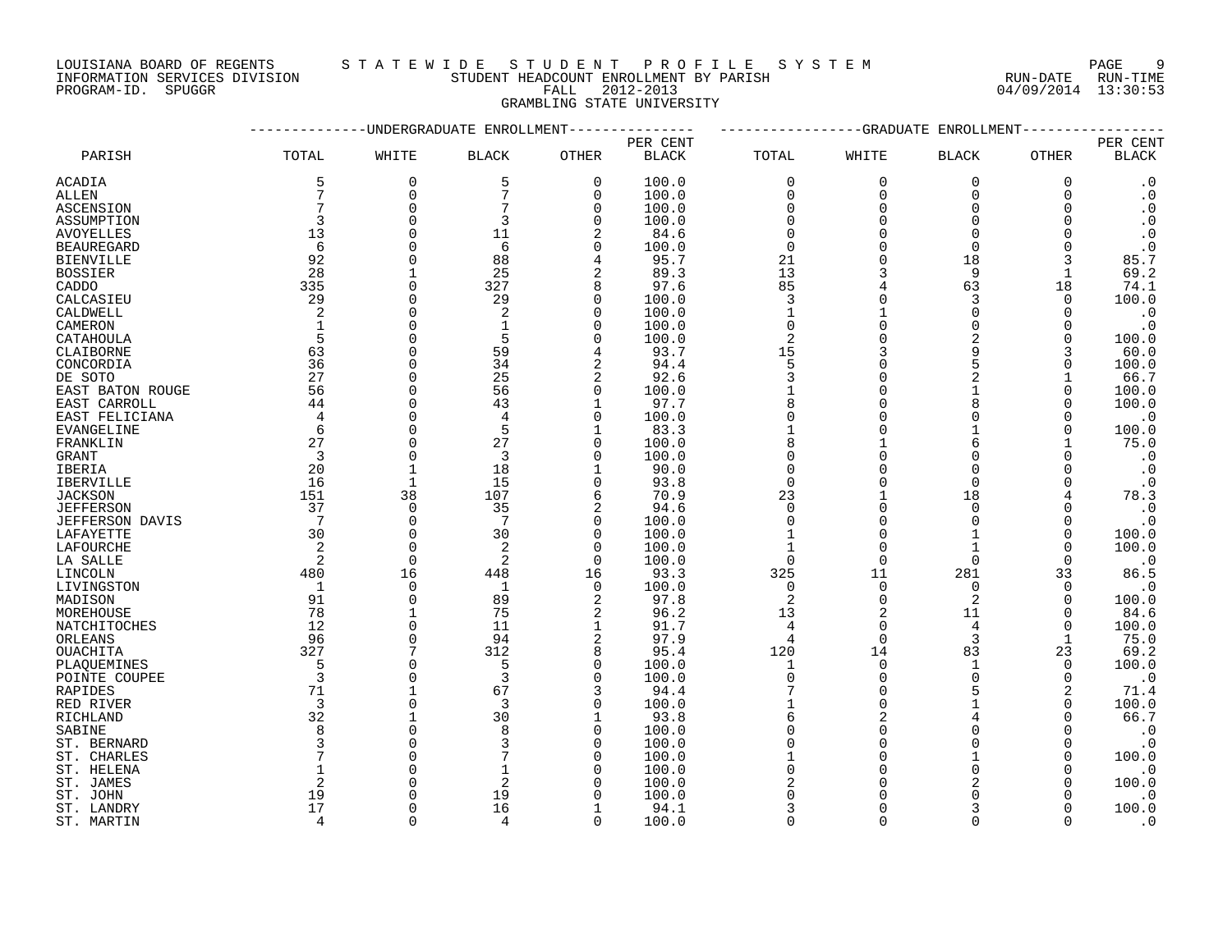LOUISIANA BOARD OF REGENTS S T A T E W I D E S T U D E N T P R O F I L E S Y S T E M PAGE 9

### INFORMATION SERVICES DIVISION STUDENT HEADCOUNT ENROLLMENT BY PARISH RUN-DATE RUN-TIME PROGRAM-ID. SPUGGR FALL 2012-2013 04/09/2014 13:30:53 GRAMBLING STATE UNIVERSITY

|                   |                | --------UNDERGRADUATE ENROLLMENT |                 |                |              |                | ----------GRADUATE | ENROLLMENT     |          |                        |
|-------------------|----------------|----------------------------------|-----------------|----------------|--------------|----------------|--------------------|----------------|----------|------------------------|
|                   |                |                                  |                 |                | PER CENT     |                |                    |                |          | PER CENT               |
| PARISH            | TOTAL          | WHITE                            | <b>BLACK</b>    | OTHER          | <b>BLACK</b> | TOTAL          | WHITE              | <b>BLACK</b>   | OTHER    | <b>BLACK</b>           |
| <b>ACADIA</b>     | 5              | $\mathbf 0$                      | 5               | $\mathbf 0$    | 100.0        | $\mathbf 0$    | $\Omega$           | 0              | $\Omega$ | $\cdot$ 0              |
| ALLEN             | 7              | $\Omega$                         | 7               | $\mathbf 0$    | 100.0        | $\mathbf 0$    | $\Omega$           | $\mathbf 0$    | $\Omega$ | $\cdot$ 0              |
| ASCENSION         | 7              | $\mathbf 0$                      |                 | $\mathbf 0$    | 100.0        | $\Omega$       | $\Omega$           | $\Omega$       | $\Omega$ | $\cdot$ 0              |
| ASSUMPTION        | 3              | $\Omega$                         | 3               | $\mathbf 0$    | 100.0        | $\Omega$       |                    | $\Omega$       | ∩        | $\cdot$ 0              |
| <b>AVOYELLES</b>  | 13             | $\Omega$                         | 11              | $\overline{2}$ | 84.6         | $\Omega$       |                    | $\Omega$       |          | $\boldsymbol{\cdot}$ 0 |
| <b>BEAUREGARD</b> | 6              | $\Omega$                         | 6               | $\mathbf 0$    | 100.0        | $\mathbf 0$    |                    | $\Omega$       | ∩        | $\cdot$ 0              |
| <b>BIENVILLE</b>  | 92             | $\Omega$                         | 88              | 4              | 95.7         | 21             |                    | 18             | 3        | 85.7                   |
| <b>BOSSIER</b>    | 28             | $\mathbf{1}$                     | 25              | $\overline{2}$ | 89.3         | 13             |                    | 9              | 1        | 69.2                   |
| CADDO             | 335            | $\Omega$                         | 327             | 8              | 97.6         | 85             |                    | 63             | 18       | 74.1                   |
| CALCASIEU         | 29             | $\Omega$                         | 29              | 0              | 100.0        | 3              |                    | 3              | $\Omega$ | 100.0                  |
| CALDWELL          | 2              | $\Omega$                         | 2               | $\Omega$       | 100.0        | $\mathbf{1}$   |                    | $\Omega$       | 0        | $\boldsymbol{\cdot}$ 0 |
| CAMERON           | 1              | $\mathbf 0$                      | 1               | 0              | 100.0        | $\Omega$       |                    | $\Omega$       | 0        | $\cdot$ 0              |
| CATAHOULA         | 5              | $\Omega$                         | 5               | 0              | 100.0        | $\overline{2}$ |                    | $\overline{2}$ | $\Omega$ | 100.0                  |
| CLAIBORNE         | 63             | $\Omega$                         | 59              | 4              | 93.7         | 15             |                    | 9              | 3        | 60.0                   |
|                   | 36             | $\Omega$                         | 34              | $\overline{2}$ |              | 5              |                    | 5              | ∩        | 100.0                  |
| CONCORDIA         | 27             | $\mathbf 0$                      | 25              |                | 94.4         |                |                    |                |          |                        |
| DE SOTO           |                |                                  | 56              | 2              | 92.6         | 3              |                    |                |          | 66.7                   |
| EAST BATON ROUGE  | 56             | $\mathbf 0$                      |                 | 0              | 100.0        |                |                    |                | 0        | 100.0                  |
| EAST CARROLL      | 44             | $\Omega$                         | 43              | 1              | 97.7         | 8              |                    | 8              | ∩        | 100.0                  |
| EAST FELICIANA    | $\overline{4}$ | $\Omega$                         | 4               | $\mathbf 0$    | 100.0        | $\Omega$       |                    | $\Omega$       | O        | $\cdot$ 0              |
| <b>EVANGELINE</b> | 6              | $\Omega$                         | 5               | $\mathbf{1}$   | 83.3         |                |                    |                | ∩        | 100.0                  |
| FRANKLIN          | 27             | $\mathbf 0$                      | 27              | $\mathbf 0$    | 100.0        | 8              |                    | 6              |          | 75.0                   |
| GRANT             | 3              | $\mathbf 0$                      | 3               | 0              | 100.0        | $\Omega$       |                    | $\Omega$       | 0        | $\cdot$ 0              |
| IBERIA            | 20             | $\mathbf{1}$                     | 18              | 1              | 90.0         | $\Omega$       |                    | $\Omega$       |          | $\cdot$ 0              |
| IBERVILLE         | 16             | $\mathbf{1}$                     | 15              | $\mathbf 0$    | 93.8         | $\mathbf 0$    |                    | $\Omega$       | ∩        | $\cdot$ 0              |
| <b>JACKSON</b>    | 151            | 38                               | 107             | 6              | 70.9         | 23             |                    | 18             |          | 78.3                   |
| <b>JEFFERSON</b>  | 37             | $\mathbf 0$                      | 35              | 2              | 94.6         | $\mathbf 0$    | $\Omega$           | $\mathbf 0$    |          | $\cdot$ 0              |
| JEFFERSON DAVIS   | 7              | $\mathbf 0$                      | $7\phantom{.0}$ | 0              | 100.0        | $\Omega$       | $\Omega$           | $\Omega$       | O        | $\cdot$ 0              |
| LAFAYETTE         | 30             | $\mathbf 0$                      | 30              | $\mathbf 0$    | 100.0        |                |                    |                | $\Omega$ | 100.0                  |
| LAFOURCHE         | 2              | $\Omega$                         | 2               | $\mathbf 0$    | 100.0        |                | $\Omega$           | 1              | $\Omega$ | 100.0                  |
| LA SALLE          | 2              | $\Omega$                         | $\overline{2}$  | $\Omega$       | 100.0        | $\Omega$       | $\Omega$           | $\Omega$       | $\Omega$ | $\cdot$ 0              |
| LINCOLN           | 480            | 16                               | 448             | 16             | 93.3         | 325            | 11                 | 281            | 33       | 86.5                   |
| LIVINGSTON        | -1             | $\mathbf 0$                      | 1               | 0              | 100.0        | 0              | 0                  | 0              | 0        | $\cdot$ 0              |
| MADISON           | 91             | $\Omega$                         | 89              | 2              | 97.8         | $\overline{2}$ | $\Omega$           | $\overline{2}$ | ∩        | 100.0                  |
| MOREHOUSE         | 78             | $\mathbf{1}$                     | 75              | 2              | 96.2         | 13             | 2                  | 11             | $\Omega$ | 84.6                   |
| NATCHITOCHES      | 12             | $\Omega$                         | 11              | 1              | 91.7         | 4              | $\Omega$           | $\overline{4}$ | $\Omega$ | 100.0                  |
| ORLEANS           | 96             | $\mathbf 0$                      | 94              | $\overline{2}$ | 97.9         | 4              | $\Omega$           | 3              |          | 75.0                   |
| OUACHITA          | 327            | 7                                | 312             | 8              | 95.4         | 120            | 14                 | 83             | 23       | 69.2                   |
| PLAQUEMINES       | 5              | $\Omega$                         | 5               | $\Omega$       | 100.0        | $\mathbf{1}$   | $\Omega$           | $\mathbf{1}$   | $\Omega$ | 100.0                  |
| POINTE COUPEE     | $\overline{3}$ | $\mathbf 0$                      | 3               | $\mathbf 0$    | 100.0        | 0              | $\Omega$           | $\Omega$       | $\Omega$ | $\cdot$ 0              |
| RAPIDES           | 71             | $\mathbf{1}$                     | 67              | 3              | 94.4         | 7              | $\Omega$           | 5              | 2        | 71.4                   |
| RED RIVER         | 3              | $\mathbf 0$                      | 3               | $\overline{0}$ | 100.0        |                | $\Omega$           |                | $\Omega$ | 100.0                  |
| RICHLAND          | 32             | $\mathbf{1}$                     | 30              | 1              | 93.8         | 6              | 2                  | 4              | O        | 66.7                   |
| SABINE            | 8              | $\Omega$                         |                 | $\mathbf 0$    | 100.0        | $\Omega$       | $\Omega$           | $\Omega$       | $\Omega$ | $\cdot$ 0              |
| ST. BERNARD       |                | $\Omega$                         |                 | $\mathbf 0$    | 100.0        | $\Omega$       |                    | $\Omega$       | $\Omega$ | $\cdot$ 0              |
| ST. CHARLES       |                | $\Omega$                         |                 | $\Omega$       | 100.0        |                |                    |                | $\Omega$ | 100.0                  |
| ST. HELENA        |                | $\Omega$                         |                 | 0              | 100.0        | $\Omega$       |                    | $\Omega$       | ∩        | $\cdot$ 0              |
| ST. JAMES         |                | $\mathbf 0$                      | 2               | 0              | 100.0        |                |                    |                | O        | 100.0                  |
| ST. JOHN          | 19             | $\Omega$                         | 19              | 0              | 100.0        | $\Omega$       |                    |                | ∩        | $\cdot$ 0              |
| ST. LANDRY        | 17             | $\Omega$                         | 16              | 1              | 94.1         | 3              |                    |                | ∩        | 100.0                  |
| ST. MARTIN        | 4              | $\Omega$                         | 4               | $\Omega$       | 100.0        | $\Omega$       | $\Omega$           | $\Omega$       | $\Omega$ | $\cdot$ 0              |
|                   |                |                                  |                 |                |              |                |                    |                |          |                        |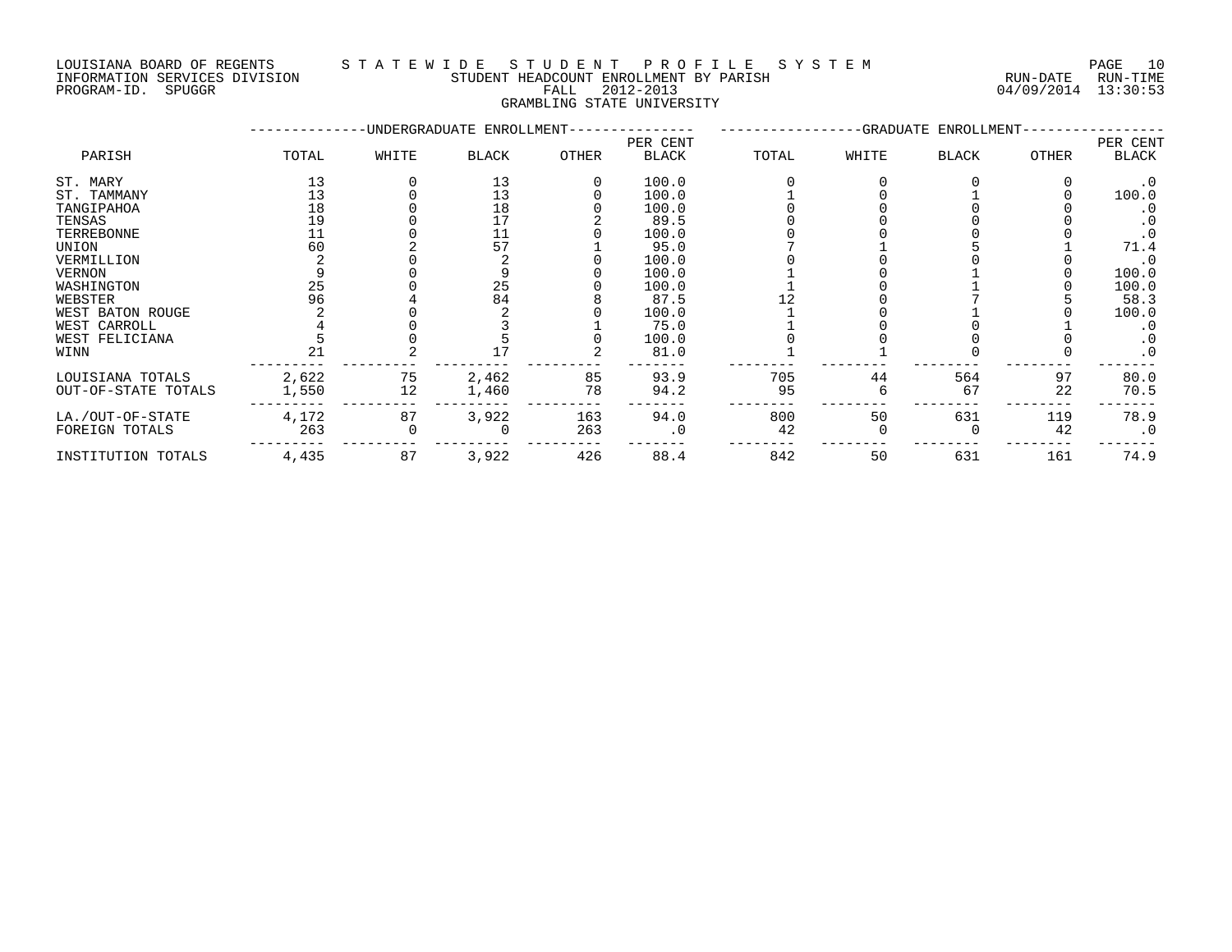### LOUISIANA BOARD OF REGENTS S T A T E W I D E S T U D E N T P R O F I L E S Y S T E M PAGE 10 INFORMATION SERVICES DIVISION STUDENT HEADCOUNT ENROLLMENT BY PARISH RUN-DATE RUN-TIME PROGRAM-ID. SPUGGR FALL 2012-2013 04/09/2014 13:30:53

GRAMBLING STATE UNIVERSITY

|                     |       |       | -UNDERGRADUATE ENROLLMENT- |              |           |       | -GRADUATE ENROLLMENT- |              |              |           |
|---------------------|-------|-------|----------------------------|--------------|-----------|-------|-----------------------|--------------|--------------|-----------|
|                     |       |       |                            |              | PER CENT  |       |                       |              |              | PER CENT  |
| PARISH              | TOTAL | WHITE | <b>BLACK</b>               | <b>OTHER</b> | BLACK     | TOTAL | WHITE                 | <b>BLACK</b> | <b>OTHER</b> | BLACK     |
| ST. MARY            | 13    |       | 13                         |              | 100.0     |       |                       |              |              | $\cdot$ 0 |
| ST. TAMMANY         | 13    |       | 13                         |              | 100.0     |       |                       |              |              | 100.0     |
| TANGIPAHOA          | 18    |       | 18                         |              | 100.0     |       |                       |              |              | $\cdot$ 0 |
| TENSAS              | 19    |       | 17                         |              | 89.5      |       |                       |              |              |           |
| TERREBONNE          | 11    |       | 11                         |              | 100.0     |       |                       |              |              | $\cdot$ 0 |
| UNION               | 60    |       | 57                         |              | 95.0      |       |                       |              |              | 71.4      |
| VERMILLION          |       |       |                            |              | 100.0     |       |                       |              |              | $\cdot$ 0 |
| VERNON              |       |       |                            |              | 100.0     |       |                       |              |              | 100.0     |
| WASHINGTON          | 25    |       | 25                         |              | 100.0     |       |                       |              |              | 100.0     |
| WEBSTER             | 96    |       | 84                         |              | 87.5      |       |                       |              |              | 58.3      |
| WEST BATON ROUGE    |       |       |                            |              | 100.0     |       |                       |              |              | 100.0     |
| WEST CARROLL        |       |       |                            |              | 75.0      |       |                       |              |              | $\cdot$ 0 |
| WEST FELICIANA      |       |       |                            |              | 100.0     |       |                       |              |              | $\cdot$ 0 |
| WINN                | 21    |       |                            |              | 81.0      |       |                       |              |              | $\cdot$ 0 |
| LOUISIANA TOTALS    | 2,622 | 75    | 2,462                      | 85           | 93.9      | 705   | 44                    | 564          | 97           | 80.0      |
| OUT-OF-STATE TOTALS | 1,550 | 12    | 1,460                      | 78           | 94.2      | 95    |                       | 67           | 22           | 70.5      |
| LA./OUT-OF-STATE    | 4,172 | 87    | 3,922                      | 163          | 94.0      | 800   | 50                    | 631          | 119          | 78.9      |
| FOREIGN TOTALS      | 263   |       |                            | 263          | $\cdot$ 0 | 42    |                       |              | 42           | $\cdot$ 0 |
| INSTITUTION TOTALS  | 4,435 | 87    | 3,922                      | 426          | 88.4      | 842   | 50                    | 631          | 161          | 74.9      |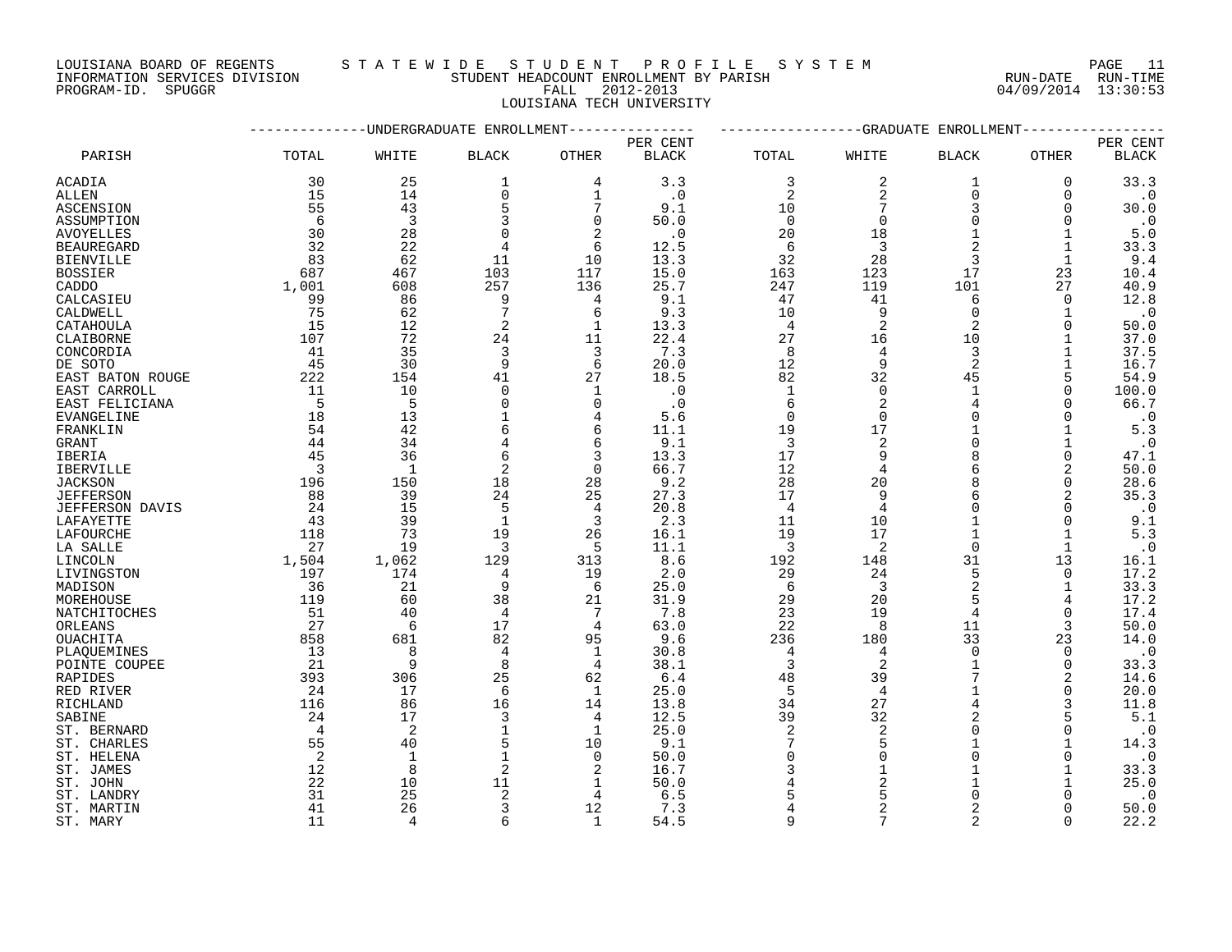LOUISIANA BOARD OF REGENTS S T A T E W I D E S T U D E N T P R O F I L E S Y S T E M PAGE 11 INFORMATION SERVICES DIVISION STUDENT HEADCOUNT ENROLLMENT BY PARISH RUN-DATE RUN-TIME

PROGRAM-ID. SPUGGR FALL 2012-2013 04/09/2014 13:30:53 LOUISIANA TECH UNIVERSITY

|                       |                         |                |                |                |              |                | ------------GRADUATE | ENROLLMENT     |               |              |
|-----------------------|-------------------------|----------------|----------------|----------------|--------------|----------------|----------------------|----------------|---------------|--------------|
|                       |                         |                |                |                | PER CENT     |                |                      |                |               | PER CENT     |
| PARISH                | TOTAL                   | WHITE          | <b>BLACK</b>   | <b>OTHER</b>   | <b>BLACK</b> | TOTAL          | WHITE                | <b>BLACK</b>   | OTHER         | <b>BLACK</b> |
| ACADIA                | 30                      | 25             | 1              | 4              | 3.3          | 3              | 2                    | 1              | 0             | 33.3         |
| ALLEN                 | 15                      | 14             | $\mathbf 0$    | 1              | $\cdot$ 0    | 2              | 2                    | $\Omega$       | 0             | $\cdot$ 0    |
| <b>ASCENSION</b>      | 55                      | 43             | 5              | 7              | 9.1          | 10             | 7                    | 3              | $\Omega$      | 30.0         |
| ASSUMPTION            | 6                       | $\overline{3}$ | ζ              | $\Omega$       | 50.0         | $\Omega$       | $\Omega$             |                | $\Omega$      | $\cdot$ 0    |
| <b>AVOYELLES</b>      | 30                      | 28             | $\Omega$       | 2              | $\cdot$ 0    | 20             | 18                   |                | 1             | 5.0          |
| <b>BEAUREGARD</b>     | 32                      | 22             | 4              | 6              | 12.5         | 6              | 3                    | $\mathcal{D}$  | $\mathbf{1}$  | 33.3         |
| <b>BIENVILLE</b>      | 83                      | 62             | 11             | 10             | 13.3         | 32             | 28                   | 3              | $\mathbf{1}$  | 9.4          |
| <b>BOSSIER</b>        | 687                     | 467            | 103            | 117            | 15.0         | 163            | 123                  | 17             | 23            | 10.4         |
| CADDO                 | 1,001                   | 608            | 257            | 136            | 25.7         | 247            | 119                  | 101            | 27            | 40.9         |
| CALCASIEU             | 99                      | 86             | 9              | 4              | 9.1          | 47             | 41                   | 6              | $\mathbf 0$   | 12.8         |
| CALDWELL              | 75                      | 62             | 7              | 6              | 9.3          | 10             | 9                    | $\Omega$       | 1             | $\cdot$ 0    |
| CATAHOULA             | 15                      | 12             | 2              | $\mathbf{1}$   | 13.3         | 4              | 2                    |                | $\Omega$      | 50.0         |
| CLAIBORNE             | 107                     | 72             | 24             | 11             | 22.4         | 27             | 16                   | 10             |               | 37.0         |
| CONCORDIA             | 41                      | 35             | 3              | 3              | 7.3          | 8              | 4                    | 3              |               | 37.5         |
| DE SOTO               | 45                      | 30             | 9              | 6              | 20.0         | 12             | 9                    | $\overline{2}$ |               | 16.7         |
| EAST BATON ROUGE      | 222                     | 154            | 41             | 27             | 18.5         | 82             | 32                   | 45             | 5             | 54.9         |
| EAST CARROLL          | 11                      | 10             | $\Omega$       | 1              | $\cdot$ 0    | $\mathbf 1$    | $\Omega$             |                | 0             | 100.0        |
| EAST FELICIANA        | $-5$                    | 5              | $\Omega$       | $\mathbf 0$    | $\cdot$ 0    | 6              | $\overline{2}$       | $\overline{4}$ |               | 66.7         |
| EVANGELINE            | 18                      | 13             |                | 4              | 5.6          | $\mathbf 0$    | $\Omega$             | $\Omega$       | $\Omega$      | $\cdot$ 0    |
| FRANKLIN              | 54                      | 42             | 6              | 6              | 11.1         | 19             | 17                   |                |               | 5.3          |
| GRANT                 | 44                      | 34             | 4              | 6              | 9.1          | 3              | $\overline{2}$       |                |               | $\cdot$ 0    |
| IBERIA                | 45                      | 36             | 6              | 3              | 13.3         | 17             | 9                    |                | $\Omega$      | 47.1         |
| <b>IBERVILLE</b>      | $\overline{\mathbf{3}}$ | 1              | 2              | $\overline{0}$ | 66.7         | 12             | $\overline{4}$       | 6              | 2             | 50.0         |
| <b>JACKSON</b>        | 196                     | 150            | 18             | 28             | 9.2          | 28             | 20                   |                | 0             | 28.6         |
| <b>JEFFERSON</b>      | 88                      | 39             | 24             | 25             | 27.3         | 17             | 9                    |                | 2             | 35.3         |
| JEFFERSON DAVIS       | 24                      | 15             | 5              | 4              | 20.8         | $\overline{4}$ | 4                    | $\cap$         | 0             | $\cdot$ 0    |
| LAFAYETTE             | 43                      | 39             | $\mathbf{1}$   | 3              | 2.3          | 11             | 10                   |                | $\Omega$      | 9.1          |
| LAFOURCHE             | 118                     | 73             | 19             | 26             | 16.1         | 19             | 17                   |                | 1             | 5.3          |
| LA SALLE              | 27                      | 19             | 3              | 5              | 11.1         | 3              | 2                    | $\Omega$       | $\mathbf{1}$  | $\cdot$ 0    |
| LINCOLN               | 1,504                   | 1,062          | 129            | 313            | 8.6          | 192            | 148                  | 31             | 13            | 16.1         |
| LIVINGSTON            | 197                     | 174            | 4              | 19             | 2.0          | 29             | 24                   | 5              | $\Omega$      | 17.2         |
| MADISON               | 36                      | 21             | 9              | 6              | 25.0         | 6              | 3                    | $\overline{a}$ | 1             | 33.3         |
| MOREHOUSE             | 119                     | 60             | 38             | 21             | 31.9         | 29             | 20                   |                | 4             | 17.2         |
| NATCHITOCHES          | 51                      | 40             | $\overline{4}$ | 7              | 7.8          | 23             | 19                   | $\overline{4}$ | 0             | 17.4         |
| ORLEANS               | 27                      | 6              | 17             | 4              | 63.0         | 22             | 8                    | 11             | 3             | 50.0         |
| <b>OUACHITA</b>       | 858                     | 681            | 82             | 95             | 9.6          | 236            | 180                  | 33             | 23            | 14.0         |
| PLAOUEMINES           | 13                      | 8              | 4              | 1              | 30.8         | $\overline{4}$ | 4                    | $\Omega$       | $\Omega$      | $\cdot$ 0    |
| POINTE COUPEE         | 21                      | 9              | 8              | 4              | 38.1         | 3              | 2                    | 7              | $\mathbf 0$   | 33.3         |
| RAPIDES               | 393                     | 306            | 25             | 62             | 6.4          | 48             | 39                   |                | 2             | 14.6         |
| RED RIVER             | 24                      | 17<br>86       | 6<br>16        | 1              | 25.0         | 5<br>34        | $\overline{4}$<br>27 |                | $\Omega$<br>3 | 20.0<br>11.8 |
| RICHLAND              | 116<br>24               | 17             | 3              | 14<br>4        | 13.8<br>12.5 | 39             | 32                   | $\overline{2}$ | 5             | 5.1          |
| SABINE<br>ST. BERNARD | $\overline{4}$          | 2              |                | 1              | 25.0         | 2              | 2                    |                | $\Omega$      | $\cdot$ 0    |
| ST. CHARLES           | 55                      | 40             | 5              | 10             | 9.1          | 7              | 5                    |                |               | 14.3         |
| ST. HELENA            | 2                       | $\mathbf{1}$   |                | $\Omega$       | 50.0         | $\Omega$       | $\Omega$             | $\Omega$       | $\Omega$      | $\cdot$ 0    |
| ST. JAMES             | 12                      | 8              | 2              | 2              | 16.7         |                |                      |                |               | 33.3         |
| ST. JOHN              | 22                      | 10             | 11             | 1              | 50.0         |                | 2                    |                |               | 25.0         |
| ST. LANDRY            | 31                      | 25             | 2              | 4              | 6.5          |                |                      |                |               | $\cdot$ 0    |
| ST. MARTIN            | 41                      | 26             | 3              | 12             | 7.3          |                | 2                    | 2              | $\Omega$      | 50.0         |
| ST. MARY              | 11                      | $\Delta$       | 6              | $\mathbf{1}$   | 54.5         | $\mathsf{Q}$   | 7                    | $\mathfrak{D}$ | $\Omega$      | 22.2         |
|                       |                         |                |                |                |              |                |                      |                |               |              |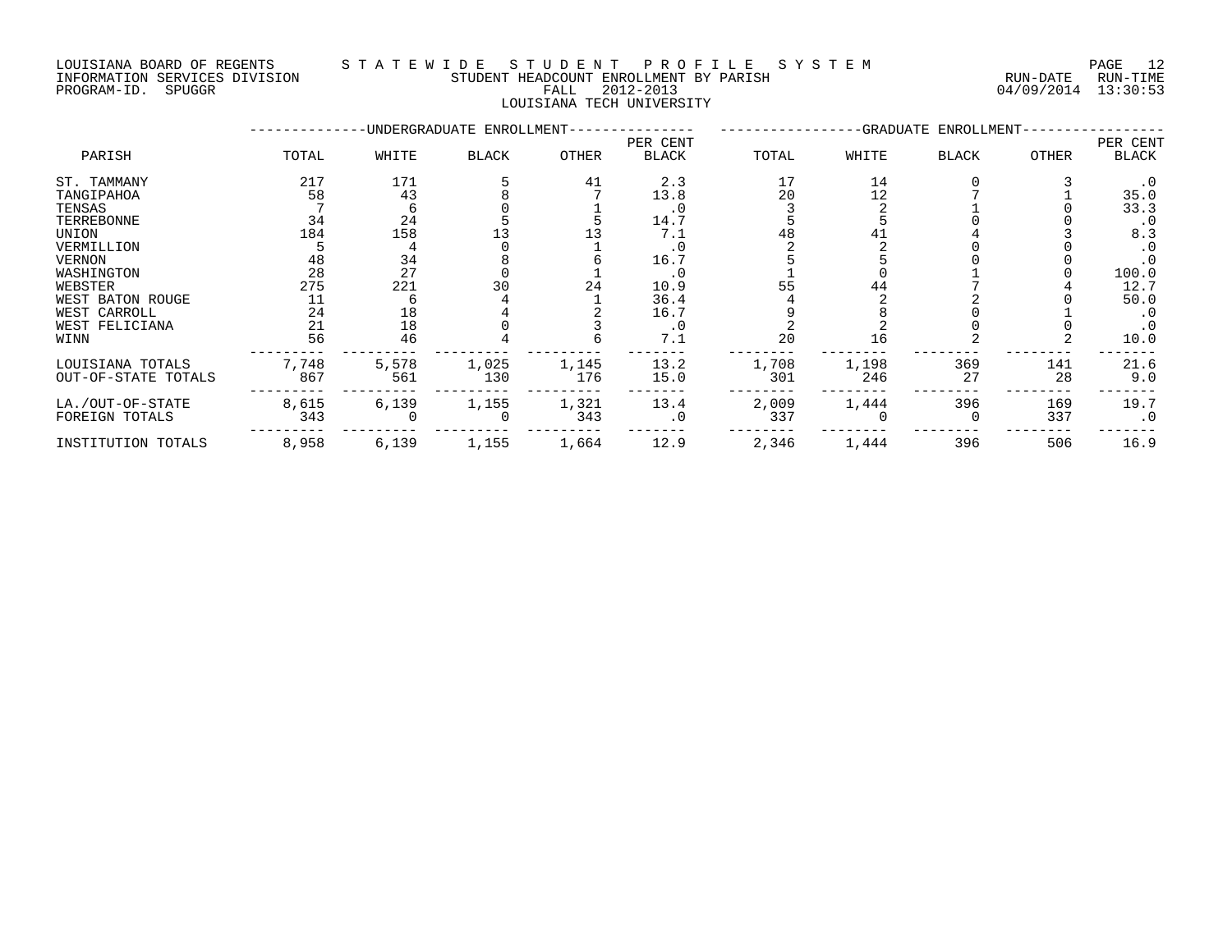### LOUISIANA BOARD OF REGENTS STATEWIDE STUDENT PROFILE SYSTEM PAGE 12<br>TNFORMATION SERVICES DIVISION STUDENT HEADCOUNT ENROLLMENT BY PARISH INFORMATION SERVICES DIVISION STUDENT HEADCOUNT ENROLLMENT BY PARISH PROGRAM-ID. SPUGGR FALL 2012-2013 04/09/2014 13:30:53

### LOUISIANA TECH UNIVERSITY

--------------UNDERGRADUATE ENROLLMENT--------------- -----------------GRADUATE ENROLLMENT----------------- PER CENT PER CENT PARISH TOTAL WHITE BLACK OTHER BLACK TOTAL WHITE BLACK OTHER BLACK ST. TAMMANY 217 171 5 41 2.3 17 14 0 3 .0 TANGIPAHOA 58 43 8 7 13.8 20 12 7 1 35.0 TENSAS 7 6 0 1 .0 3 2 1 0 33.3 TERREBONNE 34 24 5 5 14.7 5 5 0 0 .0 UNION 184 158 13 13 7.1 48 41 4 3 8.3 VERMILLION 5 4 0 1 .0 2 2 0 0 .0 VERNON 48 34 8 6 16.7 5 5 0 0 .0 WASHINGTON 28 27 0 1 .0 1 0 1 0 100.0 WEBSTER 275 221 30 24 10.9 55 44 7 4 12.7 WEST BATON ROUGE 11 6 4 1 36.4 4 2 50.0 WEST CARROLL 24 18 4 2 16.7 9 8 0 1 .0 WEST FELICIANA 21 18 0 3 .0 2 2 0 0 .0 WINN 56 46 4 6 7.1 20 16 2 2 10.0 --------- --------- --------- --------- ------- -------- -------- -------- -------- ------- LOUISIANA TOTALS 7,748 5,578 1,025 1,145 13.2 1,708 1,198 369 141 21.6 OUT-OF-STATE TOTALS 867 561 130 176 15.0 301 246 27 28 9.0 --------- --------- --------- --------- ------- -------- -------- -------- -------- ------- LA./OUT-OF-STATE 8,615 6,139 1,155 1,321 13.4 2,009 1,444 396 169 19.7 FOREIGN TOTALS 343 0 0 343 .0 337 0 0 337 .0 --------- --------- --------- --------- ------- -------- -------- -------- -------- -------

INSTITUTION TOTALS 8,958 6,139 1,155 1,664 12.9 2,346 1,444 396 506 16.9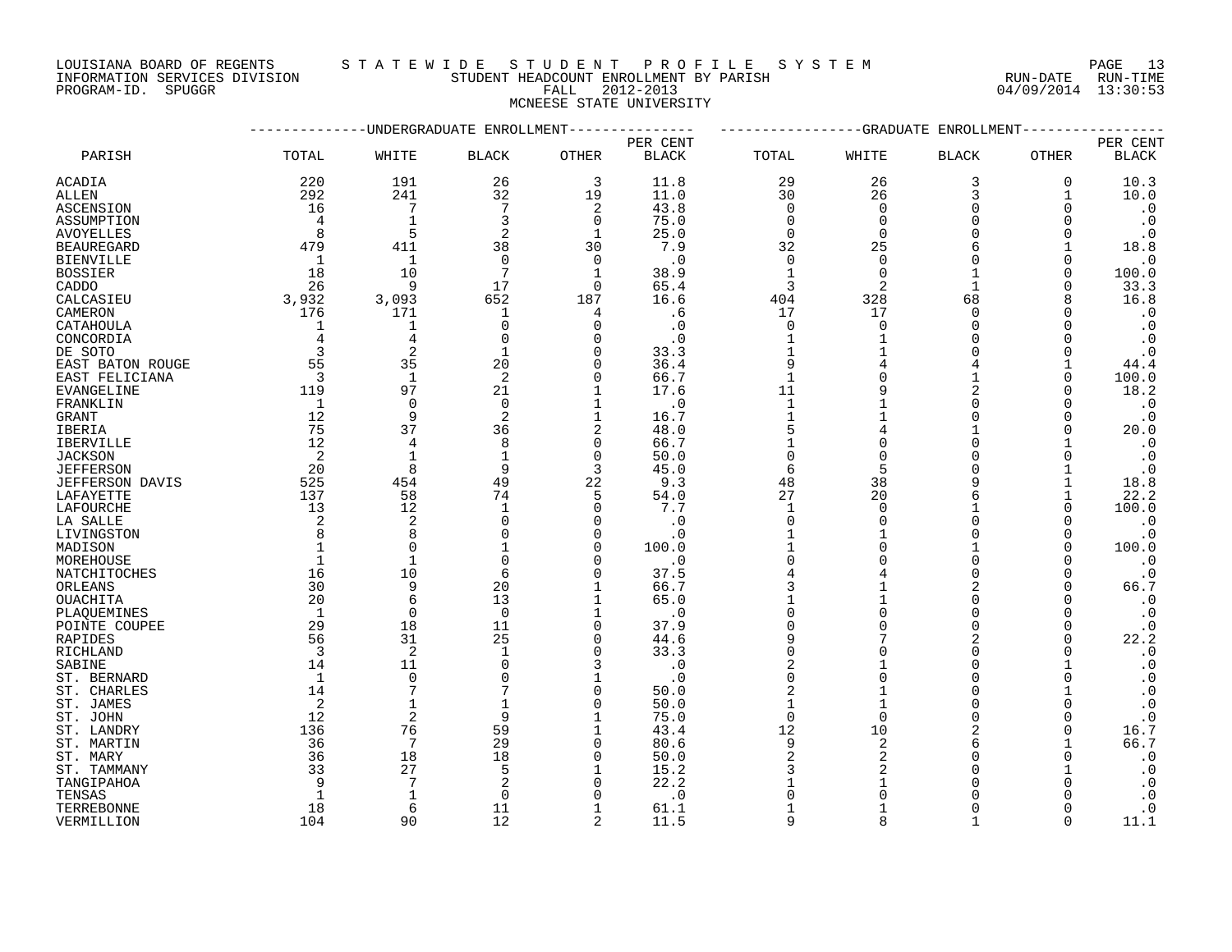LOUISIANA BOARD OF REGENTS S T A T E W I D E S T U D E N T P R O F I L E S Y S T E M PAGE 13

### INFORMATION SERVICES DIVISION STUDENT HEADCOUNT ENROLLMENT BY PARISH RUN-DATE RUN-TIME PROGRAM-ID. SPUGGR FALL 2012-2013 04/09/2014 13:30:53 MCNEESE STATE UNIVERSITY

|                    |                         | ---------UNDERGRADUATE ENROLLMENT--------------- |                |                |              |                     |                | ------------GRADUATE ENROLLMENT- |              |                                     |
|--------------------|-------------------------|--------------------------------------------------|----------------|----------------|--------------|---------------------|----------------|----------------------------------|--------------|-------------------------------------|
|                    |                         |                                                  |                |                | PER CENT     |                     |                |                                  |              | PER CENT                            |
| PARISH             | TOTAL                   | WHITE                                            | <b>BLACK</b>   | <b>OTHER</b>   | <b>BLACK</b> | TOTAL               | WHITE          | <b>BLACK</b>                     | <b>OTHER</b> | <b>BLACK</b>                        |
| ACADIA             | 220                     | 191                                              | 26             | 3              | 11.8         | 29                  | 26             | 3                                | 0            | 10.3                                |
| ALLEN              | 292                     | 241                                              | 32             | 19             | 11.0         | 30                  | 26             | 3                                | 1            | 10.0                                |
| ASCENSION          | 16                      | 7                                                |                | 2              | 43.8         | $\Omega$            | $\Omega$       | $\Omega$                         | ∩            | $\cdot$ 0                           |
| ASSUMPTION         | 4                       | $\mathbf{1}$                                     |                | $\mathbf 0$    | 75.0         | $\mathbf 0$         | $\Omega$       | $\Omega$                         |              | $\cdot$ 0                           |
| <b>AVOYELLES</b>   | 8                       | 5                                                |                | $\mathbf 1$    | 25.0         | 0                   | $\Omega$       | ∩                                | ∩            | $\cdot$ 0                           |
| <b>BEAUREGARD</b>  | 479                     | 411                                              | 38             | 30             | 7.9          | 32                  | 25             |                                  |              | 18.8                                |
| <b>BIENVILLE</b>   | -1                      | $\mathbf{1}$                                     | $\Omega$       | $\Omega$       | $\cdot$ 0    | $\mathbf 0$         | $\Omega$       | $\Omega$                         | 0            | $\cdot$ 0                           |
| <b>BOSSIER</b>     | 18                      | 10                                               | 7              | $\mathbf{1}$   | 38.9         | $\mathbf{1}$        | $\mathbf 0$    | 1                                | $\Omega$     | 100.0                               |
| CADDO              | 26                      | 9                                                | 17             | $\Omega$       | 65.4         | 3                   | 2              | 1                                | ∩            | 33.3                                |
| CALCASIEU          | 3,932                   | 3,093                                            | 652            | 187            | 16.6         | 404                 | 328            | 68                               | 8            | 16.8                                |
| CAMERON            | 176                     | 171                                              | 1              | 4              | .6           | 17                  | 17             | ∩                                | ∩            | $\cdot$ 0                           |
| CATAHOULA          |                         | 1                                                | $\mathbf 0$    | $\mathbf 0$    | $\cdot$ 0    | $\mathbf 0$         | $\Omega$       | $\Omega$                         |              | $\cdot$ 0                           |
| CONCORDIA          | 4                       | 4                                                | $\Omega$       | 0              | . 0          | 1                   |                | ∩                                |              | $\cdot$ 0                           |
| DE SOTO            | 3                       | $\overline{2}$                                   | $\mathbf{1}$   | $\Omega$       | 33.3         | $\mathbf{1}$        |                | ∩                                |              | $\cdot$ 0                           |
| EAST BATON ROUGE   | 55                      | 35                                               | 20             | $\Omega$       | 36.4         | 9                   |                |                                  |              | 44.4                                |
| EAST FELICIANA     | $\overline{\mathbf{3}}$ | $\mathbf{1}$                                     | $\overline{c}$ | $\mathbf 0$    | 66.7         | $\mathbf{1}$        |                |                                  | 0            | 100.0                               |
| EVANGELINE         | 119                     | 97                                               | 21             | 1              | 17.6         | 11                  |                | $\overline{2}$                   | ∩            | 18.2                                |
| FRANKLIN           | 1                       | $\Omega$                                         | $\Omega$       | 1              | . 0          | $\mathbf{1}$        |                | ∩                                |              | $\cdot$ 0                           |
| GRANT              | 12                      | 9                                                | 2              | $\mathbf 1$    | 16.7         | $\mathbf{1}$        |                | $\Omega$                         | ∩            | $\cdot$ 0                           |
| IBERIA             | 75                      | 37                                               | 36             | $\overline{2}$ | 48.0         | 5                   |                |                                  | ∩            | 20.0                                |
| IBERVILLE          | 12                      | 4                                                | 8              | $\mathbf 0$    | 66.7         |                     |                | $\Omega$                         |              | $\cdot$ 0                           |
| <b>JACKSON</b>     | 2                       | $\mathbf{1}$                                     |                | $\Omega$       | 50.0         | $\Omega$            |                | ∩                                | 0            | $\cdot$ 0                           |
| <b>JEFFERSON</b>   | 20                      | 8                                                | 9              | 3              | 45.0         | 6                   | 5              |                                  |              | $\cdot$ 0                           |
| JEFFERSON DAVIS    | 525                     | 454                                              | 49             | 22             | 9.3          | 48                  | 38             |                                  |              | 18.8                                |
| LAFAYETTE          | 137                     | 58                                               | 74             | 5              | 54.0         | 27                  | 20             |                                  |              | 22.2                                |
| LAFOURCHE          | 13                      | 12                                               | $\mathbf{1}$   | $\mathbf 0$    | 7.7          | 1                   | $\Omega$       |                                  | $\Omega$     | 100.0                               |
| LA SALLE           | 2                       | $\overline{2}$                                   | ∩              | $\mathbf 0$    | . 0          | $\Omega$            |                | ∩                                |              | $\cdot$ 0                           |
| LIVINGSTON         | 8                       | 8                                                |                | $\mathbf 0$    | $\cdot$ 0    |                     |                | $\Omega$                         | 0            | $\cdot$ 0                           |
| MADISON            |                         | $\Omega$                                         |                | 0              | 100.0        |                     |                |                                  | $\Omega$     | 100.0                               |
| MOREHOUSE          |                         | $\mathbf{1}$                                     |                | $\Omega$       | $\cdot$ 0    | $\Omega$            |                | $\Omega$                         |              | $\cdot$ 0                           |
| NATCHITOCHES       | 16                      | 10                                               | 6              | $\Omega$       | 37.5         |                     |                | $\Omega$                         | O            | $\cdot$ 0                           |
| ORLEANS            | 30                      | 9                                                | 20             | 1              | 66.7         | 3                   |                | $\overline{2}$                   | 0            | 66.7                                |
| OUACHITA           | 20                      | 6                                                | 13             | $\mathbf 1$    | 65.0         |                     |                | $\Omega$                         |              | $\cdot$ 0                           |
| PLAQUEMINES        | $\mathbf{1}$            | $\mathbf 0$                                      | $\Omega$       | 1              | . 0          | $\Omega$            |                | $\Omega$                         | ∩            | $\cdot$ 0                           |
| POINTE COUPEE      | 29                      | 18                                               | 11             | $\mathbf 0$    | 37.9         |                     |                | $\Omega$                         | ∩            | $\cdot$ 0                           |
| RAPIDES            | 56                      | 31                                               | 25             | 0              | 44.6         | 9                   |                |                                  | 0            | 22.2                                |
|                    | 3                       | 2                                                | $\mathbf 1$    | $\mathbf 0$    | 33.3         | $\Omega$            |                | $\Omega$                         |              | $\cdot$ 0                           |
| RICHLAND<br>SABINE | 14                      | 11                                               | $\Omega$       | 3              | $\cdot$ 0    | 2                   |                | $\Omega$                         |              | $\cdot$ 0                           |
|                    | 1                       | $\mathbf 0$                                      |                | 1              |              | $\Omega$            |                | $\Omega$                         | $\Omega$     | $\cdot$ 0                           |
| ST. BERNARD        |                         | 7                                                |                | $\Omega$       | $\cdot$ 0    |                     |                | ∩                                |              |                                     |
| ST. CHARLES        | 14<br>2                 | 1                                                |                | $\mathbf 0$    | 50.0<br>50.0 | 2                   |                | $\Omega$                         |              | $\boldsymbol{\cdot}$ 0<br>$\cdot$ 0 |
| ST. JAMES          | 12                      | 2                                                | 9              | 1              | 75.0         | $\mathbf 0$         | $\Omega$       | $\Omega$                         |              | $\cdot$ 0                           |
| ST. JOHN           |                         | 76                                               | 59             |                |              |                     | 10             | $\overline{2}$                   | $\Omega$     | 16.7                                |
| ST. LANDRY         | 136                     | 7                                                |                | 1              | 43.4         | 12<br>9             |                | 6                                |              |                                     |
| ST. MARTIN         | 36                      |                                                  | 29             | 0              | 80.6         |                     | 2              |                                  |              | 66.7                                |
| ST. MARY           | 36                      | 18                                               | 18<br>5        | $\Omega$<br>1  | 50.0         | $\overline{2}$<br>3 | $\overline{2}$ | $\Omega$<br>$\cap$               | ∩            | $\cdot$ 0                           |
| ST. TAMMANY        | 33                      | 27                                               |                |                | 15.2         |                     |                |                                  |              | $\cdot$ 0                           |
| TANGIPAHOA         | 9                       | 7                                                |                | 0              | 22.2         |                     |                | ∩                                |              | $\cdot$ 0                           |
| TENSAS             |                         | 1                                                | ∩              |                | . 0          |                     |                |                                  |              | $\cdot$ 0                           |
| TERREBONNE         | 18                      | 6                                                | 11             | 1              | 61.1         | 1                   |                | $\Omega$<br>$\mathbf{1}$         |              | $\cdot$ 0                           |
| VERMILLION         | 104                     | 90                                               | 12             | $\overline{2}$ | 11.5         | 9                   | $\mathsf{R}$   |                                  | ∩            | 11.1                                |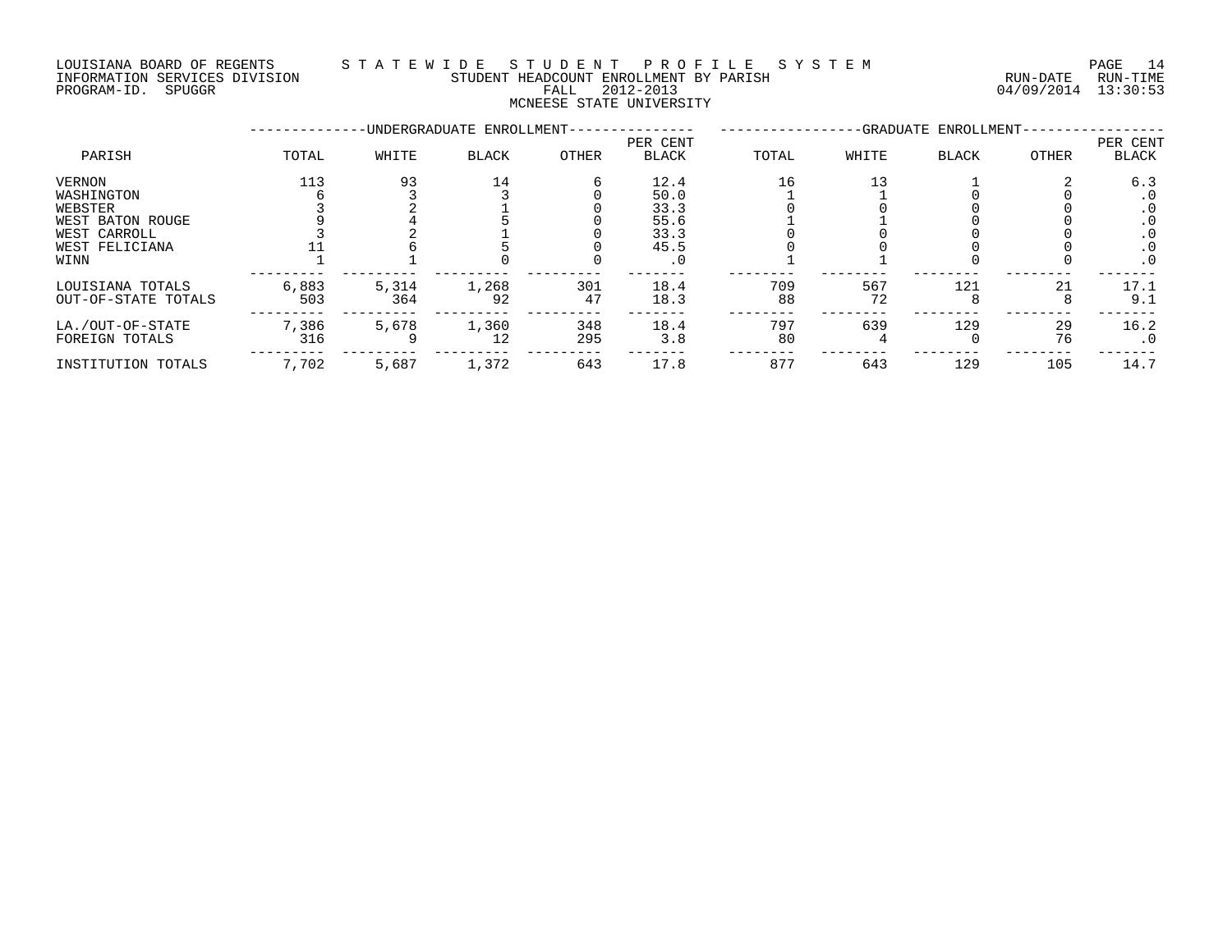### LOUISIANA BOARD OF REGENTS S T A T E W I D E S T U D E N T P R O F I L E S Y S T E M PAGE 14 INFORMATION SERVICES DIVISION STUDENT HEADCOUNT ENROLLMENT BY PARISH RUN-DATE RUN-TIME PROGRAM-ID. SPUGGR FALL 2012-2013 04/09/2014 13:30:53

## MCNEESE STATE UNIVERSITY

|                                                                                               |              |              | -UNDERGRADUATE ENROLLMENT- |            |                                                           |           |           | -GRADUATE ENROLLMENT |          |                                                                 |
|-----------------------------------------------------------------------------------------------|--------------|--------------|----------------------------|------------|-----------------------------------------------------------|-----------|-----------|----------------------|----------|-----------------------------------------------------------------|
| PARISH                                                                                        | TOTAL        | WHITE        | <b>BLACK</b>               | OTHER      | PER CENT<br><b>BLACK</b>                                  | TOTAL     | WHITE     | <b>BLACK</b>         | OTHER    | PER CENT<br>BLACK                                               |
| VERNON<br>WASHINGTON<br>WEBSTER<br>WEST BATON ROUGE<br>WEST CARROLL<br>WEST FELICIANA<br>WINN | 113          | 93           | 14                         |            | 12.4<br>50.0<br>33.3<br>55.6<br>33.3<br>45.5<br>$\cdot$ 0 | 16        | 13        |                      |          | 6.3<br>. 0<br>$\cdot$ 0<br>$\cdot$ 0<br>. 0<br>. 0<br>$\cdot$ 0 |
| LOUISIANA TOTALS<br>OUT-OF-STATE TOTALS                                                       | 6,883<br>503 | 5,314<br>364 | 1,268<br>92                | 301<br>47  | 18.4<br>18.3                                              | 709<br>88 | 567<br>72 | 121                  | 21       | 17.1<br>9.1                                                     |
| LA./OUT-OF-STATE<br>FOREIGN TOTALS                                                            | 7,386<br>316 | 5,678        | 1,360<br>12                | 348<br>295 | 18.4<br>3.8                                               | 797<br>80 | 639       | 129                  | 29<br>76 | 16.2<br>. 0                                                     |
| INSTITUTION TOTALS                                                                            | 7,702        | 5,687        | 1,372                      | 643        | 17.8                                                      | 877       | 643       | 129                  | 105      | 14.7                                                            |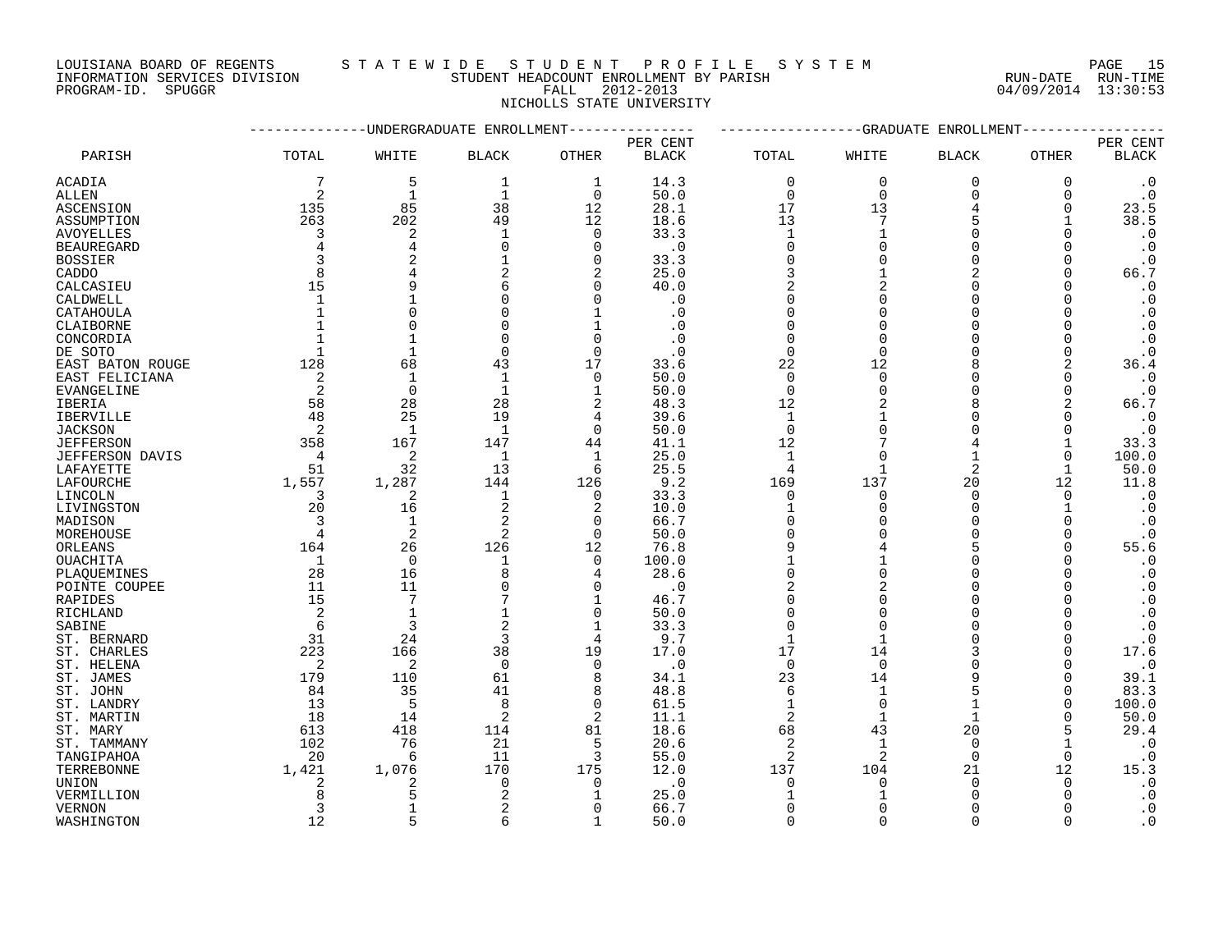LOUISIANA BOARD OF REGENTS STATEWIDE STUDE NT PROFILE SYSTEM PAGE 15<br>INFORMATION SERVICES DIVISION STUDENT HEADCOUNT ENROLLMENT BY PARISH NUN-DATE RUN-TIME INFORMATION SERVICES DIVISION STUDENT HEADCOUNT ENROLLMENT BY PARISH

PROGRAM-ID. SPUGGR FALL 2012-2013 04/09/2014 13:30:53 NICHOLLS STATE UNIVERSITY

|                   |                            | ---------UNDERGRADUATE ENROLLMENT |              |                |              |                | ------------GRADUATE | ENROLLMENT     |              |                        |
|-------------------|----------------------------|-----------------------------------|--------------|----------------|--------------|----------------|----------------------|----------------|--------------|------------------------|
|                   |                            |                                   |              |                | PER CENT     |                |                      |                |              | PER CENT               |
| PARISH            | TOTAL                      | WHITE                             | <b>BLACK</b> | OTHER          | <b>BLACK</b> | TOTAL          | WHITE                | <b>BLACK</b>   | OTHER        | <b>BLACK</b>           |
| ACADIA            | 7                          | 5                                 | 1            | 1              | 14.3         | $\mathbf 0$    | $\mathbf 0$          | 0              | 0            | $\cdot$ 0              |
| ALLEN             | 2                          | $\mathbf{1}$                      | $\mathbf{1}$ | $\Omega$       | 50.0         | $\Omega$       | $\Omega$             | $\mathbf 0$    | $\Omega$     | $\cdot$ 0              |
| ASCENSION         | 135                        | 85                                | 38           | 12             | 28.1         | 17             | 13                   |                | 0            | 23.5                   |
| ASSUMPTION        | 263                        | 202                               | 49           | 12             | 18.6         | 13             | 7                    | 5              |              | 38.5                   |
| <b>AVOYELLES</b>  | 3                          | $\overline{2}$                    | $\mathbf{1}$ | $\Omega$       | 33.3         | $\mathbf{1}$   | $\mathbf{1}$         | $\Omega$       | $\Omega$     | $\cdot$ 0              |
| <b>BEAUREGARD</b> | $\overline{4}$             | $\overline{4}$                    | $\Omega$     | $\Omega$       | $\cdot$ 0    | $\mathbf 0$    | $\Omega$             | $\Omega$       | $\Omega$     | $\cdot$ 0              |
| <b>BOSSIER</b>    | 3                          |                                   |              | 0              | 33.3         | $\mathbf 0$    |                      | $\Omega$       | 0            | $\cdot$ 0              |
| CADDO             | 8                          |                                   | 2            | 2              | 25.0         | 3              | $\mathbf{1}$         | $\overline{2}$ | $\Omega$     | 66.7                   |
| CALCASIEU         | 15                         |                                   | 6            | $\Omega$       | 40.0         | $\overline{2}$ | $\overline{2}$       | $\Omega$       | $\Omega$     | $\cdot$ 0              |
| CALDWELL          | $\mathbf{1}$               |                                   | 0            | $\Omega$       | $\cdot$ 0    | $\mathbf 0$    |                      | $\Omega$       | $\Omega$     | $\cdot$ 0              |
| CATAHOULA         | $\mathbf{1}$               | $\Omega$                          | 0            | 1              | $\cdot$ 0    | $\Omega$       | ∩                    | $\Omega$       | $\Omega$     | $\cdot$ 0              |
| CLAIBORNE         |                            | $\Omega$                          | $\Omega$     | 1              |              |                |                      |                |              | $\cdot$ 0              |
| CONCORDIA         | $\mathbf{1}$               |                                   | $\Omega$     | $\Omega$       |              | $\Omega$       |                      |                |              | $\boldsymbol{\cdot}$ 0 |
| DE SOTO           | 1                          | 1                                 | 0            | $\Omega$       |              | $\mathbf 0$    | $\Omega$             |                | $\Omega$     | $\cdot$ 0              |
| EAST BATON ROUGE  | 128                        | 68                                | 43           | 17             | 33.6         | 22             | 12                   |                | 2            | 36.4                   |
| EAST FELICIANA    | $\overline{\phantom{0}}^2$ | $\mathbf{1}$                      | $\mathbf{1}$ | $\overline{0}$ | 50.0         | $\mathbf 0$    | $\cap$               |                | $\Omega$     | $\cdot$ 0              |
| <b>EVANGELINE</b> | $\overline{\phantom{0}}^2$ | $\overline{0}$                    | 1            | $\mathbf 1$    | 50.0         | $\mathbf 0$    | $\Omega$             |                | 0            | $\cdot$ 0              |
| IBERIA            | 58                         | 28                                | 28           | 2              | 48.3         | 12             |                      |                | 2            | 66.7                   |
| <b>IBERVILLE</b>  | 48                         | 25                                | 19           | 4              | 39.6         | $\mathbf{1}$   |                      |                | $\Omega$     | $\cdot$ 0              |
| <b>JACKSON</b>    | 2                          | $\mathbf{1}$                      |              | $\Omega$       | 50.0         | $\mathbf 0$    |                      |                | $\Omega$     | $\cdot$ 0              |
| <b>JEFFERSON</b>  | 358                        | 167                               | 147          | 44             | 41.1         | 12             |                      |                | $\mathbf{1}$ | 33.3                   |
| JEFFERSON DAVIS   | $\overline{4}$             | 2                                 | 1            | 1              | 25.0         | 1              |                      |                | $\Omega$     | 100.0                  |
| LAFAYETTE         | 51                         | 32                                | 13           | 6              | 25.5         | 4              |                      | 2              |              | 50.0                   |
| LAFOURCHE         | 1,557                      | 1,287                             | 144          | 126            | 9.2          | 169            | 137                  | 20             | 12           | 11.8                   |
| LINCOLN           | 3                          | 2                                 | 1            | $\Omega$       | 33.3         | $\Omega$       | $\Omega$             | $\Omega$       | $\Omega$     | $\cdot$ 0              |
| LIVINGSTON        | 20                         | 16                                | 2            | 2              | 10.0         | $\mathbf{1}$   | $\Omega$             | $\Omega$       |              | $\cdot$ 0              |
|                   | 3                          | $\mathbf{1}$                      | 2            | $\Omega$       | 66.7         | $\mathbf 0$    |                      | $\Omega$       | $\Omega$     | $\cdot$ 0              |
| MADISON           | $\overline{4}$             | 2                                 | 2            | $\Omega$       |              | $\mathbf 0$    |                      | $\Omega$       | $\Omega$     |                        |
| MOREHOUSE         | 164                        | 26                                | 126          | 12             | 50.0<br>76.8 | 9              | 4                    | 5              | $\Omega$     | $\cdot$ 0<br>55.6      |
| ORLEANS           |                            | $\overline{0}$                    |              |                |              | $\mathbf{1}$   |                      | $\Omega$       | $\Omega$     |                        |
| <b>OUACHITA</b>   | $\mathbf{1}$<br>28         |                                   | 1<br>8       | $\mathbf 0$    | 100.0        | $\mathbf 0$    | $\Omega$             | $\Omega$       | ∩            | $\cdot$ 0              |
| PLAQUEMINES       | 11                         | 16                                |              | 4              | 28.6         |                | $\overline{2}$       | $\Omega$       |              | $\cdot$ 0              |
| POINTE COUPEE     |                            | 11                                | $\Omega$     | $\Omega$       | $\cdot$ 0    | 2              |                      |                | $\Omega$     | $\cdot$ 0              |
| RAPIDES           | 15                         | $7\phantom{.0}$                   |              | 1              | 46.7         | $\Omega$       |                      |                |              | $\cdot$ 0              |
| RICHLAND          | 2                          | $\mathbf{1}$                      | 1            | $\mathbf 0$    | 50.0         | $\mathbf 0$    |                      |                |              | $\cdot$ 0              |
| SABINE            | 6                          | $\overline{3}$                    | 2            | 1              | 33.3         | $\Omega$       |                      |                | $\Omega$     | $\cdot$ 0              |
| ST. BERNARD       | 31                         | 24                                | 3            | $\overline{4}$ | 9.7          | $\mathbf{1}$   |                      |                | $\Omega$     | $\cdot$ 0              |
| ST. CHARLES       | 223                        | 166                               | 38           | 19             | 17.0         | 17             | 14                   |                | $\Omega$     | 17.6                   |
| ST. HELENA        | 2                          | 2                                 | $\Omega$     | $\Omega$       | $\cdot$ 0    | $\Omega$       | $\Omega$             |                |              | $\cdot$ 0              |
| ST. JAMES         | 179                        | 110                               | 61           | 8              | 34.1         | 23             | 14                   |                | $\Omega$     | 39.1                   |
| ST. JOHN          | 84                         | 35                                | 41           | 8              | 48.8         | 6              |                      |                | $\Omega$     | 83.3                   |
| ST. LANDRY        | 13                         | 5                                 | 8            | $\Omega$       | 61.5         | 1              | $\Omega$             |                | $\Omega$     | 100.0                  |
| ST. MARTIN        | 18                         | 14                                | 2            | 2              | 11.1         | 2              | 1                    | $\mathbf{1}$   | O            | 50.0                   |
| ST. MARY          | 613                        | 418                               | 114          | 81             | 18.6         | 68             | 43                   | 20             | 5            | 29.4                   |
| ST. TAMMANY       | 102                        | 76                                | 21           | 5              | 20.6         | 2              | $\mathbf{1}$         | $\Omega$       |              | $\cdot$ 0              |
| TANGIPAHOA        | 20                         | 6                                 | 11           | 3              | 55.0         | 2              | 2                    | $\Omega$       | 0            | $\cdot$ 0              |
| TERREBONNE        | 1,421                      | 1,076                             | 170          | 175            | 12.0         | 137            | 104                  | 21             | 12           | 15.3                   |
| UNION             | 2                          | 2                                 | $\mathbf 0$  | 0              | $\cdot$ 0    | $\mathbf 0$    | $\Omega$             | $\Omega$       | 0            | $\cdot$ 0              |
| VERMILLION        | 8                          |                                   | 2            |                | 25.0         |                |                      |                | ∩            | $\cdot$ 0              |
| <b>VERNON</b>     | 3                          |                                   | 2            | $\Omega$       | 66.7         | O              |                      |                |              | $\cdot$ 0              |
| WASHINGTON        | 12                         | 5                                 | 6            | 1              | 50.0         | $\Omega$       | $\cap$               | $\Omega$       | $\Omega$     | $\cdot$ 0              |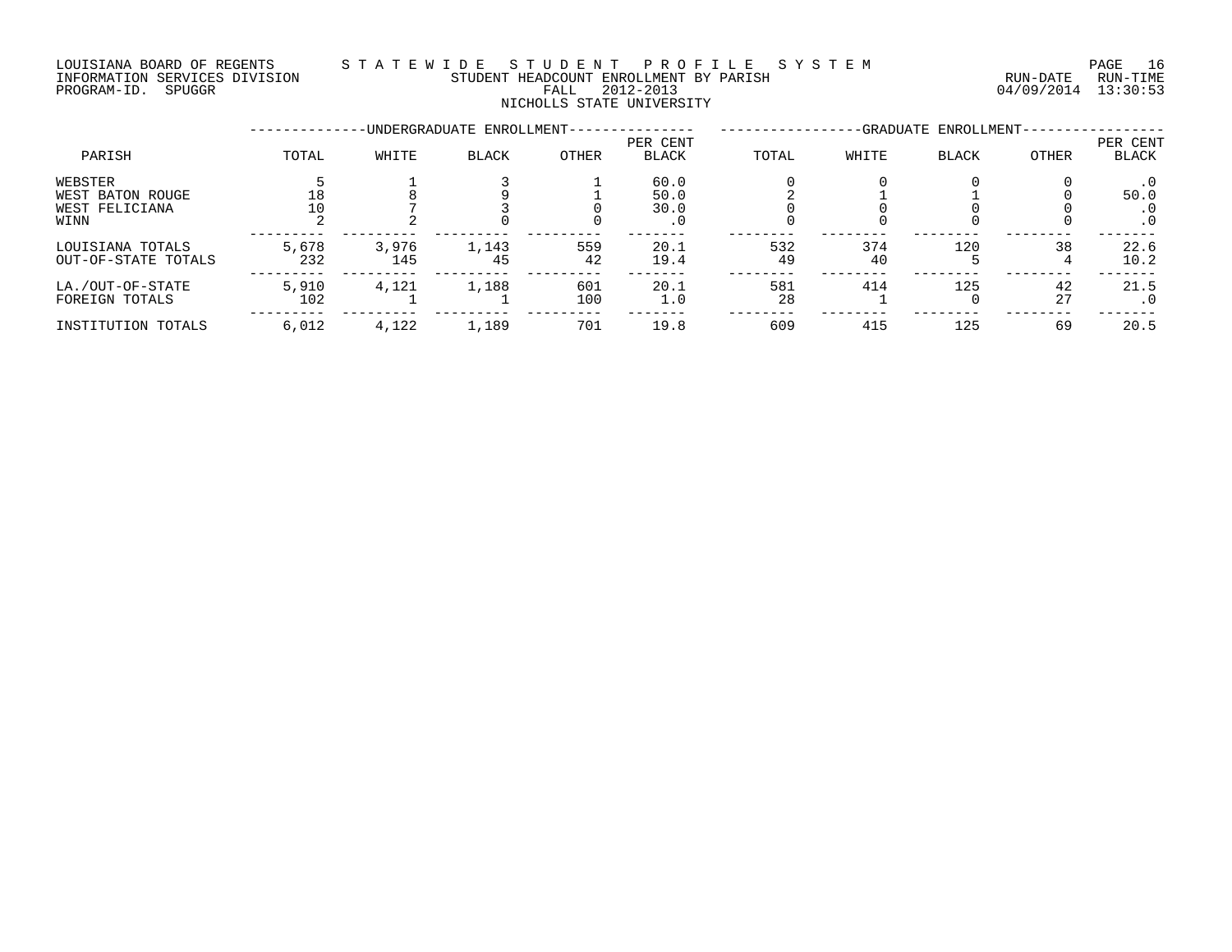### LOUISIANA BOARD OF REGENTS S T A T E W I D E S T U D E N T P R O F I L E S Y S T E M PAGE 16 INFORMATION SERVICES DIVISION STUDENT HEADCOUNT ENROLLMENT BY PARISH RUN-DATE RUN-TIME INFORMATION SERVICES DIVISION CHARRE STUDENT HEADCOUNT ENROLLMENT BY PARISH CHARRE RUN-DATE RUN-TIME RUN-TIME<br>PROGRAM-ID. SPUGGR PROGRE FALL 2012-2013 NICHOLLS STATE UNIVERSITY

### --------------UNDERGRADUATE ENROLLMENT--------------- -----------------GRADUATE ENROLLMENT----------------- PER CENT PER CENT PARISH TOTAL WHITE BLACK OTHER BLACK TOTAL WHITE BLACK OTHER BLACK WEBSTER 5 1 3 1 60.0 0 0 0 0 .0 WEST BATON ROUGE 18 8 9 1 50.0 2 1 1 50.0 WEST FELICIANA 10 7 3 0 30.0 0 0 0 0 .0 WINN 2 2 0 0 .0 0 0 0 0 .0 --------- --------- --------- --------- ------- -------- -------- -------- -------- ------- LOUISIANA TOTALS 5,678 3,976 1,143 559 20.1 532 374 120 38 22.6 OUT-OF-STATE TOTALS 232 145 45 42 19.4 49 40 5 4 10.2 --------- --------- --------- --------- ------- -------- -------- -------- -------- ------- LA./OUT-OF-STATE 5,910 4,121 1,188 601 20.1 581 414 125 42 21.5 FOREIGN TOTALS 102 1 1 100 1.0 28 1 0 27 .0 --------- --------- --------- --------- ------- -------- -------- -------- -------- ------- INSTITUTION TOTALS 6,012 4,122 1,189 701 19.8 609 415 125 69 20.5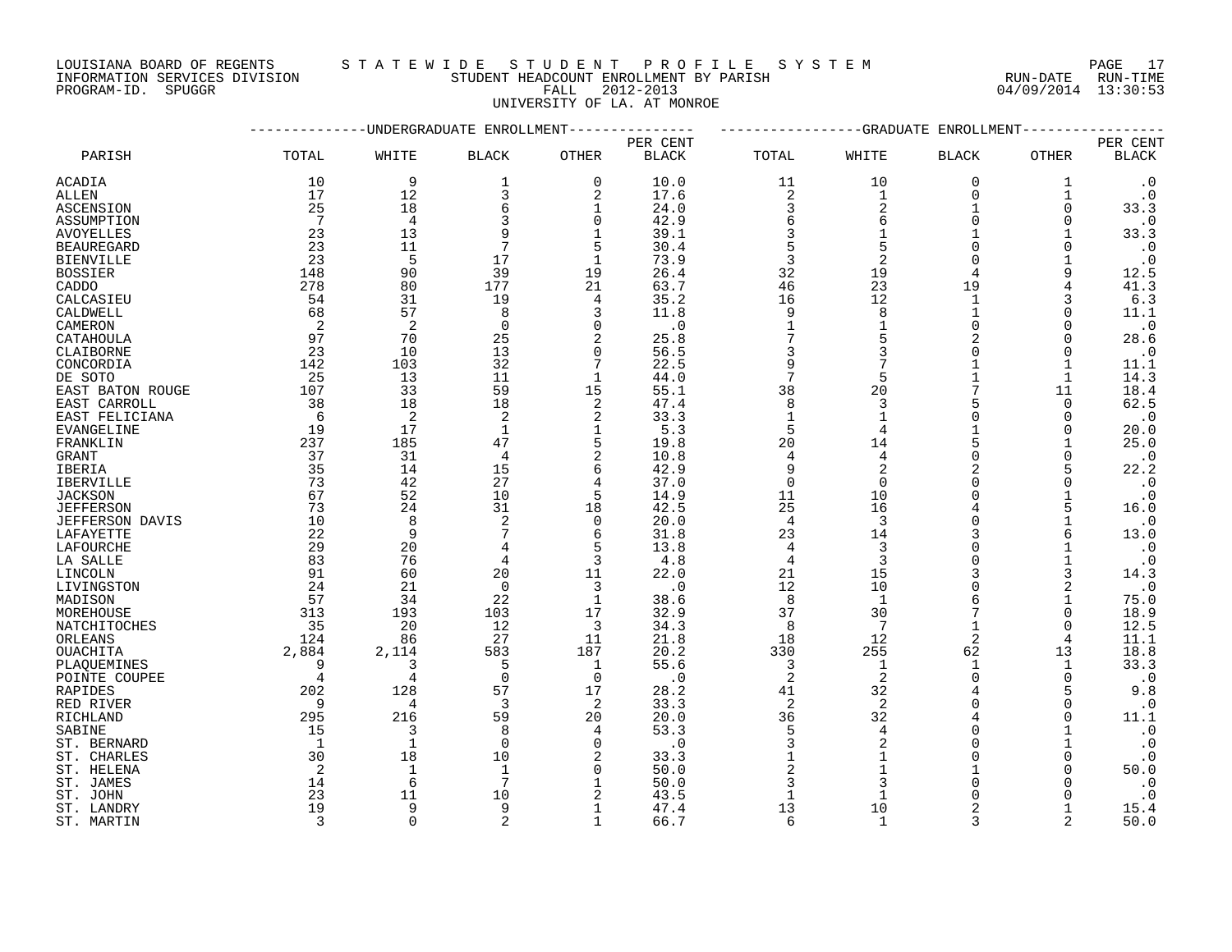INFORMATION SERVICES DIVISION STUDENT HEADCOUNT ENROLLMENT BY PARISH RUN-DATE RUN-TIME NOUSLAM SOURCES DIVISION CONTROLLER TO A THE STUDENT HEADCOUNT ENROLLMENT BY PARISH THAT THE THE RUN-DATE RUN-<br>PROGRAM-ID. SPUGGR DIVISION FALL 2012-2013 04/09/2014 13:30:53

### LOUISIANA BOARD OF REGENTS S T A T E W I D E S T U D E N T P R O F I L E S Y S T E M PAGE 17

UNIVERSITY OF LA. AT MONROE

|                        |                |                | -UNDERGRADUATE ENROLLMENT |                |              |                | -GRADUATE      | ENROLLMENT     |              |                        |
|------------------------|----------------|----------------|---------------------------|----------------|--------------|----------------|----------------|----------------|--------------|------------------------|
|                        |                |                |                           |                | PER CENT     |                |                |                |              | PER CENT               |
| PARISH                 | TOTAL          | WHITE          | <b>BLACK</b>              | <b>OTHER</b>   | <b>BLACK</b> | TOTAL          | WHITE          | <b>BLACK</b>   | OTHER        | $\operatorname{BLACK}$ |
| ACADIA                 | 10             | 9              | 1                         | $\Omega$       | 10.0         | 11             | 10             | $\overline{0}$ | 1            | $\cdot$ 0              |
| ALLEN                  | 17             | 12             | 3                         | $\overline{2}$ | 17.6         | $\sqrt{2}$     | 1              | $\mathbf 0$    | 1            | $\cdot$ 0              |
| ASCENSION              | 25             | 18             | 6                         | 1              | 24.0         | 3              | $\overline{2}$ | $\mathbf{1}$   | 0            | 33.3                   |
| ASSUMPTION             | 7              | $\overline{4}$ | 3                         | $\Omega$       | 42.9         | 6              | 6              | $\Omega$       | $\Omega$     | $\cdot$ 0              |
| <b>AVOYELLES</b>       | 23             | 13             | 9                         | $\mathbf{1}$   | 39.1         | 3              |                |                |              | 33.3                   |
| <b>BEAUREGARD</b>      | 23             | 11             | 7                         | 5              | 30.4         | 5              |                | $\Omega$       | $\Omega$     | $\cdot$ 0              |
| <b>BIENVILLE</b>       | 23             | 5              | 17                        | $\mathbf{1}$   | 73.9         | 3              | $\overline{2}$ | $\cap$         |              | $\cdot$ 0              |
| <b>BOSSIER</b>         | 148            | 90             | 39                        | 19             | 26.4         | 32             | 19             | 4              | 9            | 12.5                   |
| CADDO                  | 278            | 80             | 177                       | 21             | 63.7         | 46             | 23             | 19             | 4            | 41.3                   |
| CALCASIEU              | 54             | 31             | 19                        | $\overline{4}$ | 35.2         | 16             | 12             | $\mathbf{1}$   | 3            | 6.3                    |
| CALDWELL               | 68             | 57             | 8                         | 3              | 11.8         | 9              | 8              |                | $\Omega$     | 11.1                   |
| CAMERON                | 2              | $\overline{2}$ | $\Omega$                  | $\Omega$       | $\cdot$ 0    | $\mathbf{1}$   |                | $\Omega$       | $\Omega$     | $\cdot$ 0              |
| CATAHOULA              | 97             | 70             | 25                        | $\overline{2}$ | 25.8         | 7              |                | $\overline{2}$ | $\Omega$     | 28.6                   |
| CLAIBORNE              | 23             | 10             | 13                        | $\Omega$       | 56.5         | 3              | 3              | $\Omega$       | $\Omega$     | $\cdot$ 0              |
| CONCORDIA              | 142            | 103            | 32                        | 7              | 22.5         | 9              |                |                |              | 11.1                   |
| DE SOTO                | 25             | 13             | 11                        | $\mathbf{1}$   | 44.0         | $\overline{7}$ | 5              |                | $\mathbf{1}$ | 14.3                   |
| EAST BATON ROUGE       | 107            | 33             | 59                        | 15             | 55.1         | 38             | 20             |                | 11           | 18.4                   |
| EAST CARROLL           | 38             | 18             | 18                        | $\overline{2}$ | 47.4         | 8              | 3              |                | $\mathbf 0$  | 62.5                   |
| EAST FELICIANA         | 6              | $\overline{c}$ | 2                         | 2              | 33.3         | $\mathbf{1}$   |                | $\Omega$       | 0            | $\cdot$ 0              |
| <b>EVANGELINE</b>      | 19             | 17             | 1                         | 1              | 5.3          | 5              |                |                | $\Omega$     | 20.0                   |
| FRANKLIN               | 237            | 185            | 47                        | 5              | 19.8         | 20             | 14             | 5              |              | 25.0                   |
| <b>GRANT</b>           | 37             | 31             | 4                         | $\overline{2}$ | 10.8         | 4              | 4              | $\Omega$       | $\Omega$     | $\cdot$ 0              |
| IBERIA                 | 35             | 14             | 15                        | 6              | 42.9         | 9              | $\overline{2}$ | $\mathcal{D}$  |              | 22.2                   |
| <b>IBERVILLE</b>       | 73             | 42             | 27                        | $\overline{4}$ | 37.0         | $\mathbf 0$    | $\Omega$       | $\Omega$       | 0            | $\cdot$ 0              |
| <b>JACKSON</b>         | 67             | 52             | 10                        | 5              | 14.9         | 11             | 10             |                |              | $\cdot$ 0              |
| <b>JEFFERSON</b>       | 73             | 24             | 31                        | 18             | 42.5         | 25             | 16             |                | 5            | 16.0                   |
| <b>JEFFERSON DAVIS</b> | 10             | 8              | 2                         | $\Omega$       | 20.0         | $\overline{4}$ | 3              | $\Omega$       |              | $\cdot$ 0              |
| LAFAYETTE              | 22             | 9              |                           | 6              | 31.8         | 23             | 14             | 3              |              | 13.0                   |
| LAFOURCHE              | 29             | 20             |                           | 5              | 13.8         | $\overline{4}$ | 3              |                |              | $\cdot$ 0              |
| LA SALLE               | 83             | 76             | 4                         | 3              | 4.8          | $\overline{4}$ | 3              | $\Omega$       |              | $\cdot$ 0              |
| LINCOLN                | 91             | 60             | 20                        | 11             | 22.0         | 21             | 15             | 3              | 3            | 14.3                   |
| LIVINGSTON             | 24             | 21             | $\mathbf 0$               | 3              | $\cdot$ 0    | 12             | 10             | $\Omega$       | 2            | $\cdot$ 0              |
| MADISON                | 57             | 34             | 22                        | $\mathbf{1}$   | 38.6         | 8              | $\mathbf{1}$   |                |              | 75.0                   |
| MOREHOUSE              | 313            | 193            | 103                       | 17             | 32.9         | 37             | 30             |                | 0            | 18.9                   |
| NATCHITOCHES           | 35             | 20             | 12                        | 3              | 34.3         | 8              | 7              | $\overline{2}$ | $\Omega$     | 12.5                   |
| ORLEANS<br>OUACHITA    | 124<br>2,884   | 86<br>2,114    | 27<br>583                 | 11<br>187      | 21.8<br>20.2 | 18<br>330      | 12<br>255      | 62             | 4<br>13      | 11.1<br>18.8           |
| PLAOUEMINES            | 9              | 3              | 5                         | 1              | 55.6         | 3              | 1              |                |              | 33.3                   |
| POINTE COUPEE          | $\overline{4}$ | $\overline{4}$ | $\Omega$                  | $\Omega$       | $\cdot$ 0    | $\overline{2}$ | $\overline{2}$ | $\Omega$       | $\Omega$     | $\cdot$ 0              |
| RAPIDES                | 202            | 128            | 57                        | 17             | 28.2         | 41             | 32             |                | 5            | 9.8                    |
| RED RIVER              | 9              | 4              | 3                         | 2              | 33.3         | 2              | 2              | $\Omega$       | $\Omega$     | $\cdot$ 0              |
| RICHLAND               | 295            | 216            | 59                        | 20             | 20.0         | 36             | 32             |                | $\Omega$     | 11.1                   |
| SABINE                 | 15             | 3              | 8                         | 4              | 53.3         | 5              | 4              |                |              | $\cdot$ 0              |
| ST. BERNARD            | 1              | $\mathbf{1}$   | $\Omega$                  | $\Omega$       | $\cdot$ 0    | 3              | $\mathcal{D}$  |                |              | $\cdot$ 0              |
| ST. CHARLES            | 30             | 18             | 10                        | 2              | 33.3         | $\mathbf{1}$   |                | $\Omega$       | $\Omega$     | $\cdot$ 0              |
| ST. HELENA             | 2              | $\mathbf{1}$   | 1                         | $\Omega$       | 50.0         | 2              |                |                | $\Omega$     | 50.0                   |
| ST. JAMES              | 14             | 6              | 7                         | 1              | 50.0         | 3              |                |                | $\Omega$     | $\cdot$ 0              |
| ST. JOHN               | 23             | 11             | 10                        |                | 43.5         |                |                |                |              | $\cdot$ 0              |
| ST. LANDRY             | 19             | 9              | 9                         | $\mathbf{1}$   | 47.4         | 13             | 10             | 2              |              | 15.4                   |
| ST. MARTIN             | 3              | $\cap$         | 2                         | $\mathbf{1}$   | 66.7         | $\sqrt{2}$     | $\mathbf{1}$   | $\mathbf{z}$   | 2            | 50.0                   |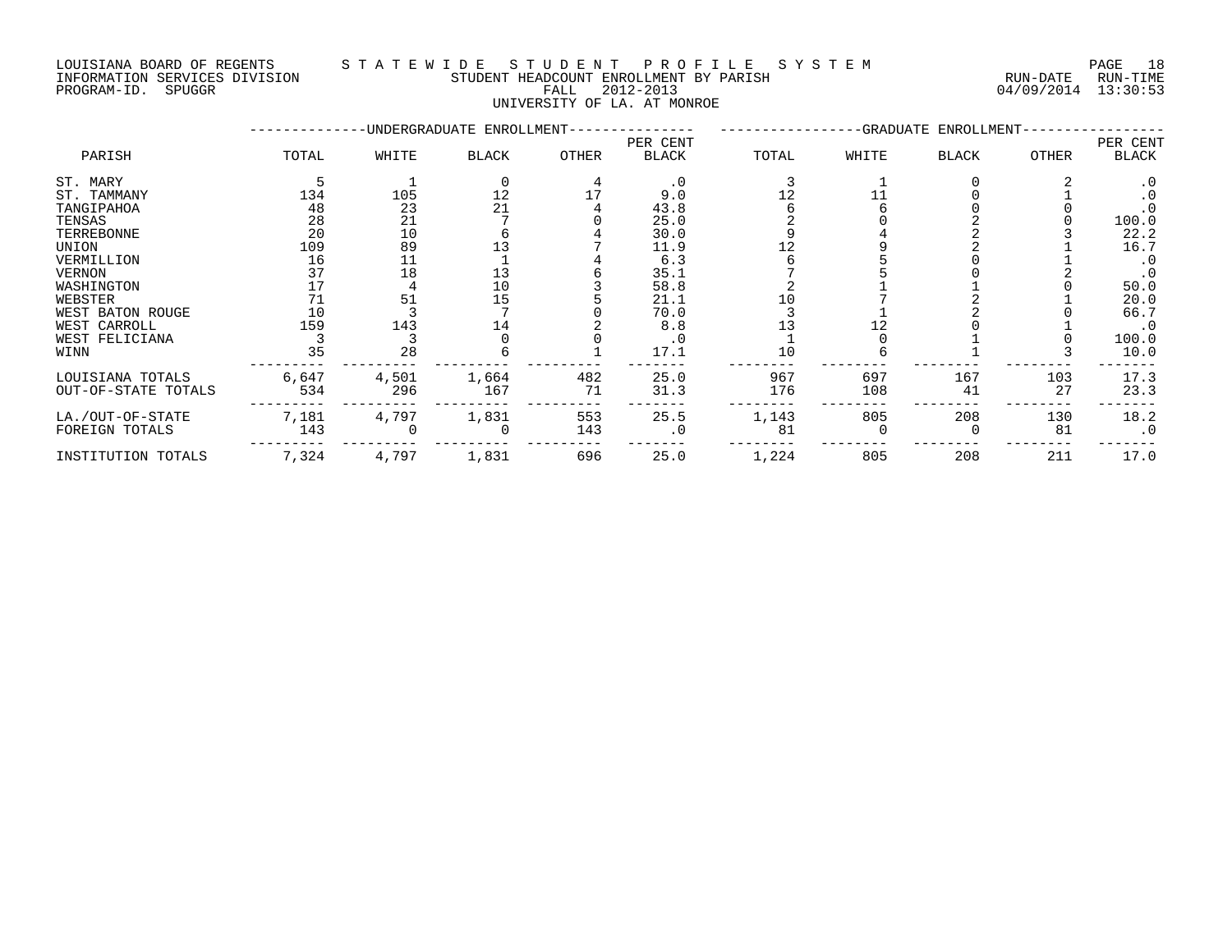#### LOUISIANA BOARD OF REGENTS S T A T E W I D E S T U D E N T P R O F I L E S Y S T E M PAGE 18 INFORMATION SERVICES DIVISION STUDENT HEADCOUNT ENROLLMENT BY PARISH RUN-DATE RUN-TIME PROGRAM-ID. SPUGGR FALL 2012-2013 04/09/2014 13:30:53

UNIVERSITY OF LA. AT MONROE

|                                         |              |              | -UNDERGRADUATE ENROLLMENT- |           |                          |            |            | -GRADUATE ENROLLMENT- |           |                   |
|-----------------------------------------|--------------|--------------|----------------------------|-----------|--------------------------|------------|------------|-----------------------|-----------|-------------------|
| PARISH                                  | TOTAL        | WHITE        | <b>BLACK</b>               | OTHER     | PER CENT<br><b>BLACK</b> | TOTAL      | WHITE      | <b>BLACK</b>          | OTHER     | PER CENT<br>BLACK |
| ST. MARY                                |              |              |                            |           | $\cdot$ 0                |            |            |                       |           | $\cdot$ 0         |
| ST. TAMMANY                             | 134          | 105          | 12                         |           | 9.0                      |            |            |                       |           | $\cdot$ 0         |
| TANGIPAHOA                              | 48           | 23           | 21                         |           | 43.8                     |            |            |                       |           |                   |
| TENSAS                                  | 28           | 21           |                            |           | 25.0                     |            |            |                       |           | 100.0             |
| TERREBONNE                              | 20           | 10           |                            |           | 30.0                     |            |            |                       |           | 22.2              |
| UNION                                   | 109          | 89           |                            |           | 11.9                     |            |            |                       |           | 16.7              |
| VERMILLION                              | 16           | 11           |                            |           | 6.3                      |            |            |                       |           | $\cdot$ 0         |
| <b>VERNON</b>                           | 37           | 18           | 13                         |           | 35.1                     |            |            |                       |           | $\cdot$ 0         |
| WASHINGTON                              |              |              | 10                         |           | 58.8                     |            |            |                       |           | 50.0              |
| WEBSTER                                 | 71           | 51           | 15                         |           | 21.1                     |            |            |                       |           | 20.0              |
| WEST BATON ROUGE                        | 10           |              |                            |           | 70.0                     |            |            |                       |           | 66.7              |
| WEST CARROLL                            | 159          | 143          | 14                         |           | 8.8                      |            |            |                       |           | $\cdot$ 0         |
| WEST FELICIANA                          |              |              |                            |           | . 0                      |            |            |                       |           | 100.0             |
| WINN                                    | 35           | 28           |                            |           | 17.1                     | 10         |            |                       |           | 10.0              |
| LOUISIANA TOTALS<br>OUT-OF-STATE TOTALS | 6,647<br>534 | 4,501<br>296 | 1,664<br>167               | 482<br>71 | 25.0<br>31.3             | 967<br>176 | 697<br>108 | 167<br>41             | 103<br>27 | 17.3<br>23.3      |
| LA./OUT-OF-STATE                        | 7,181        | 4,797        | 1,831                      | 553       | 25.5                     | 1,143      | 805        | 208                   | 130       | 18.2              |
| FOREIGN TOTALS                          | 143          |              | 0                          | 143       | $\cdot$ 0                | 81         |            |                       | 81        | $\cdot$ 0         |
| INSTITUTION TOTALS                      | 7,324        | 4,797        | 1,831                      | 696       | 25.0                     | 1,224      | 805        | 208                   | 211       | 17.0              |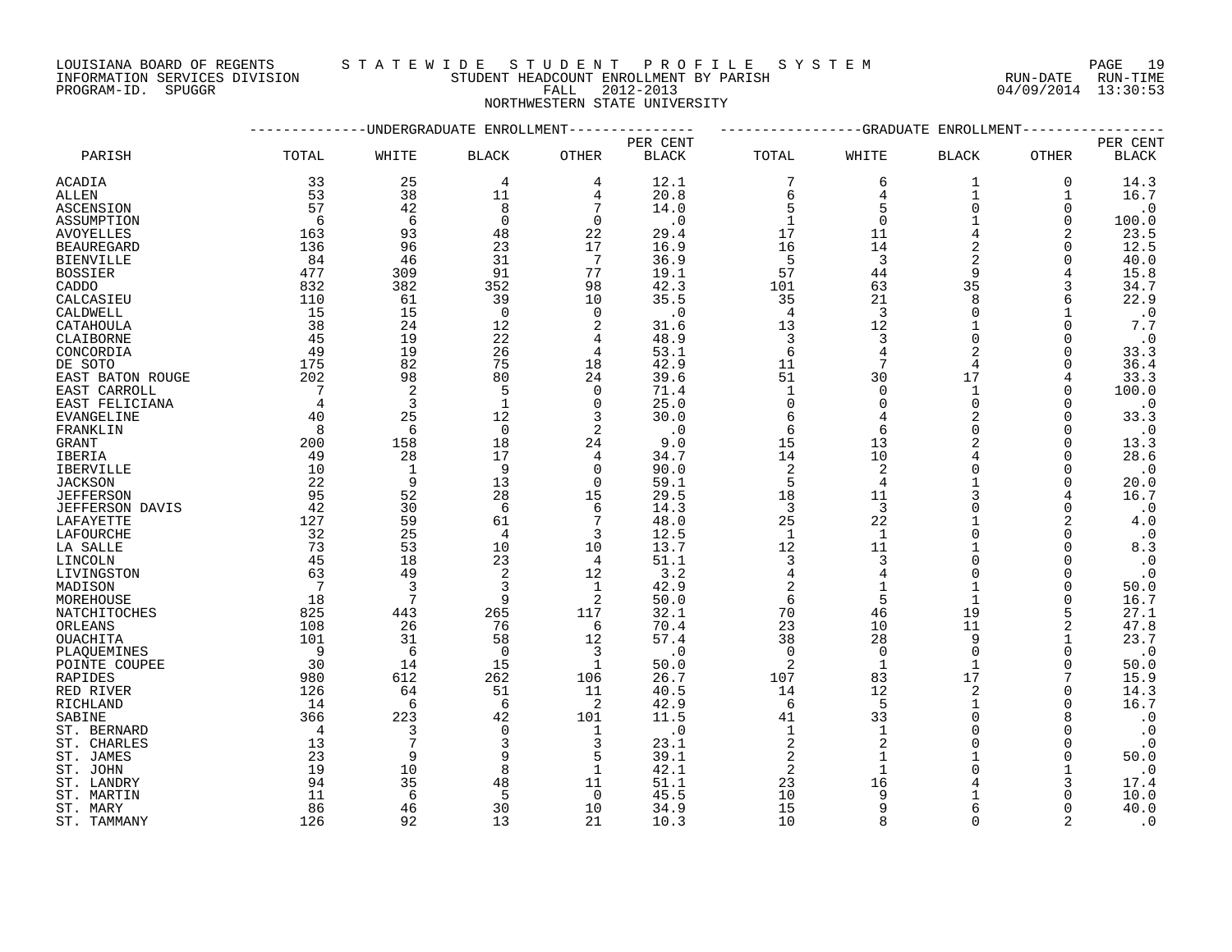LOUISIANA BOARD OF REGENTS S T A T E W I D E S T U D E N T P R O F I L E S Y S T E M PAGE 19

INFORMATION SERVICES DIVISION STUDENT HEADCOUNT ENROLLMENT BY PARISH RUN-DATE RUN-TIME

### PROGRAM-ID. SPUGGR FALL 2012-2013 04/09/2014 13:30:53 NORTHWESTERN STATE UNIVERSITY

|                        |                | ---------UNDERGRADUATE ENROLLMENT- |                |                 |              |                |                         | -----------GRADUATE ENROLLMENT- |          |               |
|------------------------|----------------|------------------------------------|----------------|-----------------|--------------|----------------|-------------------------|---------------------------------|----------|---------------|
|                        |                |                                    |                |                 | PER CENT     |                |                         |                                 |          | PER CENT      |
| PARISH                 | TOTAL          | WHITE                              | <b>BLACK</b>   | <b>OTHER</b>    | <b>BLACK</b> | TOTAL          | WHITE                   | <b>BLACK</b>                    | OTHER    | <b>BLACK</b>  |
| ACADIA                 | 33             | 25                                 | 4              | 4               | 12.1         | 7              | 6                       | 1                               | 0        | 14.3          |
| ALLEN                  | 53             | 38                                 | 11             | 4               | 20.8         | 6              | 4                       | 1                               | 1        | 16.7          |
| ASCENSION              | 57             | 42                                 | 8              | 7               | 14.0         | 5              | 5                       | $\Omega$                        | $\Omega$ | $\cdot$ 0     |
| ASSUMPTION             | 6              | 6                                  | $\mathbf 0$    | $\mathbf 0$     | $\cdot$ 0    | $\mathbf{1}$   | $\Omega$                |                                 | 0        | 100.0         |
| <b>AVOYELLES</b>       | 163            | 93                                 | 48             | 22              | 29.4         | 17             | 11                      | $\overline{4}$                  | 2        | 23.5          |
| <b>BEAUREGARD</b>      | 136            | 96                                 | 23             | 17              | 16.9         | 16             | 14                      | 2                               | $\Omega$ | 12.5          |
| <b>BIENVILLE</b>       | 84             | 46                                 | 31             | $7\overline{ }$ | 36.9         | 5              | $\overline{\mathbf{3}}$ | 2                               | $\Omega$ | 40.0          |
| <b>BOSSIER</b>         | 477            | 309                                | 91             | 77              | 19.1         | 57             | $4\,4$                  | 9                               | 4        | 15.8          |
| CADDO                  | 832            | 382                                | 352            | 98              | 42.3         | 101            | 63                      | 35                              | 3        | 34.7          |
| CALCASIEU              | 110            | 61                                 | 39             | 10              | 35.5         | 35             | 21                      | 8                               | 6        | 22.9          |
| CALDWELL               | 15             | 15                                 | $\mathbf 0$    | $\Omega$        | $\cdot$ 0    | $\overline{4}$ | $\overline{3}$          | $\Omega$                        |          | $\cdot$ 0     |
| CATAHOULA              | 38             | 24                                 | 12             | $\overline{a}$  | 31.6         | 13             | 12                      |                                 | $\Omega$ | 7.7           |
| CLAIBORNE              | 45             | 19                                 | 22             | 4               | 48.9         | 3              | 3                       | $\Omega$                        | 0        | $\cdot$ 0     |
| CONCORDIA              | 49             | 19                                 | 26             | 4               | 53.1         | 6              | $\overline{4}$          |                                 | $\Omega$ | 33.3          |
| DE SOTO                | 175            | 82                                 | 75             | 18              | 42.9         | 11             | 7                       | 4                               | $\Omega$ | 36.4          |
|                        | 202            | 98                                 | 80             | 24              | 39.6         | 51             | 30                      | 17                              |          |               |
| EAST BATON ROUGE       |                |                                    |                |                 |              |                | $\Omega$                |                                 | 4        | 33.3<br>100.0 |
| EAST CARROLL           | $\overline{7}$ | $\overline{c}$                     | 5              | $\mathbf 0$     | 71.4         | $\mathbf{1}$   | $\Omega$                | 1<br>$\Omega$                   | $\Omega$ |               |
| EAST FELICIANA         | $\overline{4}$ | $\overline{3}$                     | $\mathbf{1}$   | $\Omega$        | 25.0         | $\mathbf 0$    |                         |                                 | $\Omega$ | $\cdot$ 0     |
| EVANGELINE             | 40             | 25                                 | 12             | 3               | 30.0         | 6              |                         | $\overline{2}$                  | $\Omega$ | 33.3          |
| FRANKLIN               | 8              | 6                                  | $\overline{0}$ | 2               | $\cdot$ 0    | 6              | 6                       | $\overline{0}$                  | $\Omega$ | $\ddotsc 0$   |
| GRANT                  | 200            | 158                                | 18             | 24              | 9.0          | 15             | 13                      |                                 | 0        | 13.3          |
| IBERIA                 | 49             | 28                                 | 17             | 4               | 34.7         | 14             | 10                      |                                 | $\Omega$ | 28.6          |
| IBERVILLE              | 10             | $\mathbf{1}$                       | 9              | $\Omega$        | 90.0         | $\sqrt{2}$     | 2                       |                                 | $\Omega$ | $\ddotsc 0$   |
| <b>JACKSON</b>         | - 22           | 9                                  | 13             | $\mathbf 0$     | 59.1         | 5              | $\overline{4}$          |                                 | 0        | 20.0          |
| <b>JEFFERSON</b>       | 95             | 52                                 | 28             | 15              | 29.5         | 18             | 11                      |                                 |          | 16.7          |
| <b>JEFFERSON DAVIS</b> | 42             | 30                                 | 6              | 6               | 14.3         | $\overline{3}$ | 3                       |                                 | $\Omega$ | $\cdot$ 0     |
| LAFAYETTE              | 127            | 59                                 | 61             | 7               | 48.0         | 25             | 22                      |                                 | 2        | $4\,.0$       |
| LAFOURCHE              | 32             | 25                                 | 4              | 3               | 12.5         | <sup>1</sup>   | $\mathbf{1}$            | $\Omega$                        | $\Omega$ | $\cdot$ 0     |
| LA SALLE               | 73             | 53                                 | 10             | 10              | 13.7         | 12             | 11                      |                                 | $\Omega$ | 8.3           |
| LINCOLN                | 45             | 18                                 | 23             | $\overline{4}$  | 51.1         | 3              | 3                       | $\Omega$                        | $\Omega$ | $\cdot$ 0     |
| LIVINGSTON             | 63             | 49                                 | 2              | 12              | 3.2          | $\overline{4}$ | $\overline{4}$          | $\Omega$                        | $\Omega$ | $\cdot$ 0     |
| MADISON                | 7              | 3                                  | 3              | 1               | 42.9         | 2              | 1                       |                                 | 0        | 50.0          |
| MOREHOUSE              | 18             | $7\phantom{.0}$                    | 9              | 2               | 50.0         | 6              | 5                       |                                 | $\Omega$ | 16.7          |
| NATCHITOCHES           | 825            | 443                                | 265            | 117             | 32.1         | 70             | 46                      | 19                              | 5        | 27.1          |
| ORLEANS                | 108            | 26                                 | 76             | 6               | 70.4         | 23             | 10                      | 11                              | 2        | 47.8          |
| <b>OUACHITA</b>        | 101            | 31                                 | 58             | 12              | 57.4         | 38             | 28                      | 9                               | 1        | 23.7          |
| PLAQUEMINES            | - 9            | 6                                  | $\overline{0}$ | 3               | $\cdot$ 0    | $\mathbf 0$    | $\Omega$                | $\Omega$                        | $\Omega$ | $\cdot$ 0     |
| POINTE COUPEE          | 30             | 14                                 | 15             | 1               | 50.0         | 2              | $\mathbf{1}$            |                                 | $\Omega$ | 50.0          |
| RAPIDES                | 980            | 612                                | 262            | 106             | 26.7         | 107            | 83                      | 17                              | 7        | 15.9          |
| RED RIVER              | 126            | 64                                 | 51             | 11              | 40.5         | 14             | 12                      | 2                               | $\Omega$ | 14.3          |
| RICHLAND               | -14            | 6                                  | 6              | 2               | 42.9         | 6              | 5                       |                                 | $\Omega$ | 16.7          |
| SABINE                 | 366            | 223                                | 42             | 101             | 11.5         | 41             | 33                      | $\Omega$                        | 8        | $\cdot$ 0     |
| ST. BERNARD            | $\overline{4}$ | 3                                  | $\mathbf 0$    | 1               | $\cdot$ 0    | $\mathbf{1}$   | $\mathbf{1}$            | $\Omega$                        | $\Omega$ | $\cdot$ 0     |
| ST. CHARLES            | 13             | 7                                  | 3              | 3               | 23.1         | $\sqrt{2}$     |                         | $\Omega$                        | $\Omega$ | $\cdot$ 0     |
| ST. JAMES              | 23             | 9                                  | 9              | 5               | 39.1         | $\overline{2}$ | $\mathbf{1}$            |                                 | $\Omega$ | 50.0          |
| ST. JOHN               | 19             | 10                                 | 8              | 1               | 42.1         | 2              | $\mathbf{1}$            |                                 |          | $\cdot$ 0     |
| ST. LANDRY             | 94             | 35                                 | 48             | 11              | 51.1         | 23             | 16                      |                                 | 3        | 17.4          |
| ST. MARTIN             | 11             | 6                                  | 5              | $\Omega$        | 45.5         | 10             | 9                       |                                 |          | 10.0          |
| ST. MARY               | 86             | 46                                 | 30             | 10              | 34.9         | 15             | 9                       |                                 | $\Omega$ | 40.0          |
| ST. TAMMANY            | 126            | 92                                 | 13             | 21              | 10.3         | 10             |                         | $\cap$                          |          | $\cdot$ 0     |
|                        |                |                                    |                |                 |              |                |                         |                                 |          |               |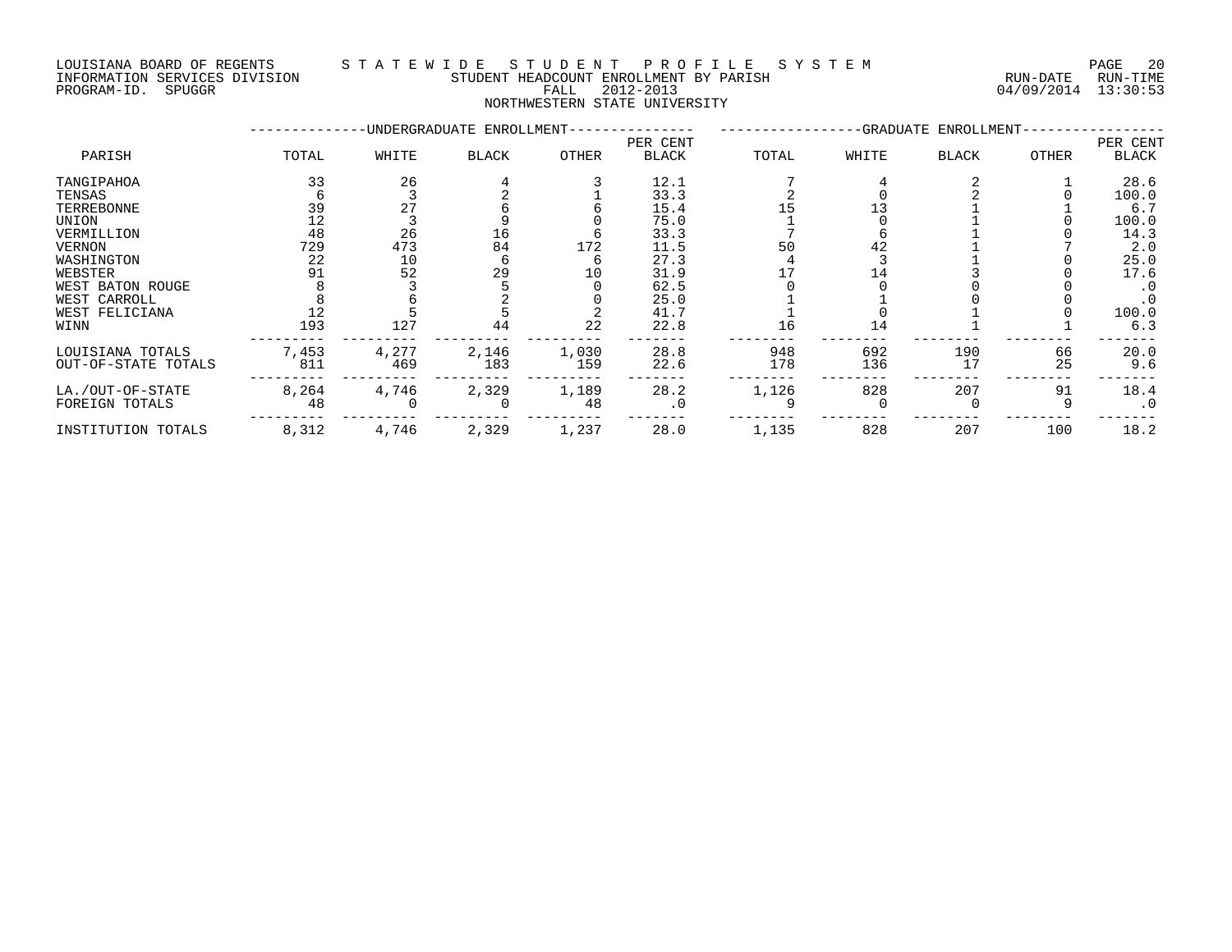INFORMATION SERVICES DIVISION STUDENT HEADCOUNT ENROLLMENT BY PARISH RUN-DATE RUN-TIME DOULSIANA BOARD OF REGENIS (2014) INFORMATION SERVICES DIVISION<br>INFORMATION SERVICES DIVISION STUDENT HEADCOUNT ENROLLMENT BY PARISH<br>PROGRAM-ID. SPUGGR (2012-2013 64/09/2014 13:30:53

### LOUISIANA BOARD OF REGENTS S T A T E W I D E S T U D E N T P R O F I L E S Y S T E M PAGE 20

NORTHWESTERN STATE UNIVERSITY

|                     |       |       | -UNDERGRADUATE ENROLLMENT- |       |              |       |       | -GRADUATE ENROLLMENT- |       |           |
|---------------------|-------|-------|----------------------------|-------|--------------|-------|-------|-----------------------|-------|-----------|
|                     |       |       |                            |       | PER CENT     |       |       |                       |       | PER CENT  |
| PARISH              | TOTAL | WHITE | <b>BLACK</b>               | OTHER | <b>BLACK</b> | TOTAL | WHITE | <b>BLACK</b>          | OTHER | BLACK     |
| TANGIPAHOA          | 33    | 26    |                            |       | 12.1         |       |       |                       |       | 28.6      |
| TENSAS              |       |       |                            |       | 33.3         |       |       |                       |       | 100.0     |
| TERREBONNE          | 39    | 27    |                            |       | 15.4         |       | 13    |                       |       | 6.7       |
| UNION               | 12    |       |                            |       | 75.0         |       |       |                       |       | 100.0     |
| VERMILLION          | 48    | 26    | 16                         |       | 33.3         |       |       |                       |       | 14.3      |
| VERNON              | 729   | 473   | 84                         | 172   | 11.5         | 50    | 42    |                       |       | 2.0       |
| WASHINGTON          | 22    | 10    |                            |       | 27.3         |       |       |                       |       | 25.0      |
| WEBSTER             | 91    | 52    | 29                         | 10    | 31.9         |       |       |                       |       | 17.6      |
| WEST BATON ROUGE    |       |       |                            |       | 62.5         |       |       |                       |       | $\cdot$ 0 |
| WEST CARROLL        |       |       |                            |       | 25.0         |       |       |                       |       | $\cdot$ 0 |
| WEST FELICIANA      |       |       |                            |       | 41.7         |       |       |                       |       | 100.0     |
| WINN                | 193   | 127   | 44                         | 22    | 22.8         | 16    | 14    |                       |       | 6.3       |
| LOUISIANA TOTALS    | 7,453 | 4,277 | 2,146                      | 1,030 | 28.8         | 948   | 692   | 190                   | 66    | 20.0      |
| OUT-OF-STATE TOTALS | 811   | 469   | 183                        | 159   | 22.6         | 178   | 136   | 17                    | 25    | 9.6       |
| LA./OUT-OF-STATE    | 8,264 | 4,746 | 2,329                      | 1,189 | 28.2         | 1,126 | 828   | 207                   | 91    | 18.4      |
| FOREIGN TOTALS      | 48    |       |                            | 48    | $\cdot$ 0    |       |       |                       |       | $\cdot$ 0 |
| INSTITUTION TOTALS  | 8,312 | 4,746 | 2,329                      | 1,237 | 28.0         | 1,135 | 828   | 207                   | 100   | 18.2      |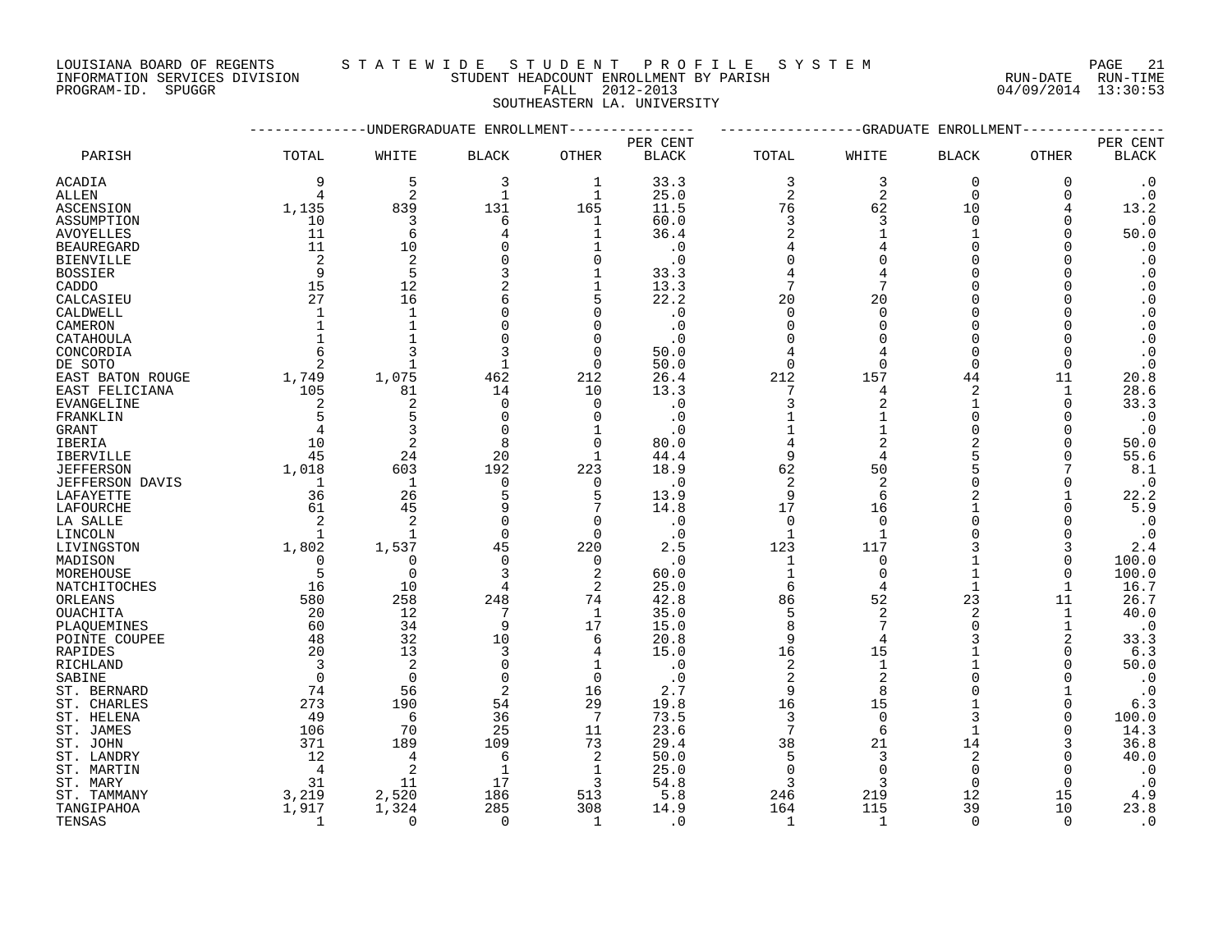PROGRAM-ID. SPUGGR FALL 2012-2013 04/09/2014 13:30:53

### LOUISIANA BOARD OF REGENTS STATEWIDE STUDE NT PROFILE SYSTEM PAGE 21<br>INFORMATION SERVICES DIVISION STUDENT HEADCOUNT ENROLLMENT BY PARISH STUDENT HEADCOUNT ENROLLMENT BY PARISH STUDENT HEADCOUNT ENROLLMENT BY PARISH

SOUTHEASTERN LA. UNIVERSITY

|                           |                |                            | UNDERGRADUATE ENROLLMENT |                 |              |                | -GRADUATE      | ENROLLMENT     |              |                        |
|---------------------------|----------------|----------------------------|--------------------------|-----------------|--------------|----------------|----------------|----------------|--------------|------------------------|
|                           |                |                            |                          |                 | PER CENT     |                |                |                |              | PER CENT               |
| PARISH                    | TOTAL          | WHITE                      | <b>BLACK</b>             | <b>OTHER</b>    | <b>BLACK</b> | TOTAL          | WHITE          | <b>BLACK</b>   | <b>OTHER</b> | <b>BLACK</b>           |
| ACADIA                    | 9              | 5                          | 3                        | 1               | 33.3         | 3              | 3              | $\mathbf 0$    | $\mathbf 0$  | $\cdot$ 0              |
| ALLEN                     | $\overline{4}$ | $\overline{2}$             | $\mathbf{1}$             | $\mathbf{1}$    | 25.0         | $\overline{2}$ | $\overline{2}$ | $\Omega$       | $\Omega$     | $\cdot$ 0              |
| ASCENSION                 | 1,135          | 839                        | 131                      | 165             | 11.5         | 76             | 62             | 10             | 4            | 13.2                   |
| ASSUMPTION                | 10             | 3                          | 6                        | 1               | 60.0         | 3              | 3              | $\Omega$       | 0            | $\cdot$ 0              |
| <b>AVOYELLES</b>          | 11             | 6                          | 4                        | $\mathbf{1}$    | 36.4         | $\overline{2}$ |                | 1              | $\Omega$     | 50.0                   |
| <b>BEAUREGARD</b>         | 11             | 10                         |                          | 1               | $\cdot$ 0    | $\overline{4}$ |                | $\Omega$       | $\Omega$     | $\cdot$ 0              |
| <b>BIENVILLE</b>          | 2              | $\overline{2}$             |                          | $\Omega$        | $\cdot$ 0    | $\Omega$       |                | $\Omega$       |              | $\cdot$ 0              |
| <b>BOSSIER</b>            | 9              | 5                          |                          | $\mathbf{1}$    | 33.3         | $\overline{4}$ |                | $\Omega$       |              | $\cdot$ 0              |
| CADDO                     | 15             | 12                         | 2                        | 1               | 13.3         | 7              |                | $\Omega$       | O            | $\cdot$ 0              |
| CALCASIEU                 | 27             | 16                         |                          | 5               | 22.2         | 20             | 20             | $\Omega$       |              | $\boldsymbol{\cdot}$ 0 |
| CALDWELL                  | $\mathbf{1}$   | $\mathbf{1}$               |                          | 0               | $\cdot$ 0    | $\Omega$       | $\Omega$       | ∩              |              | $\cdot$ 0              |
| CAMERON                   | $\mathbf{1}$   |                            |                          | $\Omega$        | $\cdot$ 0    | $\Omega$       |                | ∩              |              | $\boldsymbol{\cdot}$ 0 |
| CATAHOULA                 | $\mathbf{1}$   |                            |                          | $\mathbf 0$     | $\cdot$ 0    | ∩              |                | $\Omega$       | $\Omega$     | $\boldsymbol{\cdot}$ 0 |
| CONCORDIA                 | 6              | 3                          | 3                        | $\mathbf 0$     | 50.0         |                |                | $\Omega$       | $\Omega$     | $\cdot$ 0              |
| DE SOTO                   | 2              |                            |                          | $\mathbf 0$     | 50.0         | $\Omega$       | $\Omega$       | $\Omega$       | $\Omega$     | $\cdot$ 0              |
| EAST BATON ROUGE          | 1,749          | 1,075                      | 462                      | 212             | 26.4         | 212            | 157            | 44             | 11           | 20.8                   |
| EAST FELICIANA            | 105            | 81                         | 14                       | 10              | 13.3         |                | 4              | 2              | 1            | 28.6                   |
| EVANGELINE                | 2              | $\overline{2}$             | $\Omega$                 | $\mathbf 0$     | $\cdot$ 0    | 3              | $\overline{2}$ | 1              | $\Omega$     | 33.3                   |
| FRANKLIN                  | 5              | 5                          | $\Omega$                 | $\mathbf 0$     | $\cdot$ 0    |                |                | $\Omega$       | $\Omega$     | $\cdot$ 0              |
| <b>GRANT</b>              | $\overline{4}$ | 3                          | $\Omega$                 | $\mathbf{1}$    | $\cdot$ 0    |                |                | $\Omega$       | $\Omega$     | $\cdot$ 0              |
| IBERIA                    | 10             | $\overline{2}$             | 8                        | $\mathbf 0$     | 80.0         | 4              |                | $\overline{2}$ | $\Omega$     | 50.0                   |
| IBERVILLE                 | 45             | 24                         | 20                       | 1               | 44.4         | 9              |                |                | $\Omega$     | 55.6                   |
| <b>JEFFERSON</b>          | 1,018          | 603                        | 192                      | 223             | 18.9         | 62             | 50             |                |              | 8.1                    |
| <b>JEFFERSON DAVIS</b>    | 1              | $\mathbf{1}$               | $\mathbf 0$              | 0               | $\cdot$ 0    | $\overline{2}$ | $\overline{2}$ | $\Omega$       | $\Omega$     | $\cdot$ 0              |
| LAFAYETTE                 | 36             | 26                         | 5                        | 5               | 13.9         | 9              | 6              | $\overline{2}$ |              | 22.2                   |
| LAFOURCHE                 | 61             | 45                         |                          | 7               | 14.8         | 17             | 16             |                | $\Omega$     | 5.9                    |
| LA SALLE                  | 2              | $\overline{2}$             | $\Omega$                 | $\mathbf 0$     | $\cdot$ 0    | $\mathbf 0$    | $\Omega$       | $\Omega$       | $\Omega$     | $\cdot$ 0              |
| LINCOLN                   | 1              | $\mathbf{1}$               | $\Omega$                 | $\Omega$        | $\cdot$ 0    | 1              | -1             |                | $\Omega$     | $\cdot$ 0              |
| LIVINGSTON                | 1,802          | 1,537                      | 45                       | 220             | 2.5          | 123            | 117            |                | 3            | 2.4                    |
| MADISON                   | $\Omega$       | $\Omega$                   | $\Omega$                 | 0               | $\cdot$ 0    | 1              | $\Omega$       |                | $\Omega$     | 100.0                  |
| MOREHOUSE                 | 5              | $\Omega$                   | 3                        | 2               | 60.0         | $\mathbf{1}$   | $\Omega$       |                | $\Omega$     | 100.0                  |
| NATCHITOCHES              | 16             | 10                         | 4                        | 2               | 25.0         | 6              | $\overline{4}$ |                | 1            | 16.7                   |
| ORLEANS                   | 580            | 258                        | 248                      | 74              | 42.8         | 86             | 52             | 23             | 11           | 26.7                   |
| OUACHITA                  | 20             | 12                         | 7                        | $\mathbf{1}$    | 35.0         | 5              | $\overline{a}$ | $\overline{2}$ | 1            | 40.0                   |
| PLAQUEMINES               | 60             | 34                         | 9                        | 17              | 15.0         | 8              |                |                | 1            | $\cdot$ 0              |
| POINTE COUPEE             | 48             | 32                         | 10                       | 6               | 20.8         | 9              |                | 3              | 2            | 33.3                   |
| RAPIDES                   | 20             | 13                         | 3                        | 4               | 15.0         | 16             | 15             |                | $\Omega$     | 6.3                    |
| <b>RICHLAND</b>           | 3<br>$\Omega$  | $\overline{2}$<br>$\Omega$ | $\Omega$                 | $\mathbf{1}$    | $\cdot$ 0    | $\overline{2}$ |                | ∩              | $\Omega$     | 50.0                   |
| SABINE                    |                |                            | $\Omega$                 | $\mathbf 0$     | $\cdot$ 0    | $\overline{2}$ | 2<br>8         |                |              | $\cdot$ 0              |
| ST. BERNARD               | 74<br>273      | 56<br>190                  | 2                        | 16<br>29        | 2.7          | 9<br>16        | 15             |                | $\Omega$     | $\cdot$ 0              |
| ST. CHARLES<br>ST. HELENA | 49             | 6                          | 54<br>36                 | $7\phantom{.0}$ | 19.8<br>73.5 | 3              | $\Omega$       | 3              | $\Omega$     | 6.3<br>100.0           |
| ST. JAMES                 | 106            | 70                         | 25                       | 11              | 23.6         | $\overline{7}$ | 6              | $\mathbf{1}$   | $\Omega$     | 14.3                   |
| ST. JOHN                  | 371            | 189                        | 109                      | 73              | 29.4         | 38             | 21             | 14             | 3            | 36.8                   |
| ST. LANDRY                | 12             | 4                          | 6                        | 2               | 50.0         | 5              | 3              | 2              | $\Omega$     | 40.0                   |
| ST. MARTIN                | $\overline{4}$ | 2                          | 1                        | $\mathbf{1}$    | 25.0         | $\Omega$       | $\Omega$       | $\Omega$       | $\Omega$     | $\cdot$ 0              |
| ST. MARY                  | 31             | 11                         | 17                       | 3               | 54.8         | 3              | 3              | $\Omega$       | 0            | $\cdot$ 0              |
| ST. TAMMANY               | 3,219          | 2,520                      | 186                      | 513             | 5.8          | 246            | 219            | 12             | 15           | 4.9                    |
| TANGIPAHOA                | 1,917          | 1,324                      | 285                      | 308             | 14.9         | 164            | 115            | 39             | 10           | 23.8                   |
| TENSAS                    | $\mathbf{1}$   | $\Omega$                   | $\Omega$                 | $\overline{1}$  | $\Omega$ .   | $\mathbf{1}$   | $\overline{1}$ | $\Omega$       | $\cap$       | $\cdot$ 0              |
|                           |                |                            |                          |                 |              |                |                |                |              |                        |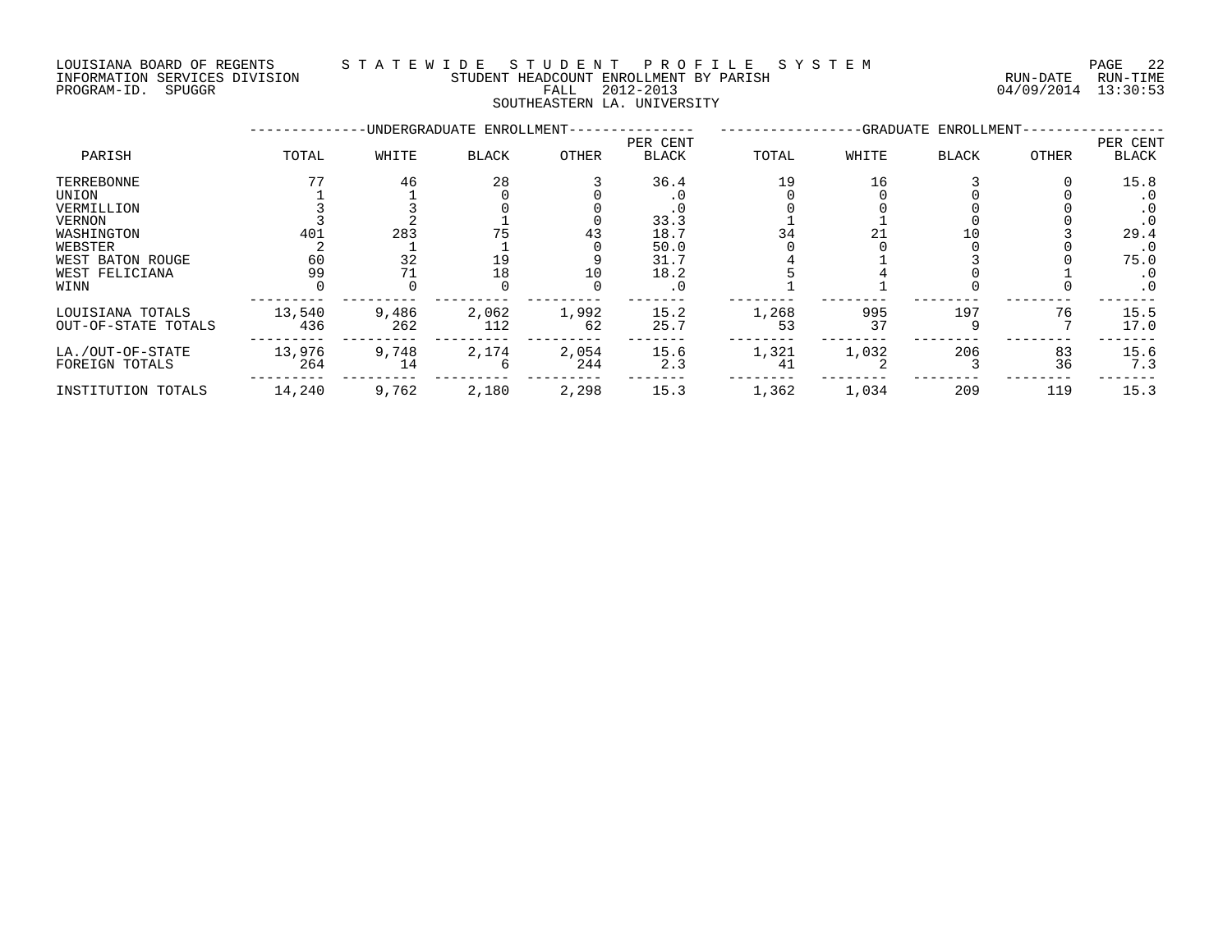#### LOUISIANA BOARD OF REGENTS S T A T E W I D E S T U D E N T P R O F I L E S Y S T E M PAGE 22 INFORMATION SERVICES DIVISION STUDENT HEADCOUNT ENROLLMENT BY PARISH RUN-DATE RUN-TIME PROGRAM-ID. SPUGGR FALL 2012-2013 04/09/2014 13:30:53

SOUTHEASTERN LA. UNIVERSITY

|                     |        |       | -UNDERGRADUATE ENROLLMENT- |       | PER CENT     |       |       | -GRADUATE ENROLLMENT |       |                          |
|---------------------|--------|-------|----------------------------|-------|--------------|-------|-------|----------------------|-------|--------------------------|
| PARISH              | TOTAL  | WHITE | <b>BLACK</b>               | OTHER | <b>BLACK</b> | TOTAL | WHITE | <b>BLACK</b>         | OTHER | PER CENT<br><b>BLACK</b> |
| TERREBONNE          |        | 46    | 28                         |       | 36.4         | 19    | 16    |                      |       | 15.8                     |
| UNION               |        |       |                            |       |              |       |       |                      |       | . 0                      |
| VERMILLION          |        |       |                            |       | . U          |       |       |                      |       | . 0                      |
| VERNON              |        |       |                            |       | 33.3         |       |       |                      |       | . 0                      |
| WASHINGTON          | 401    | 283   |                            | 43    | 18.7         |       |       |                      |       | 29.4                     |
| WEBSTER             |        |       |                            |       | 50.0         |       |       |                      |       | . 0                      |
| WEST BATON ROUGE    | 60     | 32    | 19                         |       | 31.7         |       |       |                      |       | 75.0                     |
| WEST FELICIANA      | 99     |       | 18                         | 10    | 18.2         |       |       |                      |       | . 0                      |
| WINN                |        |       |                            |       | . 0          |       |       |                      |       | . 0                      |
| LOUISIANA TOTALS    | 13,540 | 9,486 | 2,062                      | 1,992 | 15.2         | 1,268 | 995   | 197                  | 76    | 15.5                     |
| OUT-OF-STATE TOTALS | 436    | 262   | 112                        | 62    | 25.7         | 53    | 37    |                      |       | 17.0                     |
| LA./OUT-OF-STATE    | 13,976 | 9,748 | 2,174                      | 2,054 | 15.6         | 1,321 | 1,032 | 206                  | 83    | 15.6                     |
| FOREIGN TOTALS      | 264    | 14    |                            | 244   | 2.3          | 41    |       |                      | 36    | 7.3                      |
| INSTITUTION TOTALS  | 14,240 | 9,762 | 2,180                      | 2,298 | 15.3         | 1,362 | 1,034 | 209                  | 119   | 15.3                     |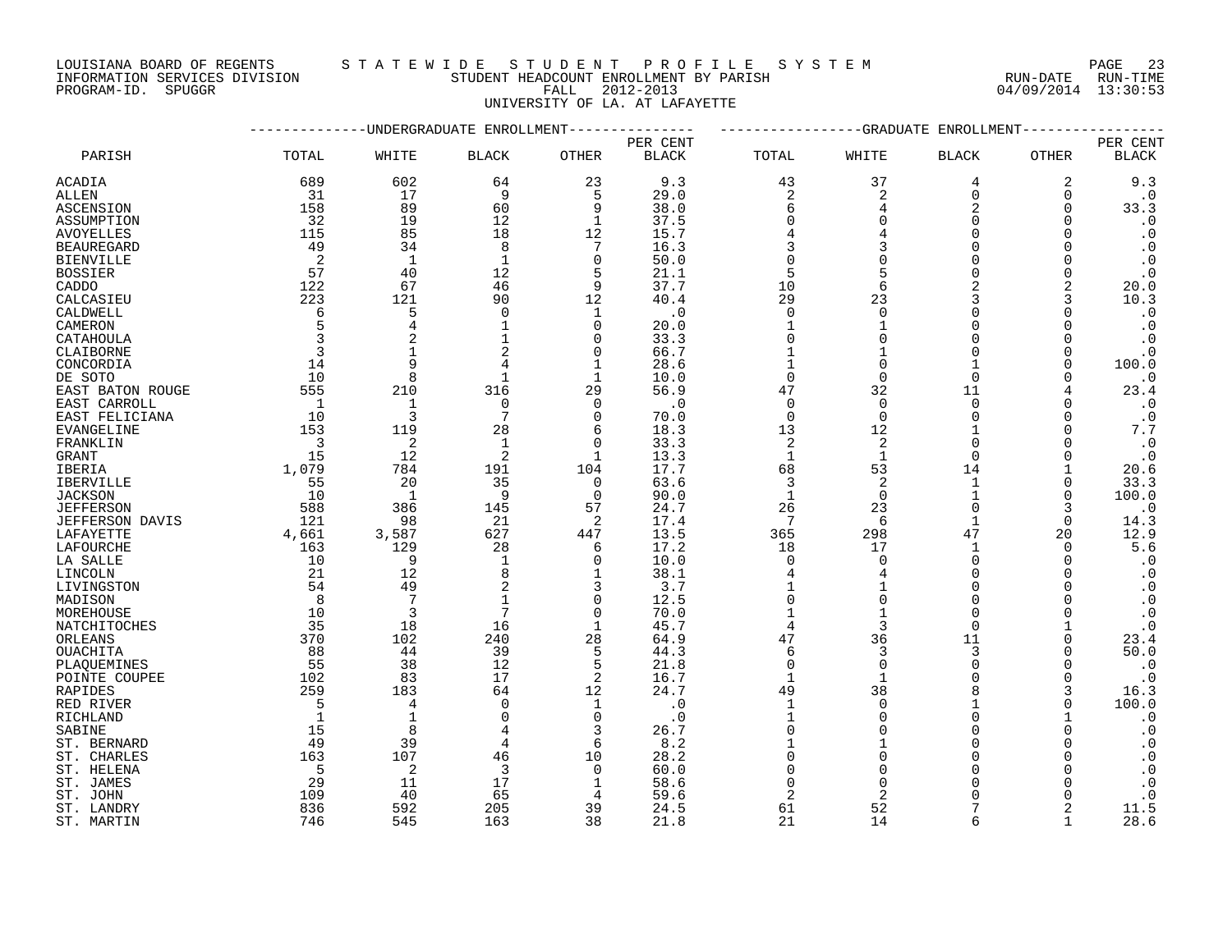INFORMATION SERVICES DIVISION STUDENT HEADCOUNT ENROLLMENT BY PARISH RUN-DATE RUN-TIME PROGRAM-ID. SPUGGR FALL 2012-2013 04/09/2014 13:30:53

### LOUISIANA BOARD OF REGENTS S T A T E W I D E S T U D E N T P R O F I L E S Y S T E M PAGE 23

UNIVERSITY OF LA. AT LAFAYETTE

|                   |                         |                | -UNDERGRADUATE ENROLLMENT |                |              |                |                | -GRADUATE ENROLLMENT |             |                        |
|-------------------|-------------------------|----------------|---------------------------|----------------|--------------|----------------|----------------|----------------------|-------------|------------------------|
|                   |                         |                |                           |                | PER CENT     |                |                |                      |             | PER CENT               |
| PARISH            | TOTAL                   | WHITE          | <b>BLACK</b>              | OTHER          | <b>BLACK</b> | TOTAL          | WHITE          | <b>BLACK</b>         | OTHER       | $\operatorname{BLACK}$ |
| ACADIA            | 689                     | 602            | 64                        | 23             | 9.3          | 43             | 37             | 4                    | 2           | 9.3                    |
| ALLEN             | 31                      | 17             | 9                         | 5              | 29.0         | 2              | 2              | $\mathbf 0$          | 0           | $\cdot$ 0              |
| ASCENSION         | 158                     | 89             | 60                        | 9              | 38.0         | 6              |                | $\overline{2}$       | 0           | 33.3                   |
| ASSUMPTION        | 32                      | 19             | 12                        | $\mathbf{1}$   | 37.5         | $\Omega$       | $\Omega$       | $\Omega$             | $\Omega$    | $\cdot$ 0              |
| <b>AVOYELLES</b>  | 115                     | 85             | 18                        | 12             | 15.7         | 4              |                | $\Omega$             | $\Omega$    | $\cdot$ 0              |
| <b>BEAUREGARD</b> | 49                      | 34             | 8                         | 7              | 16.3         | 3              |                |                      | $\Omega$    | $\cdot$ 0              |
| <b>BIENVILLE</b>  | 2                       | $\mathbf{1}$   | 1                         | 0              | 50.0         | $\Omega$       |                |                      | $\Omega$    | $\cdot$ 0              |
| <b>BOSSIER</b>    | 57                      | 40             | 12                        | 5              | 21.1         | 5              |                | $\Omega$             | $\Omega$    | $\cdot$ 0              |
| CADDO             | 122                     | 67             | 46                        | 9              | 37.7         | 10             | 6              |                      | 2           | 20.0                   |
| CALCASIEU         | 223                     | 121            | 90                        | 12             | 40.4         | 29             | 23             | 3                    | 3           | 10.3                   |
| CALDWELL          | 6                       | 5              | $\mathbf 0$               | 1              | $\cdot$ 0    | $\mathbf 0$    | $\Omega$       | $\Omega$             | 0           | $\cdot$ 0              |
| CAMERON           | 5                       | 4              |                           | $\Omega$       | 20.0         |                |                |                      | ∩           | $\cdot$ 0              |
| CATAHOULA         | $\overline{3}$          | $\overline{2}$ |                           | $\Omega$       | 33.3         | $\Omega$       |                |                      |             | $\cdot$ 0              |
| CLAIBORNE         | $\overline{3}$          |                | 2                         | $\Omega$       | 66.7         | $\mathbf{1}$   |                | $\Omega$             | $\Omega$    | $\cdot$ 0              |
| CONCORDIA         | 14                      | 9              | 4                         | 1              | 28.6         | $\mathbf{1}$   | $\Omega$       |                      | $\Omega$    | 100.0                  |
| DE SOTO           | 10                      | 8              | $\mathbf 1$               | 1              | 10.0         | $\mathbf 0$    | $\Omega$       | $\Omega$             | 0           | $\cdot$ 0              |
| EAST BATON ROUGE  | 555                     | 210            | 316                       | 29             | 56.9         | 47             | 32             | 11                   | 4           | 23.4                   |
| EAST CARROLL      | $\overline{1}$          | $\mathbf{1}$   | $\mathbf 0$               | $\Omega$       | $\cdot$ 0    | $\mathbf 0$    | $\Omega$       | $\Omega$             | $\Omega$    | $\cdot$ 0              |
| EAST FELICIANA    | 10                      | 3              | $7\phantom{.0}$           | $\Omega$       | 70.0         | $\mathbf 0$    | $\Omega$       | $\Omega$             | $\Omega$    | $\cdot$ 0              |
| <b>EVANGELINE</b> | 153                     | 119            | 28                        | 6              | 18.3         | 13             | 12             |                      | $\Omega$    | $7.7\,$                |
| FRANKLIN          | $\overline{\mathbf{3}}$ | $\overline{c}$ | $\mathbf{1}$              | $\mathbf 0$    | 33.3         | $\overline{c}$ | $\overline{2}$ | $\Omega$             | $\Omega$    | $\cdot$ 0              |
| GRANT             | 15                      | 12             | 2                         | 1              | 13.3         | $\mathbf{1}$   | $\mathbf 1$    | $\Omega$             | O           | $\cdot$ 0              |
| IBERIA            | 1,079                   | 784            | 191                       | 104            | 17.7         | 68             | 53             | 14                   |             | 20.6                   |
| <b>IBERVILLE</b>  | 55                      | 20             | 35                        | $\Omega$       | 63.6         | 3              | 2              | $\mathbf{1}$         | 0           | 33.3                   |
| <b>JACKSON</b>    | 10                      | $\overline{1}$ | 9                         | $\Omega$       | 90.0         | $\mathbf{1}$   | $\Omega$       |                      | $\Omega$    | 100.0                  |
| <b>JEFFERSON</b>  | 588                     | 386            | 145                       | 57             | 24.7         | 26             | 23             | $\Omega$             | 3           | $\cdot$ 0              |
| JEFFERSON DAVIS   | 121                     | 98             | 21                        | 2              | 17.4         | 7              | 6              | 1                    | 0           | 14.3                   |
| LAFAYETTE         | 4,661                   | 3,587          | 627                       | 447            | 13.5         | 365            | 298            | 47                   | 20          | 12.9                   |
| LAFOURCHE         | 163                     | 129            | 28                        | 6              | 17.2         | 18             | 17             | 1                    | $\Omega$    | 5.6                    |
| LA SALLE          | 10                      | 9              | $\mathbf{1}$              | $\Omega$       | 10.0         | $\Omega$       | $\cap$         | $\cap$               | $\Omega$    | $\cdot$ 0              |
| LINCOLN           | 21                      | 12             | 8                         | $\mathbf 1$    | 38.1         | 4              | 4              | $\Omega$             |             | $\cdot$ 0              |
| LIVINGSTON        | 54                      | 49             | 2                         | 3              | 3.7          | 1              |                | $\Omega$             | U           | $\cdot$ 0              |
| MADISON           | 8                       | 7              |                           | $\Omega$       | 12.5         | $\Omega$       |                |                      |             | $\cdot$ 0              |
| MOREHOUSE         | 10                      | 3              | $7\phantom{.0}$           | $\mathbf 0$    | 70.0         |                |                | $\cap$               | $\Omega$    | $\cdot$ 0              |
| NATCHITOCHES      | 35                      | 18             | 16                        | $\mathbf{1}$   | 45.7         | $\overline{4}$ | $\mathbf{3}$   | $\Omega$             |             | $\cdot$ 0              |
| ORLEANS           | 370                     | 102            | 240                       | 28             | 64.9         | 47             | 36             | 11                   | $\mathbf 0$ | 23.4                   |
| OUACHITA          | 88                      | 44             | 39                        | 5              | 44.3         | 6              | 3              | 3                    | 0           | 50.0                   |
| PLAOUEMINES       | 55                      | 38             | 12                        | 5              | 21.8         | $\mathbf 0$    | $\Omega$       | $\Omega$             | $\Omega$    | $\cdot$ 0              |
| POINTE COUPEE     | 102                     | 83             | 17                        | $\overline{2}$ | 16.7         | $\mathbf{1}$   | $\mathbf{1}$   | $\cap$               | $\Omega$    | $\cdot$ 0              |
| <b>RAPIDES</b>    | 259                     | 183            | 64                        | 12             | 24.7         | 49             | 38             |                      | 3           | 16.3                   |
| RED RIVER         | 5                       | $\overline{4}$ | $\mathbf 0$               | $\mathbf 1$    | $\cdot$ 0    | $\mathbf{1}$   | $\Omega$       |                      | $\Omega$    | 100.0                  |
| RICHLAND          | $\overline{1}$          | $\mathbf{1}$   | 0                         | $\Omega$       | $\cdot$ 0    | 1              | ∩              | $\Omega$             |             | $\cdot$ 0              |
| SABINE            | 15                      | 8              |                           | 3              | 26.7         | $\Omega$       |                |                      |             | $\cdot$ 0              |
| ST. BERNARD       | 49                      | 39             | 4                         | 6              | 8.2          |                |                |                      |             | $\boldsymbol{\cdot}$ 0 |
| ST. CHARLES       | 163                     | 107            | 46                        | 10             | 28.2         | $\Omega$       | $\cap$         |                      |             | $\cdot$ 0              |
| ST. HELENA        | -5                      | 2              | 3                         | $\Omega$       | 60.0         |                |                |                      |             | $\boldsymbol{\cdot}$ 0 |
| ST. JAMES         | 29                      | 11             | 17                        | 1              | 58.6         | 0              |                |                      |             | $\cdot$ 0              |
| ST. JOHN          | 109                     | 40             | 65                        | 4              | 59.6         | $\overline{c}$ |                |                      |             | $\cdot$ 0              |
| ST. LANDRY        | 836                     | 592            | 205                       | 39             | 24.5         | 61             | 52             |                      |             | 11.5                   |
| ST. MARTIN        | 746                     | 545            | 163                       | 38             | 21.8         | 21             | 14             |                      |             | 28.6                   |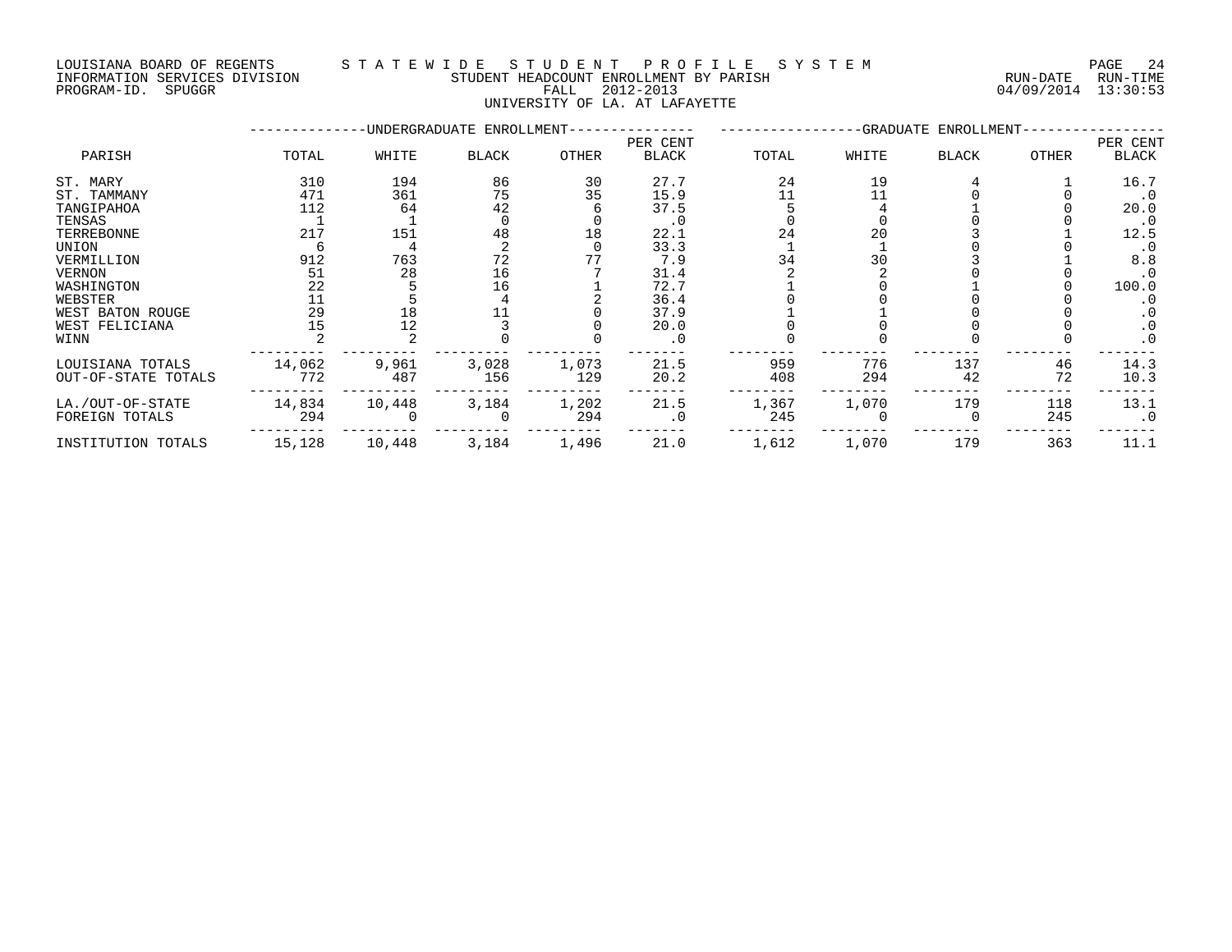### LOUISIANA BOARD OF REGENTS S T A T E W I D E S T U D E N T P R O F I L E S Y S T E M PAGE 24 INFORMATION SERVICES DIVISION STUDENT HEADCOUNT ENROLLMENT BY PARISH RUN-DATE RUN-TIME NOUSLAM SOURCES DIVISION CONTROLLER TO A THE STUDENT HEADCOUNT ENROLLMENT BY PARISH THAT THE THE RUN-DATE RUN-<br>PROGRAM-ID. SPUGGR DIVISION FALL 2012-2013 04/09/2014 13:30:53

UNIVERSITY OF LA. AT LAFAYETTE

|                     |        |        | -UNDERGRADUATE ENROLLMENT- |       |                          |       |       | -GRADUATE ENROLLMENT- |       |                          |
|---------------------|--------|--------|----------------------------|-------|--------------------------|-------|-------|-----------------------|-------|--------------------------|
| PARISH              | TOTAL  | WHITE  | <b>BLACK</b>               | OTHER | PER CENT<br><b>BLACK</b> | TOTAL | WHITE | <b>BLACK</b>          | OTHER | PER CENT<br><b>BLACK</b> |
| ST. MARY            | 310    | 194    | 86                         | 30    | 27.7                     | 24    | 19    |                       |       | 16.7                     |
| ST. TAMMANY         | 471    | 361    | 75                         | 35    | 15.9                     |       |       |                       |       | . 0                      |
| TANGIPAHOA          | 112    | 64     | 42                         |       | 37.5                     |       |       |                       |       | 20.0                     |
| TENSAS              |        |        |                            |       | . 0                      |       |       |                       |       | . 0                      |
| TERREBONNE          | 217    | 151    | 48                         | 18    | 22.1                     | 24    | 20    |                       |       | 12.5                     |
| UNION               |        |        |                            |       | 33.3                     |       |       |                       |       | $\cdot$ 0                |
| VERMILLION          | 912    | 763    | 72                         |       | 7.9                      | 34    | 30    |                       |       | 8.8                      |
| <b>VERNON</b>       | 51     | 28     | 16                         |       | 31.4                     |       |       |                       |       | $\cdot$ 0                |
| WASHINGTON          | 22     |        | 16                         |       | 72.7                     |       |       |                       |       | 100.0                    |
| WEBSTER             | 11     |        |                            |       | 36.4                     |       |       |                       |       |                          |
| WEST BATON ROUGE    | 29     | 18     |                            |       | 37.9                     |       |       |                       |       |                          |
| WEST FELICIANA      | 15     | 12     |                            |       | 20.0                     |       |       |                       |       | $\cdot$ 0                |
| WINN                |        |        |                            |       | . 0                      |       |       |                       |       | $\cdot$ 0                |
| LOUISIANA TOTALS    | 14,062 | 9,961  | 3,028                      | 1,073 | 21.5                     | 959   | 776   | 137                   | 46    | 14.3                     |
| OUT-OF-STATE TOTALS | 772    | 487    | 156                        | 129   | 20.2                     | 408   | 294   | 42                    | 72    | 10.3                     |
| LA./OUT-OF-STATE    | 14,834 | 10,448 | 3,184                      | 1,202 | 21.5                     | 1,367 | 1,070 | 179                   | 118   | 13.1                     |
| FOREIGN TOTALS      | 294    |        |                            | 294   | . 0                      | 245   |       |                       | 245   | $\cdot$ 0                |
| INSTITUTION TOTALS  | 15,128 | 10,448 | 3,184                      | 1,496 | 21.0                     | 1,612 | 1,070 | 179                   | 363   | 11.1                     |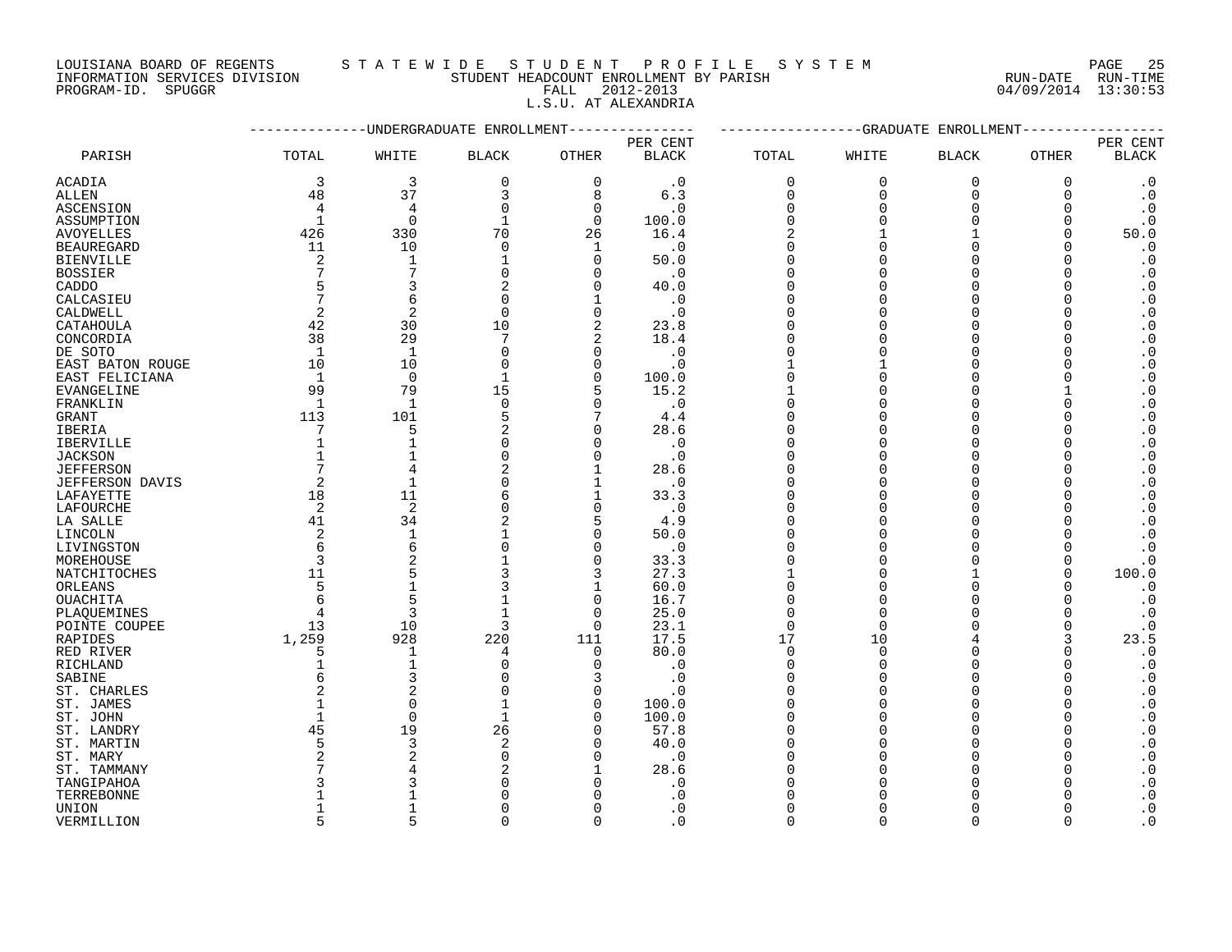LOUISIANA BOARD OF REGENTS S T A T E W I D E S T U D E N T P R O F I L E S Y S T E M PAGE 25

### INFORMATION SERVICES DIVISION STUDENT HEADCOUNT ENROLLMENT BY PARISH RUN-DATE RUN-TIME PROGRAM-ION SERVICES DIVISION CONSUMERS IN THE STUDENT HEADCOUNT ENROLLMENT BY PARISH TO THE CHANGE ON THE RUN-<br>THEOREMATION SERVICES DIVISION FALL 2012-2013 CONSUMERS FALL 2012-2013 2012-2013

L.S.U. AT ALEXANDRIA

|                   |                |                | ---------UNDERGRADUATE ENROLLMENT |                |              |              | -------------GRADUATE | ENROLLMENT   | -----       |                        |
|-------------------|----------------|----------------|-----------------------------------|----------------|--------------|--------------|-----------------------|--------------|-------------|------------------------|
|                   |                |                |                                   |                | PER CENT     |              |                       |              |             | PER CENT               |
| PARISH            | TOTAL          | WHITE          | <b>BLACK</b>                      | OTHER          | <b>BLACK</b> | TOTAL        | WHITE                 | <b>BLACK</b> | OTHER       | $\operatorname{BLACK}$ |
| <b>ACADIA</b>     | 3              | 3              | $\mathbf 0$                       | $\mathbf 0$    | $\cdot$ 0    | $\mathbf 0$  | $\mathbf 0$           | $\mathbf 0$  | $\mathbf 0$ | $\cdot$ 0              |
| ALLEN             | 48             | 37             | 3                                 | 8              | 6.3          | $\Omega$     | $\Omega$              | $\Omega$     | $\Omega$    | $\cdot$ 0              |
| ASCENSION         | $\overline{4}$ | 4              | $\mathbf 0$                       | $\overline{0}$ | $\cdot$ 0    | $\Omega$     | $\Omega$              | $\Omega$     | ∩           | $\boldsymbol{\cdot}$ 0 |
| ASSUMPTION        | 1              | $\mathbf 0$    | 1                                 | 0              | 100.0        | $\Omega$     | ∩                     | $\Omega$     | O           | $\cdot$ 0              |
| <b>AVOYELLES</b>  | 426            | 330            | 70                                | 26             | 16.4         | 2            |                       |              | ∩           | 50.0                   |
| <b>BEAUREGARD</b> | 11             | 10             | $\mathbf 0$                       | 1              | . 0          | $\Omega$     |                       | $\Omega$     | ∩           | $\cdot$ 0              |
| <b>BIENVILLE</b>  | 2              | $\mathbf{1}$   | $\mathbf{1}$                      | $\Omega$       | 50.0         | $\Omega$     |                       | ∩            | ∩           | $\boldsymbol{\cdot}$ 0 |
| <b>BOSSIER</b>    |                | 7              | $\Omega$                          | $\Omega$       | $\cdot$ 0    | $\Omega$     |                       | $\Omega$     | ∩           | $\cdot$ 0              |
| CADDO             |                | 3              |                                   | $\Omega$       | 40.0         | $\Omega$     |                       | $\Omega$     | ∩           | $\boldsymbol{\cdot}$ 0 |
| CALCASIEU         |                | 6              | $\Omega$                          | $\mathbf{1}$   | $\cdot$ 0    | $\Omega$     |                       | $\Omega$     |             | $\boldsymbol{\cdot}$ 0 |
| CALDWELL          | 2              | $\overline{2}$ | $\Omega$                          | $\mathbf 0$    | . 0          | $\Omega$     |                       | ∩            |             | $\boldsymbol{\cdot}$ 0 |
| CATAHOULA         | 42             | 30             | 10                                | 2              | 23.8         | $\Omega$     |                       | $\Omega$     |             | $\cdot$ 0              |
| CONCORDIA         | 38             | 29             | 7                                 | $\overline{2}$ | 18.4         | $\Omega$     |                       | $\Omega$     |             | $\cdot$ 0              |
| DE SOTO           | $\mathbf 1$    | $\mathbf{1}$   | $\Omega$                          | $\mathbf 0$    | $\cdot$ 0    | $\Omega$     |                       | $\Omega$     |             | $\cdot$ 0              |
| EAST BATON ROUGE  | 10             | 10             | $\Omega$                          | $\Omega$       | $\cdot$ 0    |              |                       | $\Omega$     |             | $\boldsymbol{\cdot}$ 0 |
| EAST FELICIANA    | $\mathbf{1}$   | $\Omega$       | $\mathbf{1}$                      | $\Omega$       | 100.0        | $\Omega$     |                       | $\Omega$     |             | $\cdot$ 0              |
| EVANGELINE        | 99             | 79             | 15                                | 5              | 15.2         | $\mathbf{1}$ | $\Omega$              | $\Omega$     |             | $\cdot$ 0              |
| FRANKLIN          | 1              | 1              | $\Omega$                          | $\mathbf 0$    | $\cdot$ 0    | $\Omega$     |                       | $\Omega$     |             | $\boldsymbol{\cdot}$ 0 |
| GRANT             | 113            | 101            |                                   | 7              | 4.4          | $\Omega$     |                       | $\Omega$     |             | $\boldsymbol{\cdot}$ 0 |
| IBERIA            |                | 5              |                                   | $\mathbf 0$    | 28.6         | ∩            |                       | ∩            |             | $\boldsymbol{\cdot}$ 0 |
| IBERVILLE         |                | $\mathbf{1}$   | U                                 | $\Omega$       | $\cdot$ 0    | $\Omega$     |                       | $\Omega$     |             | $\boldsymbol{\cdot}$ 0 |
| <b>JACKSON</b>    |                | 1              | $\Omega$                          | $\mathbf 0$    | . 0          | $\Omega$     |                       | $\Omega$     |             | $\boldsymbol{\cdot}$ 0 |
| <b>JEFFERSON</b>  |                | 4              |                                   | $\mathbf{1}$   | 28.6         | $\Omega$     |                       | $\Omega$     |             | $\boldsymbol{\cdot}$ 0 |
| JEFFERSON DAVIS   | 2              | $\mathbf{1}$   | O                                 | 1              | . 0          | $\Omega$     |                       | $\Omega$     |             | $\cdot$ 0              |
| LAFAYETTE         | 18             | 11             | 6                                 | 1              | 33.3         | $\Omega$     |                       | ∩            |             | $\boldsymbol{\cdot}$ 0 |
| LAFOURCHE         | 2              | 2              | $\Omega$                          | $\mathbf 0$    | $\cdot$ 0    | $\Omega$     |                       | $\Omega$     |             | $\cdot$ 0              |
| LA SALLE          | 41             | 34             | 2                                 | 5              | 4.9          | $\Omega$     |                       | $\Omega$     |             | $\boldsymbol{\cdot}$ 0 |
| LINCOLN           | $\overline{2}$ | $\mathbf{1}$   |                                   | $\Omega$       | 50.0         | $\Omega$     |                       | $\Omega$     |             | $\boldsymbol{\cdot}$ 0 |
| LIVINGSTON        | 6              | 6              | $\Omega$                          | $\mathbf 0$    | $\cdot$ 0    | $\Omega$     |                       | ∩            |             | $\cdot$ 0              |
| MOREHOUSE         | 3              | $\overline{2}$ |                                   | $\overline{0}$ | 33.3         | $\Omega$     |                       | $\cap$       | ∩           | $\boldsymbol{\cdot}$ 0 |
| NATCHITOCHES      | 11             | 5              |                                   | 3              | 27.3         |              |                       |              | O           | 100.0                  |
| ORLEANS           |                | $\mathbf 1$    |                                   | 1              | 60.0         | $\Omega$     |                       | $\Omega$     | O           | $\cdot$ 0              |
| <b>OUACHITA</b>   |                | 5              |                                   | $\mathbf 0$    | 16.7         | $\Omega$     | $\Omega$              | ∩            |             | $\cdot$ 0              |
| PLAQUEMINES       | $\overline{4}$ | 3              | $\mathbf{1}$                      | $\mathbf 0$    | 25.0         | $\Omega$     | $\Omega$              | ∩            |             | $\cdot$ 0              |
| POINTE COUPEE     | 13             | 10             | 3                                 | $\Omega$       | 23.1         | $\Omega$     | $\Omega$              | $\Omega$     | ∩           | $\cdot$ 0              |
| RAPIDES           | 1,259          | 928            | 220                               | 111            | 17.5         | 17           | 10                    |              | 3           | 23.5                   |
| RED RIVER         | 5              | $\mathbf{1}$   | 4                                 | 0              | 80.0         | $\mathbf 0$  | $\Omega$              | $\Omega$     | O           | $\boldsymbol{\cdot}$ 0 |
| RICHLAND          |                | 1              | $\Omega$                          | 0              | . 0          | $\Omega$     | $\Omega$              | $\Omega$     | ∩           | $\cdot$ 0              |
| SABINE            |                | 3              |                                   | 3              | . 0          | $\Omega$     | ∩                     | $\Omega$     |             | $\cdot$ 0              |
| ST. CHARLES       |                | $\overline{2}$ |                                   | $\mathbf 0$    | . 0          | $\Omega$     | $\Omega$              | $\Omega$     |             | $\cdot$ 0              |
| ST. JAMES         |                | $\Omega$       | $\mathbf{1}$                      | $\mathbf 0$    | 100.0        | $\Omega$     |                       | $\Omega$     |             | $\boldsymbol{\cdot}$ 0 |
| ST. JOHN          | $\mathbf{1}$   | $\mathbf 0$    | $\mathbf{1}$                      | $\mathbf 0$    | 100.0        | $\Omega$     |                       | $\Omega$     |             | $\cdot$ 0              |
| ST. LANDRY        | 45             | 19             | 26                                | $\Omega$       | 57.8         | $\Omega$     |                       | $\cap$       |             | $\boldsymbol{\cdot}$ 0 |
| ST. MARTIN        | 5              | 3              | 2                                 | $\mathbf 0$    | 40.0         | $\Omega$     |                       | $\Omega$     |             | $\boldsymbol{\cdot}$ 0 |
| ST. MARY          |                | $\overline{2}$ | $\Omega$                          | 0              | . 0          | $\Omega$     |                       | $\Omega$     |             | $\cdot$ 0              |
| ST. TAMMANY       |                | 4              |                                   | 1              | 28.6         | $\Omega$     |                       | ∩            |             | $\cdot$ 0              |
| TANGIPAHOA        |                | 3              |                                   | 0              | . 0          | O            |                       | ∩            |             | $\cdot$ 0              |
| TERREBONNE        |                | 1              |                                   |                | . 0          |              |                       |              |             | $\boldsymbol{\cdot}$ 0 |
| UNION             | 1              | $\mathbf{1}$   |                                   | O              | . 0          | $\Omega$     | ∩                     | $\Omega$     |             | $\cdot$ 0              |
| VERMILLION        |                | 5              | $\cap$                            | $\Omega$       | $\Omega$     | $\Omega$     | $\Omega$              | $\cap$       | $\Omega$    | $\cdot$ 0              |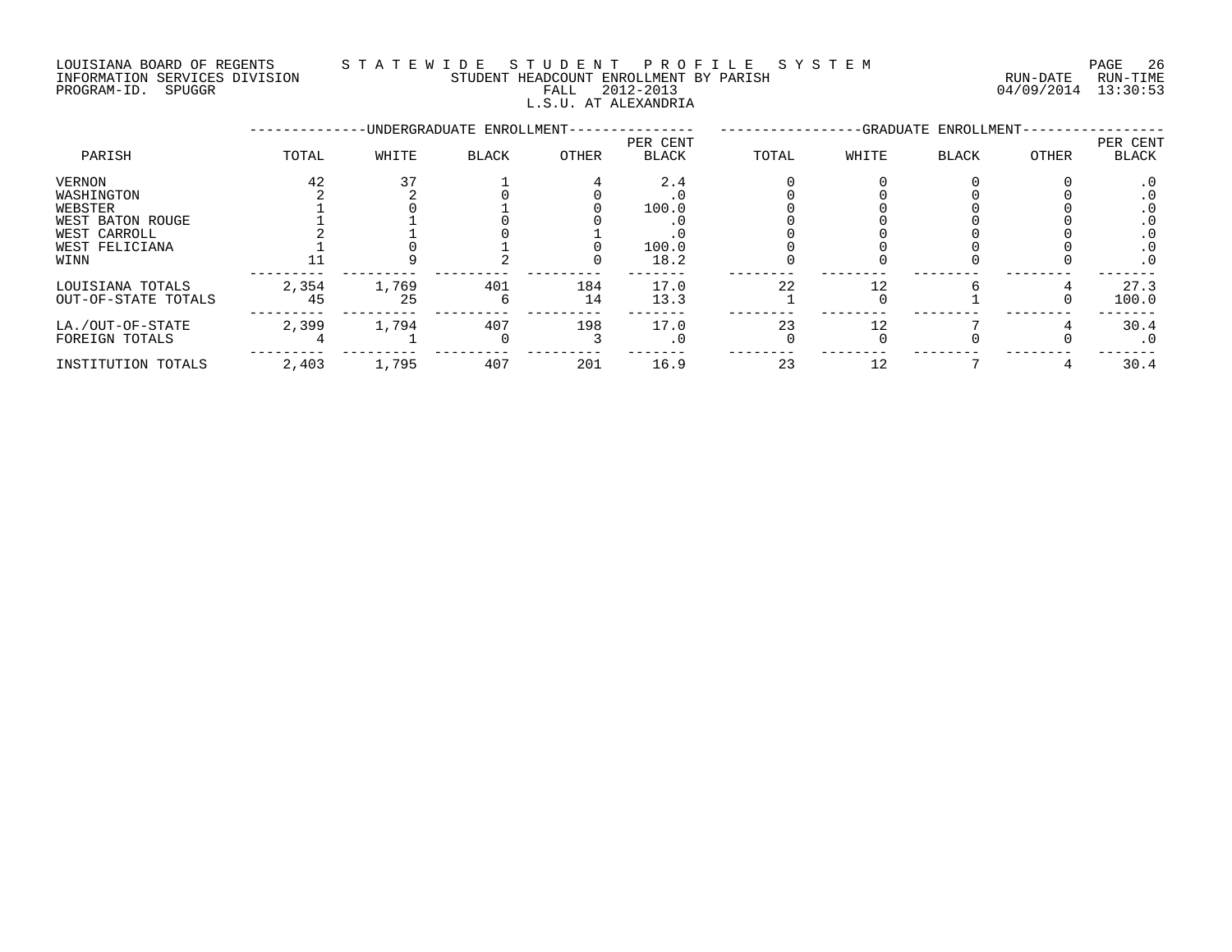### LOUISIANA BOARD OF REGENTS S T A T E W I D E S T U D E N T P R O F I L E S Y S T E M PAGE 26 INFORMATION SERVICES DIVISION STUDENT HEADCOUNT ENROLLMENT BY PARISH RUN-DATE RUN-TIME PROGRAM-ID. SPUGGR FALL 2012-2013 04/09/2014 13:30:53

### L.S.U. AT ALEXANDRIA

|                     |       |       | -UNDERGRADUATE ENROLLMENT- |       |                          |       |       | -GRADUATE ENROLLMENT- |                  |                   |
|---------------------|-------|-------|----------------------------|-------|--------------------------|-------|-------|-----------------------|------------------|-------------------|
| PARISH              | TOTAL | WHITE | <b>BLACK</b>               | OTHER | PER CENT<br><b>BLACK</b> | TOTAL | WHITE | BLACK                 | <b>OTHER</b>     | PER CENT<br>BLACK |
| VERNON              | 42    |       |                            |       | 2.4                      |       |       |                       |                  |                   |
| WASHINGTON          |       |       |                            |       |                          |       |       |                       |                  |                   |
| WEBSTER             |       |       |                            |       | 100.0                    |       |       |                       |                  |                   |
| WEST BATON ROUGE    |       |       |                            |       |                          |       |       |                       |                  |                   |
| WEST CARROLL        |       |       |                            |       |                          |       |       |                       |                  | . U               |
| WEST FELICIANA      |       |       |                            |       | 100.0                    |       |       |                       |                  | . 0               |
| WINN                |       |       |                            |       | 18.2                     |       |       |                       |                  | . 0               |
| LOUISIANA TOTALS    | 2,354 | 1,769 | 401                        | 184   | 17.0                     | 22    |       |                       |                  | 27.3              |
| OUT-OF-STATE TOTALS | 45    | 25    | 6                          | 14    | 13.3                     |       |       |                       | $\left( \right)$ | 100.0             |
| LA./OUT-OF-STATE    | 2,399 | 1,794 | 407                        | 198   | 17.0                     | 23    |       |                       |                  | 30.4              |
| FOREIGN TOTALS      |       |       |                            |       | $\cdot$ 0                |       |       |                       |                  | $\cdot$ 0         |
| INSTITUTION TOTALS  | 2,403 | 1,795 | 407                        | 201   | 16.9                     | 23    | 12    |                       |                  | 30.4              |
|                     |       |       |                            |       |                          |       |       |                       |                  |                   |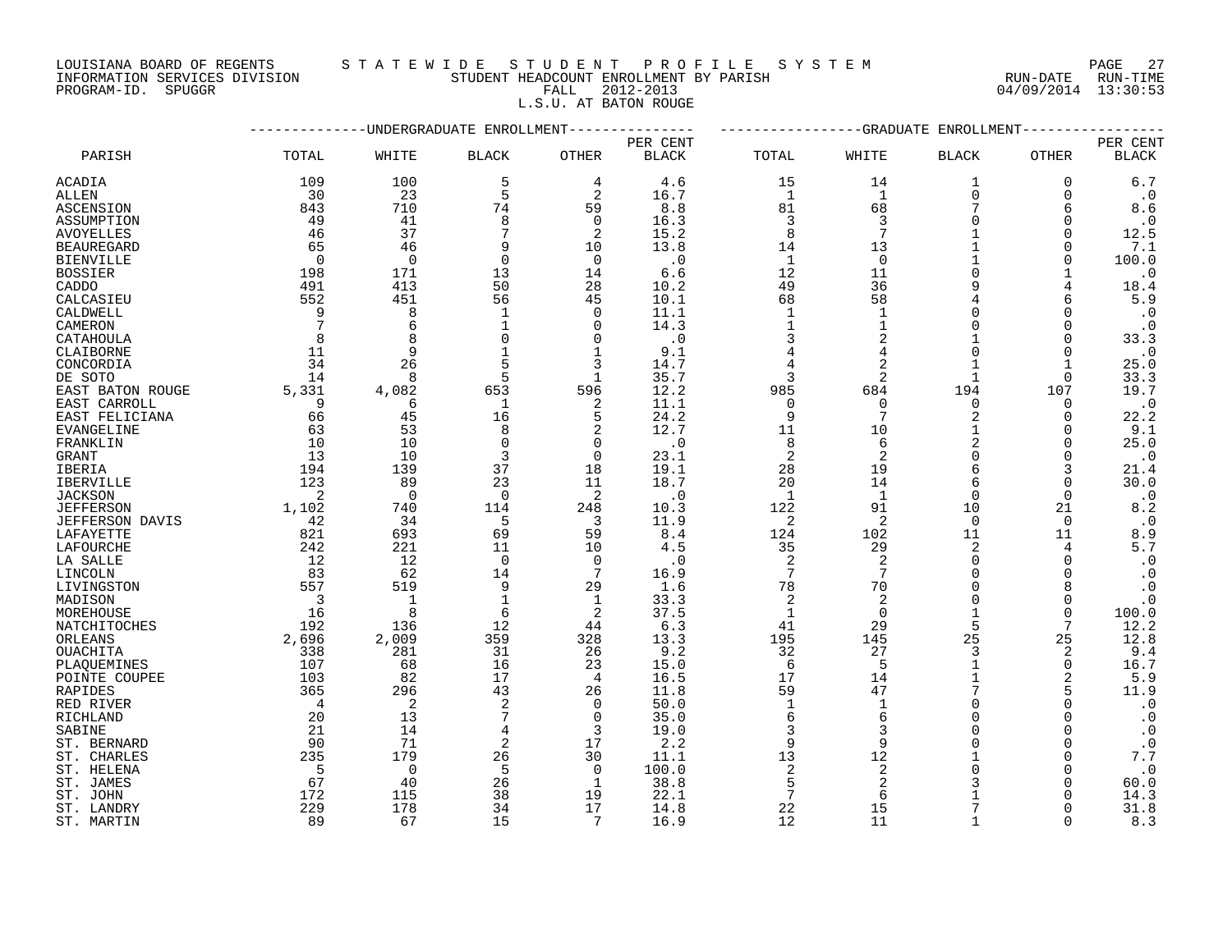LOUISIANA BOARD OF REGENTS S T A T E W I D E S T U D E N T P R O F I L E S Y S T E M PAGE 27

### INFORMATION SERVICES DIVISION STUDENT HEADCOUNT ENROLLMENT BY PARISH RUN-DATE RUN-TIME PROGRAM-ID. SPUGGR FALL 2012-2013 04/09/2014 13:30:53 L.S.U. AT BATON ROUGE

|                                 |                |                   | ----------UNDERGRADUATE ENROLLMENT-------------- |             |                          |                 |                                  | -------------GRADUATE ENROLLMENT |                          |                          |
|---------------------------------|----------------|-------------------|--------------------------------------------------|-------------|--------------------------|-----------------|----------------------------------|----------------------------------|--------------------------|--------------------------|
| PARISH                          | TOTAL          | WHITE             | <b>BLACK</b>                                     | OTHER       | PER CENT<br><b>BLACK</b> | TOTAL           | WHITE                            | <b>BLACK</b>                     | <b>OTHER</b>             | PER CENT<br><b>BLACK</b> |
| <b>ACADIA</b>                   | 109            | 100               | 5                                                | 4           | 4.6                      | 15              | 14                               | 1                                | 0                        | 6.7                      |
| ALLEN                           | 30             | 23                | 5                                                | 2           | 16.7                     | $\mathbf{1}$    | $\mathbf{1}$                     | $\mathbf 0$                      | $\mathbf 0$              | $\cdot$ 0                |
| <b>ASCENSION</b>                | 843            | 710               | 74                                               | 59          | 8.8                      | 81              | 68                               | 7                                | 6                        | 8.6                      |
| ASSUMPTION                      | 49             | 41                | 8                                                | $\Omega$    | 16.3                     | 3               | 3                                | $\Omega$                         | $\Omega$                 | $\cdot$ 0                |
| <b>AVOYELLES</b>                | 46             | 37                | 7                                                | 2           | 15.2                     | 8               | 7                                |                                  | $\Omega$                 | 12.5                     |
| <b>BEAUREGARD</b>               | 65             | 46                | 9                                                | 10          | 13.8                     | 14              | 13                               |                                  | $\Omega$                 | 7.1                      |
| BIENVILLE                       | $\Omega$       | $\mathbf 0$       | $\Omega$                                         | $\mathbf 0$ | $\cdot$ 0                | 1               | $\overline{0}$                   |                                  | $\Omega$                 | 100.0                    |
| <b>BOSSIER</b>                  | 198            | 171               | 13                                               | 14          | 6.6                      | 12              | 11                               | $\Omega$                         |                          | $\cdot$ 0                |
| CADDO                           | 491            | 413               | 50                                               | 28          | 10.2                     | 49              | 36                               | 9                                | $\overline{4}$           | 18.4                     |
| CALCASIEU                       | 552            | 451               | 56                                               | 45          | 10.1                     | 68              | 58                               | 4                                | 6                        | 5.9                      |
| CALDWELL                        | 9              | 8                 | -1                                               | $\mathbf 0$ | 11.1                     | $\mathbf 1$     | $\mathbf 1$                      | $\Omega$                         | $\Omega$                 | $\cdot$ 0                |
| CAMERON                         | 7              | 6                 |                                                  | 0           | 14.3                     | $\mathbf 1$     | $\mathbf{1}$                     | $\Omega$                         | $\mathbf 0$              | $\cdot$ 0                |
| CATAHOULA                       | 8              | 8                 | $\Omega$                                         | 0           | $\cdot$ 0                | 3               | $\overline{2}$                   |                                  | $\Omega$                 | 33.3                     |
| CLAIBORNE                       | 11             | 9                 |                                                  | 1           | 9.1                      | $\overline{4}$  |                                  |                                  | $\mathbf 0$              | $\cdot$ 0                |
| CONCORDIA                       | 34             | 26                | 5                                                | 3           | 14.7                     | 4               | $\overline{2}$                   |                                  | -1                       | 25.0                     |
| DE SOTO                         | 14             | 8                 | 5                                                | $\mathbf 1$ | 35.7                     | 3               | 2                                | 1                                | $\Omega$                 | 33.3                     |
| EAST BATON ROUGE                | 5,331          | 4,082             | 653                                              | 596         | 12.2                     | 985             | 684                              | 194                              | 107                      | 19.7                     |
| EAST CARROLL                    | 9              | 6                 | 1                                                | 2           | 11.1                     | $\mathbf 0$     | $\Omega$                         | $\Omega$                         | $\Omega$                 | $\cdot$ 0                |
| EAST FELICIANA                  | 66             | 45                | 16                                               | 5           | 24.2                     | 9               | $\overline{7}$                   | $\overline{2}$                   | $\mathbf 0$              | 22.2                     |
| EVANGELINE                      | 63             | 53                | 8                                                | 2           | 12.7                     | 11              | 10                               | 1                                | $\Omega$                 | 9.1                      |
| FRANKLIN                        | 10             | 10                | $\Omega$                                         | 0           | $\cdot$ 0                | 8               | 6                                | $\overline{2}$                   | $\Omega$                 | 25.0                     |
| GRANT                           | 13             | 10                | 3                                                | $\Omega$    | 23.1                     | 2               | 2                                | $\Omega$                         | $\Omega$                 | $\cdot$ 0                |
| IBERIA                          | 194            | 139               | 37                                               | 18          | 19.1                     | 28              | 19                               | 6                                | 3                        | 21.4                     |
| IBERVILLE                       | 123            | 89                | 23                                               | 11          | 18.7                     | 20              | 14                               | 6                                | $\Omega$                 | 30.0                     |
| <b>JACKSON</b>                  | 2              | $\overline{0}$    | $\mathbf 0$                                      | 2           | $\cdot$ 0                | 1               | -1                               | $\mathbf 0$                      | $\mathbf 0$              | $\cdot$ 0                |
| <b>JEFFERSON</b>                | 1,102          | 740               | 114                                              | 248         | 10.3                     | 122             | 91                               | 10                               | 21                       | 8.2                      |
| <b>JEFFERSON DAVIS</b>          | 42             | 34                | 5                                                | 3           | 11.9                     | 2               | 2                                | $\Omega$                         | $\mathbf 0$              | $\cdot$ 0                |
| LAFAYETTE                       | 821            | 693               | 69                                               | 59          | 8.4                      | 124             | 102                              | 11                               | 11                       | 8.9                      |
| LAFOURCHE                       | 242            | 221               | 11                                               | 10          | 4.5                      | 35              | 29                               | 2                                | 4                        | 5.7                      |
| LA SALLE                        | 12             | 12                | $\mathbf 0$                                      | $\mathbf 0$ | $\cdot$ 0                | 2               | 2<br>7                           | $\mathbf 0$                      | $\mathbf 0$              | $\cdot$ 0                |
| LINCOLN                         | 83             | 62                | 14                                               | 7           | 16.9                     | $7\phantom{.0}$ |                                  | $\Omega$<br>$\Omega$             | $\Omega$<br>$\mathsf{R}$ | $\cdot$ 0                |
| LIVINGSTON                      | 557            | 519               | 9                                                | 29          | 1.6                      | 78              | 70                               |                                  |                          | $\cdot$ 0                |
| MADISON                         | $\overline{3}$ | $\mathbf{1}$<br>8 | $\mathbf{1}$                                     | 1           | 33.3                     | 2               | $\overline{2}$<br>$\overline{0}$ | $\Omega$                         | $\Omega$                 | $\cdot$ 0                |
| MOREHOUSE                       | 16<br>192      |                   | 6<br>12                                          | 2           | 37.5<br>6.3              | $\mathbf{1}$    | 29                               |                                  | $\mathbf 0$<br>7         | 100.0<br>12.2            |
| NATCHITOCHES                    | 2,696          | 136<br>2,009      | 359                                              | 44<br>328   | 13.3                     | 41<br>195       | 145                              | 25                               | 25                       | 12.8                     |
| ORLEANS<br>OUACHITA             | 338            | 281               | 31                                               | 26          | 9.2                      | 32              | 27                               | 3                                | $\overline{2}$           | 9.4                      |
|                                 | 107            | 68                | 16                                               | 23          | 15.0                     | 6               | 5                                | $\mathbf{1}$                     | $\mathbf 0$              | 16.7                     |
| PLAQUEMINES                     | 103            | 82                | 17                                               | 4           | 16.5                     | 17              | 14                               | $\mathbf{1}$                     | 2                        | 5.9                      |
| POINTE COUPEE<br><b>RAPIDES</b> | 365            | 296               | 43                                               | 26          | 11.8                     | 59              | 47                               |                                  | 5                        | 11.9                     |
| RED RIVER                       | $\overline{4}$ | $\sqrt{2}$        | $\overline{2}$                                   | $\mathbf 0$ | 50.0                     | $\mathbf{1}$    | $\mathbf{1}$                     | $\Omega$                         | $\Omega$                 | $\cdot$ 0                |
| RICHLAND                        | 20             | 13                |                                                  | $\mathbf 0$ | 35.0                     | 6               | 6                                | $\Omega$                         | $\Omega$                 | $\cdot$ 0                |
| SABINE                          | 21             | 14                | 4                                                | 3           | 19.0                     | 3               | 3                                | $\Omega$                         | $\Omega$                 | $\cdot$ 0                |
| ST. BERNARD                     | 90             | 71                | 2                                                | 17          | 2.2                      | 9               | 9                                | $\Omega$                         | $\Omega$                 | $\cdot$ 0                |
| ST. CHARLES                     | 235            | 179               | 26                                               | 30          | 11.1                     | 13              | 12                               |                                  | $\Omega$                 | 7.7                      |
| ST. HELENA                      | 5              | $\mathbf 0$       | 5                                                | $\mathbf 0$ | 100.0                    | 2               | $\sqrt{2}$                       | $\Omega$                         | $\Omega$                 | $\cdot$ 0                |
| ST. JAMES                       | 67             | 40                | 26                                               | 1           | 38.8                     | 5               | $\overline{2}$                   |                                  | $\Omega$                 | 60.0                     |
| ST. JOHN                        | 172            | 115               | 38                                               | 19          | 22.1                     | 7               | 6                                |                                  |                          | 14.3                     |
| ST. LANDRY                      | 229            | 178               | 34                                               | 17          | 14.8                     | 22              | 15                               |                                  | $\Omega$                 | 31.8                     |
| ST. MARTIN                      | 89             | 67                | 15                                               |             | 16.9                     | 12              | 11                               |                                  |                          | 8.3                      |
|                                 |                |                   |                                                  |             |                          |                 |                                  |                                  |                          |                          |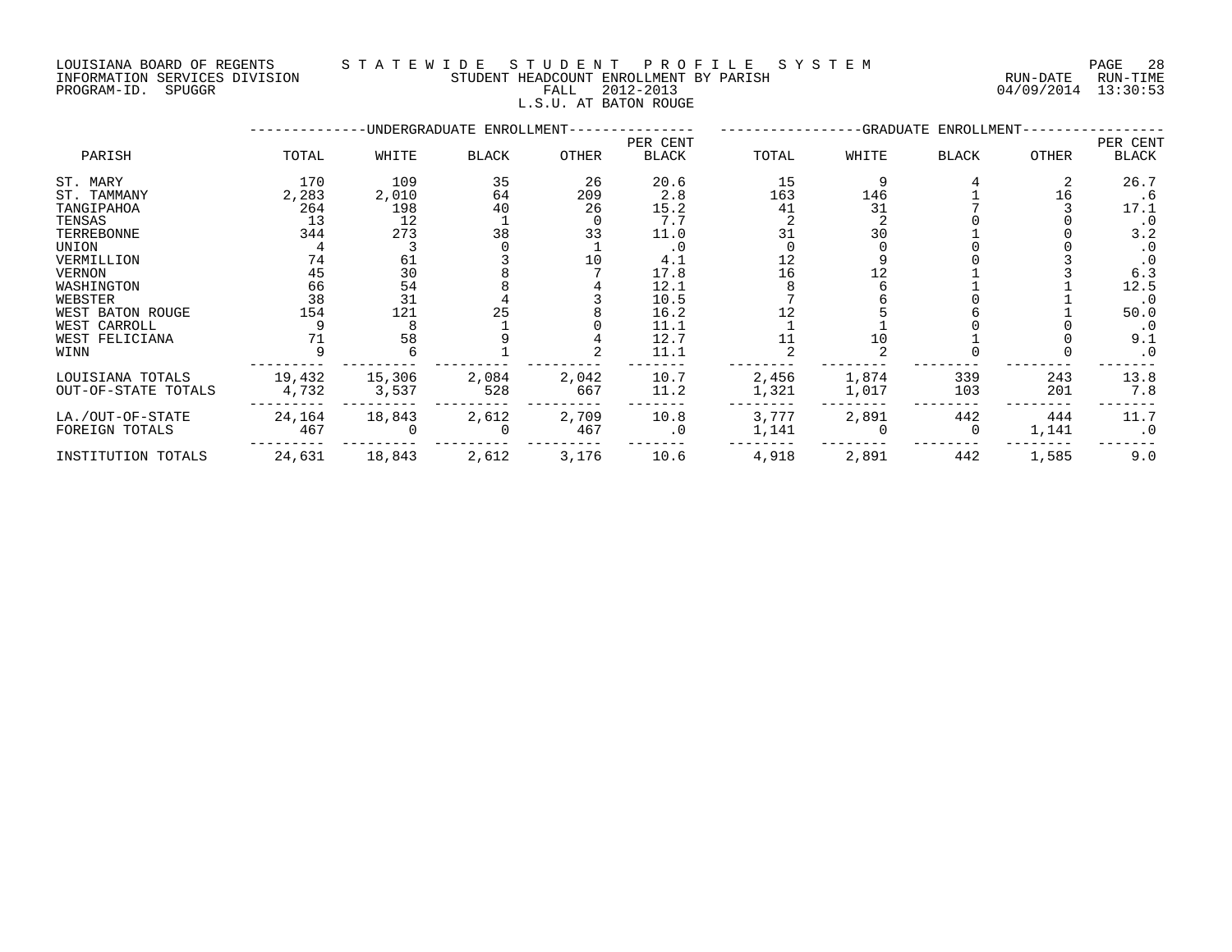LOUISIANA BOARD OF REGENTS S T A T E W I D E S T U D E N T P R O F I L E S Y S T E M PAGE 28 INFORMATION SERVICES DIVISION STUDENT HEADCOUNT ENROLLMENT BY PARISH RUN-DATE RUN-TIME

### PROGRAM-ID. SPUGGR FALL 2012-2013 04/09/2014 13:30:53 L.S.U. AT BATON ROUGE

|                     |        |        | -UNDERGRADUATE ENROLLMENT- |       |              |       |       | -GRADUATE ENROLLMENT- |       |           |
|---------------------|--------|--------|----------------------------|-------|--------------|-------|-------|-----------------------|-------|-----------|
|                     |        |        |                            |       | PER CENT     |       |       | PER CENT              |       |           |
| PARISH              | TOTAL  | WHITE  | BLACK                      | OTHER | <b>BLACK</b> | TOTAL | WHITE | <b>BLACK</b>          | OTHER | BLACK     |
| ST. MARY            | 170    | 109    | 35                         | 26    | 20.6         | 15    |       |                       |       | 26.7      |
| ST. TAMMANY         | 2,283  | 2,010  | 64                         | 209   | 2.8          | 163   | 146   |                       | 16    | . 6       |
| TANGIPAHOA          | 264    | 198    | 40                         | 26    | 15.2         | 41    | 31    |                       |       | 17.1      |
| TENSAS              | 13     | 12     |                            |       | 7.7          |       |       |                       |       | $\cdot$ 0 |
| TERREBONNE          | 344    | 273    | 38                         | 33    | 11.0         |       | 30    |                       |       | 3.2       |
| UNION               |        |        |                            |       | $\cdot$ 0    |       |       |                       |       | $\cdot$ 0 |
| VERMILLION          | 74     | 61     |                            | 10    | 4.1          |       |       |                       |       | $\cdot$ 0 |
| <b>VERNON</b>       | 45     | 30     |                            |       | 17.8         | 16    |       |                       |       | 6.3       |
| WASHINGTON          | 66     | 54     |                            |       | 12.1         |       |       |                       |       | 12.5      |
| WEBSTER             | 38     | 31     |                            |       | 10.5         |       |       |                       |       | $\cdot$ 0 |
| WEST BATON ROUGE    | 154    | 121    | 25                         |       | 16.2         |       |       |                       |       | 50.0      |
| WEST CARROLL        |        |        |                            |       | 11.1         |       |       |                       |       | $\cdot$ 0 |
| WEST FELICIANA      |        | 58     |                            |       | 12.7         |       |       |                       |       | 9.1       |
| WINN                |        |        |                            |       | 11.1         |       |       |                       |       | $\cdot$ 0 |
| LOUISIANA TOTALS    | 19,432 | 15,306 | 2,084                      | 2,042 | 10.7         | 2,456 | 1,874 | 339                   | 243   | 13.8      |
| OUT-OF-STATE TOTALS | 4,732  | 3,537  | 528                        | 667   | 11.2         | 1,321 | 1,017 | 103                   | 201   | 7.8       |
| LA./OUT-OF-STATE    | 24,164 | 18,843 | 2,612                      | 2,709 | 10.8         | 3,777 | 2,891 | 442                   | 444   | 11.7      |
| FOREIGN TOTALS      | 467    |        |                            | 467   | $\cdot$ 0    | 1,141 |       | 0                     | 1,141 | $\cdot$ 0 |
| INSTITUTION TOTALS  | 24,631 | 18,843 | 2,612                      | 3,176 | 10.6         | 4,918 | 2,891 | 442                   | 1,585 | 9.0       |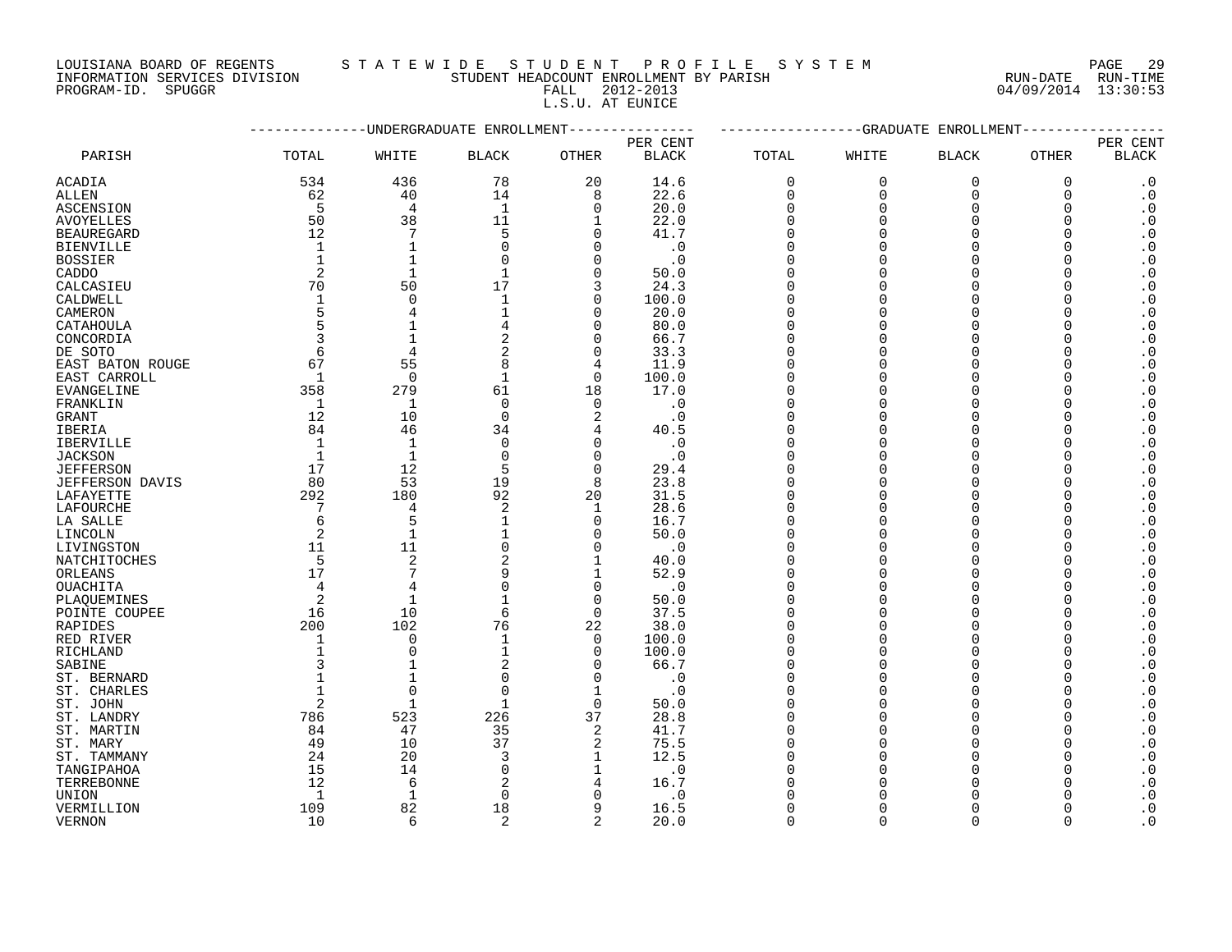## LOUISIANA BOARD OF REGENTS STATEWIDE STUDE NT PROFILE SYSTEM PAGE 29<br>INFORMATION SERVICES DIVISION STUDENT HEADCOUNT ENROLLMENT BY PARISH NUN-DATE RUN-TIME

INFORMATION SERVICES DIVISION STUDENT HEADCOUNT ENROLLMENT BY PARISH PROGRAM-ID. SPUGGR FALL 2012-2013 04/09/2014 13:30:53 FALL 2012-2013<br>L.S.U. AT EUNICE

|                     |              |                | ---------UNDERGRADUATE ENROLLMENT |                | -----------GRADUATE<br>ENROLLMENT |             |             |              |             |                        |  |
|---------------------|--------------|----------------|-----------------------------------|----------------|-----------------------------------|-------------|-------------|--------------|-------------|------------------------|--|
|                     |              | PER CENT       |                                   |                |                                   |             |             |              |             | PER CENT               |  |
| PARISH              | TOTAL        | WHITE          | <b>BLACK</b>                      | OTHER          | <b>BLACK</b>                      | TOTAL       | WHITE       | <b>BLACK</b> | OTHER       | <b>BLACK</b>           |  |
| ACADIA              | 534          | 436            | 78                                | 20             | 14.6                              | $\mathbf 0$ | $\mathbf 0$ | 0            | $\mathbf 0$ | $\cdot$ 0              |  |
| ALLEN               | 62           | 40             | 14                                | 8              | 22.6                              | $\mathbf 0$ | $\Omega$    | $\Omega$     | $\Omega$    | $\boldsymbol{\cdot}$ 0 |  |
| <b>ASCENSION</b>    | 5            | $\overline{4}$ | $\mathbf{1}$                      | $\Omega$       | 20.0                              | $\Omega$    | $\Omega$    | $\Omega$     | $\Omega$    | $\cdot$ 0              |  |
| <b>AVOYELLES</b>    | 50           | 38             | 11                                | 1              | 22.0                              | 0           | O           | $\Omega$     | $\Omega$    | $\cdot$ 0              |  |
| <b>BEAUREGARD</b>   | 12           | 7              | 5                                 | $\Omega$       | 41.7                              | $\Omega$    |             | $\Omega$     | $\Omega$    | $\boldsymbol{\cdot}$ 0 |  |
| <b>BIENVILLE</b>    | $\mathbf{1}$ | $\mathbf{1}$   | $\Omega$                          | $\Omega$       | $\cdot$ 0                         | $\Omega$    |             | $\Omega$     |             | $\cdot$ 0              |  |
| <b>BOSSIER</b>      | $\mathbf{1}$ | $\mathbf{1}$   | $\Omega$                          | $\Omega$       | $\cdot$ 0                         | $\Omega$    |             | $\Omega$     | $\Omega$    | $\cdot$ 0              |  |
| CADDO               | 2            | $\mathbf{1}$   |                                   | $\Omega$       | 50.0                              |             |             | $\Omega$     |             | $\boldsymbol{\cdot}$ 0 |  |
| CALCASIEU           | 70           | 50             | 17                                | 3              | 24.3                              | $\Omega$    |             | $\Omega$     | $\Omega$    | $\cdot$ 0              |  |
| CALDWELL            | 1            | $\overline{0}$ |                                   | $\overline{0}$ | 100.0                             | $\Omega$    |             | $\Omega$     |             | $\cdot$ 0              |  |
| CAMERON             | 5            | 4              | $\mathbf{1}$                      | $\mathbf 0$    | 20.0                              | $\Omega$    |             | $\Omega$     | O           | $\boldsymbol{\cdot}$ 0 |  |
|                     | 5            |                | 4                                 | $\Omega$       | 80.0                              | $\Omega$    |             | $\Omega$     | $\Omega$    | $\boldsymbol{\cdot}$ 0 |  |
| CATAHOULA           |              |                |                                   | $\Omega$       |                                   | $\Omega$    |             | $\Omega$     |             |                        |  |
| CONCORDIA           | 3            | $\mathbf{1}$   | 2                                 |                | 66.7                              |             |             |              | $\Omega$    | $\boldsymbol{\cdot}$ 0 |  |
| DE SOTO             | 6            | 4              | 2                                 | 0              | 33.3                              | $\Omega$    | ∩           | $\Omega$     | ∩           | $\cdot$ 0              |  |
| EAST BATON ROUGE    | 67           | 55             | 8                                 | 4              | 11.9                              | $\Omega$    | ∩           | $\Omega$     |             | $\boldsymbol{\cdot}$ 0 |  |
| EAST CARROLL        | 1            | $\overline{0}$ | 1                                 | $\Omega$       | 100.0                             | $\Omega$    |             | $\Omega$     | ∩           | $\boldsymbol{\cdot}$ 0 |  |
| <b>EVANGELINE</b>   | 358          | 279            | 61                                | 18             | 17.0                              | $\Omega$    |             | $\Omega$     | $\Omega$    | $\boldsymbol{\cdot}$ 0 |  |
| FRANKLIN            | 1            | $\mathbf{1}$   | $\mathbf 0$                       | $\Omega$       | $\cdot$ 0                         | $\Omega$    |             | $\Omega$     |             | $\boldsymbol{\cdot}$ 0 |  |
| <b>GRANT</b>        | 12           | 10             | $\Omega$                          | $\overline{2}$ | $\cdot$ 0                         | $\Omega$    |             | $\Omega$     |             | $\cdot$ 0              |  |
| IBERIA              | 84           | 46             | 34                                | 4              | 40.5                              | $\Omega$    |             | $\Omega$     | ∩           | $\boldsymbol{\cdot}$ 0 |  |
| IBERVILLE           | 1            | $\mathbf{1}$   | $\mathbf 0$                       | $\Omega$       | $\cdot$ 0                         | $\Omega$    |             | $\Omega$     |             | $\boldsymbol{\cdot}$ 0 |  |
| <b>JACKSON</b>      | $\mathbf{1}$ | $\mathbf{1}$   | $\mathbf 0$                       | $\Omega$       | $\cdot$ 0                         | $\Omega$    |             | $\Omega$     | ∩           | $\cdot$ 0              |  |
| <b>JEFFERSON</b>    | 17           | 12             | 5                                 | $\Omega$       | 29.4                              | $\Omega$    |             | $\Omega$     |             | $\boldsymbol{\cdot}$ 0 |  |
| JEFFERSON DAVIS     | 80           | 53             | 19                                | 8              | 23.8                              | $\Omega$    |             | $\Omega$     | $\Omega$    | $\boldsymbol{\cdot}$ 0 |  |
| LAFAYETTE           | 292          | 180            | 92                                | 20             | 31.5                              | $\Omega$    |             | $\Omega$     |             | $\boldsymbol{\cdot}$ 0 |  |
| LAFOURCHE           | 7            | 4              | $\overline{2}$                    | 1              | 28.6                              | $\Omega$    |             | $\Omega$     | $\Omega$    | $\cdot$ 0              |  |
| LA SALLE            | 6            | 5              | 1                                 | $\mathbf 0$    | 16.7                              | $\Omega$    |             | $\Omega$     |             | $\cdot$ 0              |  |
| LINCOLN             | 2            | $\mathbf{1}$   |                                   | $\Omega$       | 50.0                              | $\Omega$    | O           | $\Omega$     |             | $\boldsymbol{\cdot}$ 0 |  |
| LIVINGSTON          | 11           | 11             | 0                                 | $\Omega$       | $\cdot$ 0                         | $\Omega$    |             | $\Omega$     | $\Omega$    | $\boldsymbol{\cdot}$ 0 |  |
| <b>NATCHITOCHES</b> | 5            | $\overline{a}$ | 2                                 | $\mathbf{1}$   | 40.0                              | $\Omega$    |             | $\Omega$     | $\Omega$    | $\boldsymbol{\cdot}$ 0 |  |
| ORLEANS             | 17           |                | 9                                 | -1             | 52.9                              | $\Omega$    | ∩           | $\Omega$     |             | $\boldsymbol{\cdot}$ 0 |  |
| <b>OUACHITA</b>     | 4            | 4              | $\Omega$                          | $\Omega$       | $\cdot$ 0                         | $\Omega$    |             | $\Omega$     | ∩           | $\cdot$ 0              |  |
| PLAOUEMINES         | 2            | $\mathbf{1}$   |                                   | $\Omega$       | 50.0                              | $\Omega$    |             | $\Omega$     | ∩           | $\boldsymbol{\cdot}$ 0 |  |
| POINTE COUPEE       | 16           | 10             | 6                                 | $\Omega$       | 37.5                              | $\Omega$    |             | $\Omega$     |             | $\boldsymbol{\cdot}$ 0 |  |
| RAPIDES             | 200          | 102            | 76                                | 22             | 38.0                              | $\Omega$    |             | $\Omega$     | ∩           | $\cdot$ 0              |  |
| RED RIVER           | 1            | $\Omega$       | $\mathbf{1}$                      | $\Omega$       | 100.0                             | $\Omega$    |             | $\Omega$     |             | $\cdot$ 0              |  |
| RICHLAND            | $\mathbf{1}$ | $\Omega$       | $\mathbf{1}$                      | $\mathbf 0$    | 100.0                             | $\Omega$    |             | $\Omega$     |             | $\cdot$ 0              |  |
| SABINE              | 3            |                | 2                                 | $\Omega$       | 66.7                              | $\Omega$    |             | $\Omega$     |             | $\boldsymbol{\cdot}$ 0 |  |
| ST. BERNARD         |              |                | $\Omega$                          | $\cap$         | $\cdot$ 0                         | ∩           |             | $\Omega$     | U           | $\boldsymbol{\cdot}$ 0 |  |
| ST. CHARLES         | $\mathbf{1}$ | $\Omega$       | $\Omega$                          | $\mathbf{1}$   | $\cdot$ 0                         | $\Omega$    |             | $\Omega$     |             | $\boldsymbol{\cdot}$ 0 |  |
| ST. JOHN            | 2            | $\mathbf{1}$   | -1                                | $\overline{0}$ | 50.0                              | $\Omega$    | ∩           | $\Omega$     | O           | $\boldsymbol{\cdot}$ 0 |  |
| ST. LANDRY          | 786          | 523            | 226                               | 37             | 28.8                              | $\Omega$    |             | $\Omega$     | ∩           | $\cdot$ 0              |  |
| ST. MARTIN          | 84           | 47             | 35                                | 2              | 41.7                              | $\Omega$    |             | $\Omega$     | $\Omega$    | $\cdot$ 0              |  |
|                     | 49           | 10             | 37                                |                |                                   | $\Omega$    | $\Omega$    | $\Omega$     |             |                        |  |
| ST. MARY            |              |                |                                   | $\overline{2}$ | 75.5                              |             |             |              |             | $\boldsymbol{\cdot}$ 0 |  |
| ST. TAMMANY         | 24           | 20             | 3                                 | $\mathbf 1$    | 12.5                              | $\Omega$    |             | $\Omega$     | O           | $\cdot$ 0              |  |
| TANGIPAHOA          | 15           | 14             | $\mathbf 0$                       | $\mathbf 1$    | $\cdot$ 0                         | $\Omega$    |             | $\Omega$     | $\Omega$    | $\boldsymbol{\cdot}$ 0 |  |
| TERREBONNE          | 12           | 6              | 2                                 | $\overline{4}$ | 16.7                              | ∩           |             | $\Omega$     | $\Omega$    | $\cdot$ 0              |  |
| UNION               | 1            | $\mathbf{1}$   | $\Omega$                          | $\Omega$       | . 0                               | $\Omega$    |             |              |             | $\boldsymbol{\cdot}$ 0 |  |
| VERMILLION          | 109          | 82             | 18                                | 9              | 16.5                              | $\Omega$    | $\Omega$    | $\Omega$     |             | $\cdot$ 0              |  |
| <b>VERNON</b>       | 10           | 6              | 2                                 | $\overline{2}$ | 20.0                              | $\mathbf 0$ | $\Omega$    | $\Omega$     | $\Omega$    | $\boldsymbol{\cdot}$ 0 |  |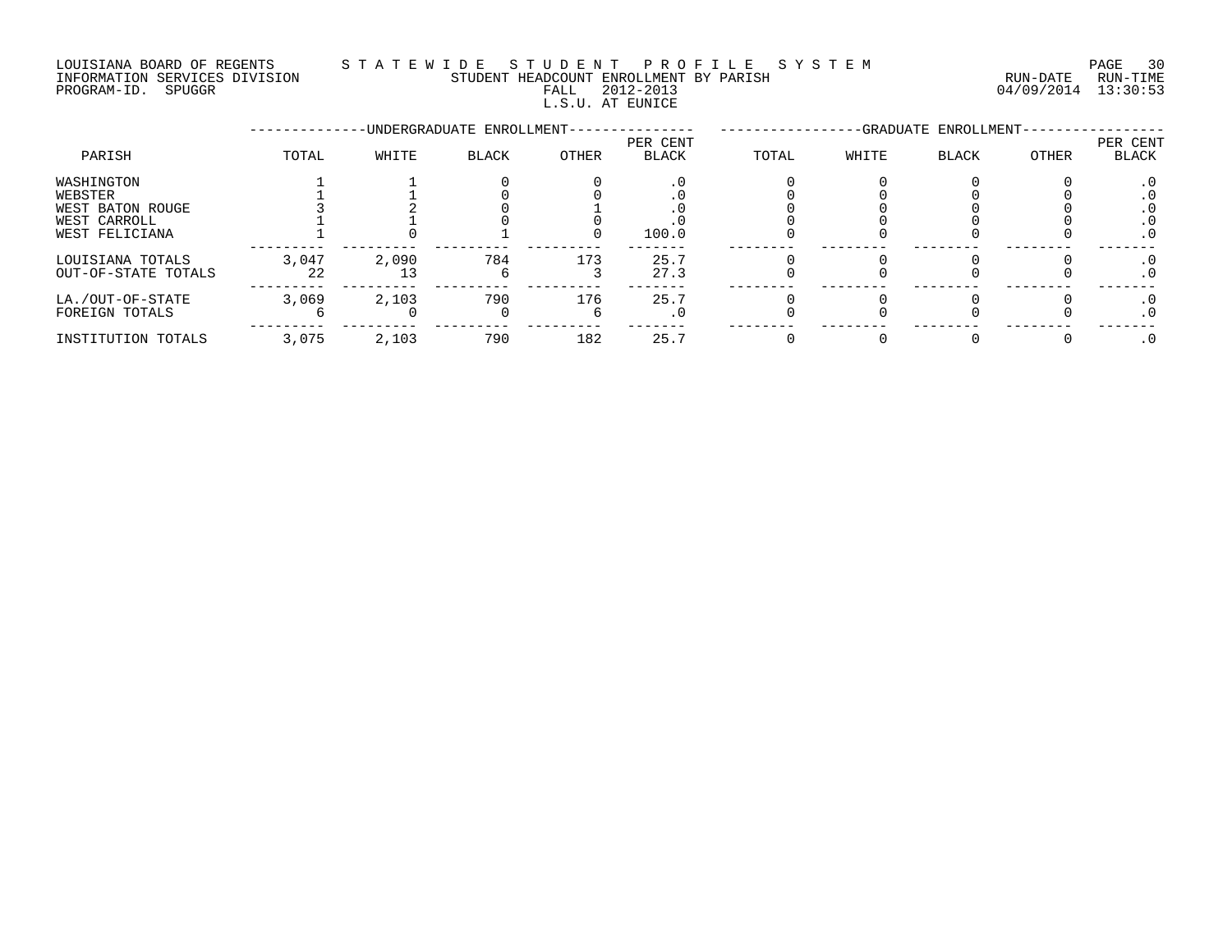#### LOUISIANA BOARD OF REGENTS S T A T E W I D E S T U D E N T P R O F I L E S Y S T E M PAGE 30 INFORMATION SERVICES DIVISION STUDENT HEADCOUNT ENROLLMENT BY PARISH RUN-DATE RUN-TIME INFORMATION SERVICES DIVISION CONSUMENT HEADCOUNT ENROLLMENT BY PARISH THE RUN-DATE RUN-TIME RUN-TIME<br>PROGRAM-ID. SPUGGR PROGRAM-ID. SPUGGR

L.S.U. AT EUNICE

--------------UNDERGRADUATE ENROLLMENT--------------- -----------------GRADUATE ENROLLMENT----------------- PER CENT PER CENT PARISH TOTAL WHITE BLACK OTHER BLACK TOTAL WHITE BLACK OTHER BLACK WASHINGTON 1 1 0 0 .0 0 0 0 0 .0 WEBSTER 1 1 0 0 .0 0 0 0 0 .0 WEST BATON ROUGE 3 2 0 1 .0 0 0 0 0 .0 WEST CARROLL 1 1 0 0 .0 0 0 0 0 .0 WEST FELICIANA 1 0 1 0 100.0 0 0 0 0 .0 --------- --------- --------- --------- ------- -------- -------- -------- -------- ------- LOUISIANA TOTALS 3,047 2,090 784 173 25.7 0 0 0 0 .0 OUT-OF-STATE TOTALS 22 13 6 3 27.3 0 0 0 0 .0 --------- --------- --------- --------- ------- -------- -------- -------- -------- ------- LA./OUT-OF-STATE 3,069 2,103 790 176 25.7 0 0 0 0 .0 FOREIGN TOTALS 6 0 0 6 .0 0 0 0 0 .0 --------- --------- --------- --------- ------- -------- -------- -------- -------- ------- INSTITUTION TOTALS 3,075 2,103 790 182 25.7 0 0 0 0 .0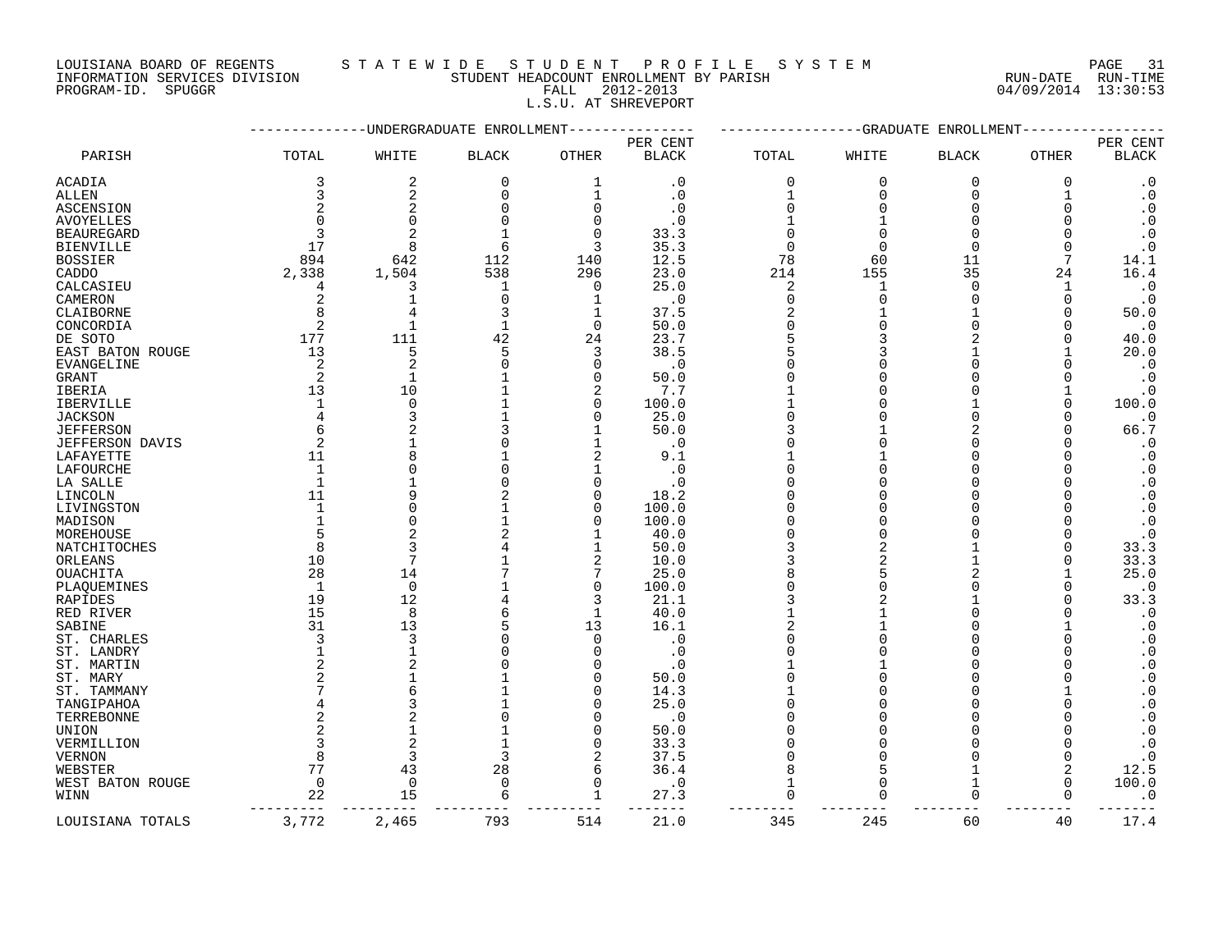LOUISIANA BOARD OF REGENTS STATEWIDE STUDENT PROFILE SYSTEM NAGE 31

INFORMATION SERVICES DIVISION STORE STUDENT HEADCOUNT ENROLLMENT BY PARISH STORE RUN-DATE RUN-TIME

### PROGRAM-ID. SPUGGR FALL 2012-2013 04/09/2014 13:30:53 L.S.U. AT SHREVEPORT

|                   |                |                | -UNDERGRADUATE ENROLLMENT |                | -----------GRADUATE<br>ENROLLMENT |              |                |              |              |                                                  |
|-------------------|----------------|----------------|---------------------------|----------------|-----------------------------------|--------------|----------------|--------------|--------------|--------------------------------------------------|
| PARISH            | TOTAL          | WHITE          | <b>BLACK</b>              | <b>OTHER</b>   | PER CENT<br><b>BLACK</b>          | TOTAL        | WHITE          | <b>BLACK</b> | <b>OTHER</b> | PER CENT<br><b>BLACK</b>                         |
| ACADIA            | 3              | 2              | 0                         | 1              | $\cdot$ 0                         | 0            | 0              | 0            | 0            | $\cdot$ 0                                        |
| ALLEN             | 3              | 2              | $\Omega$                  | $\mathbf 1$    | . 0                               | $\mathbf{1}$ | $\Omega$       | $\Omega$     |              | $\boldsymbol{\cdot}$ 0                           |
| ASCENSION         | 2              | $\overline{2}$ |                           | $\mathbf 0$    | . 0                               | $\Omega$     |                | $\Omega$     |              | $\boldsymbol{\cdot}$ 0                           |
| <b>AVOYELLES</b>  |                | $\Omega$       |                           | $\Omega$       | . 0                               |              |                | ∩            |              | $\boldsymbol{\cdot}$ 0                           |
| <b>BEAUREGARD</b> |                | $\overline{c}$ |                           | $\Omega$       | 33.3                              | $\Omega$     |                | ∩            |              | $\boldsymbol{\cdot}$ 0                           |
| <b>BIENVILLE</b>  | 17             | 8              | 6                         | 3              | 35.3                              | $\Omega$     |                | $\Omega$     |              | $\cdot$ 0                                        |
| <b>BOSSIER</b>    | 894            | 642            | 112                       | 140            | 12.5                              | 78           | 60             | 11           | 7            | 14.1                                             |
| CADDO             | 2,338          | 1,504          | 538                       | 296            | 23.0                              | 214          | 155            | 35           | 24           | 16.4                                             |
| CALCASIEU         | 4              | 3              | 1                         | $\Omega$       | 25.0                              | 2            | 1              | ∩            | 1            | $\cdot$ 0                                        |
| CAMERON           | 2              | $\mathbf{1}$   | $\Omega$                  | 1              | $\cdot$ 0                         | 0            | $\Omega$       | $\Omega$     | 0            | $\cdot$ 0                                        |
| CLAIBORNE         | 8              |                |                           | 1              | 37.5                              | 2            |                |              | O            | 50.0                                             |
| CONCORDIA         | 2              | $\mathbf{1}$   |                           | $\Omega$       | 50.0                              |              |                |              |              | $\cdot$ 0                                        |
| DE SOTO           | 177            | 111            | 42                        | 24             | 23.7                              | 5            |                |              |              | 40.0                                             |
| EAST BATON ROUGE  | 13             | 5              |                           | 3              | 38.5                              |              |                |              |              | 20.0                                             |
| <b>EVANGELINE</b> | 2              | $\overline{c}$ |                           | $\Omega$       | $\cdot$ 0                         |              |                |              |              | $\cdot$ 0                                        |
| GRANT             | $\overline{2}$ | $\mathbf{1}$   |                           | $\Omega$       | 50.0                              |              |                |              |              | $\cdot$ 0                                        |
| IBERIA            | 13             | 10             |                           | $\overline{2}$ | 7.7                               |              |                |              |              | $\cdot$ 0                                        |
| <b>IBERVILLE</b>  |                | $\mathbf 0$    |                           | $\mathbf 0$    | 100.0                             |              |                |              | ∩            | 100.0                                            |
| <b>JACKSON</b>    | $\overline{4}$ | 3              |                           | $\Omega$       | 25.0                              |              |                | ∩            |              | $\cdot$ 0                                        |
| <b>JEFFERSON</b>  |                |                |                           |                | 50.0                              |              |                |              |              | 66.7                                             |
| JEFFERSON DAVIS   | 2              |                |                           |                | . 0                               |              |                |              |              | $\cdot$ 0                                        |
| LAFAYETTE         | 11             | 8              |                           | 2              | 9.1                               |              |                |              |              | $\cdot$ 0                                        |
| LAFOURCHE         |                | $\Omega$       |                           |                | $\cdot$ 0                         |              |                |              |              | $\boldsymbol{\cdot}$ 0                           |
| LA SALLE          |                |                |                           | 0              | . 0                               |              |                |              |              | $\cdot$ 0                                        |
| LINCOLN           | 11             | q              |                           | $\Omega$       | 18.2                              |              |                |              |              | $\boldsymbol{\cdot}$ 0                           |
| LIVINGSTON        |                | $\Omega$       |                           | $\Omega$       | 100.0                             | ∩            |                | ∩            |              | $\boldsymbol{\cdot}$ 0                           |
| MADISON           |                | $\Omega$       |                           | 0              | 100.0                             |              |                |              |              | $\boldsymbol{\cdot}$ 0                           |
| MOREHOUSE         |                |                |                           |                | 40.0                              | $\Omega$     |                |              |              | $\cdot$ 0                                        |
| NATCHITOCHES      | 8              | 3              |                           | 1              | 50.0                              | 3            | 2              |              |              | 33.3                                             |
| ORLEANS           | 10             | 7              |                           | $\overline{2}$ | 10.0                              | 3            | $\overline{a}$ |              | ∩            | 33.3                                             |
| OUACHITA          | 28             | 14             |                           | 7              |                                   |              |                |              |              | 25.0                                             |
| PLAQUEMINES       | $\overline{1}$ | 0              |                           | $\mathbf 0$    | 25.0<br>100.0                     | $\Omega$     |                | ∩            |              | $\cdot$ 0                                        |
|                   | 19             | 12             |                           | 3              | 21.1                              |              |                |              |              | 33.3                                             |
| RAPIDES           | 15             | 8              |                           | $\mathbf{1}$   | 40.0                              |              |                |              |              | $\cdot$ 0                                        |
| RED RIVER         |                |                |                           |                |                                   |              |                |              |              |                                                  |
| SABINE            | 31<br>3        | 13<br>3        |                           | 13<br>$\Omega$ | 16.1                              |              |                |              |              | $\cdot$ 0                                        |
| ST. CHARLES       |                | $\mathbf{1}$   |                           | $\Omega$       | $\cdot$ 0                         |              |                |              |              | $\cdot$ 0<br>$\cdot$ 0                           |
| ST. LANDRY        |                |                |                           |                | $\cdot$ 0                         |              |                |              |              |                                                  |
| ST. MARTIN        |                |                |                           | O              | . 0                               |              |                | ∩            |              | $\boldsymbol{\cdot}$ 0<br>$\boldsymbol{\cdot}$ 0 |
| ST. MARY          |                |                |                           |                | 50.0                              |              |                |              |              |                                                  |
| ST. TAMMANY       |                | 6              |                           | U              | 14.3                              |              |                |              |              | $\boldsymbol{\cdot}$ 0                           |
| TANGIPAHOA        |                |                |                           | O              | 25.0                              |              |                |              |              | $\boldsymbol{\cdot}$ 0                           |
| TERREBONNE        | 2              |                |                           | $\Omega$       | . 0                               |              |                |              |              | $\boldsymbol{\cdot}$ 0                           |
| UNION             |                | $\mathbf{1}$   |                           | $\Omega$       | 50.0                              |              |                |              |              | $\cdot$ 0                                        |
| VERMILLION        |                | $\overline{2}$ |                           | $\mathbf 0$    | 33.3                              |              |                |              |              | $\boldsymbol{\cdot}$ 0                           |
| <b>VERNON</b>     | 8              | 3              |                           | 2              | 37.5                              | $\Omega$     |                | ∩            | $\Omega$     | $\cdot$ 0                                        |
| WEBSTER           | 77             | 43             | 28                        | 6              | 36.4                              | 8            | 5              |              | 2            | 12.5                                             |
| WEST BATON ROUGE  | $\overline{0}$ | 0              | $\Omega$                  | $\mathbf 0$    | $\cdot$ 0                         | $\mathbf{1}$ | 0              | 1            | ∩            | 100.0                                            |
| WINN              | 22             | 15             |                           | 1              | 27.3                              | $\Omega$     |                | ∩            | $\Omega$     | $\cdot$ 0                                        |
| LOUISIANA TOTALS  | 3,772          | 2,465          | 793                       | 514            | 21.0                              | 345          | 245            | 60           | 40           | 17.4                                             |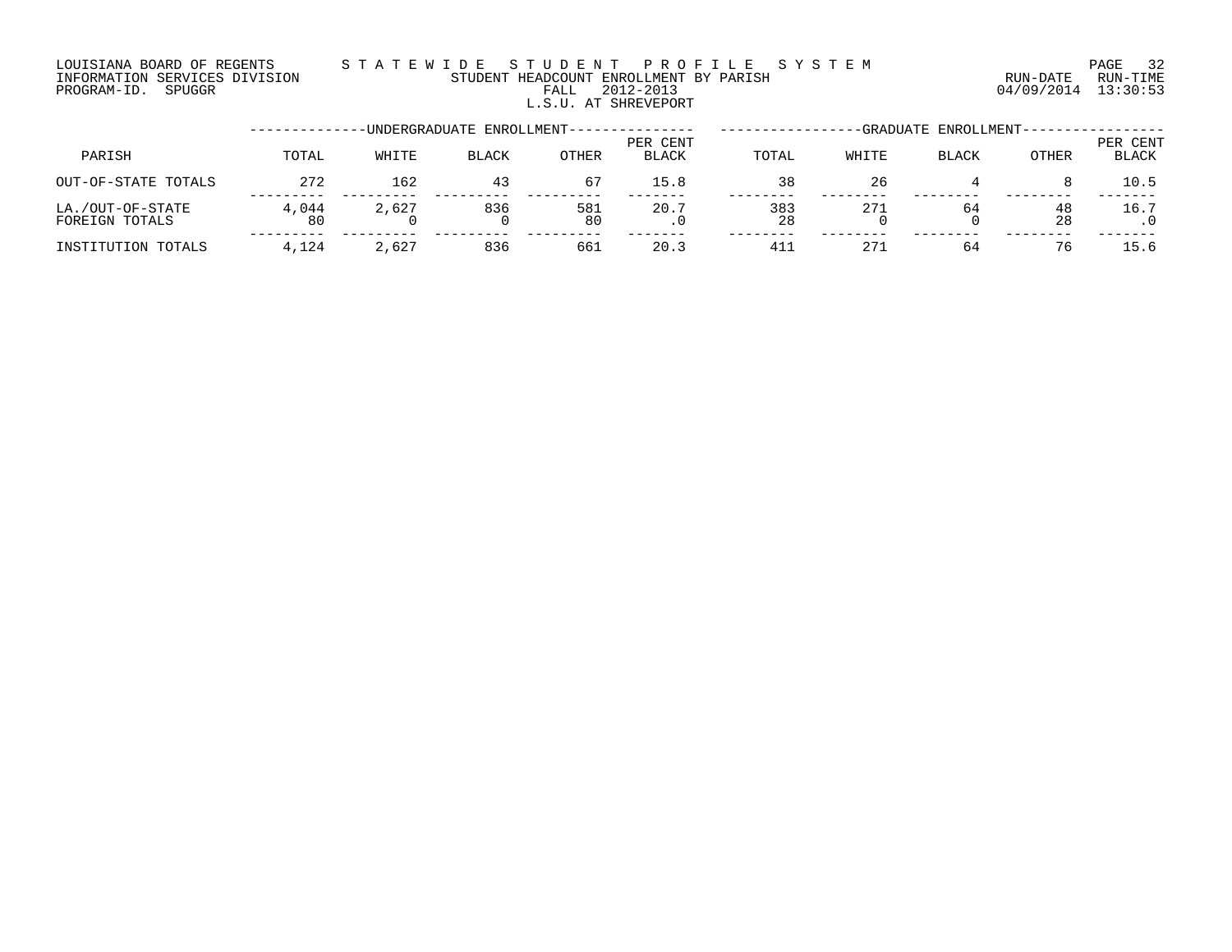### LOUISIANA BOARD OF REGENTS S T A T E W I D E S T U D E N T P R O F I L E S Y S T E M PAGE 32 INFORMATION SERVICES DIVISION STUDENT HEADCOUNT ENROLLMENT BY PARISH RUN-DATE RUN-TIME PROGRAM-ID. SPUGGR FALL 2012-2013 04/09/2014 13:30:53 L.S.U. AT SHREVEPORT

|                                    |             |       | -UNDERGRADUATE ENROLLMENT-- | -GRADUATE ENROLLMENT- |                          |           |       |              |          |                          |
|------------------------------------|-------------|-------|-----------------------------|-----------------------|--------------------------|-----------|-------|--------------|----------|--------------------------|
| PARISH                             | TOTAL       | WHITE | <b>BLACK</b>                | OTHER                 | PER CENT<br><b>BLACK</b> | TOTAL     | WHITE | <b>BLACK</b> | OTHER    | PER CENT<br><b>BLACK</b> |
| OUT-OF-STATE TOTALS                | 272         | 162   | 43                          | 67                    | 15.8                     | 38        | 26    |              |          | 10.5                     |
| LA./OUT-OF-STATE<br>FOREIGN TOTALS | 4,044<br>80 | 2,627 | 836                         | 581<br>80             | 20.7<br>. v              | 383<br>28 | 271   | 64           | 48<br>28 | 16.7                     |
| INSTITUTION TOTALS                 | 4,124       | 2,627 | 836                         | 661                   | 20.3                     | 41.       | 271   | 64           | 76       | 15.6                     |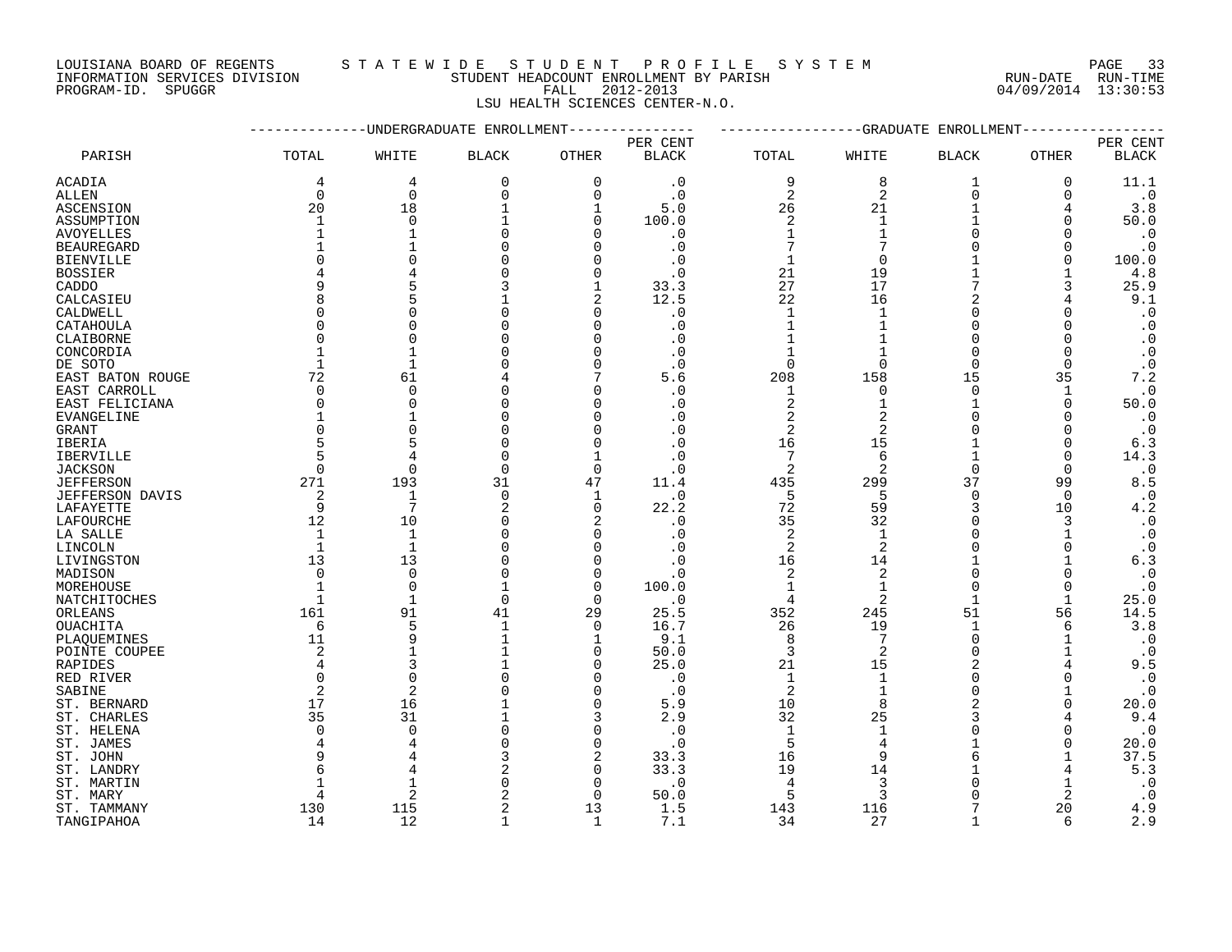INFORMATION SERVICES DIVISION STUDENT HEADCOUNT ENROLLMENT BY PARISH RUN-DATE RUN-TIME DOUISIANA BOARD OF REGENTS STAILMENT HEADCOUNT ENROLLMENT BY PARISH CONTRACTION SERVICES DIVISION STUDENT HEADCOUNT ENROLLMENT BY PARISH (RUN-DATE RUN-TIME PROGRAM-ID. SPUGGR (13:30:53)

### LOUISIANA BOARD OF REGENTS S T A T E W I D E S T U D E N T P R O F I L E S Y S T E M PAGE 33

LSU HEALTH SCIENCES CENTER-N.O.

|                            |                | --GRADUATE ENROLLMENT   |                           |                |              |                |                |                      |              |                        |
|----------------------------|----------------|-------------------------|---------------------------|----------------|--------------|----------------|----------------|----------------------|--------------|------------------------|
|                            |                |                         | -UNDERGRADUATE ENROLLMENT |                | PER CENT     |                |                |                      |              | PER CENT               |
| PARISH                     | TOTAL          | WHITE                   | <b>BLACK</b>              | <b>OTHER</b>   | <b>BLACK</b> | TOTAL          | WHITE          | <b>BLACK</b>         | <b>OTHER</b> | <b>BLACK</b>           |
| ACADIA                     | 4              | 4                       | $\mathbf 0$               | $\mathbf 0$    | $\cdot$ 0    | 9              | 8              | 1                    | $\mathbf 0$  | 11.1                   |
| ALLEN                      | $\mathbf 0$    | 0                       | 0                         | $\mathbf 0$    | $\cdot$ 0    | 2              | 2              | 0                    | 0            | $\cdot$ 0              |
| ASCENSION                  | 20             | 18                      |                           | 1              | 5.0          | 26             | 21             | 1                    |              | 3.8                    |
| ASSUMPTION                 | $\mathbf{1}$   | $\Omega$                |                           | $\Omega$       | 100.0        | 2              | $\mathbf{1}$   | 1                    | $\Omega$     | 50.0                   |
| <b>AVOYELLES</b>           |                | $\mathbf{1}$            | ∩                         | $\Omega$       | . 0          | $\mathbf{1}$   |                | $\Omega$             | ∩            | $\cdot$ 0              |
| <b>BEAUREGARD</b>          |                |                         |                           | $\Omega$       | $\cdot$ 0    | 7              |                | $\cap$               | $\Omega$     | $\cdot$ 0              |
| BIENVILLE                  |                |                         |                           | O              | . 0          | -1             | $\Omega$       |                      | $\Omega$     | 100.0                  |
| BOSSIER                    |                |                         |                           | O              | . 0          | 21             | 19             |                      |              | 4.8                    |
| CADDO                      |                |                         |                           | 1              | 33.3         | 27             | 17             |                      | 3            | 25.9                   |
| CALCASIEU                  |                |                         |                           | $\overline{2}$ | 12.5         | 22             | 16             | $\mathfrak{D}$       |              | 9.1                    |
| CALDWELL                   |                | $\Omega$                |                           | $\mathbf 0$    | $\cdot$ 0    | $\mathbf{1}$   |                | $\Omega$             | $\Omega$     | $\cdot$ 0              |
| CATAHOULA                  |                | ∩                       |                           | O              | . 0          | 1              |                | ∩                    |              | $\cdot$ 0              |
| CLAIBORNE                  |                | $\Omega$                |                           | $\Omega$       | . 0          | 1              |                | ∩                    |              | $\boldsymbol{\cdot}$ 0 |
| CONCORDIA                  |                | 1                       |                           | $\Omega$       | $\cdot$ 0    | 1              |                | $\Omega$             | $\Omega$     | $\cdot$ 0              |
| DE SOTO                    |                | 1                       |                           | $\Omega$       | . 0          | $\Omega$       | $\Omega$       | $\Omega$             | $\Omega$     | $\cdot$ 0              |
| EAST BATON ROUGE           | 72             | 61                      |                           | 7              | 5.6          | 208            | 158            | 15                   | 35           | 7.2                    |
| EAST CARROLL               | $\Omega$       | $\Omega$                |                           | U              | . 0          | 1              | O              | $\Omega$             | 1            | $\cdot$ 0              |
| EAST FELICIANA             | ∩              | $\Omega$                |                           | O              | . 0          | 2              |                | 1                    | $\Omega$     | 50.0                   |
| EVANGELINE                 |                |                         |                           | $\Omega$       | . 0          | 2              |                | ∩                    | 0            | $\cdot$ 0              |
| <b>GRANT</b>               |                | $\Omega$                |                           | $\Omega$       | . 0          | $\overline{2}$ | $\mathfrak{D}$ |                      | ∩            | $\cdot$ 0              |
| IBERIA                     |                | 5                       |                           | $\Omega$       | . 0          | 16             | 15             | 1                    | $\Omega$     | 6.3                    |
| IBERVILLE                  |                | $\overline{4}$          |                           | 1              | . 0          | 7              | 6              | 1                    | $\Omega$     | 14.3                   |
| <b>JACKSON</b>             | $\Omega$       | $\mathbf 0$             | $\Omega$                  | $\mathbf 0$    | $\cdot$ 0    | 2              | $\overline{2}$ | $\Omega$             | $\Omega$     | $\cdot$ 0              |
| <b>JEFFERSON</b>           | 271            | 193                     | 31                        | 47             | 11.4         | 435            | 299            | 37                   | 99           | 8.5                    |
| <b>JEFFERSON DAVIS</b>     | 2              | $\mathbf{1}$            | $\Omega$                  | 1              | $\cdot$ 0    | 5              | 5              | $\Omega$             | $\Omega$     | $\cdot$ 0              |
| LAFAYETTE                  | 9              | 7                       |                           | $\mathbf 0$    | 22.2         | 72             | 59             | 3                    | 10           | 4.2                    |
| LAFOURCHE                  | 12             | 10                      |                           | 2              | . 0          | 35             | 32             | $\Omega$             | 3            | $\cdot$ 0              |
| LA SALLE                   | 1              | $\mathbf{1}$            |                           | $\Omega$       | . 0          | 2              | $\mathbf{1}$   | $\Omega$             |              | $\cdot$ 0              |
| LINCOLN                    | $\mathbf{1}$   | $\mathbf{1}$            |                           | $\Omega$       | . 0          | 2              | 2              | $\Omega$             | $\Omega$     | $\cdot$ 0              |
| LIVINGSTON                 | 13             | 13                      |                           | $\Omega$       | . 0          | 16             | 14             |                      |              | 6.3                    |
| MADISON                    | $\Omega$       | $\mathbf 0$<br>$\Omega$ |                           | $\mathbf 0$    | $\cdot$ 0    | 2              | $\overline{2}$ | $\Omega$<br>$\Omega$ | $\Omega$     | $\cdot$ 0              |
| MOREHOUSE                  |                |                         |                           | $\mathbf 0$    | 100.0        | $\mathbf 1$    | 1              | $\mathbf{1}$         | $\Omega$     | $\cdot$ 0              |
| NATCHITOCHES               |                | $\mathbf{1}$<br>91      | $\Omega$                  | $\Omega$<br>29 | $\cdot$ 0    | 4              | $\overline{2}$ | 51                   |              | 25.0<br>14.5           |
| ORLEANS<br><b>OUACHITA</b> | 161<br>6       | 5                       | 41<br>$\mathbf{1}$        | $\Omega$       | 25.5<br>16.7 | 352<br>26      | 245<br>19      | $\mathbf{1}$         | 56<br>6      | 3.8                    |
| PLAQUEMINES                | 11             | 9                       |                           | $\mathbf 1$    | 9.1          | 8              | 7              | $\Omega$             |              | $\cdot$ 0              |
| POINTE COUPEE              | 2              | 1                       |                           | 0              | 50.0         | 3              | 2              | $\Omega$             |              | $\cdot$ 0              |
| RAPIDES                    |                | 3                       |                           | $\Omega$       | 25.0         | 21             | 15             | $\overline{2}$       |              | 9.5                    |
| RED RIVER                  | $\Omega$       | $\Omega$                |                           | $\Omega$       | . 0          | $\mathbf{1}$   | $\mathbf{1}$   | ∩                    | ∩            | $\cdot$ 0              |
| SABINE                     | $\overline{2}$ | $\overline{2}$          |                           | $\Omega$       | $\cdot$ 0    | 2              |                | $\Omega$             |              | $\cdot$ 0              |
| ST. BERNARD                | 17             | 16                      |                           | $\mathbf 0$    | 5.9          | 10             | 8              |                      | $\Omega$     | 20.0                   |
| ST. CHARLES                | 35             | 31                      |                           | 3              | 2.9          | 32             | 25             |                      |              | 9.4                    |
| ST. HELENA                 | ∩              | $\Omega$                |                           | 0              | . 0          | $\mathbf 1$    |                |                      | ∩            | $\cdot$ 0              |
| ST. JAMES                  |                | $\overline{4}$          |                           | $\Omega$       | . 0          | 5              |                |                      | $\Omega$     | 20.0                   |
| ST. JOHN                   |                |                         |                           | $\overline{a}$ | 33.3         | 16             | 9              |                      |              | 37.5                   |
| ST. LANDRY                 |                |                         |                           | $\mathbf 0$    | 33.3         | 19             | 14             |                      |              | 5.3                    |
| ST. MARTIN                 |                | 1                       |                           | 0              | . 0          | 4              | 3              |                      |              | $\cdot$ 0              |
| ST. MARY                   |                | $\overline{c}$          |                           | $\Omega$       | 50.0         | 5              | 3              |                      | 2            | $\cdot$ 0              |
| ST. TAMMANY                | 130            | 115                     |                           | 13             | 1.5          | 143            | 116            |                      | 20           | 4.9                    |
| TANGIPAHOA                 | 14             | 12                      | 1                         | $\mathbf{1}$   | 7.1          | 34             | 27             | $\mathbf{1}$         | 6            | 2.9                    |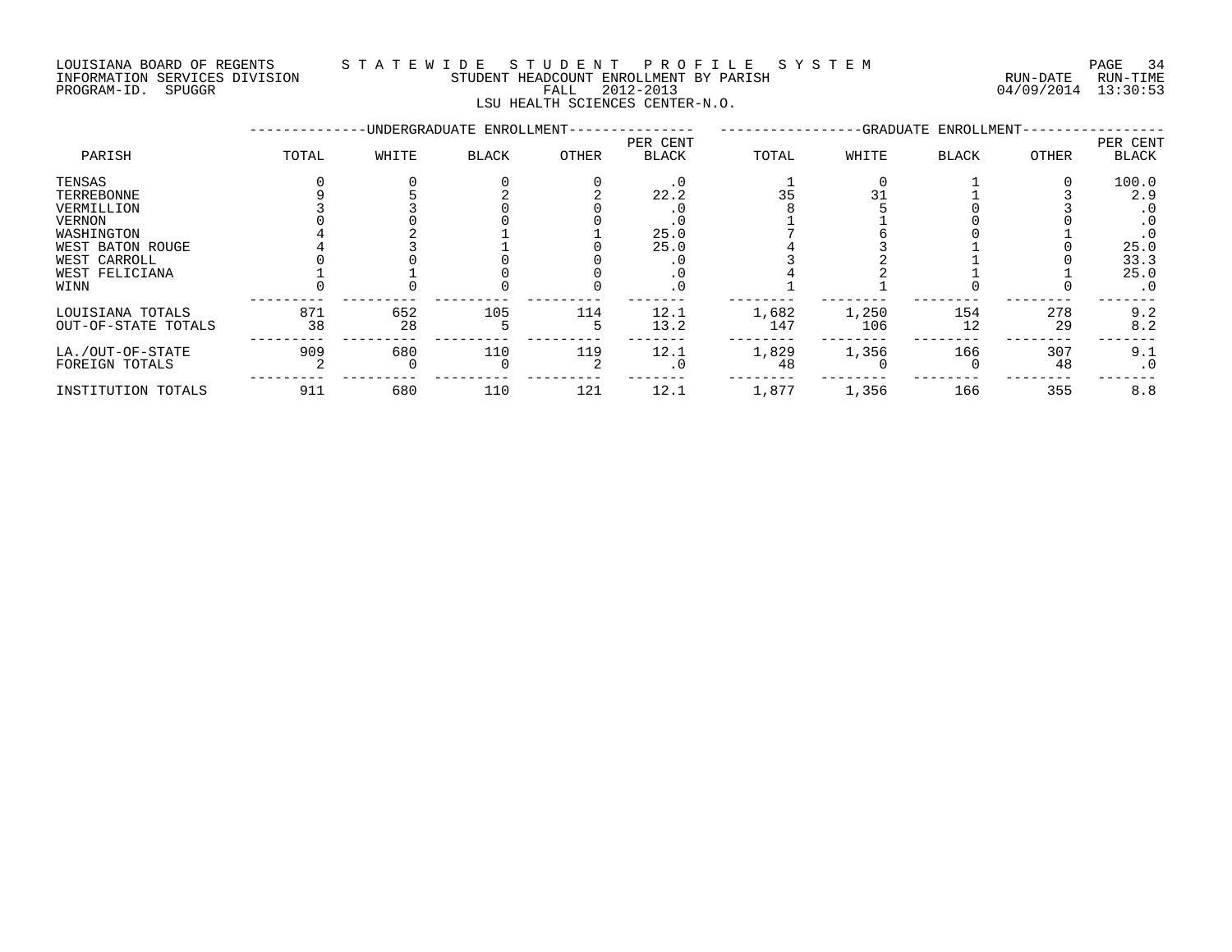### LOUISIANA BOARD OF REGENTS S T A T E W I D E S T U D E N T P R O F I L E S Y S T E M PAGE 34 INFORMATION SERVICES DIVISION STUDENT HEADCOUNT ENROLLMENT BY PARISH RUN-DATE RUN-TIME PROGRAM-ID. SPUGGR FALL 2012-2013 04/09/2014 13:30:53

LSU HEALTH SCIENCES CENTER-N.O.

|                                                                                                                          |           |           | -UNDERGRADUATE ENROLLMENT- |       | -GRADUATE ENROLLMENT-                                        |              |              |              | PER CENT  |                                                                 |
|--------------------------------------------------------------------------------------------------------------------------|-----------|-----------|----------------------------|-------|--------------------------------------------------------------|--------------|--------------|--------------|-----------|-----------------------------------------------------------------|
| PARISH                                                                                                                   | TOTAL     | WHITE     | <b>BLACK</b>               | OTHER | PER CENT<br><b>BLACK</b>                                     | TOTAL        | WHITE        | <b>BLACK</b> | OTHER     | <b>BLACK</b>                                                    |
| TENSAS<br>TERREBONNE<br>VERMILLION<br>VERNON<br>WASHINGTON<br>WEST BATON ROUGE<br>WEST CARROLL<br>WEST FELICIANA<br>WINN |           |           |                            |       | $\cdot$ 0<br>22.2<br>. 0<br>25.0<br>25.0<br>. 0<br>$\cdot$ 0 | 35           |              |              |           | 100.0<br>2.9<br>. 0<br>. 0<br>25.0<br>33.3<br>25.0<br>$\cdot$ 0 |
| LOUISIANA TOTALS<br>OUT-OF-STATE TOTALS                                                                                  | 871<br>38 | 652<br>28 | 105                        | 114   | 12.1<br>13.2                                                 | 1,682<br>147 | 1,250<br>106 | 154<br>12    | 278<br>29 | 9.2<br>8.2                                                      |
| LA./OUT-OF-STATE<br>FOREIGN TOTALS                                                                                       | 909       | 680       | 110                        | 119   | 12.1<br>$\cdot$ 0                                            | 1,829<br>48  | 1,356        | 166          | 307<br>48 | 9.1<br>$\cdot$ 0                                                |
| INSTITUTION TOTALS                                                                                                       | 911       | 680       | 110                        | 121   | 12.1                                                         | 1,877        | 1,356        | 166          | 355       | 8.8                                                             |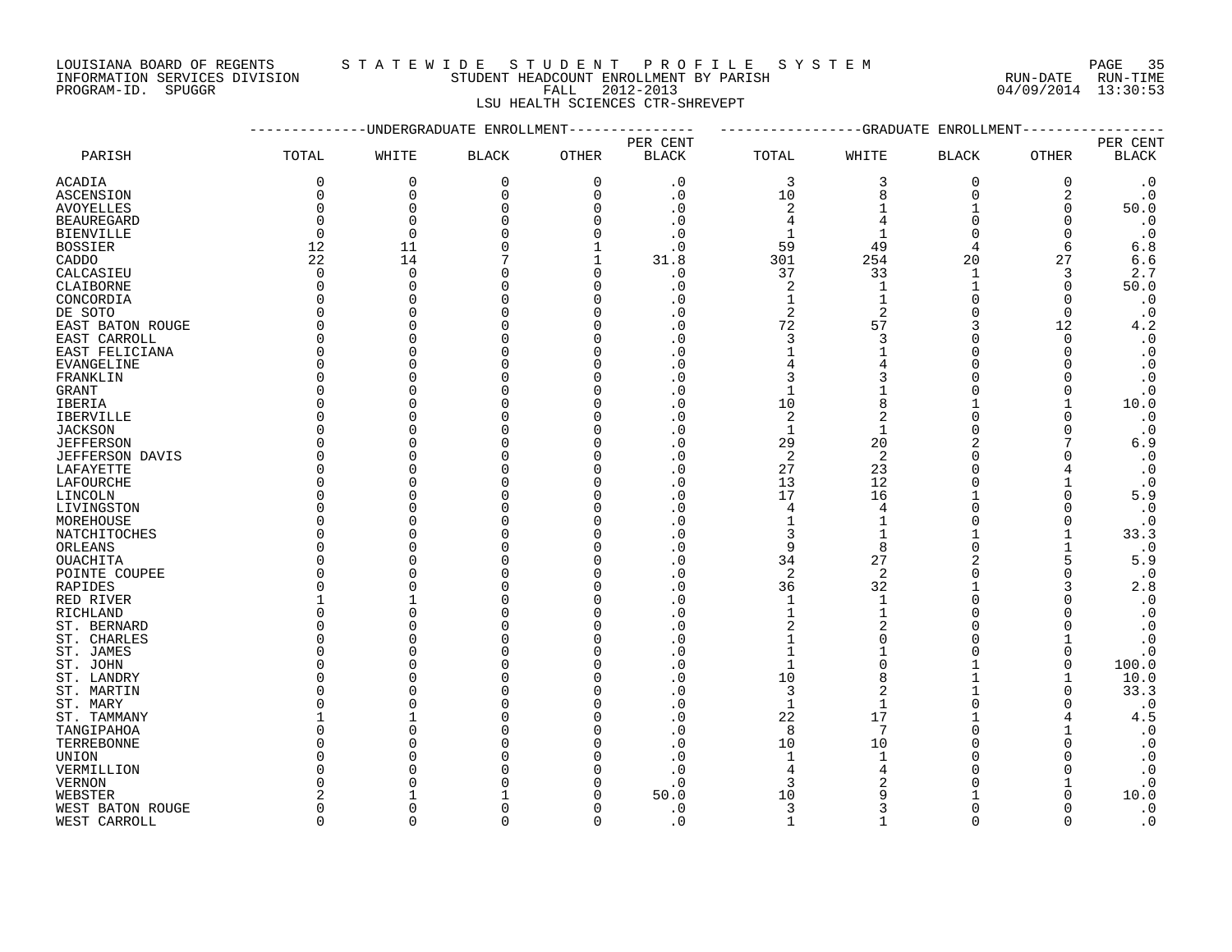LOUISIANA BOARD OF REGENTS STATEWIDE STUDENT PROFILE SYSTEM PAGE 35<br>INFORMATION SERVICES DIVISION STUDENT HEADCOUNT ENROLLMENT BY PARISH STUDENT HON-DATE RUN-TIME

INFORMATION SERVICES DIVISION STUDENT HEADCOUNT ENROLLMENT BY PARISH RUN-DATE RUN-TIME

### PROGRAM-ID. SPUGGR FALL 2012-2013 04/09/2014 13:30:53 LSU HEALTH SCIENCES CTR-SHREVEPT

|                        |                | ---------UNDERGRADUATE ENROLLMENT |              |          | --------------GRADUATE ENROLLMENT |                              |                            |                |              |                        |
|------------------------|----------------|-----------------------------------|--------------|----------|-----------------------------------|------------------------------|----------------------------|----------------|--------------|------------------------|
|                        |                |                                   |              |          | PER CENT                          |                              |                            |                |              | PER CENT               |
| PARISH                 | TOTAL          | WHITE                             | <b>BLACK</b> | OTHER    | <b>BLACK</b>                      | TOTAL                        | WHITE                      | <b>BLACK</b>   | OTHER        | <b>BLACK</b>           |
| ACADIA                 | 0              | 0                                 | 0            | 0        | $\cdot$ 0                         | 3                            | 3                          | 0              | 0            | $\cdot$ 0              |
| <b>ASCENSION</b>       | 0              | 0                                 | $\mathbf 0$  | $\Omega$ | $\cdot$ 0                         | 10                           | 8                          | $\mathbf 0$    | 2            | $\cdot$ 0              |
| <b>AVOYELLES</b>       | $\Omega$       | $\Omega$                          | $\Omega$     |          | . 0                               | $\overline{2}$               |                            |                | 0            | 50.0                   |
| <b>BEAUREGARD</b>      | $\Omega$       | $\Omega$                          |              | n        | . 0                               | 4                            | $\overline{4}$             | $\Omega$       | $\Omega$     | $\cdot$ 0              |
| <b>BIENVILLE</b>       | $\overline{0}$ | $\overline{0}$                    |              | $\Omega$ | . 0                               | $\mathbf{1}$                 | 1                          | $\Omega$       | $\Omega$     | $\cdot$ 0              |
| <b>BOSSIER</b>         | 12             | 11                                |              |          | $\cdot$ 0                         | 59                           | 49                         | 4              | 6            | 6.8                    |
| CADDO                  | 22             | 14                                |              |          | 31.8                              | 301                          | 254                        | 20             | 27           | 6.6                    |
| CALCASIEU              | $\mathbf 0$    | $\Omega$                          |              | $\Omega$ | $\cdot$ 0                         | 37                           | 33                         | $\mathbf{1}$   | 3            | 2.7                    |
| CLAIBORNE              | $\Omega$       | $\Omega$                          |              | O        | . 0                               | 2                            | $\mathbf 1$                | $\mathbf{1}$   | 0            | 50.0                   |
| CONCORDIA              | $\Omega$       | C                                 |              | n        |                                   | $\mathbf{1}$                 |                            | $\Omega$       | $\Omega$     | $\cdot$ 0              |
| DE SOTO                | $\Omega$       | $\cap$                            |              |          |                                   | $\overline{2}$               | $\mathcal{D}$              | $\Omega$       | $\Omega$     | $\cdot$ 0              |
| EAST BATON ROUGE       | $\Omega$       | $\cap$                            |              |          | . 0                               | 72                           | 57                         | 3              | 12           | 4.2                    |
| EAST CARROLL           | $\Omega$       | C                                 |              |          | $\Omega$                          | 3                            | 3                          | $\Omega$       | $\Omega$     | $\boldsymbol{\cdot}$ 0 |
| EAST FELICIANA         | 0              | $\cap$                            |              | ∩        |                                   | $\mathbf{1}$                 |                            | $\Omega$       | $\Omega$     | $\cdot$ 0              |
| EVANGELINE             | $\Omega$       |                                   |              |          |                                   |                              |                            | $\Omega$       |              | $\cdot$ 0              |
| FRANKLIN               | 0              |                                   |              |          |                                   | 3                            | 3                          | $\Omega$       |              | $\boldsymbol{\cdot}$ 0 |
| GRANT                  | $\Omega$       |                                   |              |          | . 0                               | $\mathbf{1}$                 |                            | $\Omega$       |              | $\cdot$ 0              |
| <b>IBERIA</b>          | $\Omega$       |                                   |              | n        | . 0                               | 10                           | 8                          | 1              |              | 10.0                   |
| <b>IBERVILLE</b>       | $\Omega$       |                                   |              |          | . 0                               | $\overline{2}$               | $\overline{2}$             | $\Omega$       | $\Omega$     | $\cdot$ 0              |
| <b>JACKSON</b>         | $\Omega$       |                                   |              |          | . 0                               | $\mathbf{1}$                 |                            | $\Omega$       | <sup>0</sup> | $\cdot$ 0              |
| <b>JEFFERSON</b>       | $\Omega$       |                                   |              |          | . 0                               | 29                           | 20                         | $\overline{2}$ |              | 6.9                    |
| <b>JEFFERSON DAVIS</b> | $\Omega$       | C                                 |              |          | $\cdot$ 0                         | 2                            | 2                          | $\Omega$       |              | $\cdot$ 0              |
| LAFAYETTE              | $\Omega$       |                                   |              |          | $\cdot$ 0                         | 27                           | 23                         | $\Omega$       |              | $\cdot$ 0              |
| LAFOURCHE              | $\Omega$       | C                                 |              |          | . 0                               | 13                           | 12                         | $\Omega$       |              | $\cdot$ 0              |
| LINCOLN                | <sup>0</sup>   |                                   |              |          | . 0                               | 17                           | 16                         |                | <sup>0</sup> | 5.9                    |
| LIVINGSTON             | $\Omega$       | C                                 |              |          | $\cdot$ 0                         | 4                            | 4                          | $\Omega$       |              | $\cdot$ 0              |
| MOREHOUSE              | $\Omega$       | C                                 |              | ∩        | . 0                               | $\mathbf{1}$                 |                            | $\Omega$       | $\Omega$     | $\cdot$ 0              |
|                        | <sup>0</sup>   |                                   |              |          |                                   | 3                            |                            |                |              | 33.3                   |
| NATCHITOCHES           | <sup>0</sup>   |                                   |              |          | . 0<br>. 0                        | 9                            | 8                          | $\Omega$       |              | $\cdot$ 0              |
| ORLEANS                | $\Omega$       |                                   |              |          | $\Omega$                          | 34                           | 27                         | $\overline{a}$ | 5            |                        |
| OUACHITA               | 0              |                                   |              | ∩        |                                   | $\overline{2}$               | 2                          | $\Omega$       |              | 5.9<br>$\cdot$ 0       |
| POINTE COUPEE          | <sup>0</sup>   |                                   |              |          | . 0                               |                              |                            |                | 0            |                        |
| RAPIDES                |                |                                   |              |          | . 0                               | 36                           | 32                         | $\Omega$       | 3            | 2.8                    |
| RED RIVER              | $\Omega$       |                                   |              |          |                                   | $\mathbf{1}$<br>$\mathbf{1}$ | $\mathbf{1}$               | $\Omega$       |              | $\cdot$ 0              |
| RICHLAND               |                |                                   |              |          | . 0                               |                              |                            |                |              | $\cdot$ 0              |
| ST. BERNARD            | 0              | $\bigcap$                         |              |          |                                   | $\overline{2}$               | $\overline{a}$<br>$\Omega$ | $\Omega$       |              | $\boldsymbol{\cdot}$ 0 |
| ST. CHARLES            | 0<br>$\Omega$  |                                   |              |          |                                   | $\mathbf{1}$                 |                            | $\Omega$       |              | $\cdot$ 0              |
| ST. JAMES              |                |                                   |              |          |                                   | $\mathbf{1}$                 | $\cap$                     | $\Omega$       | 0            | $\cdot$ 0              |
| ST. JOHN               | $\Omega$       |                                   |              |          | $\cdot$ 0                         | $\mathbf{1}$                 |                            |                | $\Omega$     | 100.0                  |
| ST. LANDRY             | $\Omega$       |                                   |              |          | . 0                               | 10                           | 8                          |                |              | 10.0                   |
| ST. MARTIN             | <sup>0</sup>   | C                                 |              |          | . 0                               | 3                            | $\overline{c}$             |                | 0            | 33.3                   |
| ST. MARY               | $\Omega$       |                                   |              |          | . 0                               | $\mathbf{1}$                 |                            | $\Omega$       | ∩            | $\cdot$ 0              |
| ST. TAMMANY            | 1              |                                   |              |          | . 0                               | 22                           | 17                         |                |              | 4.5                    |
| TANGIPAHOA             | $\Omega$       | $\bigcap$                         |              |          | $\Omega$                          | 8                            | 7                          | $\Omega$       |              | $\boldsymbol{\cdot}$ 0 |
| TERREBONNE             | <sup>0</sup>   |                                   |              |          | . 0                               | 10                           | 10                         | $\Omega$       | ∩            | $\cdot$ 0              |
| UNION                  | $\Omega$       |                                   |              |          | . 0                               | $\mathbf{1}$                 | $\mathbf{1}$               | $\Omega$       |              | $\cdot$ 0              |
| VERMILLION             | $\Omega$       |                                   |              |          | $\cdot$ 0                         | 4                            |                            | $\Omega$       | U            | $\cdot$ 0              |
| VERNON                 | $\Omega$       |                                   |              |          | . 0                               | 3                            |                            |                |              | $\boldsymbol{\cdot}$ 0 |
| WEBSTER                | 2              |                                   |              |          | 50.0                              | 10                           |                            |                |              | 10.0                   |
| WEST BATON ROUGE       | $\Omega$       | $\cap$                            |              |          | $\cdot$ 0                         | 3                            | 3                          | $\Omega$       | ∩            | $\cdot$ 0              |
| WEST CARROLL           | $\Omega$       | $\Omega$                          | $\Omega$     | $\Omega$ | .0                                | $\mathbf{1}$                 | $\mathbf{1}$               | $\Omega$       | $\Omega$     | $\cdot$ 0              |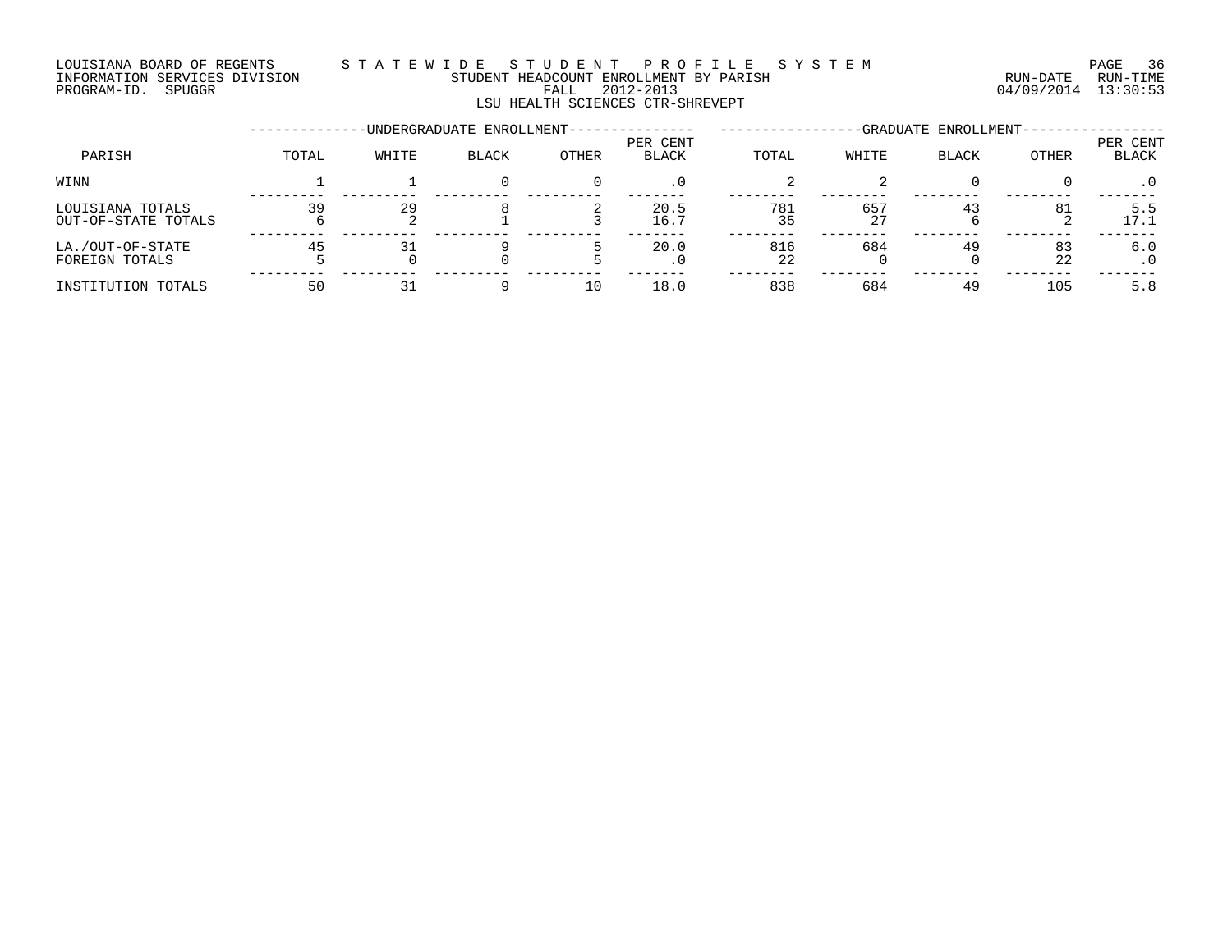### LOUISIANA BOARD OF REGENTS S T A T E W I D E S T U D E N T P R O F I L E S Y S T E M PAGE 36 INFORMATION SERVICES DIVISION STUDENT HEADCOUNT ENROLLMENT BY PARISH RUN-DATE RUN-TIME PROGRAM-ID. SPUGGR FALL 2012-2013 04/09/2014 13:30:53

LSU HEALTH SCIENCES CTR-SHREVEPT

|                                         |       | -UNDERGRADUATE ENROLLMENT- | -GRADUATE ENROLLMENT- |              |                          |           |           |              |          |                   |
|-----------------------------------------|-------|----------------------------|-----------------------|--------------|--------------------------|-----------|-----------|--------------|----------|-------------------|
| PARISH                                  | TOTAL | WHITE                      | <b>BLACK</b>          | <b>OTHER</b> | PER CENT<br><b>BLACK</b> | TOTAL     | WHITE     | <b>BLACK</b> | OTHER    | PER CENT<br>BLACK |
| WINN                                    |       |                            |                       |              | . 0                      |           |           |              |          | $\cdot$ 0         |
| LOUISIANA TOTALS<br>OUT-OF-STATE TOTALS | 39    | 29                         |                       |              | 20.5<br>16.7             | 781<br>35 | 657<br>27 | 43           | 81       | 5.5<br>17.1       |
| LA./OUT-OF-STATE<br>FOREIGN TOTALS      | 45    | 31                         |                       |              | 20.0                     | 816<br>22 | 684       | 49           | 83<br>22 | 6.0               |
| INSTITUTION TOTALS                      | 50    |                            |                       |              | 18.0                     | 838       | 684       | 49           | 105      | 5.8               |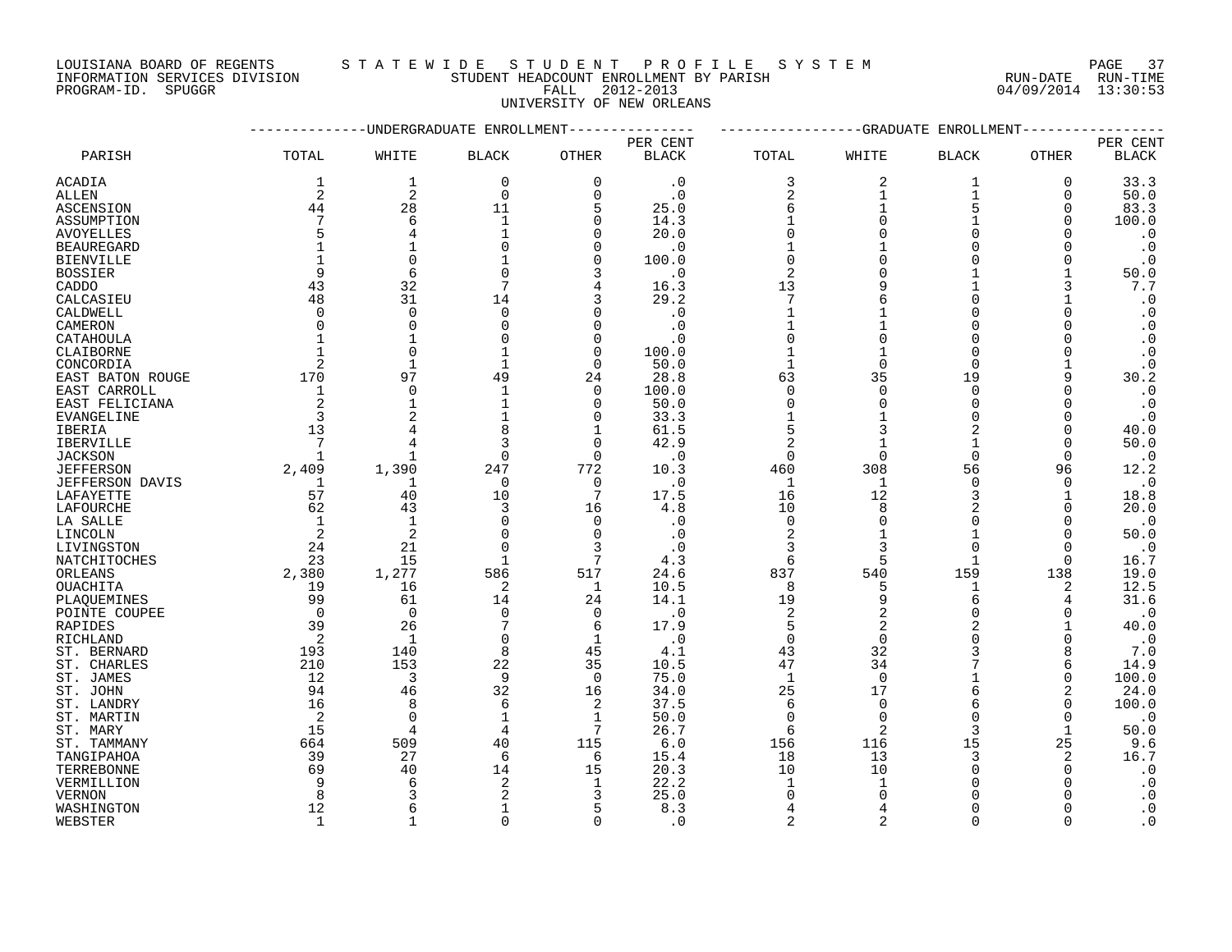LOUISIANA BOARD OF REGENTS S T A T E W I D E S T U D E N T P R O F I L E S Y S T E M PAGE 37 DOUISIANA BOARD OF REGENTS STAILMENT HEADCOUNT ENROLLMENT BY PARISH CONTRACTION SERVICES DIVISION STUDENT HEADCOUNT ENROLLMENT BY PARISH (RUN-DATE RUN-TIME PROGRAM-ID. SPUGGR (13:30:53)

INFORMATION SERVICES DIVISION STUDENT HEADCOUNT ENROLLMENT BY PARISH RUN-DATE RUN-TIME

UNIVERSITY OF NEW ORLEANS

|                   |                         | ---------UNDERGRADUATE ENROLLMENT |              |                 | ------------GRADUATE<br>ENROLLMENT |                |                |                |             |              |
|-------------------|-------------------------|-----------------------------------|--------------|-----------------|------------------------------------|----------------|----------------|----------------|-------------|--------------|
|                   |                         |                                   |              |                 | PER CENT                           |                |                |                |             | PER CENT     |
| PARISH            | TOTAL                   | WHITE                             | <b>BLACK</b> | OTHER           | <b>BLACK</b>                       | TOTAL          | WHITE          | <b>BLACK</b>   | OTHER       | <b>BLACK</b> |
| <b>ACADIA</b>     | $\mathbf{1}$            | $\mathbf{1}$                      | 0            | $\mathbf 0$     | $\cdot$ 0                          | 3              | 2              | 1              | $\mathbf 0$ | 33.3         |
| ALLEN             | 2                       | 2                                 | $\mathbf 0$  | $\Omega$        | $\cdot$ 0                          | 2              | 1              | 1              | 0           | 50.0         |
| ASCENSION         | 44                      | 28                                | 11           | 5               | 25.0                               | 6              |                | 5              | 0           | 83.3         |
| ASSUMPTION        | 7                       | 6                                 | $\mathbf{1}$ | $\Omega$        | 14.3                               |                | $\cap$         |                | $\Omega$    | 100.0        |
| <b>AVOYELLES</b>  | 5                       | $\overline{4}$                    | $\mathbf{1}$ | $\Omega$        | 20.0                               | $\Omega$       |                |                |             | $\cdot$ 0    |
| <b>BEAUREGARD</b> |                         |                                   |              | $\Omega$        | $\cdot$ 0                          |                |                |                | $\Omega$    | $\cdot$ 0    |
| <b>BIENVILLE</b>  |                         | $\Omega$                          |              | $\Omega$        | 100.0                              | $\Omega$       |                |                | $\Omega$    | $\cdot$ 0    |
| <b>BOSSIER</b>    | 9                       | 6                                 | $\Omega$     | 3               | $\cdot$ 0                          | $\overline{2}$ |                |                |             | 50.0         |
| CADDO             | 43                      | 32                                | 7            | $\overline{4}$  | 16.3                               | 13             |                |                | 3           | 7.7          |
| CALCASIEU         | 48                      | 31                                | 14           | 3               | 29.2                               | 7              |                | $\Omega$       |             | $\cdot$ 0    |
| CALDWELL          | $\Omega$                | $\Omega$                          | $\mathbf 0$  |                 | $\cdot$ 0                          | $\mathbf{1}$   |                |                |             | $\cdot$ 0    |
| CAMERON           | $\Omega$                | $\Omega$                          | $\Omega$     | $\Omega$        | $\cdot$ 0                          | $\mathbf{1}$   |                |                |             | $\cdot$ 0    |
| CATAHOULA         | $\mathbf{1}$            |                                   |              | $\Omega$        | $\cdot$ 0                          | $\Omega$       |                |                |             | $\cdot$ 0    |
| CLAIBORNE         | $\mathbf{1}$            | $\Omega$                          |              | $\Omega$        | 100.0                              |                |                | $\Omega$       |             | $\cdot$ 0    |
| CONCORDIA         | 2                       |                                   |              | $\Omega$        | 50.0                               | $\mathbf{1}$   |                | $\Omega$       |             | $\cdot$ 0    |
| EAST BATON ROUGE  | 170                     | 97                                | 49           | 24              | 28.8                               | 63             | 35             | 19             |             | 30.2         |
| EAST CARROLL      | $\mathbf{1}$            | $\Omega$                          |              | $\Omega$        | 100.0                              | $\Omega$       | $\cap$         | $\Omega$       |             | $\cdot$ 0    |
| EAST FELICIANA    | 2                       | $\mathbf{1}$                      |              | $\Omega$        | 50.0                               | $\Omega$       | $\cap$         | $\Omega$       | $\Omega$    | $\cdot$ 0    |
| EVANGELINE        | $\overline{\mathbf{3}}$ |                                   |              | 0               | 33.3                               | $\mathbf{1}$   |                | $\Omega$       | 0           | $\cdot$ 0    |
| <b>IBERIA</b>     | 13                      |                                   | 8            | 1               | 61.5                               | 5              |                | 2              | $\Omega$    | 40.0         |
| <b>IBERVILLE</b>  | $\overline{7}$          |                                   | 3            | $\Omega$        | 42.9                               | $\sqrt{2}$     |                |                | $\Omega$    | 50.0         |
| <b>JACKSON</b>    | 1                       |                                   | $\Omega$     | $\Omega$        | $\cdot$ 0                          | $\Omega$       | $\Omega$       | $\Omega$       | $\Omega$    | $\cdot$ 0    |
| <b>JEFFERSON</b>  | 2,409                   | 1,390                             | 247          | 772             | 10.3                               | 460            | 308            | 56             | 96          | 12.2         |
| JEFFERSON DAVIS   | $\overline{1}$          | 1                                 | 0            | 0               | $\cdot$ 0                          | -1             | -1             | $\Omega$       | $\Omega$    | $\cdot$ 0    |
| LAFAYETTE         | 57                      | 40                                | 10           | 7               | 17.5                               | 16             | 12             | 3              |             | 18.8         |
| LAFOURCHE         | 62                      | 43                                | 3            | 16              | 4.8                                | 10             | $\mathsf{R}$   | $\overline{2}$ | $\Omega$    | 20.0         |
| LA SALLE          | 1                       | $\mathbf{1}$                      | $\Omega$     | $\Omega$        | $\cdot$ 0                          | $\Omega$       | $\Omega$       | $\Omega$       | $\Omega$    | $\cdot$ 0    |
| LINCOLN           | 2                       | $\overline{c}$                    | $\mathbf 0$  | $\Omega$        |                                    |                |                |                | 0           | 50.0         |
| LIVINGSTON        | 24                      | 21                                | $\Omega$     | 3               |                                    | 3              |                | $\Omega$       | 0           | $\cdot$ 0    |
| NATCHITOCHES      | 23                      | 15                                | $\mathbf{1}$ | 7               | 4.3                                | 6              | 5              |                | $\Omega$    | 16.7         |
| ORLEANS           | 2,380                   | 1,277                             | 586          | 517             | 24.6                               | 837            | 540            | 159            | 138         | 19.0         |
| OUACHITA          | 19                      | 16                                | 2            | 1               | 10.5                               | 8              | 5              |                | 2           | 12.5         |
| PLAQUEMINES       | 99                      | 61                                | 14           | 24              | 14.1                               | 19             |                | 6              | 4           | 31.6         |
| POINTE COUPEE     | $\overline{0}$          | $\mathbf{0}$                      | $\mathbf 0$  | 0               | $\cdot$ 0                          | 2              | $\overline{2}$ | $\Omega$       | 0           | $\cdot$ 0    |
| RAPIDES           | 39                      | 26                                | 7            | 6               | 17.9                               | 5              |                |                |             | 40.0         |
| RICHLAND          | $\overline{2}$          | $\mathbf{1}$                      | $\Omega$     | 1               | $\cdot$ 0                          | $\mathbf 0$    | $\Omega$       | $\Omega$       | $\Omega$    | $\cdot$ 0    |
| ST. BERNARD       | 193                     | 140                               | 8            | 45              | 4.1                                | 43             | 32             | 3              | 8           | 7.0          |
| ST. CHARLES       | 210                     | 153                               | 22           | 35              | 10.5                               | 47             | 34             |                | 6           | 14.9         |
| ST. JAMES         | 12                      | 3                                 | 9            | $\Omega$        | 75.0                               | $\mathbf{1}$   | $\Omega$       |                | $\Omega$    | 100.0        |
| ST. JOHN          | 94                      | 46                                | 32           | 16              | 34.0                               | 25             | 17             | 6              | 2           | 24.0         |
| ST. LANDRY        | 16                      | 8                                 | 6            | 2               | 37.5                               | 6              | $\Omega$       | 6              | $\Omega$    | 100.0        |
| ST. MARTIN        | -2                      | $\Omega$                          | 1            | 1               | 50.0                               | $\mathbf 0$    | $\Omega$       | $\Omega$       | 0           | $\cdot$ 0    |
| ST. MARY          | 15                      | $\overline{4}$                    | 4            | $7\phantom{.0}$ | 26.7                               | 6              | 2              | 3              | 1           | 50.0         |
| ST. TAMMANY       | 664                     | 509                               | 40           | 115             | 6.0                                | 156            | 116            | 15             | 25          | 9.6          |
| TANGIPAHOA        | 39                      | 27                                | 6            | 6               | 15.4                               | 18             | 13             | 3              | 2           | 16.7         |
| TERREBONNE        | 69                      | 40                                | 14           | 15              | 20.3                               | 10             | 10             | $\Omega$       | $\Omega$    | $\cdot$ 0    |
| VERMILLION        | 9                       | 6                                 | 2            | 1               | 22.2                               | 1              |                | $\Omega$       | $\Omega$    | $\cdot$ 0    |
| <b>VERNON</b>     | 8                       |                                   |              | 3               | 25.0                               | $\Omega$       |                |                |             | $\cdot$ 0    |
| WASHINGTON        | 12                      | 6                                 | $\mathbf{1}$ | 5               | 8.3                                | 4              | 4              | $\Omega$       |             | $\cdot$ 0    |
| WEBSTER           | $\mathbf{1}$            |                                   | $\cap$       | $\Omega$        | $\Omega$                           | $\overline{2}$ | $\overline{2}$ | $\cap$         |             | $\cdot$ 0    |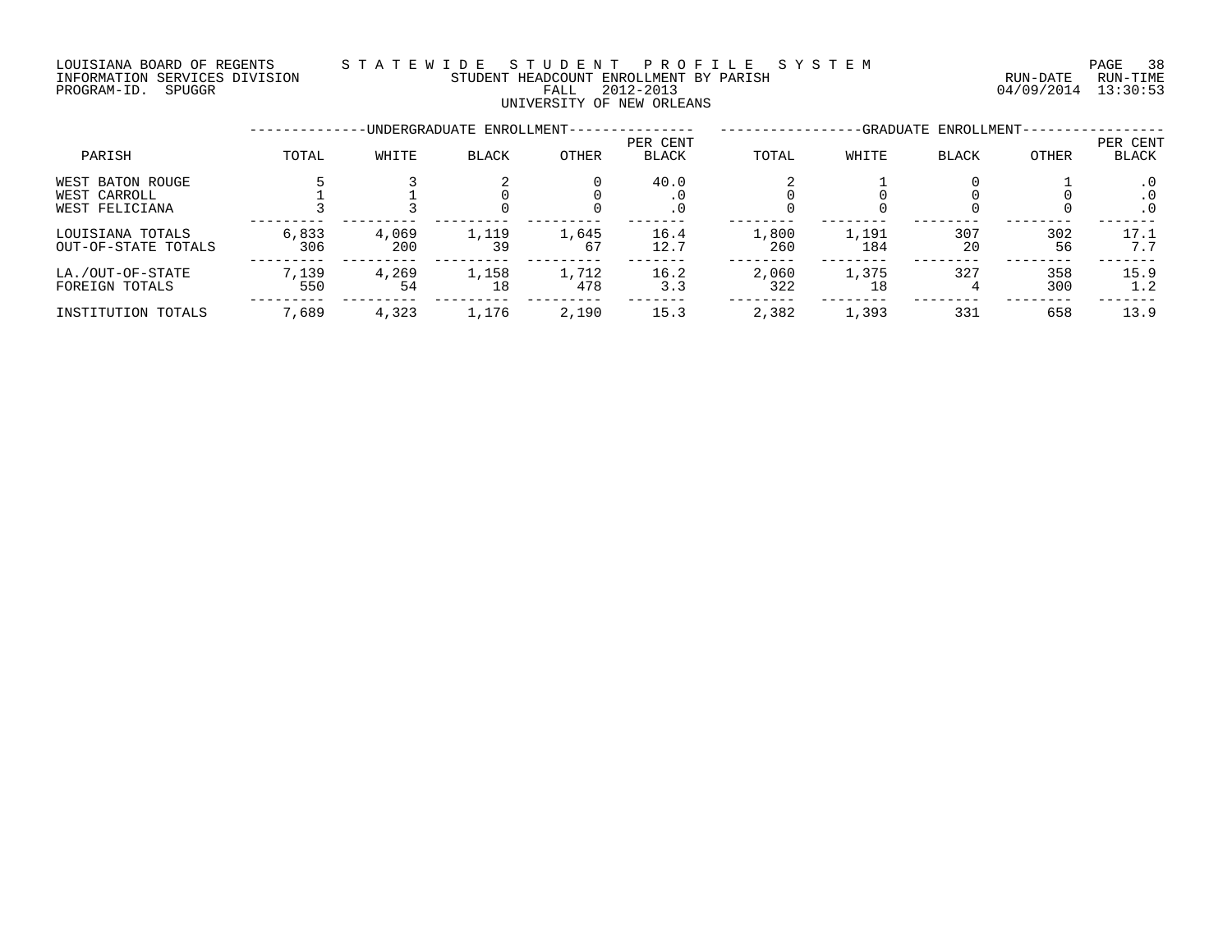### LOUISIANA BOARD OF REGENTS S T A T E W I D E S T U D E N T P R O F I L E S Y S T E M PAGE 38 NOULSIANA BOARD OF REGENISMENT BY A CHANNEL AND RESERVE THE STUDENT HEADCOUNT ENROLLMENT BY PARISH THE THE CHANNEL RUN-DATE RUN-TIME<br>INFORMATION SEVICES DIVISION FALL 2012-2013 PALL 2012-2013 04/09/2014 13:30:53

### UNIVERSITY OF NEW ORLEANS

INFORMATION SERVICES DIVISION STUDENT HEADCOUNT ENROLLMENT BY PARISH RUN-DATE RUN-TIME

| PARISH                                             | TOTAL        | WHITE        | BLACK       | <b>OTHER</b> | PER CENT<br><b>BLACK</b> | TOTAL        | WHITE        | <b>BLACK</b> | OTHER      | PER CENT<br>BLACK             |
|----------------------------------------------------|--------------|--------------|-------------|--------------|--------------------------|--------------|--------------|--------------|------------|-------------------------------|
| WEST BATON ROUGE<br>WEST CARROLL<br>WEST FELICIANA |              |              |             |              | 40.0<br>. 0              |              |              |              |            | $\cdot$ 0<br>. 0<br>$\cdot$ 0 |
| LOUISIANA TOTALS<br>OUT-OF-STATE TOTALS            | 6,833<br>306 | 4,069<br>200 | 1,119<br>39 | 1,645<br>67  | 16.4<br>12.7             | 1,800<br>260 | 1,191<br>184 | 307<br>20    | 302<br>56  | 17.1<br>7.7                   |
| LA./OUT-OF-STATE<br>FOREIGN TOTALS                 | 7,139<br>550 | 4,269<br>54  | 1,158<br>18 | 1,712<br>478 | 16.2<br>3.3              | 2,060<br>322 | 1,375<br>18  | 327          | 358<br>300 | 15.9<br>1.2                   |
| INSTITUTION TOTALS                                 | 7,689        | 4,323        | 1,176       | 2,190        | 15.3                     | 2,382        | 1,393        | 331          | 658        | 13.9                          |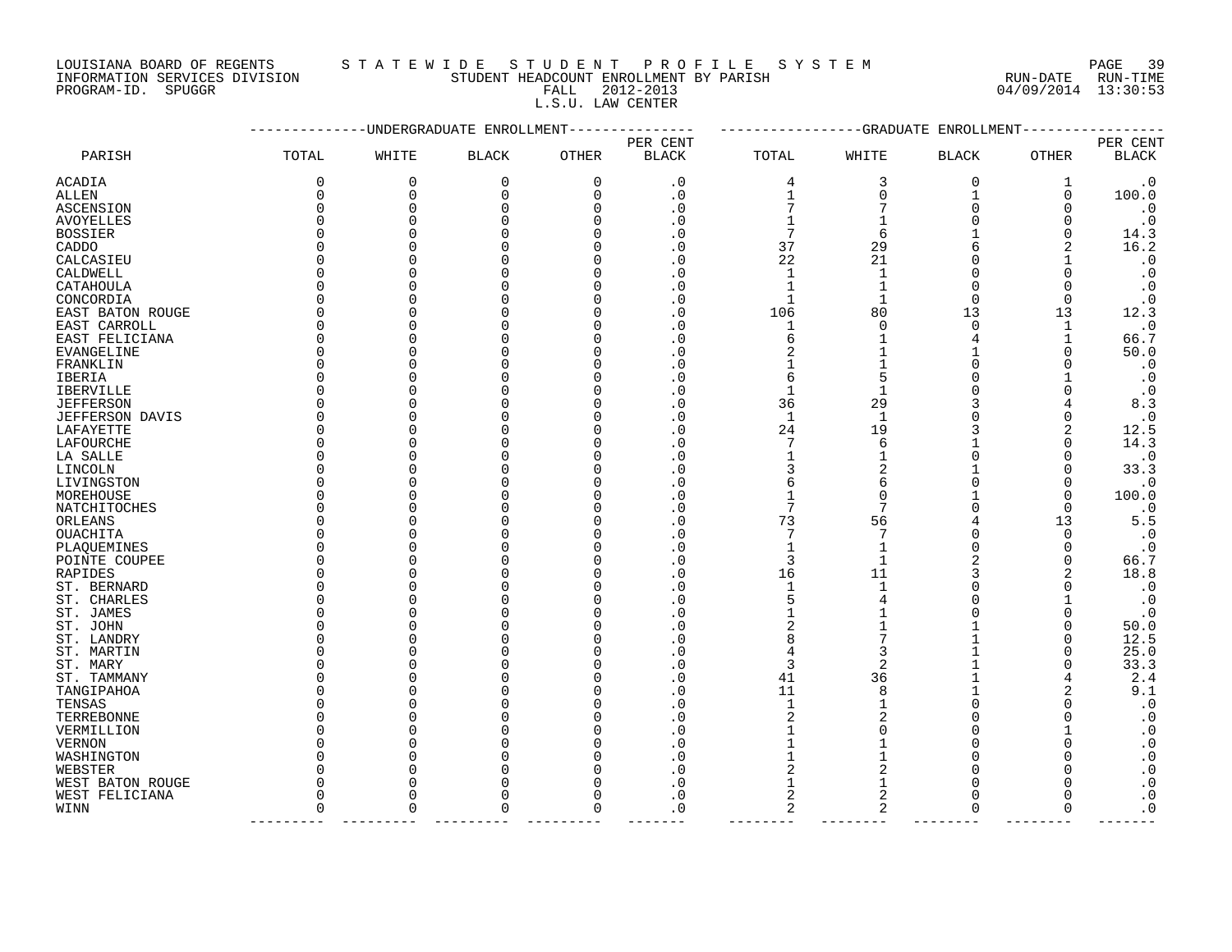LOUISIANA BOARD OF REGENTS S T A T E W I D E S T U D E N T P R O F I L E S Y S T E M PAGE 39

L.S.U. LAW CENTER

| DANT DAWN AL WEGEWIS          | AIAI BWI DI AIU DENI FRUFILE AIAI BM   |                     | raga pa  |
|-------------------------------|----------------------------------------|---------------------|----------|
| INFORMATION SERVICES DIVISION | STUDENT HEADCOUNT ENROLLMENT BY PARISH | RUN-DATE            | RUN-TIME |
| PROGRAM-ID. SPUGGR            | FALL 2012-2013                         | 04/09/2014 13:30:53 |          |
|                               | _ _ _ _ _ _ _ _ _ _                    |                     |          |

|                        |             | ---------UNDERGRADUATE ENROLLMENT |              |          | ------------GRADUATE<br>ENROLLMENT |                |                |                   |              |                        |
|------------------------|-------------|-----------------------------------|--------------|----------|------------------------------------|----------------|----------------|-------------------|--------------|------------------------|
|                        |             |                                   |              |          | PER CENT                           |                |                |                   |              | PER CENT               |
| PARISH                 | TOTAL       | WHITE                             | <b>BLACK</b> | OTHER    | <b>BLACK</b>                       | TOTAL          | WHITE          | <b>BLACK</b>      | <b>OTHER</b> | <b>BLACK</b>           |
| ACADIA                 | 0           | 0                                 | 0            | 0        | $\cdot$ 0                          | 4              | 3              | 0                 | 1            | $\cdot$ 0              |
| ALLEN                  | $\mathbf 0$ | 0                                 | $\Omega$     | 0        | $\cdot$ 0                          | $\mathbf{1}$   | $\Omega$       | 1                 | $\Omega$     | 100.0                  |
| ASCENSION              | $\Omega$    | $\Omega$                          | O            | O        | . 0                                |                |                | $\Omega$          | ∩            | $\cdot$ 0              |
| <b>AVOYELLES</b>       | $\Omega$    | 0                                 |              | ∩        | . 0                                |                |                | U                 | ∩            | $\cdot$ 0              |
| <b>BOSSIER</b>         |             | O                                 |              |          | . 0                                | 7              | 6              |                   | ∩            | 14.3                   |
| CADDO                  |             | 0                                 |              |          | . 0                                | 37             | 29             | 6                 | 2            | 16.2                   |
| CALCASIEU              |             | O                                 |              |          | . 0                                | 22             | 21             | <sup>n</sup>      |              | $\cdot$ 0              |
| CALDWELL               |             | O                                 |              |          | . 0                                | 1              |                | $\Omega$          | O            | $\cdot$ 0              |
| CATAHOULA              |             | O                                 |              |          | . 0                                |                |                | <sup>n</sup>      | ∩            | $\cdot$ 0              |
| CONCORDIA              |             | $\Omega$                          |              |          | . 0                                | 1              | 1              | $\Omega$          | $\Omega$     | $\cdot$ 0              |
| EAST BATON ROUGE       |             | 0                                 |              | N        | . 0                                | 106            | 80             | 13                | 13           | 12.3                   |
| EAST CARROLL           |             | $\Omega$                          |              |          | . 0                                | 1              | $\Omega$       | $\Omega$          | $\mathbf{1}$ | $\cdot$ 0              |
| EAST FELICIANA         |             | 0                                 |              |          | . 0                                | 6              |                | 4                 |              | 66.7                   |
| EVANGELINE             |             | $\Omega$                          |              |          | . 0                                | 2              |                |                   | ∩            | 50.0                   |
| FRANKLIN               |             | 0                                 |              |          | . 0                                |                |                | $\Omega$          |              | $\cdot$ 0              |
| IBERIA                 |             | 0                                 |              |          | . 0                                | 6              | 5              | $\Omega$          |              | $\cdot$ 0              |
| <b>IBERVILLE</b>       |             | O                                 |              |          | . 0                                | 1              |                | <sup>n</sup>      |              | $\cdot$ 0              |
| <b>JEFFERSON</b>       |             | O                                 |              |          | $\cdot$ 0                          | 36             | 29             |                   |              | 8.3                    |
| JEFFERSON DAVIS        |             | $\Omega$                          |              |          | . 0                                | $\mathbf{1}$   | 1              |                   | O            | $\boldsymbol{\cdot}$ 0 |
| LAFAYETTE              |             | $\Omega$                          |              |          | . 0                                | 24             | 19             |                   | 2            | 12.5                   |
| LAFOURCHE              |             | $\Omega$                          |              |          | . 0                                | 7              | 6              |                   | ∩            | 14.3                   |
| LA SALLE               |             | O                                 |              |          | . 0                                | 1              |                | <sup>n</sup>      |              | $\cdot$ 0              |
| LINCOLN                |             | 0                                 |              |          | . 0                                | 3              |                |                   |              | 33.3                   |
| LIVINGSTON             |             | $\Omega$                          |              |          | . 0                                | 6              | 6              | <sup>0</sup>      | O            | $\cdot$ 0              |
| MOREHOUSE              |             | 0                                 |              |          | . 0                                | 1              | O              |                   | O            | 100.0                  |
| NATCHITOCHES           |             | O                                 |              |          | . 0                                | 7              |                | <sup>n</sup>      | $\Omega$     | $\cdot$ 0              |
| ORLEANS                |             | O                                 |              |          | . 0                                | 73             | 56             |                   | 13           | 5.5                    |
| <b>OUACHITA</b>        |             | O                                 |              |          | $\mathcal{C}$                      | 7              |                | n                 | ∩            | $\cdot$ 0              |
| PLAQUEMINES            |             | $\Omega$                          |              |          | . 0                                | 1              |                | <sup>n</sup>      | $\Omega$     | $\cdot$ 0              |
| POINTE COUPEE          |             | 0                                 |              |          | . 0                                | 3              |                |                   | ∩            | 66.7                   |
| RAPIDES                |             | 0<br>$\Omega$                     |              |          | . 0                                | 16             | 11             |                   |              | 18.8                   |
| ST. BERNARD            |             |                                   |              |          | . 0                                | 1              |                |                   |              | $\cdot$ 0              |
| ST. CHARLES            | ∩           | $\Omega$<br>0                     |              |          | . 0                                | 5              |                | U<br><sup>0</sup> | O            | $\cdot$ 0              |
| ST. JAMES              |             | 0                                 |              |          |                                    | 2              |                |                   | O            | $\cdot$ 0<br>50.0      |
| ST. JOHN<br>ST. LANDRY |             | O                                 |              |          | . 0                                | 8              |                |                   | O            | 12.5                   |
| ST. MARTIN             |             | $\Omega$                          |              |          | . 0                                | 4              | 3              |                   | ∩            | 25.0                   |
| ST. MARY               |             | $\Omega$                          |              |          | . 0                                | 3              | 2              |                   |              | 33.3                   |
| ST. TAMMANY            |             | 0                                 |              |          | . 0                                | 41             | 36             |                   |              | 2.4                    |
| TANGIPAHOA             |             | $\Omega$                          |              |          | . 0                                | 11             | 8              |                   |              | 9.1                    |
| TENSAS                 |             | 0                                 |              |          | . 0                                | $\mathbf 1$    |                | $\Omega$          |              | $\boldsymbol{\cdot}$ 0 |
| TERREBONNE             |             | $\Omega$                          |              |          | C.                                 | 2              |                | U                 |              | $\cdot$ 0              |
| VERMILLION             |             | 0                                 |              |          | . 0                                | 1              |                | $\Omega$          |              | $\cdot$ 0              |
| VERNON                 |             | 0                                 |              | U        | . 0                                | 1              |                | $\Omega$          |              | $\boldsymbol{\cdot}$ 0 |
| WASHINGTON             |             | 0                                 |              |          | . 0                                |                |                | <sup>n</sup>      |              | $\boldsymbol{\cdot}$ 0 |
| WEBSTER                |             | 0                                 |              |          | . 0                                | 2              |                | <sup>n</sup>      |              | $\boldsymbol{\cdot}$ 0 |
| WEST BATON ROUGE       |             | $\Omega$                          |              |          | . 0                                |                |                | <sup>n</sup>      |              | $\boldsymbol{\cdot}$ 0 |
| WEST FELICIANA         | $\Omega$    | $\Omega$                          |              | O        | . 0                                | $\overline{2}$ | $\overline{2}$ | $\Omega$          |              | $\boldsymbol{\cdot}$ 0 |
| WINN                   | $\Omega$    | $\Omega$                          | $\Omega$     | $\Omega$ | . 0                                | 2              | 2              | $\Omega$          | $\Omega$     | $\cdot$ 0              |
|                        |             |                                   |              |          |                                    |                |                |                   |              |                        |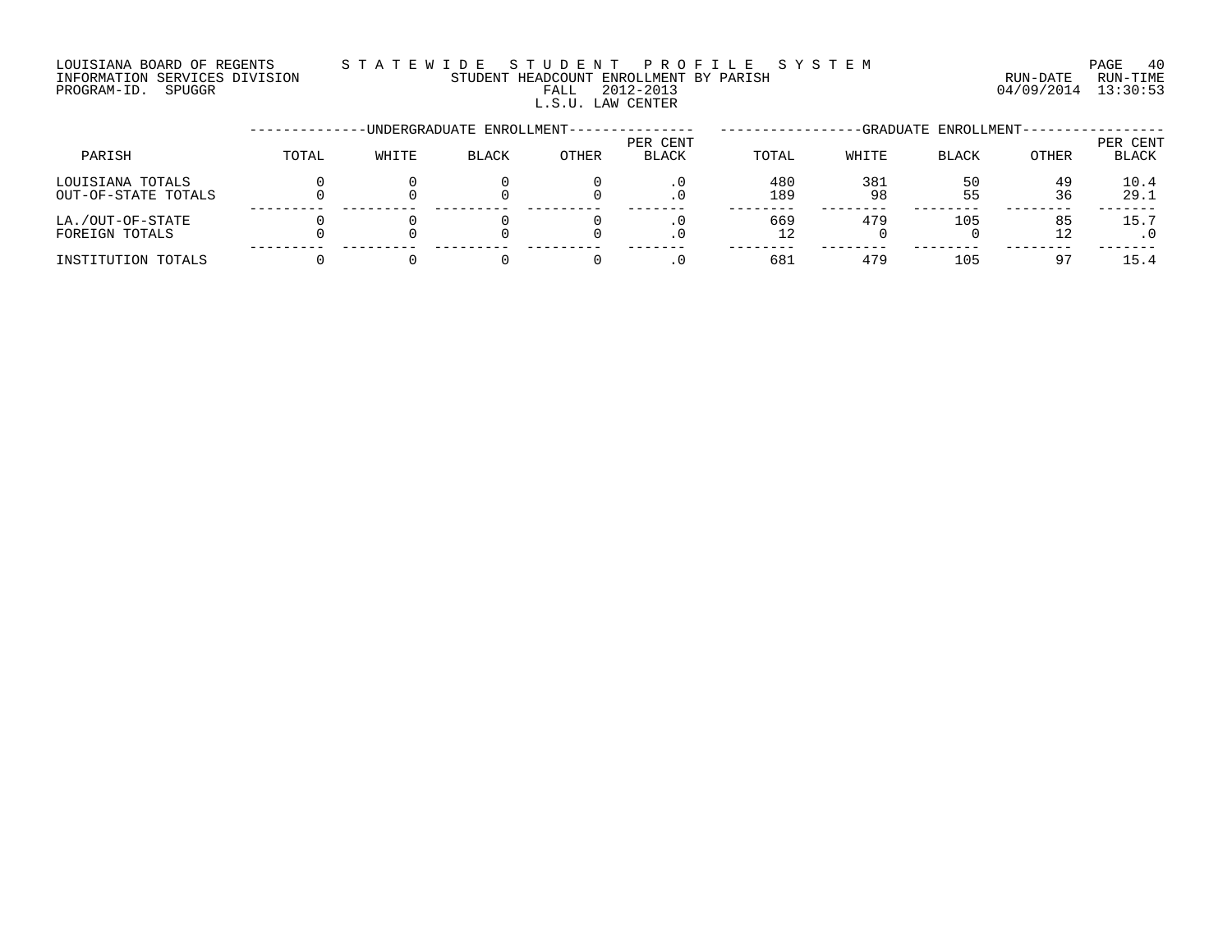### LOUISIANA BOARD OF REGENTS S T A T E W I D E S T U D E N T P R O F I L E S Y S T E M PAGE 40 INFORMATION SERVICES DIVISION STUDENT HEADCOUNT ENROLLMENT BY PARISH RUN-DATE RUN-TIME INFORMATION SERVICES DIVISION CONSUMENT HEADCOUNT ENROLLMENT BY PARISH THE RUN-DATE RUN-TIME RUN-TIME<br>PROGRAM-ID. SPUGGR PROGRAM-ID. SPUGGR L.S.U. LAW CENTER

--------------UNDERGRADUATE ENROLLMENT--------------- -----------------GRADUATE ENROLLMENT----------------- PER CENT PER CENT PARISH TOTAL WHITE BLACK OTHER BLACK TOTAL WHITE BLACK OTHER BLACK LOUISIANA TOTALS 0 0 0 0 .0 480 381 50 49 10.4 OUT-OF-STATE TOTALS 0 0 0 0 .0 189 98 55 36 29.1 --------- --------- --------- --------- ------- -------- -------- -------- -------- ------- LA./OUT-OF-STATE 0 0 0 0 .0 669 479 105 85 15.7 FOREIGN TOTALS 0 0 0 0 .0 12 0 0 12 .0 --------- --------- --------- --------- ------- -------- -------- -------- -------- ------- INSTITUTION TOTALS 0 0 0 0 .0 681 479 105 97 15.4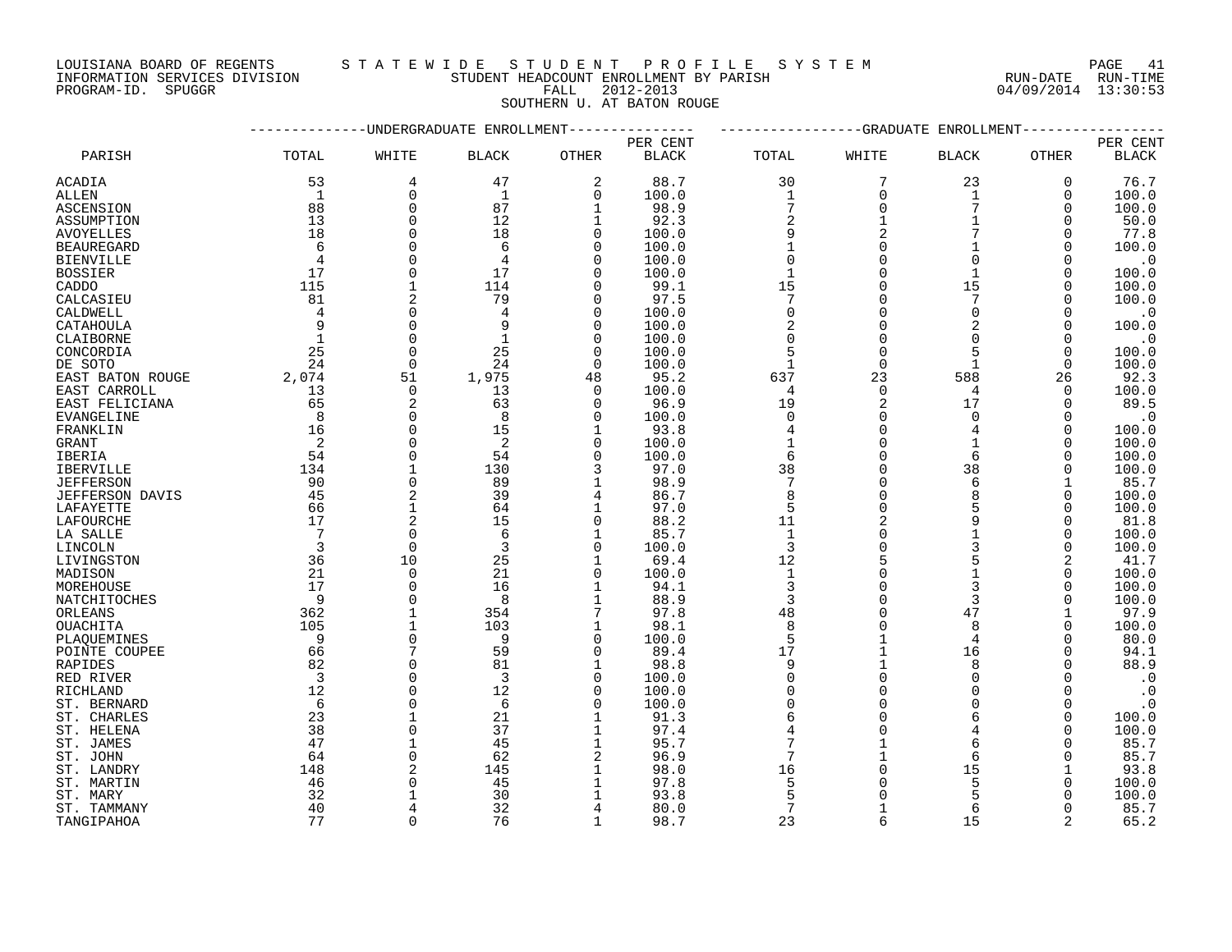INFORMATION SERVICES DIVISION STUDENT HEADCOUNT ENROLLMENT BY PARISH RUN-DATE RUN-TIME DOUISIANA BOARD OF REGENIS (SUITE IN THE READCOUNT ENROLLMENT BY PARISH (RUN-DATE RUN-DATE RUN-TIME STUDENT HEADCOUNT ENROLLMENT BY PARISH (RUN-DATE RUN-TIME PROGRAM-ID. SPUGGR (13:30:53)

### LOUISIANA BOARD OF REGENTS S T A T E W I D E S T U D E N T P R O F I L E S Y S T E M PAGE 41

SOUTHERN U. AT BATON ROUGE

|                        |                |                                | UNDERGRADUATE ENROLLMENT |                            |               |                      | -GRADUATE   | ENROLLMENT     |          |                        |
|------------------------|----------------|--------------------------------|--------------------------|----------------------------|---------------|----------------------|-------------|----------------|----------|------------------------|
|                        |                |                                |                          |                            | PER CENT      |                      |             |                |          | PER CENT               |
| PARISH                 | TOTAL          | WHITE                          | <b>BLACK</b>             | <b>OTHER</b>               | <b>BLACK</b>  | TOTAL                | WHITE       | BLACK          | OTHER    | $\operatorname{BLACK}$ |
| ACADIA                 | 53             | 4                              | 47                       | $\overline{2}$             | 88.7          | 30                   | 7           | 23             | 0        | 76.7                   |
| ALLEN                  | 1              | $\Omega$                       | $\mathbf{1}$             | $\mathbf 0$                | 100.0         | $\mathbf{1}$         | $\Omega$    | $\mathbf{1}$   | $\Omega$ | 100.0                  |
| ASCENSION              | 88             | $\Omega$                       | 87                       | $\mathbf{1}$               | 98.9          | $\overline{7}$       | $\Omega$    | 7              | $\Omega$ | 100.0                  |
| ASSUMPTION             | 13             | $\Omega$                       | 12                       | 1                          | 92.3          | $\sqrt{2}$           |             |                | 0        | 50.0                   |
| <b>AVOYELLES</b>       | 18             | $\mathbf 0$                    | 18                       | 0                          | 100.0         | 9                    | 2           |                | $\Omega$ | 77.8                   |
| <b>BEAUREGARD</b>      | 6              | $\Omega$                       | 6                        | $\mathbf 0$                | 100.0         | $\mathbf{1}$         | $\Omega$    | 1              | $\Omega$ | 100.0                  |
| <b>BIENVILLE</b>       | $\overline{4}$ | $\Omega$                       | 4                        | $\mathbf 0$                | 100.0         | 0                    |             | $\Omega$       | $\Omega$ | $\cdot$ 0              |
| <b>BOSSIER</b>         | 17             | $\mathbf 0$                    | 17                       | $\Omega$                   | 100.0         | $\mathbf 1$          | $\Omega$    | $\mathbf 1$    | $\Omega$ | 100.0                  |
| CADDO                  | 115            | $\mathbf{1}$                   | 114                      | $\Omega$                   | 99.1          | 15                   | $\Omega$    | 15             | $\Omega$ | 100.0                  |
| CALCASIEU              | 81             | 2                              | 79                       | $\Omega$                   | 97.5          | 7                    | $\Omega$    | 7              | $\Omega$ | 100.0                  |
| CALDWELL               | $\overline{4}$ | $\Omega$                       | $\overline{4}$           | $\Omega$                   | 100.0         | $\Omega$             | $\Omega$    | $\Omega$       | 0        | $\cdot$ 0              |
| CATAHOULA              | 9              | $\mathbf 0$                    |                          | $\mathbf 0$                | 100.0         | $\sqrt{2}$           | $\mathbf 0$ | $\overline{2}$ | 0        | 100.0                  |
| CLAIBORNE              | $\overline{1}$ | $\mathbf 0$                    | 1                        | $\mathbf 0$                | 100.0         | 0                    | $\mathbf 0$ | $\Omega$       |          | $\cdot$ 0              |
| CONCORDIA              | 25             | $\mathbf 0$                    | 25                       | $\mathbf 0$                | 100.0         | 5                    | $\mathbf 0$ | 5              | 0        | 100.0                  |
| DE SOTO                | 24             | $\Omega$                       | 24                       | $\Omega$                   | 100.0         | $\mathbf{1}$         | $\Omega$    | $\mathbf{1}$   | $\Omega$ | 100.0                  |
| EAST BATON ROUGE       | 2,074          | 51                             | 1,975                    | 48                         | 95.2          | 637                  | 23          | 588            | 26       | 92.3                   |
| EAST CARROLL           | 13             | $\mathbf 0$                    | 13                       | $\mathbf 0$                | 100.0         | 4                    | $\Omega$    | 4              | 0        | 100.0                  |
| EAST FELICIANA         | 65             | $\overline{2}$                 | 63                       | $\Omega$                   | 96.9          | 19                   | 2           | 17             | $\Omega$ | 89.5                   |
| EVANGELINE             | 8              | $\Omega$                       | 8                        | 0                          | 100.0         | $\mathbf 0$          | $\Omega$    | $\Omega$       | $\Omega$ | $\cdot$ 0              |
|                        | 16             | $\Omega$                       | 15                       | $\mathbf 1$                |               | $\overline{4}$       | $\Omega$    | $\overline{4}$ | $\Omega$ | 100.0                  |
| FRANKLIN               | $\overline{2}$ | $\mathbf 0$                    | 2                        | $\mathbf 0$                | 93.8<br>100.0 | $\mathbf{1}$         | $\Omega$    | $\mathbf 1$    | $\Omega$ | 100.0                  |
| GRANT                  | 54             | $\mathbf 0$                    | 54                       | 0                          |               | $\epsilon$           | $\Omega$    | 6              | 0        | 100.0                  |
| IBERIA                 |                | $\mathbf{1}$                   | 130                      | 3                          | 100.0         |                      |             | 38             | $\Omega$ |                        |
| <b>IBERVILLE</b>       | 134<br>90      | $\mathsf 0$                    | 89                       | 1                          | 97.0<br>98.9  | 38<br>$\overline{7}$ | $\Omega$    | 6              |          | 100.0<br>85.7          |
| <b>JEFFERSON</b>       |                |                                |                          |                            |               |                      | $\Omega$    | $\mathsf{R}$   |          |                        |
| <b>JEFFERSON DAVIS</b> | 45             | $\overline{2}$<br>$\mathbf{1}$ | 39<br>64                 | 4                          | 86.7          | 8                    | $\Omega$    | 5              | $\Omega$ | 100.0                  |
| LAFAYETTE              | 66<br>17       | $\overline{2}$                 | 15                       | $\mathbf 1$<br>$\mathbf 0$ | 97.0          | 5<br>11              |             | 9              | $\Omega$ | 100.0                  |
| LAFOURCHE              |                |                                |                          |                            | 88.2          |                      | 2           |                | $\Omega$ | 81.8                   |
| LA SALLE               | 7              | $\mathbf 0$                    | 6                        | $\mathbf 1$                | 85.7          | $\mathbf{1}$         |             |                | 0        | 100.0                  |
| LINCOLN                | $\overline{3}$ | $\mathbf 0$                    | 3                        | 0                          | 100.0         | 3                    | 0           | 3              | 0        | 100.0                  |
| LIVINGSTON             | 36             | 10                             | 25                       | $\mathbf 1$                | 69.4          | 12                   |             |                | 2        | 41.7                   |
| MADISON                | 21             | $\mathbf 0$                    | 21                       | $\mathbf 0$                | 100.0         | $\mathbf{1}$         | $\Omega$    | $\mathbf 1$    | $\Omega$ | 100.0                  |
| MOREHOUSE              | 17             | $\mathbf 0$                    | 16                       | $\mathbf 1$                | 94.1          | $\overline{3}$       | 0           | 3              | $\Omega$ | 100.0                  |
| NATCHITOCHES           | - 9            | $\Omega$                       | 8                        | $\mathbf 1$                | 88.9          | 3                    | $\Omega$    | 3              | ∩        | 100.0                  |
| ORLEANS                | 362            | $\mathbf{1}$                   | 354                      | 7                          | 97.8          | 48                   | $\Omega$    | 47             |          | 97.9                   |
| OUACHITA               | 105            | $\mathbf{1}$                   | 103                      | $\mathbf 1$                | 98.1          | 8                    |             | 8              | 0        | 100.0                  |
| PLAQUEMINES            | $\overline{9}$ | $\mathbf 0$                    | - 9                      | 0                          | 100.0         | 5                    |             | $\overline{4}$ |          | 80.0                   |
| POINTE COUPEE          | 66             | 7                              | 59                       | 0                          | 89.4          | 17                   |             | 16             | 0        | 94.1                   |
| RAPIDES                | 82             | $\mathbf 0$                    | 81                       | 1                          | 98.8          | 9                    |             | 8              | ∩        | 88.9                   |
| RED RIVER              | $\overline{3}$ | $\Omega$                       | $\overline{3}$           | 0                          | 100.0         | 0                    |             | $\Omega$       | 0        | $\cdot$ 0              |
| RICHLAND               | 12             | $\Omega$                       | 12                       | $\mathbf 0$                | 100.0         | $\Omega$             | $\Omega$    | $\Omega$       | $\Omega$ | $\cdot$ 0              |
| ST. BERNARD            | - 6            | $\Omega$                       | 6                        | $\Omega$                   | 100.0         | 0                    |             | $\Omega$       | $\Omega$ | $\cdot$ 0              |
| ST. CHARLES            | 23             | $\mathbf{1}$                   | 21                       | $\mathbf 1$                | 91.3          | 6                    | $\Omega$    | 6              | $\Omega$ | 100.0                  |
| ST. HELENA             | 38             | $\Omega$                       | 37                       | 1                          | 97.4          |                      |             |                | $\Omega$ | 100.0                  |
| ST. JAMES              | 47             | $\mathbf{1}$                   | 45                       | 1                          | 95.7          |                      |             | 6              |          | 85.7                   |
| ST. JOHN               | 64             | $\Omega$                       | 62                       | $\overline{2}$             | 96.9          | 7                    |             | 6              | O        | 85.7                   |
| ST. LANDRY             | 148            | $\overline{2}$                 | 145                      | $\mathbf 1$                | 98.0          | 16                   |             | 15             |          | 93.8                   |
| ST. MARTIN             | 46             | $\Omega$                       | 45                       | 1                          | 97.8          | 5                    |             | 5              | O        | 100.0                  |
| ST. MARY               | 32             | $\mathbf{1}$                   | 30                       |                            | 93.8          | 5                    |             |                |          | 100.0                  |
| ST. TAMMANY            | 40             | $\overline{4}$                 | 32                       | 4                          | 80.0          | 7                    | 1           | 6              |          | 85.7                   |
| TANGIPAHOA             | 77             | $\Omega$                       | 76                       | $\mathbf{1}$               | 98.7          | 23                   | б.          | 15             | 2        | 65.2                   |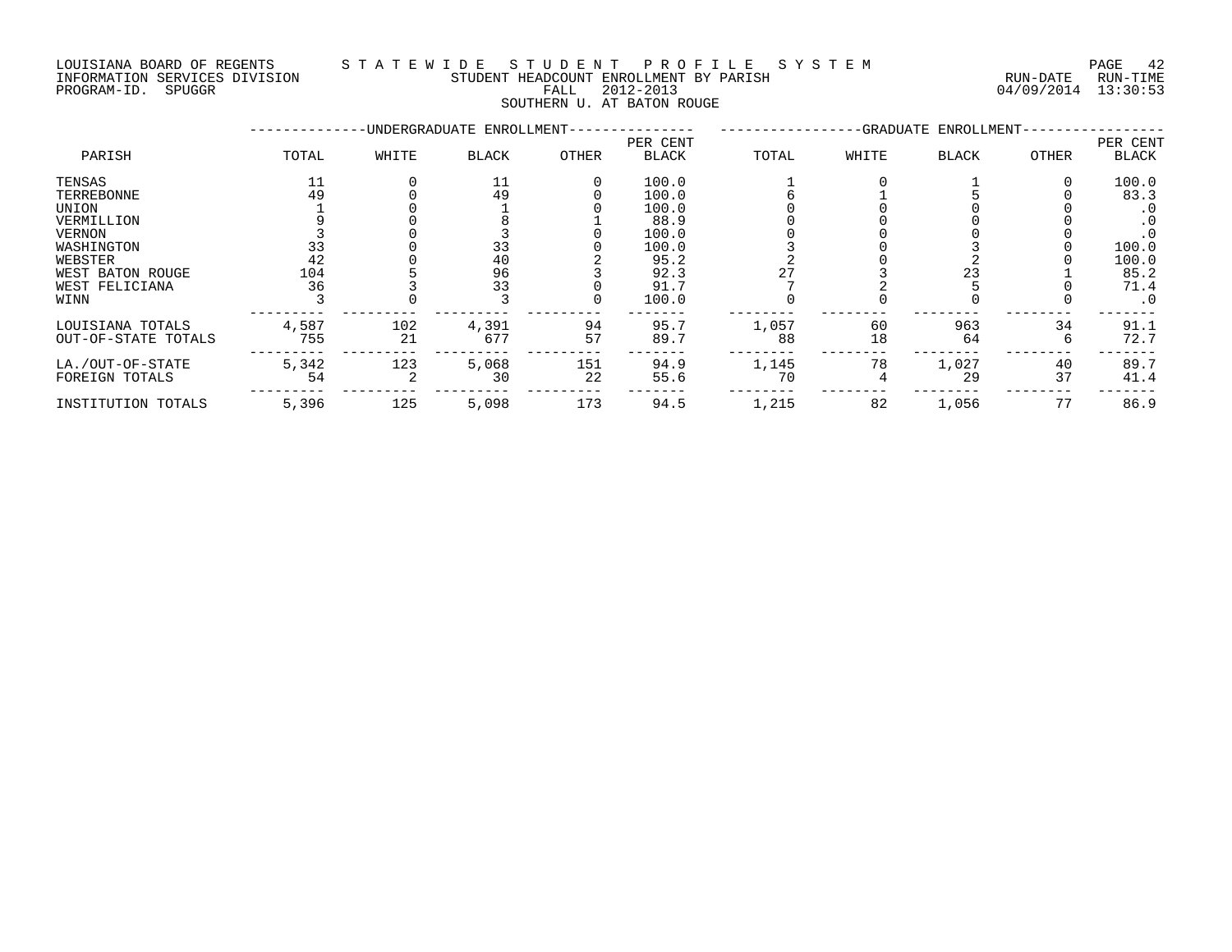NOULSIANA BOARD OF REGENISMENT BY A CHANNEL AND RESERVE THE STUDENT HEADCOUNT ENROLLMENT BY PARISH THE THE CHANNEL RUN-DATE RUN-TIME<br>INFORMATION SEVICES DIVISION FALL 2012-2013 PALL 2012-2013 04/09/2014 13:30:53

#### LOUISIANA BOARD OF REGENTS S T A T E W I D E S T U D E N T P R O F I L E S Y S T E M PAGE 42 INFORMATION SERVICES DIVISION STUDENT HEADCOUNT ENROLLMENT BY PARISH RUN-DATE RUN-TIME

SOUTHERN U. AT BATON ROUGE

|                     |       |       | -UNDERGRADUATE ENROLLMENT- |       |                          |       |       | -GRADUATE ENROLLMENT- |       |                          |
|---------------------|-------|-------|----------------------------|-------|--------------------------|-------|-------|-----------------------|-------|--------------------------|
| PARISH              | TOTAL | WHITE | <b>BLACK</b>               | OTHER | PER CENT<br><b>BLACK</b> | TOTAL | WHITE | <b>BLACK</b>          | OTHER | PER CENT<br><b>BLACK</b> |
| TENSAS              | 11    |       | 11                         |       | 100.0                    |       |       |                       |       | 100.0                    |
| TERREBONNE          | 49    |       | 49                         |       | 100.0                    |       |       |                       |       | 83.3                     |
| UNION               |       |       |                            |       | 100.0                    |       |       |                       |       | . 0                      |
| VERMILLION          |       |       |                            |       | 88.9                     |       |       |                       |       | $\cdot$ 0                |
| VERNON              |       |       |                            |       | 100.0                    |       |       |                       |       |                          |
| WASHINGTON          | 33    |       | 33                         |       | 100.0                    |       |       |                       |       | 100.0                    |
| WEBSTER             | 42    |       | 40                         |       | 95.2                     |       |       |                       |       | 100.0                    |
| WEST BATON ROUGE    | 104   |       | 96                         |       | 92.3                     |       |       | 23                    |       | 85.2                     |
| WEST FELICIANA      | 36    |       | 33                         |       | 91.7                     |       |       |                       |       | 71.4                     |
| WINN                |       |       |                            |       | 100.0                    |       |       |                       |       | $\cdot$ 0                |
| LOUISIANA TOTALS    | 4,587 | 102   | 4,391                      | 94    | 95.7                     | 1,057 | 60    | 963                   | 34    | 91.1                     |
| OUT-OF-STATE TOTALS | 755   | 21    | 677                        | 57    | 89.7                     | 88    | 18    | 64                    | b     | 72.7                     |
| LA./OUT-OF-STATE    | 5,342 | 123   | 5,068                      | 151   | 94.9                     | 1,145 | 78    | 1,027                 | 40    | 89.7                     |
| FOREIGN TOTALS      | 54    |       | 30                         | 22    | 55.6                     | 70    |       | 29                    | 37    | 41.4                     |
| INSTITUTION TOTALS  | 5,396 | 125   | 5,098                      | 173   | 94.5                     | 1,215 | 82    | 1,056                 | 77    | 86.9                     |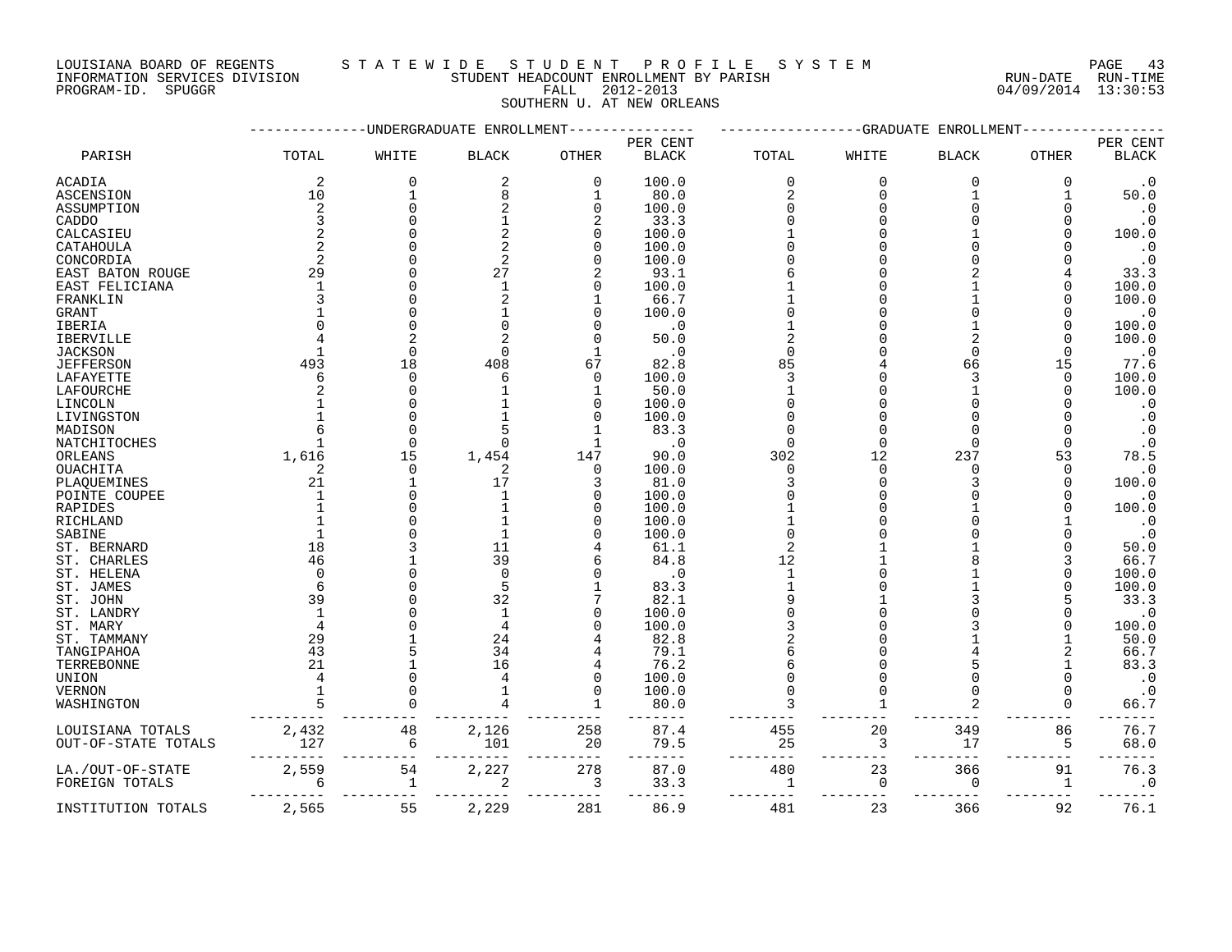INFORMATION SERVICES DIVISION STUDENT HEADCOUNT ENROLLMENT BY PARISH RUN-DATE RUN-TIME

### LOUISIANA BOARD OF REGENTS STA TEWIDE STUDENT PROFILE SYSTEM PAGE 43

PROGRAM-ID. SPUGGR FALL 2012-2013 04/09/2014 13:30:53 SOUTHERN U. AT NEW ORLEANS

|                     |              |              | -UNDERGRADUATE ENROLLMENT |              |              |          | -GRADUATE | ENROLLMENT   |              |                   |
|---------------------|--------------|--------------|---------------------------|--------------|--------------|----------|-----------|--------------|--------------|-------------------|
|                     |              |              |                           |              | PER CENT     |          |           |              |              | PER CENT          |
| PARISH              | TOTAL        | WHITE        | <b>BLACK</b>              | <b>OTHER</b> | <b>BLACK</b> | TOTAL    | WHITE     | <b>BLACK</b> | <b>OTHER</b> | <b>BLACK</b>      |
| ACADIA              | 2            | 0            | 2                         | 0            | 100.0        | 0        | 0         | 0            | 0            | $\cdot$ 0         |
| ASCENSION           | 10           | $\mathbf{1}$ | 8                         | 1            | 80.0         | 2        | $\Omega$  | 1            |              | 50.0              |
| ASSUMPTION          | 2            | 0            |                           | 0            | 100.0        | O        |           |              |              | $\cdot$ 0         |
| CADDO               |              | ∩            |                           |              | 33.3         |          |           |              |              | $\cdot$ 0         |
| CALCASIEU           |              | O            |                           | U            | 100.0        |          |           |              |              | 100.0             |
| CATAHOULA           |              | U            |                           |              | 100.0        |          |           |              |              | $\cdot$ 0         |
| CONCORDIA           |              |              |                           |              | 100.0        |          |           |              |              | $\cdot$ 0         |
| EAST BATON ROUGE    | 29           |              | 27                        | 2            | 93.1         |          |           |              |              | 33.3              |
| EAST FELICIANA      |              | U            |                           | N            | 100.0        |          |           |              |              | 100.0             |
| FRANKLIN            |              | U            |                           |              | 66.7         |          |           |              |              | 100.0             |
| GRANT               |              | 0            |                           | O            | 100.0        |          |           |              |              | $\cdot$ 0         |
| IBERIA              |              | $\Omega$     |                           |              | $\cdot$ 0    |          |           |              |              | 100.0             |
| <b>IBERVILLE</b>    |              | 2            |                           |              | 50.0         |          |           |              |              | 100.0             |
|                     |              | $\Omega$     |                           |              | $\cdot$ 0    | $\Omega$ |           | U            |              | $\cdot$ 0         |
| <b>JACKSON</b>      | 493          | 18           | 408                       | 67           | 82.8         | 85       |           | 66           | 15           | 77.6              |
| <b>JEFFERSON</b>    |              | $\Omega$     |                           | $\Omega$     | 100.0        | 3        |           |              | $\Omega$     | 100.0             |
| LAFAYETTE           |              | 0            |                           |              |              |          |           |              | ∩            |                   |
| LAFOURCHE           |              |              |                           |              | 50.0         |          |           |              |              | 100.0             |
| LINCOLN             |              |              |                           |              | 100.0        |          |           |              |              | $\cdot$ 0         |
| LIVINGSTON          |              | $\Omega$     |                           |              | 100.0        |          |           |              |              | $\cdot$ 0         |
| MADISON             |              | $\Omega$     | ∩                         | 1            | 83.3         | $\Omega$ | $\Omega$  | $\Omega$     | ∩            | $\cdot$ 0         |
| NATCHITOCHES        |              | 15           |                           |              | $\cdot$ 0    |          |           | 237          |              | $\cdot$ 0<br>78.5 |
| ORLEANS             | 1,616        |              | 1,454                     | 147          | 90.0         | 302      | 12        | <sup>n</sup> | 53           |                   |
| OUACHITA            | 2            | $\Omega$     | 2                         | 0            | 100.0        | $\Omega$ |           |              | ∩            | $\cdot$ 0         |
| PLAQUEMINES         | 21           | 1            | 17                        | 3            | 81.0         |          |           |              |              | 100.0             |
| POINTE COUPEE       | $\mathbf{1}$ | $\Omega$     | -1                        | N            | 100.0        |          |           |              |              | $\cdot$ 0         |
| RAPIDES             |              | U            |                           |              | 100.0        |          |           |              |              | 100.0             |
| RICHLAND            |              | U            |                           | U            | 100.0        |          |           |              |              | $\cdot$ 0         |
| SABINE              |              |              |                           |              | 100.0        |          |           |              |              | $\cdot$ 0         |
| ST. BERNARD         | 18           |              | 11                        |              | 61.1         | 2        |           |              |              | 50.0              |
| ST. CHARLES         | 46           |              | 39                        |              | 84.8         | 12       |           |              |              | 66.7              |
| ST. HELENA          |              |              | ∩                         |              | . 0          |          |           |              |              | 100.0             |
| ST. JAMES           | 6            | O            | 5                         |              | 83.3         |          |           |              |              | 100.0             |
| ST. JOHN            | 39           |              | 32                        |              | 82.1         |          |           |              |              | 33.3              |
| ST. LANDRY          | -1           |              | -1                        |              | 100.0        |          |           |              |              | $\cdot$ 0         |
| ST. MARY            |              |              |                           |              | 100.0        |          |           |              |              | 100.0             |
| ST. TAMMANY         | 29           |              | 24                        |              | 82.8         |          |           |              |              | 50.0              |
| TANGIPAHOA          | 43           | 5            | 34                        |              | 79.1         |          |           |              |              | 66.7              |
| TERREBONNE          | 21           | 1            | 16                        | 4            | 76.2         |          |           |              |              | 83.3              |
| UNION               |              | $\Omega$     |                           | 0            | 100.0        |          |           |              |              | $\cdot$ 0         |
| VERNON              |              | O            |                           | $\Omega$     | 100.0        |          |           |              |              | $\cdot$ 0         |
| WASHINGTON          |              |              |                           |              | 80.0         |          |           |              |              | 66.7              |
| LOUISIANA TOTALS    | 2,432        | 48           | 2,126                     | 258          | 87.4         | 455      | 20        | 349          | 86           | 76.7              |
| OUT-OF-STATE TOTALS | 127          | 6            | 101                       | 20           | 79.5         | 25       | 3         | 17           | 5            | 68.0              |
| LA./OUT-OF-STATE    | 2,559        | 54           | 2,227                     | 278          | 87.0         | 480      | 23        | 366          | 91           | 76.3              |
| FOREIGN TOTALS      | 6            | $\mathbf{1}$ | 2                         | 3            | 33.3         | 1        | 0         | 0            | 1            | $\cdot$ 0         |
|                     |              |              |                           |              |              |          |           |              |              |                   |
| INSTITUTION TOTALS  | 2,565        | 55           | 2,229                     | 281          | 86.9         | 481      | 23        | 366          | 92           | 76.1              |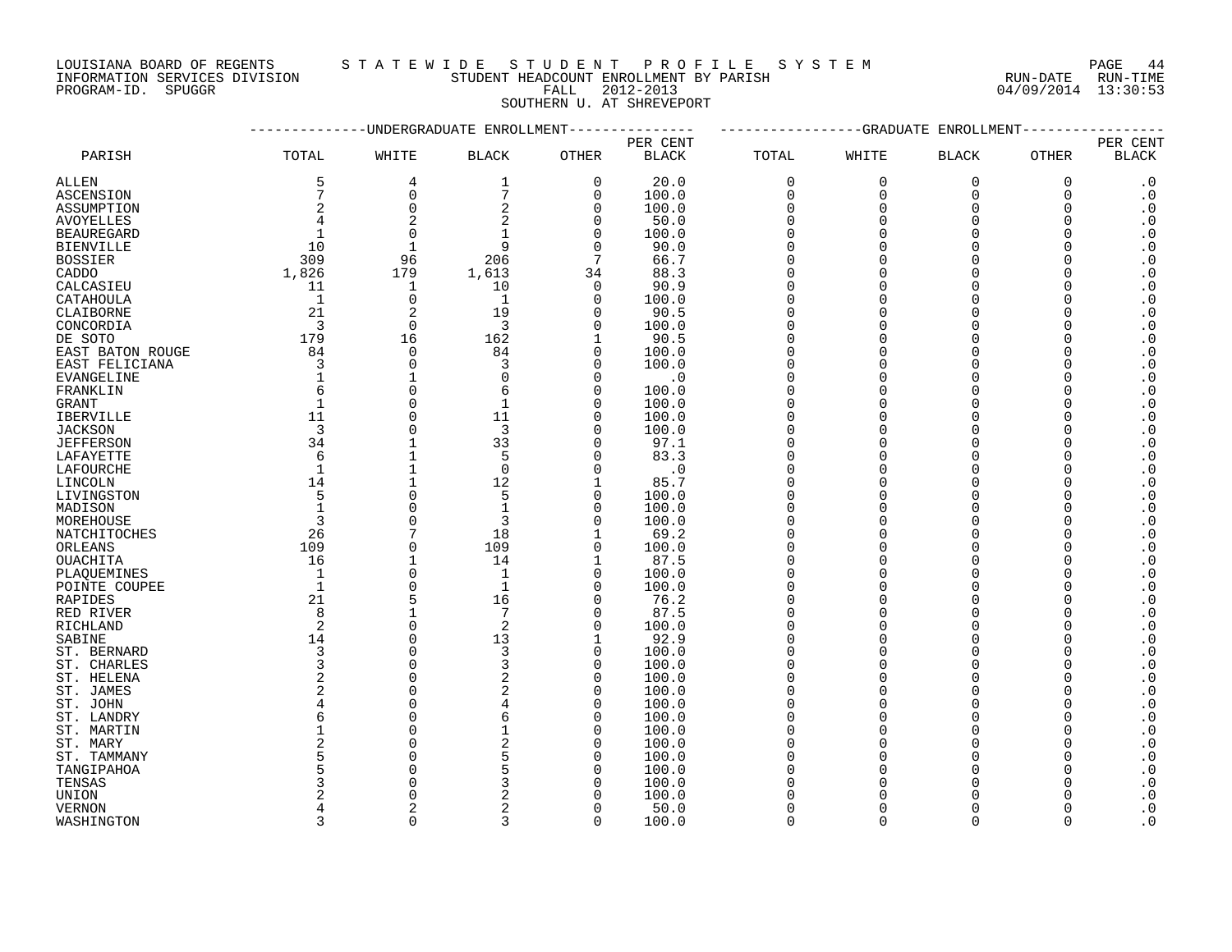INFORMATION SERVICES DIVISION STUDENT HEADCOUNT ENROLLMENT BY PARISH RUN-DATE RUN-TIME PROGRAM-ID. SPUGGR FALL 2012-2013 04/09/2014 13:30:53

### LOUISIANA BOARD OF REGENTS S T A T E W I D E S T U D E N T P R O F I L E S Y S T E M PAGE 44

SOUTHERN U. AT SHREVEPORT

|                   |                |                | -UNDERGRADUATE ENROLLMENT |                |              |             | -GRADUATE   | ENROLLMENT   |              |                        |
|-------------------|----------------|----------------|---------------------------|----------------|--------------|-------------|-------------|--------------|--------------|------------------------|
|                   |                |                |                           |                | PER CENT     |             |             |              |              | PER CENT               |
| PARISH            | TOTAL          | WHITE          | <b>BLACK</b>              | OTHER          | <b>BLACK</b> | TOTAL       | WHITE       | <b>BLACK</b> | OTHER        | <b>BLACK</b>           |
| ALLEN             | 5              | $\overline{4}$ | 1                         | $\mathbf 0$    | 20.0         | 0           | $\mathbf 0$ | $\mathbf 0$  | $\mathbf 0$  | $\cdot$ 0              |
| <b>ASCENSION</b>  | 7              | $\mathbf 0$    | $7\overline{ }$           | $\Omega$       | 100.0        | $\mathbf 0$ | $\Omega$    | $\Omega$     | $\Omega$     | $\cdot$ 0              |
| ASSUMPTION        | 2              | $\Omega$       | 2                         | $\mathbf 0$    | 100.0        | $\mathbf 0$ | $\Omega$    | $\Omega$     | $\Omega$     | $\cdot$ 0              |
| AVOYELLES         | 4              |                | 2                         | $\Omega$       | 50.0         | $\mathbf 0$ | $\Omega$    | $\Omega$     | $\Omega$     | $\cdot$ 0              |
| <b>BEAUREGARD</b> | 1              | $\overline{0}$ | $\mathbf{1}$              | $\Omega$       | 100.0        | $\Omega$    | $\Omega$    | $\Omega$     | $\Omega$     | $\boldsymbol{\cdot}$ 0 |
| <b>BIENVILLE</b>  | 10             | $\mathbf{1}$   | 9                         | $\Omega$       | 90.0         | $\Omega$    | $\Omega$    | $\Omega$     | $\Omega$     | $\boldsymbol{\cdot}$ 0 |
| <b>BOSSIER</b>    | 309            | 96             | 206                       | 7              | 66.7         | $\Omega$    | $\cap$      | $\Omega$     |              | $\cdot$ 0              |
| CADDO             | 1,826          | 179            | 1,613                     | 34             | 88.3         | $\Omega$    | $\cap$      | $\Omega$     |              | $\boldsymbol{\cdot}$ 0 |
| CALCASIEU         | 11             | 1              | 10                        | 0              | 90.9         | $\Omega$    | ∩           | $\Omega$     | O            | $\cdot$ 0              |
| CATAHOULA         | 1              | $\mathbf 0$    | $\mathbf{1}$              | $\Omega$       | 100.0        | $\Omega$    |             | $\Omega$     |              | $\boldsymbol{\cdot}$ 0 |
| CLAIBORNE         | 21             | 2              | 19                        | $\Omega$       | 90.5         | $\Omega$    | ∩           | $\Omega$     | U            | $\boldsymbol{\cdot}$ 0 |
| CONCORDIA         | 3              | $\Omega$       | 3                         | $\Omega$       | 100.0        | $\Omega$    | $\Omega$    | $\Omega$     |              | $\boldsymbol{\cdot}$ 0 |
| DE SOTO           | 179            | 16             | 162                       | $\mathbf{1}$   | 90.5         | $\Omega$    |             | $\Omega$     | $\Omega$     | $\cdot$ 0              |
| EAST BATON ROUGE  | 84             | $\Omega$       | 84                        | $\Omega$       | 100.0        | $\Omega$    | $\cap$      | $\Omega$     | $\Omega$     | $\boldsymbol{\cdot}$ 0 |
|                   | 3              | $\mathbf 0$    | 3                         | $\Omega$       | 100.0        | $\Omega$    | O           | $\Omega$     | 0            |                        |
| EAST FELICIANA    | $\mathbf{1}$   |                | $\Omega$                  | $\Omega$       |              | $\Omega$    | ∩           | $\Omega$     |              | $\boldsymbol{\cdot}$ 0 |
| EVANGELINE        | 6              | 1<br>$\Omega$  | 6                         | $\Omega$       | $\cdot$ 0    | $\Omega$    | ∩           | $\Omega$     |              | $\boldsymbol{\cdot}$ 0 |
| FRANKLIN          |                | $\Omega$       |                           |                | 100.0        | $\Omega$    |             | $\Omega$     |              | $\boldsymbol{\cdot}$ 0 |
| GRANT             | 1<br>11        |                | 1                         | $\Omega$       | 100.0        | $\Omega$    | $\Omega$    |              |              | $\boldsymbol{\cdot}$ 0 |
| <b>IBERVILLE</b>  |                | $\Omega$       | 11                        | $\Omega$       | 100.0        |             |             | $\Omega$     |              | $\boldsymbol{\cdot}$ 0 |
| <b>JACKSON</b>    | $\overline{3}$ | $\Omega$       | 3                         | $\Omega$       | 100.0        | $\Omega$    |             | $\Omega$     | ∩            | $\boldsymbol{\cdot}$ 0 |
| <b>JEFFERSON</b>  | 34             | 1              | 33                        | $\Omega$       | 97.1         | $\Omega$    | O           | $\Omega$     |              | $\cdot$ 0              |
| LAFAYETTE         | 6              |                | 5                         | $\Omega$       | 83.3         | $\Omega$    | O           | $\Omega$     | <sup>0</sup> | $\boldsymbol{\cdot}$ 0 |
| LAFOURCHE         | 1              |                | $\mathbf 0$               | $\Omega$       | $\cdot$ 0    | $\Omega$    |             | $\Omega$     |              | $\boldsymbol{\cdot}$ 0 |
| LINCOLN           | 14             | $\mathbf{1}$   | 12                        | 1              | 85.7         | $\Omega$    | $\cap$      | $\Omega$     | $\Omega$     | $\boldsymbol{\cdot}$ 0 |
| LIVINGSTON        | 5              | $\Omega$       | 5                         | $\Omega$       | 100.0        | $\Omega$    | $\cap$      | $\cap$       |              | $\cdot$ 0              |
| MADISON           | $\mathbf{1}$   | $\Omega$       | $\mathbf{1}$              | $\Omega$       | 100.0        | $\Omega$    | $\cap$      | $\Omega$     |              | $\cdot$ 0              |
| MOREHOUSE         | 3              | $\Omega$       | 3                         | $\Omega$       | 100.0        | $\Omega$    | ∩           | $\Omega$     |              | $\cdot$ 0              |
| NATCHITOCHES      | 26             |                | 18                        | 1              | 69.2         | $\Omega$    |             | $\Omega$     |              | $\boldsymbol{\cdot}$ 0 |
| ORLEANS           | 109            | $\mathbf 0$    | 109                       | $\mathbf 0$    | 100.0        | $\Omega$    |             | $\Omega$     | U            | $\boldsymbol{\cdot}$ 0 |
| OUACHITA          | 16             | $\mathbf{1}$   | 14                        | $\mathbf{1}$   | 87.5         | $\Omega$    | $\cap$      | $\Omega$     |              | $\cdot$ 0              |
| PLAOUEMINES       | $\overline{1}$ | $\Omega$       | $\mathbf{1}$              | $\overline{0}$ | 100.0        | $\Omega$    | $\Omega$    | $\Omega$     | $\Omega$     | $\boldsymbol{\cdot}$ 0 |
| POINTE COUPEE     | $\overline{1}$ | $\Omega$       | $\mathbf{1}$              | $\Omega$       | 100.0        | $\Omega$    | $\cap$      | $\Omega$     | $\Omega$     | $\boldsymbol{\cdot}$ 0 |
| RAPIDES           | 21             | 5              | 16                        | $\Omega$       | 76.2         | $\Omega$    | ∩           | $\Omega$     | $\Omega$     | $\cdot$ 0              |
| RED RIVER         | 8              | $\mathbf{1}$   | 7                         | $\Omega$       | 87.5         | $\Omega$    | $\cap$      | $\Omega$     | ∩            | $\boldsymbol{\cdot}$ 0 |
| RICHLAND          | 2              | $\Omega$       | 2                         | $\Omega$       | 100.0        | $\Omega$    | $\Omega$    | $\Omega$     |              | $\boldsymbol{\cdot}$ 0 |
| SABINE            | 14             | $\Omega$       | 13                        | 1              | 92.9         | $\Omega$    |             | $\Omega$     | ∩            | $\boldsymbol{\cdot}$ 0 |
| ST. BERNARD       | 3              | $\Omega$       | 3                         | $\Omega$       | 100.0        | $\Omega$    | $\Omega$    | $\Omega$     | U            | $\boldsymbol{\cdot}$ 0 |
| ST. CHARLES       | $\overline{3}$ | $\Omega$       | 3                         | $\Omega$       | 100.0        | $\Omega$    |             | $\Omega$     |              | $\boldsymbol{\cdot}$ 0 |
| ST. HELENA        | $\overline{c}$ | $\Omega$       | 2                         | $\Omega$       | 100.0        | $\Omega$    | O           | $\Omega$     |              | $\cdot$ 0              |
| ST. JAMES         | 2              | $\Omega$       | 2                         | $\mathbf 0$    | 100.0        | $\Omega$    | ∩           | $\Omega$     | $\Omega$     | $\boldsymbol{\cdot}$ 0 |
| ST. JOHN          | $\overline{4}$ | $\Omega$       |                           | $\Omega$       | 100.0        | $\Omega$    |             | $\Omega$     |              | $\boldsymbol{\cdot}$ 0 |
| ST. LANDRY        | 6              | $\Omega$       | 6                         | $\Omega$       | 100.0        | $\Omega$    |             | $\Omega$     | $\Omega$     | $\boldsymbol{\cdot}$ 0 |
| ST. MARTIN        | $\mathbf{1}$   | $\Omega$       |                           | $\Omega$       | 100.0        | $\Omega$    | $\cap$      | $\cap$       |              | $\boldsymbol{\cdot}$ 0 |
| ST. MARY          | 2              | $\Omega$       | 2                         | $\Omega$       | 100.0        | $\Omega$    | $\cap$      | $\Omega$     |              | $\cdot$ 0              |
| ST. TAMMANY       | 5              | $\Omega$       | 5                         | $\Omega$       | 100.0        | $\Omega$    |             | $\Omega$     | O            | $\cdot$ 0              |
| TANGIPAHOA        | 5              | $\Omega$       | 5                         | $\Omega$       | 100.0        | $\Omega$    |             |              |              | $\cdot$ 0              |
| TENSAS            | 3              | $\cap$         | 3                         | ∩              | 100.0        |             |             |              |              | $\cdot$ 0              |
| UNION             | 2              | $\cap$         |                           |                | 100.0        |             |             |              |              | $\boldsymbol{\cdot}$ 0 |
| <b>VERNON</b>     | 4              |                | 2                         | $\cap$         | 50.0         | $\Omega$    |             | $\Omega$     |              | $\cdot$ 0              |
| WASHINGTON        | 3              | $\Omega$       | ζ                         | $\Omega$       | 100.0        | $\Omega$    | $\cap$      | $\cap$       | $\Omega$     | $\cdot$ 0              |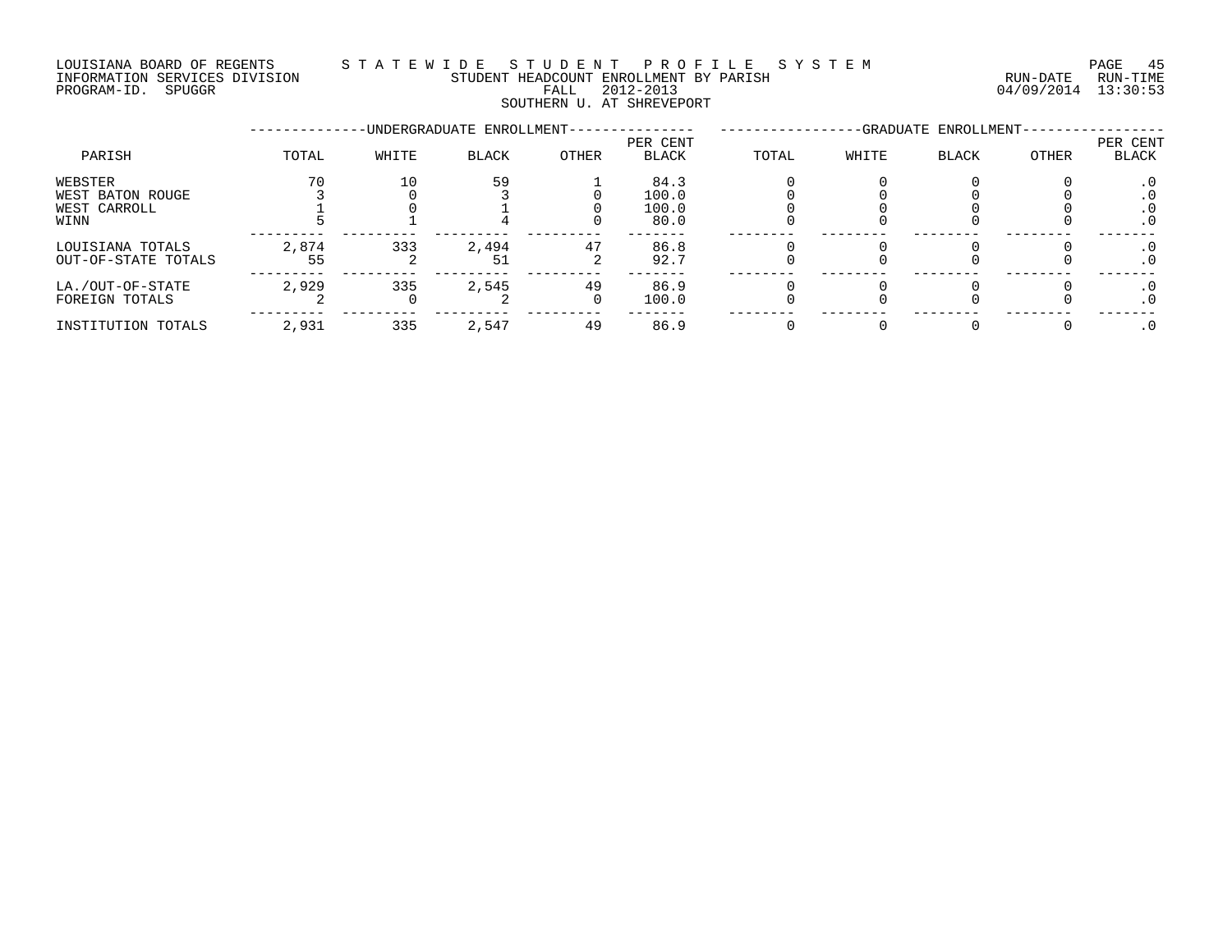### LOUISIANA BOARD OF REGENTS S T A T E W I D E S T U D E N T P R O F I L E S Y S T E M PAGE 45 INFORMATION SERVICES DIVISION STUDENT HEADCOUNT ENROLLMENT BY PARISH RUN-DATE RUN-TIME PROGRAM-ID. SPUGGR FALL 2012-2013 04/09/2014 13:30:53 SOUTHERN U. AT SHREVEPORT

|                                                     |             |       | -UNDERGRADUATE ENROLLMENT- |                |                                |       |       | -GRADUATE ENROLLMENT- |              |                   |
|-----------------------------------------------------|-------------|-------|----------------------------|----------------|--------------------------------|-------|-------|-----------------------|--------------|-------------------|
| PARISH                                              | TOTAL       | WHITE | <b>BLACK</b>               | <b>OTHER</b>   | PER CENT<br><b>BLACK</b>       | TOTAL | WHITE | BLACK                 | <b>OTHER</b> | PER CENT<br>BLACK |
| WEBSTER<br>WEST BATON ROUGE<br>WEST CARROLL<br>WINN | 70          | 10    | 59                         |                | 84.3<br>100.0<br>100.0<br>80.0 |       |       |                       |              | . 0               |
| LOUISIANA TOTALS<br>OUT-OF-STATE TOTALS             | 2,874<br>55 | 333   | 2,494                      | 47             | 86.8<br>92.7                   |       |       |                       |              |                   |
| LA./OUT-OF-STATE<br>FOREIGN TOTALS                  | 2,929       | 335   | 2,545                      | 49<br>$\Omega$ | 86.9<br>100.0                  |       |       |                       |              | . U               |
| INSTITUTION TOTALS                                  | 2,931       | 335   | 2,547                      | 49             | 86.9                           |       |       |                       |              |                   |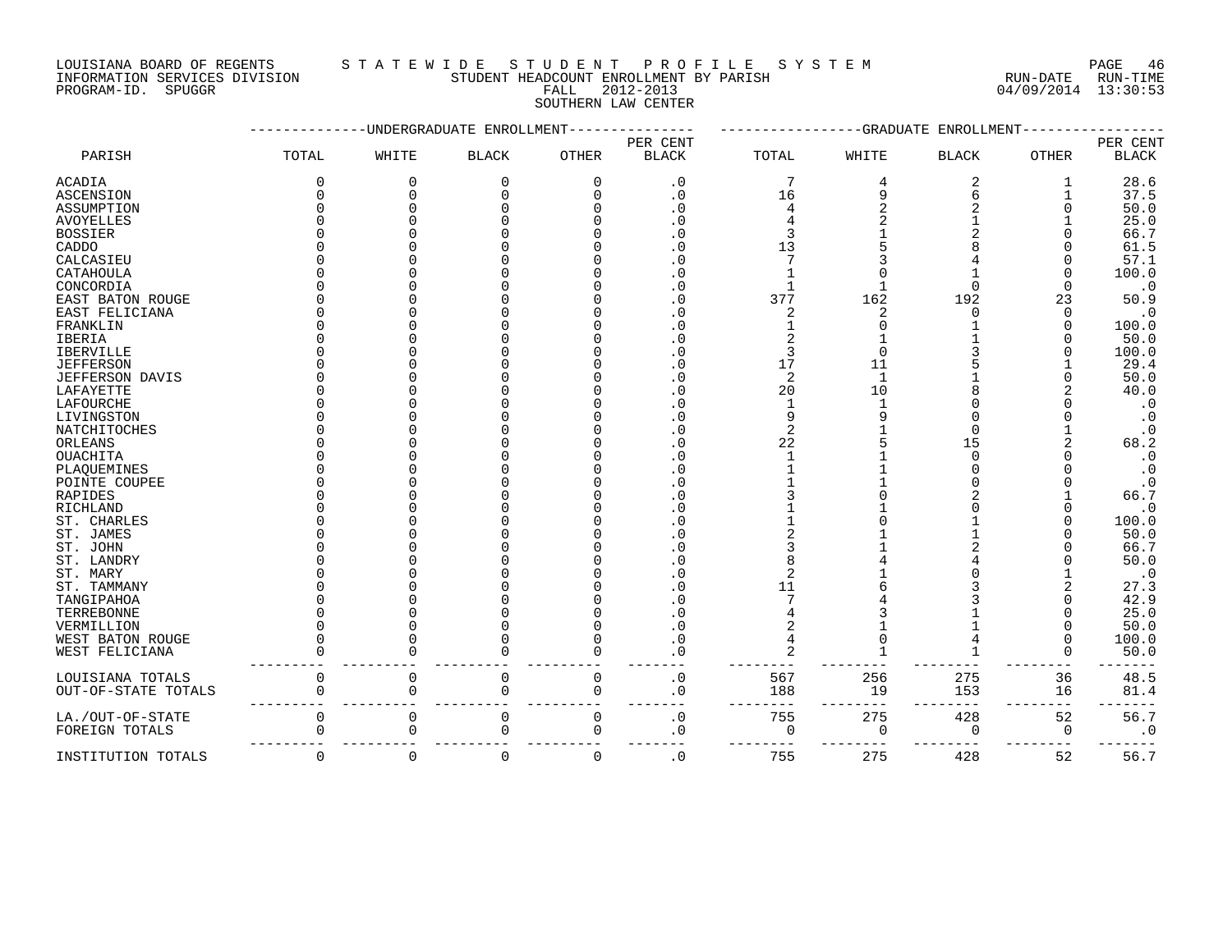LOUISIANA BOARD OF REGENTS STATEWIDE STUDE NT PROFILE SYSTEM PAGE 46<br>INFORMATION SERVICES DIVISION STUDENT HEADCOUNT ENROLLMENT BY PARISH NUN-DATE RUN-TIME

### PROGRAM-ID. SPUGGR FALL 2012-2013 04/09/2014 13:30:53 SOUTHERN LAW CENTER

INE SIULENI FROLLMENT BY PARISH RUN-DATE RUN-DATE RUN-TIME

|                        |              |             | -UNDERGRADUATE ENROLLMENT |                |                        |                |              | -GRADUATE ENROLLMENT |              |              |
|------------------------|--------------|-------------|---------------------------|----------------|------------------------|----------------|--------------|----------------------|--------------|--------------|
|                        |              |             |                           |                | PER CENT               |                |              |                      |              | PER CENT     |
| PARISH                 | TOTAL        | WHITE       | <b>BLACK</b>              | <b>OTHER</b>   | <b>BLACK</b>           | TOTAL          | WHITE        | <b>BLACK</b>         | <b>OTHER</b> | <b>BLACK</b> |
| <b>ACADIA</b>          | 0            | 0           | 0                         | O              | $\cdot$ 0              | 7              |              | 2                    |              | 28.6         |
| <b>ASCENSION</b>       | <sup>0</sup> | ∩           | U                         |                | $\cdot$ 0              | 16             | q            |                      |              | 37.5         |
| ASSUMPTION             | O            |             |                           |                | $\cdot$ 0              |                |              |                      |              | 50.0         |
| <b>AVOYELLES</b>       |              |             |                           |                | $\cdot$ 0              |                |              |                      |              | 25.0         |
| <b>BOSSIER</b>         |              |             |                           |                | . 0                    |                |              |                      |              | 66.7         |
| CADDO                  |              |             |                           |                | $\cdot$ 0              | 13             |              |                      |              | 61.5         |
| CALCASIEU              |              |             |                           |                | $\cdot$ 0              |                |              |                      |              | 57.1         |
| CATAHOULA              |              |             |                           |                | $\cdot$ 0              |                |              |                      |              | 100.0        |
| CONCORDIA              |              |             |                           |                | $\cdot$ 0              |                |              | $\Omega$             |              | $\cdot$ 0    |
| EAST BATON ROUGE       | N            |             |                           |                | . 0                    | 377            | 162          | 192                  | 23           | 50.9         |
| EAST FELICIANA         | U            |             |                           |                | . 0                    | 2              |              |                      | $\Omega$     | $\cdot$ 0    |
| FRANKLIN               | ⋂            |             |                           |                | . 0                    |                |              |                      |              | 100.0        |
| <b>IBERIA</b>          |              |             |                           |                | . 0                    |                |              |                      |              | 50.0         |
| <b>IBERVILLE</b>       |              |             |                           |                | . 0                    | 3              |              |                      |              | 100.0        |
| <b>JEFFERSON</b>       |              |             |                           |                | . 0                    | 17             | 11           |                      |              | 29.4         |
| <b>JEFFERSON DAVIS</b> |              |             |                           |                | $\cdot$ 0              | $\overline{2}$ | $\mathbf{1}$ |                      |              | 50.0         |
| LAFAYETTE              |              |             |                           |                | $\cdot$ 0              | 20             | 10           |                      |              | 40.0         |
| LAFOURCHE              |              |             |                           |                | $\cdot$ 0              | $\mathbf{1}$   |              |                      |              | $\cdot$ 0    |
| LIVINGSTON             |              |             |                           |                | $\cdot$ 0              | q              |              |                      |              | $\cdot$ 0    |
| NATCHITOCHES           |              |             |                           |                | $\cdot$ 0              | $\overline{2}$ |              |                      |              | $\cdot$ 0    |
| ORLEANS                |              |             |                           |                | $\cdot$ 0              | 22             |              | 15                   |              | 68.2         |
| OUACHITA               |              |             |                           |                | . 0                    |                |              | $\Omega$             |              | $\cdot$ 0    |
| PLAQUEMINES            |              |             |                           |                | $\cdot$ 0              |                |              |                      |              | $\cdot$ 0    |
| POINTE COUPEE          |              |             |                           |                | . 0                    |                |              |                      |              | $\cdot$ 0    |
| RAPIDES                |              |             |                           |                | . 0                    |                |              |                      |              | 66.7         |
| RICHLAND               |              |             |                           |                | $\cdot$ 0              |                |              |                      |              | $\cdot$ 0    |
| ST. CHARLES            |              |             |                           |                | . 0                    |                |              |                      |              | 100.0        |
| ST. JAMES              |              |             |                           |                | . 0                    |                |              |                      |              | 50.0         |
| ST. JOHN               |              |             |                           |                | $\cdot$ 0              |                |              |                      |              | 66.7         |
| ST. LANDRY             |              |             |                           |                | . 0                    |                |              |                      |              | 50.0         |
| ST. MARY               |              |             |                           |                | . 0                    | 2              |              |                      |              | $\cdot$ 0    |
| ST. TAMMANY            |              |             |                           |                | $\Omega$               | 11             |              |                      |              | 27.3         |
| TANGIPAHOA             |              |             |                           |                | $\Omega$               |                |              |                      |              | 42.9         |
| TERREBONNE             |              |             |                           |                | $\Omega$               |                |              |                      |              | 25.0         |
| VERMILLION             |              |             |                           |                | $\cdot$ 0              |                |              |                      |              | 50.0         |
| WEST BATON ROUGE       |              |             |                           |                | . 0                    |                |              |                      | $\Omega$     | 100.0        |
| WEST FELICIANA         |              | C           |                           |                | $\cdot$ 0              |                |              |                      |              | 50.0         |
| LOUISIANA TOTALS       | 0            | $\mathbf 0$ | $\overline{0}$            | $\overline{0}$ | . $\boldsymbol{0}$     | 567            | 256          | 275                  | 36           | 48.5         |
| OUT-OF-STATE TOTALS    | ი            | $\Omega$    | 0                         | $\Omega$       | . 0                    | 188            | 19           | 153                  | 16           | 81.4         |
| LA./OUT-OF-STATE       | 0            | $\Omega$    | $\Omega$                  | $\Omega$       | $\boldsymbol{\cdot}$ 0 | 755            | 275          | 428                  | 52           | 56.7         |
| FOREIGN TOTALS         | $\Omega$     | $\Omega$    | 0                         | $\cap$         | . 0                    | $\Omega$       | $\Omega$     | 0                    | 0            | $\cdot$ 0    |
| INSTITUTION TOTALS     | $\Omega$     | $\mathbf 0$ | 0                         | $\Omega$       | $\cdot$ 0              | 755            | 275          | 428                  | 52           | 56.7         |
|                        |              |             |                           |                |                        |                |              |                      |              |              |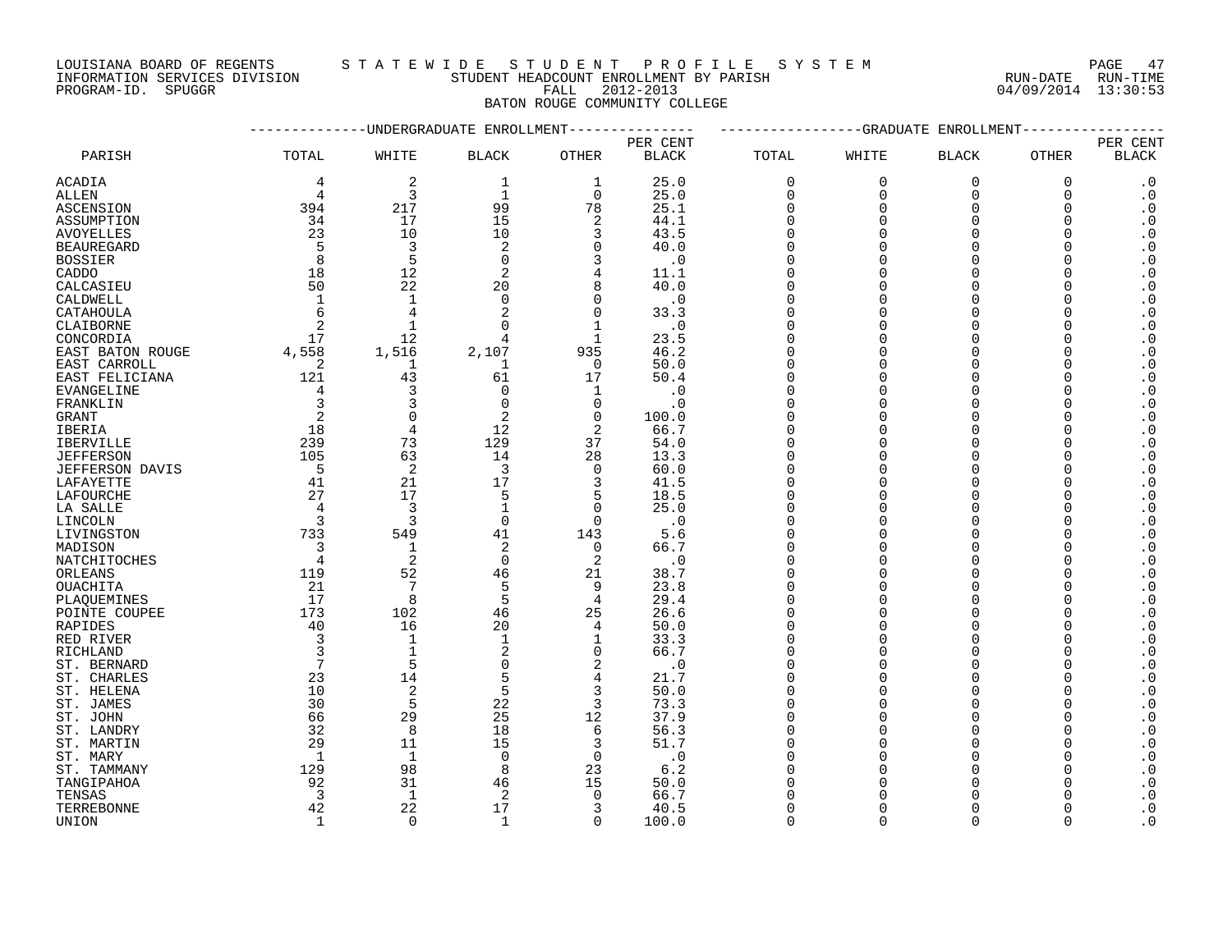LOUISIANA BOARD OF REGENTS STATEWIDE STUDENT PROFILE SYSTEM PAGE 47

#### INFORMATION SERVICES DIVISION STUDENT HEADCOUNT ENROLLMENT BY PARISH RUN-DATE RUN-TIME PROGRAM-ID. SPUGGR FALL 2012-2013 04/09/2014 13:30:53 BATON ROUGE COMMUNITY COLLEGE

|                            |                         | ---------UNDERGRADUATE ENROLLMENT- |                   |                |              |             |             | -----------GRADUATE ENROLLMENT- |          |                                                  |
|----------------------------|-------------------------|------------------------------------|-------------------|----------------|--------------|-------------|-------------|---------------------------------|----------|--------------------------------------------------|
|                            |                         |                                    |                   |                | PER CENT     |             |             |                                 |          | PER CENT                                         |
| PARISH                     | TOTAL                   | WHITE                              | <b>BLACK</b>      | OTHER          | <b>BLACK</b> | TOTAL       | WHITE       | <b>BLACK</b>                    | OTHER    | <b>BLACK</b>                                     |
| ACADIA                     | 4                       | 2                                  | 1                 | 1              | 25.0         | $\mathbf 0$ | $\mathbf 0$ | $\mathbf 0$                     | 0        | $\cdot$ 0                                        |
| ALLEN                      | 4                       | $\overline{3}$                     | 1                 | $\Omega$       | 25.0         | $\mathbf 0$ | $\mathbf 0$ | $\mathbf 0$                     | 0        | $\cdot$ 0                                        |
| ASCENSION                  | 394                     | 217                                | 99                | 78             | 25.1         | $\Omega$    | $\Omega$    | $\Omega$                        | $\Omega$ | $\boldsymbol{\cdot}$ 0                           |
| ASSUMPTION                 | 34                      | 17                                 | 15                | $\overline{2}$ | 44.1         | $\Omega$    | $\Omega$    | $\Omega$                        | $\Omega$ | $\boldsymbol{\cdot}$ 0                           |
| AVOYELLES                  | 23                      | 10                                 | 10                | 3              | 43.5         | $\Omega$    | $\cap$      | $\Omega$                        | ∩        | $\cdot$ 0                                        |
| <b>BEAUREGARD</b>          | - 5                     | 3                                  | 2                 | $\Omega$       | 40.0         | $\Omega$    | ∩           | $\Omega$                        | ∩        | $\cdot$ 0                                        |
| <b>BOSSIER</b>             | 8                       | 5                                  | $\Omega$          | 3              | $\cdot$ 0    | $\Omega$    |             | $\Omega$                        | $\Omega$ | $\boldsymbol{\cdot}$ 0                           |
| CADDO                      | 18                      | 12                                 | 2                 | $\overline{4}$ | 11.1         | $\Omega$    | $\Omega$    | $\Omega$                        | $\Omega$ | $\boldsymbol{\cdot}$ 0                           |
| CALCASIEU                  | 50                      | 22                                 | 20                | 8              | 40.0         | ∩           | ∩           | $\Omega$                        |          | $\boldsymbol{\cdot}$ 0                           |
| CALDWELL                   | 1                       | $\mathbf{1}$                       | $\Omega$          | $\Omega$       | $\cdot$ 0    | $\Omega$    |             | $\Omega$                        |          | $\boldsymbol{\cdot}$ 0                           |
| CATAHOULA                  | 6                       | $\overline{4}$                     | 2                 | $\Omega$       | 33.3         | $\Omega$    | ∩           | $\Omega$                        | ∩        | $\boldsymbol{\cdot}$ 0                           |
| CLAIBORNE                  | 2                       | $\mathbf{1}$                       | $\Omega$          | $\mathbf{1}$   | $\cdot$ 0    | $\Omega$    |             | $\Omega$                        | 0        | $\boldsymbol{\cdot}$ 0                           |
| CONCORDIA                  | 17                      | 12                                 | 4                 | 1              | 23.5         | $\Omega$    |             | $\Omega$                        | $\Omega$ | $\cdot$ 0                                        |
| EAST BATON ROUGE           | 4,558                   | 1,516                              | 2,107             | 935            | 46.2         | $\Omega$    | ∩           | $\Omega$                        |          | $\boldsymbol{\cdot}$ 0                           |
| EAST CARROLL               | 2                       | 1                                  | $\mathbf{1}$      | $\Omega$       | 50.0         | $\Omega$    |             | $\Omega$                        | $\Omega$ | $\cdot$ 0                                        |
| EAST FELICIANA             | 121                     | 43                                 | 61                | 17             | 50.4         | $\Omega$    |             | $\Omega$                        |          | $\boldsymbol{\cdot}$ 0                           |
| EVANGELINE                 | 4                       | 3                                  | 0                 | 1              | $\cdot$ 0    | $\Omega$    |             | $\Omega$                        | U        | $\boldsymbol{\cdot}$ 0                           |
| FRANKLIN                   | 3                       | 3                                  | $\Omega$          | $\Omega$       | . 0          | $\Omega$    |             | $\Omega$                        |          | $\cdot$ 0                                        |
| <b>GRANT</b>               | 2                       | $\Omega$                           | 2                 | $\Omega$       | 100.0        | $\Omega$    | ∩           | $\Omega$                        | $\Omega$ | $\cdot$ 0                                        |
|                            | 18                      | $\overline{4}$                     | 12                | 2              | 66.7         |             |             | $\Omega$                        |          | $\cdot$ 0                                        |
| IBERIA<br><b>IBERVILLE</b> | 239                     | 73                                 | 129               | 37             | 54.0         | $\Omega$    |             | $\Omega$                        | O        |                                                  |
| <b>JEFFERSON</b>           | 105                     | 63                                 | 14                | 28             | 13.3         | ∩           |             | $\cap$                          |          | $\boldsymbol{\cdot}$ 0<br>$\boldsymbol{\cdot}$ 0 |
|                            | $-5$                    |                                    | 3                 | $\Omega$       | 60.0         | $\Omega$    |             | $\Omega$                        |          | $\cdot$ 0                                        |
| JEFFERSON DAVIS            | 41                      | 2<br>21                            | 17                |                |              | $\Omega$    |             | $\Omega$                        |          | $\boldsymbol{\cdot}$ 0                           |
| LAFAYETTE                  | 27                      | 17                                 |                   | 3              | 41.5         |             |             |                                 |          |                                                  |
| LAFOURCHE                  | $\overline{4}$          | $\overline{3}$                     | 5<br>$\mathbf{1}$ | 5<br>$\Omega$  | 18.5         | $\Omega$    |             | $\cap$                          |          | $\cdot$ 0<br>$\cdot$ 0                           |
| LA SALLE                   |                         | $\overline{3}$                     |                   | $\Omega$       | 25.0         | $\Omega$    |             | $\Omega$                        |          |                                                  |
| LINCOLN                    | $\overline{\mathbf{3}}$ |                                    | $\mathbf 0$       |                | $\cdot$ 0    |             |             |                                 |          | $\boldsymbol{\cdot}$ 0                           |
| LIVINGSTON                 | 733                     | 549                                | 41                | 143            | 5.6          | $\Omega$    |             | $\Omega$                        |          | $\cdot$ 0                                        |
| MADISON                    | 3                       | $\mathbf{1}$                       | 2                 | $\Omega$       | 66.7         | $\Omega$    |             | $\Omega$                        |          | $\cdot$ 0                                        |
| NATCHITOCHES               | $\overline{4}$          | 2                                  | $\Omega$          | 2              | $\cdot$ 0    | $\Omega$    |             | $\Omega$                        | $\Omega$ | $\cdot$ 0                                        |
| ORLEANS                    | 119                     | 52                                 | 46                | 21             | 38.7         | $\Omega$    |             | $\Omega$                        |          | $\boldsymbol{\cdot}$ 0                           |
| OUACHITA                   | 21                      | $7\phantom{.0}$                    | 5                 | 9              | 23.8         | $\Omega$    | ∩           | $\Omega$                        | O        | $\cdot$ 0                                        |
| PLAQUEMINES                | 17                      | 8                                  | 5                 | $\overline{4}$ | 29.4         | $\Omega$    |             | $\Omega$                        |          | $\boldsymbol{\cdot}$ 0                           |
| POINTE COUPEE              | 173                     | 102                                | 46                | 25             | 26.6         | $\Omega$    |             | $\Omega$                        | $\Omega$ | $\boldsymbol{\cdot}$ 0                           |
| RAPIDES                    | 40                      | 16                                 | 20                | 4              | 50.0         | $\Omega$    |             |                                 |          | $\cdot$ 0                                        |
| RED RIVER                  | $\overline{3}$          | $\mathbf{1}$                       | $\mathbf{1}$      | 1              | 33.3         | $\Omega$    |             | $\Omega$                        | O        | $\cdot$ 0                                        |
| RICHLAND                   | $\overline{3}$          | $\mathbf{1}$                       | 2                 | $\Omega$       | 66.7         | $\Omega$    |             | $\Omega$                        | $\Omega$ | $\boldsymbol{\cdot}$ 0                           |
| ST. BERNARD                | $7\phantom{.0}$         | 5                                  | $\Omega$          | 2              | $\cdot$ 0    | $\Omega$    |             | $\Omega$                        |          | $\boldsymbol{\cdot}$ 0                           |
| ST. CHARLES                | 23                      | 14                                 | 5                 | 4              | 21.7         | $\Omega$    |             | $\Omega$                        | U        | $\cdot$ 0                                        |
| ST. HELENA                 | 10                      | $\overline{c}$                     | 5                 | 3              | 50.0         | $\Omega$    |             | $\Omega$                        |          | $\boldsymbol{\cdot}$ 0                           |
| ST. JAMES                  | 30                      | 5                                  | 22                | 3              | 73.3         | $\Omega$    |             | $\Omega$                        |          | $\cdot$ 0                                        |
| ST. JOHN                   | 66                      | 29                                 | 25                | 12             | 37.9         | $\Omega$    |             | $\Omega$                        |          | $\boldsymbol{\cdot}$ 0                           |
| ST. LANDRY                 | 32                      | 8                                  | 18                | $\epsilon$     | 56.3         | $\Omega$    |             | $\Omega$                        |          | $\cdot$ 0                                        |
| ST. MARTIN                 | 29                      | 11                                 | 15                | 3              | 51.7         | $\Omega$    |             | $\Omega$                        |          | $\boldsymbol{\cdot}$ 0                           |
| ST. MARY                   | 1                       | $\mathbf{1}$                       | $\Omega$          | $\Omega$       | $\cdot$ 0    | $\cap$      |             | $\Omega$                        |          | $\cdot$ 0                                        |
| ST. TAMMANY                | 129                     | 98                                 | 8                 | 23             | 6.2          |             |             | $\Omega$                        |          | $\cdot$ 0                                        |
| TANGIPAHOA                 | 92                      | 31                                 | 46                | 15             | 50.0         |             |             |                                 |          | $\cdot$ 0                                        |
| TENSAS                     | $\overline{3}$          | $\mathbf{1}$                       | 2                 | $\Omega$       | 66.7         |             |             |                                 |          | $\cdot$ 0                                        |
| TERREBONNE                 | 42                      | 22                                 | 17                | 3              | 40.5         | $\Omega$    |             | $\Omega$                        |          | $\cdot$ 0                                        |
| UNION                      | $\mathbf{1}$            | $\Omega$                           | $\mathbf{1}$      | $\Omega$       | 100.0        | $\Omega$    | $\cap$      | $\cap$                          |          | $\overline{\phantom{0}}$ .                       |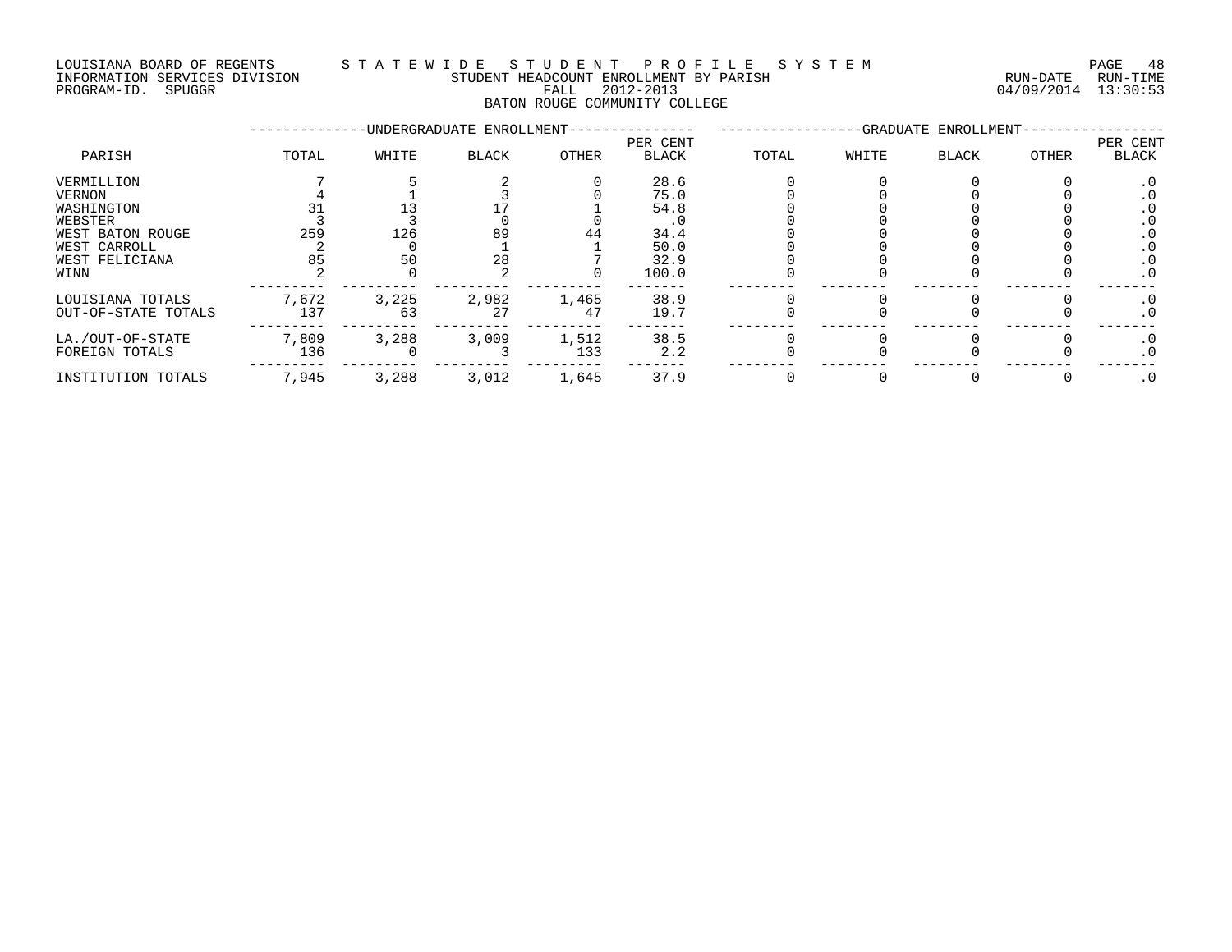### LOUISIANA BOARD OF REGENTS S T A T E W I D E S T U D E N T P R O F I L E S Y S T E M PAGE 48 INFORMATION SERVICES DIVISION STUDENT HEADCOUNT ENROLLMENT BY PARISH RUN-DATE RUN-TIME DOULSIANA BOARD OF REGENIS (2014) INFORMATION SERVICES DIVISION<br>INFORMATION SERVICES DIVISION STUDENT HEADCOUNT ENROLLMENT BY PARISH<br>PROGRAM-ID. SPUGGR (2012-2013 64/09/2014 13:30:53

BATON ROUGE COMMUNITY COLLEGE

|                     |       |       | -UNDERGRADUATE ENROLLMENT- |              |                          |       |       | -GRADUATE ENROLLMENT- |       |                          |
|---------------------|-------|-------|----------------------------|--------------|--------------------------|-------|-------|-----------------------|-------|--------------------------|
| PARISH              | TOTAL | WHITE | <b>BLACK</b>               | <b>OTHER</b> | PER CENT<br><b>BLACK</b> | TOTAL | WHITE | <b>BLACK</b>          | OTHER | PER CENT<br><b>BLACK</b> |
| VERMILLION          |       |       |                            |              | 28.6                     |       |       |                       |       | . 0                      |
| VERNON              |       |       |                            |              | 75.0                     |       |       |                       |       |                          |
| WASHINGTON          |       |       |                            |              | 54.8                     |       |       |                       |       |                          |
| WEBSTER             |       |       |                            |              |                          |       |       |                       |       | . 0                      |
| WEST BATON ROUGE    | 259   | 126   | 89                         | 44           | 34.4                     |       |       |                       |       |                          |
| WEST CARROLL        |       |       |                            |              | 50.0                     |       |       |                       |       |                          |
| WEST FELICIANA      | 85    | 50    | 28                         |              | 32.9                     |       |       |                       |       | . 0                      |
| WINN                |       |       |                            |              | 100.0                    |       |       |                       |       | $\cdot$ 0                |
| LOUISIANA TOTALS    | 7,672 | 3,225 | 2,982                      | 1,465        | 38.9                     |       |       |                       |       | . 0                      |
| OUT-OF-STATE TOTALS | 137   | 63    | 27                         | 47           | 19.7                     |       |       |                       |       | $\cdot$ 0                |
| LA./OUT-OF-STATE    | 7,809 | 3,288 | 3,009                      | 1,512        | 38.5                     |       |       |                       |       | $\cdot$ 0                |
| FOREIGN TOTALS      | 136   |       |                            | 133          | 2.2                      |       |       |                       |       | $\cdot$ 0                |
| INSTITUTION TOTALS  | 7,945 | 3,288 | 3,012                      | 1,645        | 37.9                     |       |       |                       |       | $\cdot$ 0                |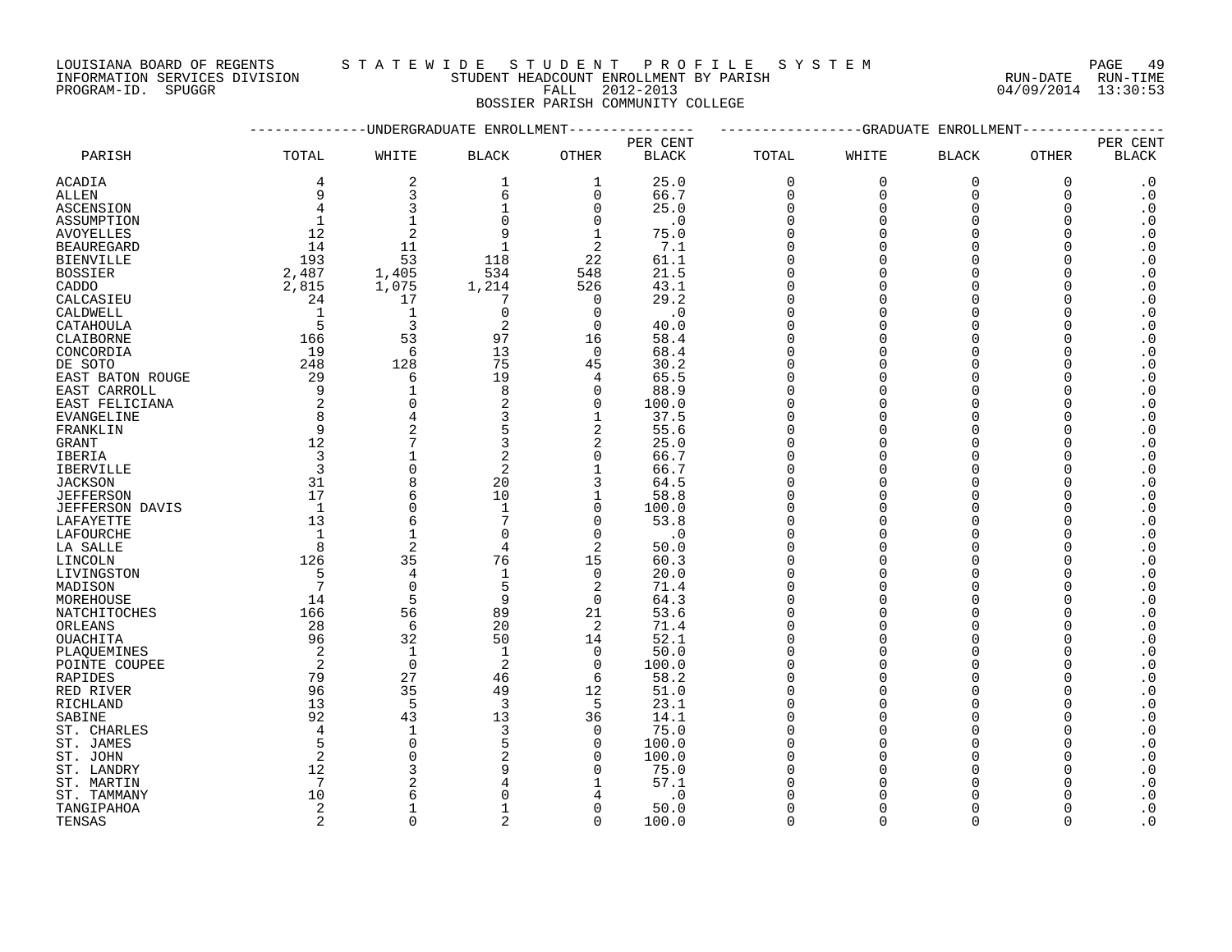LOUISIANA BOARD OF REGENTS STA TEWIDE STUDENT PROFILE SYSTEM NAGE 49

INFORMATION SERVICES DIVISION STUDENT HEADCOUNT ENROLLMENT BY PARISH RUN-DATE RUN-TIME

PROGRAM-ID. SPUGGR FALL 2012-2013 04/09/2014 13:30:53 BOSSIER PARISH COMMUNITY COLLEGE

|                        |                 |                | ----------UNDERGRADUATE ENROLLMENT------------- |               |               |                      |             | ------------GRADUATE ENROLLMENT- |              |                                                  |
|------------------------|-----------------|----------------|-------------------------------------------------|---------------|---------------|----------------------|-------------|----------------------------------|--------------|--------------------------------------------------|
|                        |                 |                |                                                 |               | PER CENT      |                      |             |                                  |              | PER CENT                                         |
| PARISH                 | TOTAL           | WHITE          | <b>BLACK</b>                                    | <b>OTHER</b>  | <b>BLACK</b>  | TOTAL                | WHITE       | <b>BLACK</b>                     | <b>OTHER</b> | <b>BLACK</b>                                     |
| ACADIA                 | 4               | 2              | 1                                               | 1             | 25.0          | $\mathbf 0$          | $\Omega$    | $\Omega$                         | $\mathbf 0$  | $\cdot$ 0                                        |
| ALLEN                  | 9               | 3              | 6                                               | 0             | 66.7          | $\mathbf 0$          | $\mathbf 0$ | $\mathbf 0$                      | $\Omega$     | $\cdot$ 0                                        |
| ASCENSION              | 4               | 3              |                                                 | 0             | 25.0          | $\Omega$             | ∩           | $\Omega$                         | ∩            | $\cdot$ 0                                        |
| ASSUMPTION             |                 | 1              |                                                 | $\Omega$      | $\cdot$ 0     | $\Omega$             | ∩           | <sup>n</sup>                     | ∩            | $\cdot$ 0                                        |
| AVOYELLES              | 12              | $\overline{2}$ | 9                                               | 1             | 75.0          | $\Omega$             | ∩           | $\Omega$                         |              | $\cdot$ 0                                        |
| <b>BEAUREGARD</b>      | 14              | 11             |                                                 | 2             | 7.1           | 0                    | O           | $\Omega$                         | ∩            | $\cdot$ 0                                        |
| BIENVILLE              | 193             | 53             | 118                                             | 22            | 61.1          | $\Omega$             |             | $\Omega$                         |              | $\cdot$ 0                                        |
| <b>BOSSIER</b>         | 2,487           | 1,405          | 534                                             | 548           | 21.5          | 0                    |             | $\Omega$                         |              | $\cdot$ 0                                        |
| CADDO                  | 2,815           | 1,075          | 1,214                                           | 526           | 43.1          | $\Omega$             | ∩           | $\Omega$                         |              | $\cdot$ 0                                        |
| CALCASIEU              | 24              | 17             | 7                                               | 0             | 29.2          | $\Omega$             |             | $\Omega$                         |              | $\boldsymbol{\cdot}$ 0                           |
| CALDWELL               | -1              | 1              | $\Omega$                                        | $\Omega$      | $\cdot$ 0     | $\Omega$             |             | <sup>n</sup>                     |              | $\cdot$ 0                                        |
| CATAHOULA              | 5               | 3              | $\overline{2}$                                  | $\Omega$      | 40.0          | $\Omega$             |             | <sup>n</sup>                     |              | $\cdot$ 0                                        |
| CLAIBORNE              | 166             | 53             | 97                                              | 16            | 58.4          | O                    |             | $\Omega$                         |              | $\boldsymbol{\cdot}$ 0                           |
| CONCORDIA              | 19              | 6              | 13                                              | 0             | 68.4          | 0                    | O           | $\Omega$                         |              | $\cdot$ 0                                        |
| DE SOTO                | 248             | 128            | 75                                              | 45            | 30.2          | $\Omega$             |             | $\Omega$                         |              | $\boldsymbol{\cdot}$ 0                           |
| EAST BATON ROUGE       | 29              | 6              | 19                                              | 4             | 65.5          | 0                    |             | $\Omega$                         |              | $\cdot$ 0                                        |
| EAST CARROLL           | -9              | 1              | 8                                               | $\Omega$      | 88.9          | $\Omega$             | ∩           | $\Omega$                         |              | $\cdot$ 0                                        |
| EAST FELICIANA         | 2               | 0              | $\overline{2}$                                  | 0             | 100.0         | $\Omega$             | $\Omega$    | $\mathbf 0$                      |              | $\boldsymbol{\cdot}$ 0                           |
| EVANGELINE             | 8               | 4              | 3                                               | 1             | 37.5          | 0                    |             | $\Omega$                         |              | $\cdot$ 0                                        |
| FRANKLIN               | 9               | 2              | 5                                               | 2             | 55.6          | $\Omega$             |             | $\Omega$                         |              | $\cdot$ 0                                        |
| GRANT                  | 12              | 7              | 3                                               | 2             | 25.0          | $\Omega$             | ∩           | $\Omega$                         |              | $\boldsymbol{\cdot}$ 0                           |
| IBERIA                 | 3               | 1              | 2                                               | 0             | 66.7          | 0                    | O           | $\Omega$                         | ∩            | $\cdot$ 0                                        |
| IBERVILLE              | 3               | $\Omega$       | $\overline{2}$                                  | 1             | 66.7          | $\Omega$             |             | $\Omega$                         |              | $\boldsymbol{\cdot}$ 0                           |
| JACKSON                | 31              | 8              | 20                                              | 3             | 64.5          | 0                    |             | $\Omega$                         |              | $\cdot$ 0                                        |
| JEFFERSON              | 17              | 6              | 10                                              | 1             | 58.8          | O                    |             | <sup>n</sup>                     |              | $\boldsymbol{\cdot}$ 0                           |
| JEFFERSON DAVIS        | 1               | 0              | 1                                               | 0             | 100.0         | 0                    | ∩           | $\mathbf 0$                      |              | $\cdot$ 0                                        |
| LAFAYETTE              | 13              | 6              |                                                 | 0             | 53.8          | 0                    |             | $\Omega$                         |              | $\cdot$ 0                                        |
| LAFOURCHE              | -1              | $\mathbf{1}$   | $\Omega$                                        | $\Omega$      | $\cdot$ 0     | $\Omega$             |             | $\Omega$                         |              | $\cdot$ 0                                        |
| LA SALLE               | 8               | 2              | 4                                               | 2             | 50.0          | $\Omega$             | ∩           | $\Omega$                         |              | $\boldsymbol{\cdot}$ 0                           |
| LINCOLN                | 126             | 35             | 76                                              | 15            | 60.3          | $\Omega$             | O           | $\Omega$                         | ∩            | $\cdot$ 0                                        |
| LIVINGSTON             | 5               | 4              | -1                                              | $\Omega$      | 20.0          | $\Omega$             |             | $\Omega$                         |              | $\boldsymbol{\cdot}$ 0                           |
| MADISON                | $7\phantom{.0}$ | $\mathbf 0$    | 5                                               | 2             | 71.4          | $\Omega$             |             | $\Omega$                         |              | $\cdot$ 0                                        |
| MOREHOUSE              | 14              | 5              | 9                                               | $\Omega$      | 64.3          | O                    |             | <sup>n</sup>                     |              | $\boldsymbol{\cdot}$ 0                           |
| NATCHITOCHES           | 166             | 56             | 89                                              | 21            | 53.6          | $\Omega$             | ∩           | $\Omega$                         |              | $\cdot$ 0                                        |
| ORLEANS                | 28              | 6              | 20                                              | 2             | 71.4          | 0                    |             | $\Omega$                         |              | $\boldsymbol{\cdot}$ 0                           |
| OUACHITA               | 96              | 32             | 50                                              | 14            | 52.1          | $\Omega$             |             | $\Omega$                         |              | $\boldsymbol{\cdot}$ 0                           |
| PLAQUEMINES            | 2               | $\mathbf{1}$   | $\mathbf{1}$                                    | 0             | 50.0          | $\Omega$             | ∩           | $\Omega$                         |              | $\boldsymbol{\cdot}$ 0                           |
| POINTE COUPEE          | 2               | $\Omega$       | 2                                               | 0             | 100.0         | 0                    | O           | $\Omega$<br>$\Omega$             | ∩            | $\cdot$ 0                                        |
| RAPIDES                | 79<br>96        | 27             | 46                                              | 6             | 58.2          | $\Omega$<br>$\Omega$ |             | $\Omega$                         |              | $\boldsymbol{\cdot}$ 0                           |
| RED RIVER              | 13              | 35<br>5        | 49<br>$\overline{3}$                            | 12<br>5       | 51.0<br>23.1  | O                    |             | <sup>n</sup>                     |              | $\boldsymbol{\cdot}$ 0<br>$\boldsymbol{\cdot}$ 0 |
| RICHLAND<br>SABINE     | 92              | 43             | 13                                              | 36            | 14.1          | $\Omega$             | O           | $\Omega$                         |              | $\cdot$ 0                                        |
|                        |                 |                |                                                 |               |               | 0                    |             | $\Omega$                         |              | $\cdot$ 0                                        |
| ST. CHARLES            | 5               | 1<br>0         | 3<br>5                                          | 0<br>$\Omega$ | 75.0<br>100.0 | $\Omega$             |             | $\Omega$                         |              | $\boldsymbol{\cdot}$ 0                           |
| ST. JAMES              | 2               | 0              | 2                                               | 0             | 100.0         | $\Omega$             |             | $\Omega$                         |              | $\boldsymbol{\cdot}$ 0                           |
| ST. JOHN<br>ST. LANDRY | 12              | 3              | 9                                               | $\Omega$      | 75.0          | 0                    | ∩           | $\Omega$                         | ∩            | $\cdot$ 0                                        |
| ST. MARTIN             | 7               | 2              |                                                 |               | 57.1          | $\Omega$             |             | <sup>n</sup>                     |              | $\cdot$ 0                                        |
| ST. TAMMANY            | 10              | 6              |                                                 | 4             | $\cdot$ 0     | 0                    |             | $\Omega$                         |              | $\cdot$ 0                                        |
| TANGIPAHOA             | 2               | 1              |                                                 | 0             | 50.0          | $\Omega$             | ∩           | U                                |              | $\cdot$ 0                                        |
| TENSAS                 | 2               | $\Omega$       | 2                                               | $\Omega$      | 100.0         | $\Omega$             | $\Omega$    | $\Omega$                         | ∩            | $\cdot$ 0                                        |
|                        |                 |                |                                                 |               |               |                      |             |                                  |              |                                                  |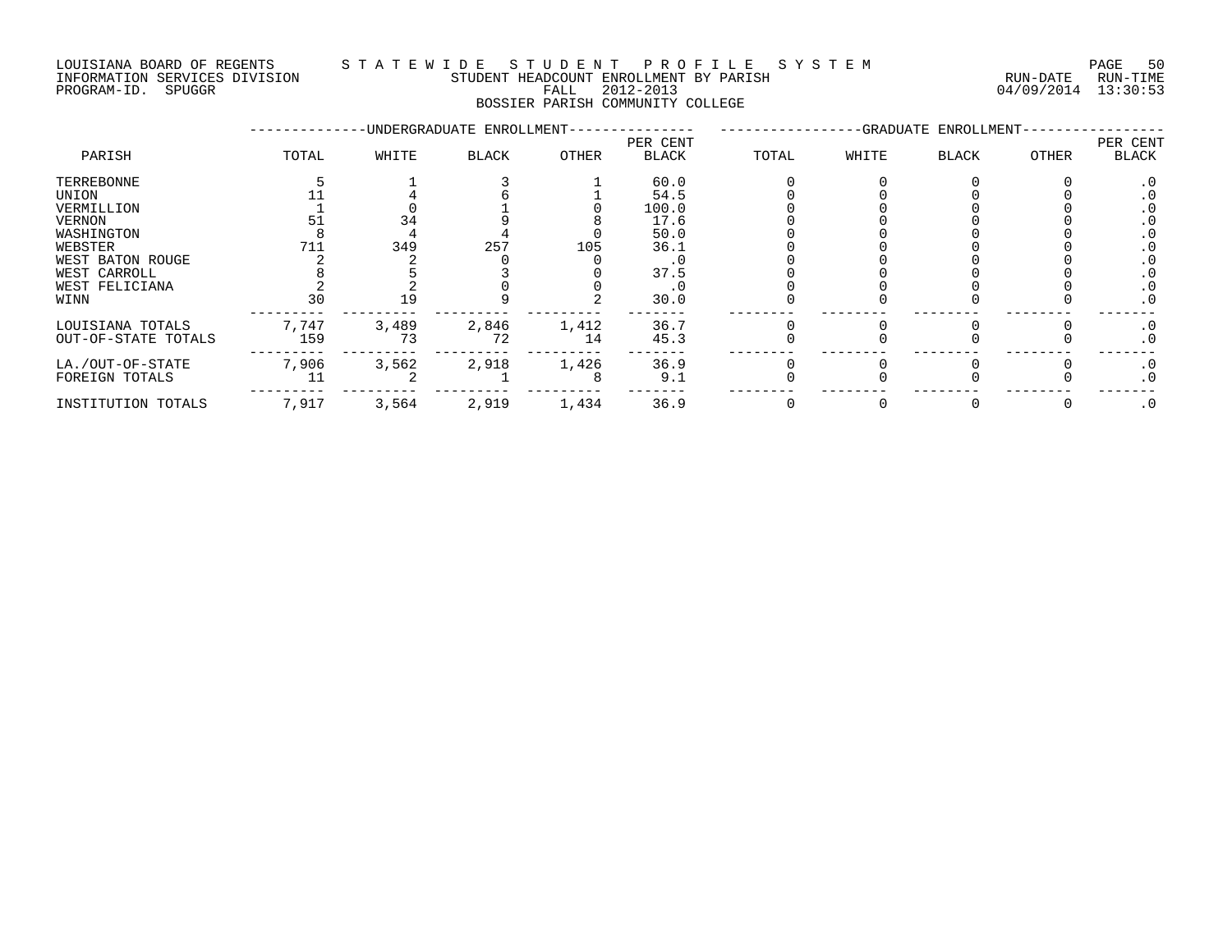INFORMATION SERVICES DIVISION STUDENT HEADCOUNT ENROLLMENT BY PARISH RUN-DATE RUN-TIME DOULSIANA BOARD OF REGENIS (2014) INFORMATION SERVICES DIVISION<br>INFORMATION SERVICES DIVISION STUDENT HEADCOUNT ENROLLMENT BY PARISH<br>PROGRAM-ID. SPUGGR (2012-2013 64/09/2014 13:30:53

### LOUISIANA BOARD OF REGENTS S T A T E W I D E S T U D E N T P R O F I L E S Y S T E M PAGE 50

BOSSIER PARISH COMMUNITY COLLEGE

|                     |       |       | -UNDERGRADUATE ENROLLMENT- |       |                          |       |       | -GRADUATE ENROLLMENT- |              |                   |
|---------------------|-------|-------|----------------------------|-------|--------------------------|-------|-------|-----------------------|--------------|-------------------|
| PARISH              | TOTAL | WHITE | BLACK                      | OTHER | PER CENT<br><b>BLACK</b> | TOTAL | WHITE | <b>BLACK</b>          | <b>OTHER</b> | PER CENT<br>BLACK |
| TERREBONNE          |       |       |                            |       | 60.0                     |       |       |                       |              | . 0               |
| UNION               |       |       |                            |       | 54.5                     |       |       |                       |              |                   |
| VERMILLION          |       |       |                            |       | 100.0                    |       |       |                       |              |                   |
| <b>VERNON</b>       |       | 34    |                            |       | 17.6                     |       |       |                       |              |                   |
| WASHINGTON          |       |       |                            |       | 50.0                     |       |       |                       |              |                   |
| WEBSTER             | 711   | 349   | 257                        | 105   | 36.1                     |       |       |                       |              |                   |
| WEST BATON ROUGE    |       |       |                            |       | . 0                      |       |       |                       |              |                   |
| WEST CARROLL        |       |       |                            |       | 37.5                     |       |       |                       |              |                   |
| WEST FELICIANA      |       |       |                            |       | . 0                      |       |       |                       |              |                   |
| WINN                | 30    | 19    |                            |       | 30.0                     |       |       |                       |              | . 0               |
| LOUISIANA TOTALS    | 7,747 | 3,489 | 2,846                      | 1,412 | 36.7                     |       |       |                       |              | $\cdot$ 0         |
| OUT-OF-STATE TOTALS | 159   | 73    | 72                         | 14    | 45.3                     |       |       |                       |              | $\cdot$ 0         |
| LA./OUT-OF-STATE    | 7,906 | 3,562 | 2,918                      | 1,426 | 36.9                     |       |       |                       |              | $\cdot$ 0         |
| FOREIGN TOTALS      |       |       |                            |       | 9.1                      |       |       |                       |              | . 0               |
| INSTITUTION TOTALS  | 7,917 | 3,564 | 2,919                      | 1,434 | 36.9                     |       |       |                       |              | $\cdot$ 0         |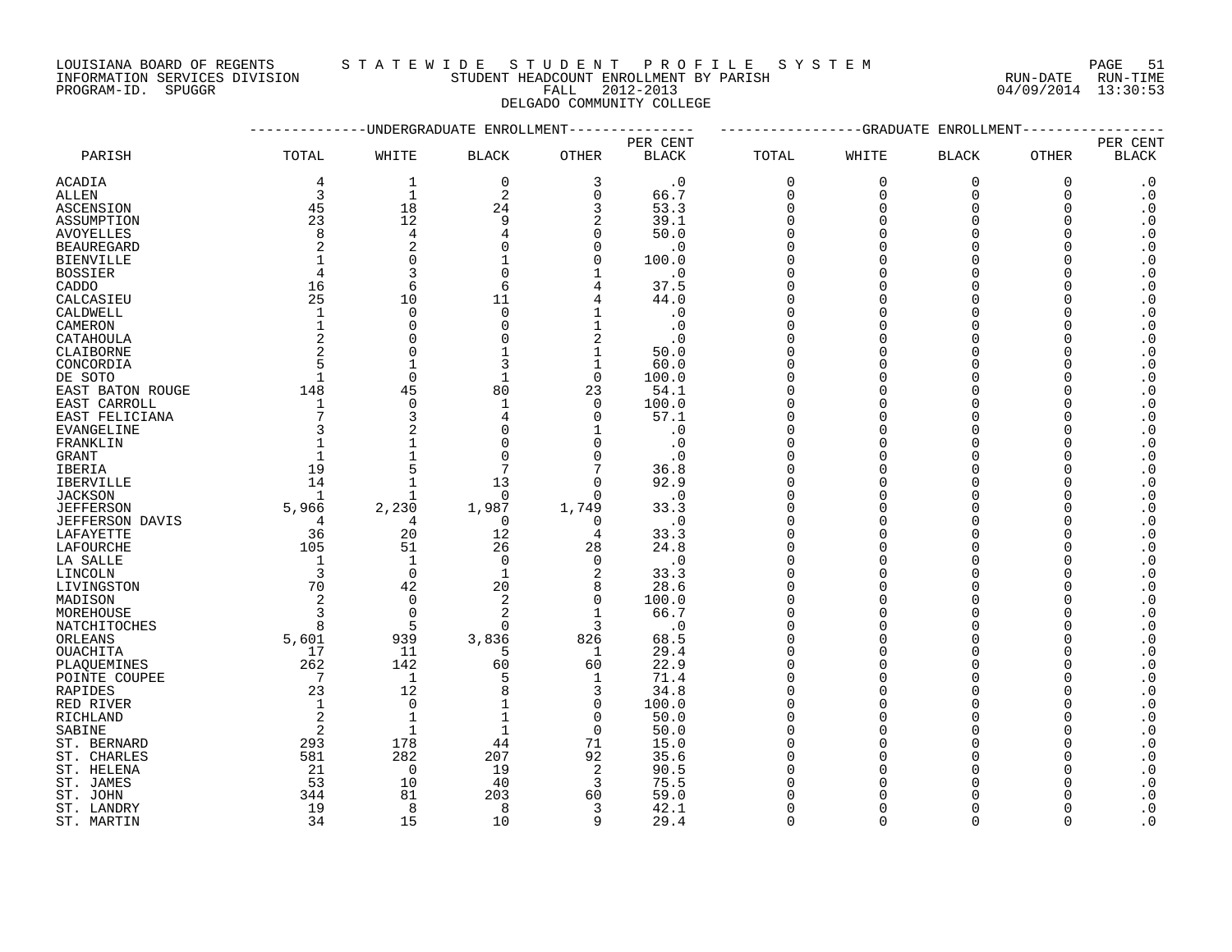LOUISIANA BOARD OF REGENTS S T A T E W I D E S T U D E N T P R O F I L E S Y S T E M PAGE 51 DOUISIANA BOARD OF REGENTS STAILMENT HEADCOUNT ENROLLMENT BY PARISH CONTRACTION SERVICES DIVISION STUDENT HEADCOUNT ENROLLMENT BY PARISH (RUN-DATE RUN-TIME PROGRAM-ID. SPUGGR (13:30:53)

INFORMATION SERVICES DIVISION STUDENT HEADCOUNT ENROLLMENT BY PARISH RUN-DATE RUN-TIME

# DELGADO COMMUNITY COLLEGE

|                         |                |                | -UNDERGRADUATE ENROLLMENT |                |              |              |              | -GRADUATE ENROLLMENT |             |                            |
|-------------------------|----------------|----------------|---------------------------|----------------|--------------|--------------|--------------|----------------------|-------------|----------------------------|
|                         |                |                |                           |                | PER CENT     |              |              |                      |             | PER CENT                   |
| PARISH                  | TOTAL          | WHITE          | <b>BLACK</b>              | <b>OTHER</b>   | <b>BLACK</b> | <b>TOTAL</b> | WHITE        | <b>BLACK</b>         | OTHER       | <b>BLACK</b>               |
| ACADIA                  | 4              | $\mathbf{1}$   | $\mathbf 0$               | 3              | $\cdot$ 0    | $\mathbf 0$  | $\mathbf{0}$ | $\overline{0}$       | $\mathbf 0$ | $\cdot$ 0                  |
| ALLEN                   | 3              | $\mathbf{1}$   | 2                         | $\mathbf 0$    | 66.7         | 0            | $\mathbf 0$  | $\mathbf 0$          | 0           | $\cdot$ 0                  |
| ASCENSION               | 45             | 18             | 24                        | 3              | 53.3         | $\mathbf 0$  | $\cap$       | $\Omega$             | $\Omega$    | $\cdot$ 0                  |
| ASSUMPTION              | 23             | 12             | 9                         | $\overline{2}$ | 39.1         | $\Omega$     | ∩            | $\Omega$             | ∩           | $\boldsymbol{\cdot}$ 0     |
| <b>AVOYELLES</b>        | 8              | $\overline{4}$ | 4                         | $\Omega$       | 50.0         | $\Omega$     |              | $\Omega$             | $\Omega$    | $\cdot$ 0                  |
| <b>BEAUREGARD</b>       | 2              | 2              |                           | $\Omega$       | $\cdot$ 0    | $\Omega$     |              | $\Omega$             |             | $\boldsymbol{\cdot}$ 0     |
| <b>BIENVILLE</b>        | 1              | $\Omega$       |                           | $\Omega$       | 100.0        | $\Omega$     |              | ∩                    | U           | $\cdot$ 0                  |
| <b>BOSSIER</b>          | $\overline{4}$ | 3              | $\Omega$                  | 1              | . 0          | $\Omega$     |              |                      |             | $\boldsymbol{\cdot}$ 0     |
| CADDO                   | 16             | 6              | 6                         | 4              | 37.5         | $\Omega$     | U            | $\Omega$             |             | $\cdot$ 0                  |
| CALCASIEU               | 25             | 10             | 11                        | 4              | 44.0         | $\Omega$     |              | $\Omega$             |             | $\boldsymbol{\cdot}$ 0     |
| CALDWELL                | $\mathbf{1}$   | $\overline{0}$ | $\mathbf 0$               | 1              | $\cdot$ 0    | $\Omega$     |              | $\Omega$             |             | $\boldsymbol{\cdot}$ 0     |
|                         | $\mathbf 1$    | $\Omega$       | $\Omega$                  | 1              | $\cdot$ 0    | ∩            |              | $\Omega$             |             | $\boldsymbol{\cdot}$ 0     |
| CAMERON                 | $\overline{2}$ | $\Omega$       |                           | $\overline{2}$ |              | $\Omega$     |              | $\Omega$             |             |                            |
| CATAHOULA               | 2              | $\Omega$       |                           |                | $\cdot$ 0    | $\Omega$     |              | $\Omega$             |             | $\boldsymbol{\cdot}$ 0     |
| CLAIBORNE               |                |                |                           | $\mathbf 1$    | 50.0         |              |              |                      |             | $\boldsymbol{\cdot}$ 0     |
| CONCORDIA               | 5              | $\mathbf{1}$   |                           | $\mathbf{1}$   | 60.0         | $\Omega$     |              | $\Omega$             |             | $\boldsymbol{\cdot}$ 0     |
| DE SOTO                 | $\mathbf{1}$   | $\overline{0}$ |                           | $\overline{0}$ | 100.0        | $\Omega$     |              | $\Omega$             |             | $\boldsymbol{\cdot}$ 0     |
| EAST BATON ROUGE        | 148            | 45             | 80                        | 23             | 54.1         | $\Omega$     |              | $\Omega$             |             | $\boldsymbol{\cdot}$ 0     |
| EAST CARROLL            | 1              | $\overline{0}$ | $\mathbf 1$               | $\Omega$       | 100.0        | $\Omega$     |              | $\Omega$             |             | $\cdot$ 0                  |
| EAST FELICIANA          | 7              | 3              | 4                         | $\Omega$       | 57.1         | $\Omega$     |              | $\Omega$             |             | $\boldsymbol{\cdot}$ 0     |
| <b>EVANGELINE</b>       | 3              |                | U                         |                | $\cdot$ 0    | $\Omega$     |              | $\Omega$             |             | $\boldsymbol{\cdot}$ 0     |
| FRANKLIN                | $\mathbf{1}$   |                | $\Omega$                  | $\Omega$       | $\cdot$ 0    | $\Omega$     |              | $\Omega$             |             | $\cdot$ 0                  |
| GRANT                   | $\mathbf 1$    |                | $\Omega$                  | $\Omega$       | $\cdot$ 0    | $\Omega$     |              | $\Omega$             |             | $\cdot$ 0                  |
| IBERIA                  | 19             |                |                           | 7              | 36.8         | $\Omega$     |              | $\Omega$             |             | $\cdot$ 0                  |
| <b>IBERVILLE</b>        | 14             |                | 13                        | $\Omega$       | 92.9         | $\Omega$     |              | $\Omega$             |             | $\boldsymbol{\cdot}$ 0     |
| <b>JACKSON</b>          | 1              |                | $\Omega$                  | $\Omega$       | $\cdot$ 0    | $\Omega$     |              | $\Omega$             |             | $\boldsymbol{\cdot}$ 0     |
| <b>JEFFERSON</b>        | 5,966          | 2,230          | 1,987                     | 1,749          | 33.3         | $\Omega$     |              | $\Omega$             |             | $\cdot$ 0                  |
| JEFFERSON DAVIS         | 4              | 4              | 0                         | 0              | $\cdot$ 0    | $\Omega$     |              | $\Omega$             | O           | $\cdot$ 0                  |
| LAFAYETTE               | 36             | 20             | 12                        | $\overline{4}$ | 33.3         |              |              | $\Omega$             |             | $\boldsymbol{\cdot}$ 0     |
| LAFOURCHE               | 105            | 51             | 26                        | 28             | 24.8         | $\Omega$     |              | $\Omega$             | U           | $\cdot$ 0                  |
| LA SALLE                | $\mathbf{1}$   | $\mathbf{1}$   | $\Omega$                  | $\Omega$       | $\cdot$ 0    | $\Omega$     |              | $\cap$               |             | $\boldsymbol{\cdot}$ 0     |
| LINCOLN                 | $\overline{3}$ | $\overline{0}$ | 1                         | $\overline{2}$ | 33.3         | $\Omega$     |              | $\Omega$             |             | $\cdot$ 0                  |
| LIVINGSTON              | 70             | 42             | 20                        | 8              | 28.6         | $\Omega$     |              | $\Omega$             |             | $\boldsymbol{\cdot}$ 0     |
| MADISON                 | 2              | $\mathbf 0$    | $\overline{2}$            | $\Omega$       | 100.0        | $\Omega$     |              |                      |             | $\boldsymbol{\cdot}$ 0     |
| MOREHOUSE               | 3              | $\overline{0}$ | 2                         | 1              | 66.7         | $\Omega$     |              |                      |             | $\boldsymbol{\cdot}$ 0     |
| NATCHITOCHES            | 8              | 5              | $\Omega$                  | 3              | $\cdot$ 0    | $\Omega$     |              |                      |             | $\boldsymbol{\cdot}$ 0     |
| ORLEANS                 | 5,601          | 939            | 3,836                     | 826            | 68.5         | $\Omega$     |              | $\Omega$             | ∩           | $\boldsymbol{\cdot}$ 0     |
| OUACHITA                | 17             | 11             | 5                         | 1              | 29.4         | $\Omega$     |              | $\Omega$             |             | $\cdot$ 0                  |
| PLAOUEMINES             | 262            | 142            | 60                        | 60             | 22.9         | $\Omega$     |              | $\Omega$             |             | $\cdot$ 0                  |
| POINTE COUPEE           | 7              | $\mathbf{1}$   | 5                         | 1              | 71.4         | $\Omega$     |              | $\cap$               |             | $\cdot$ 0                  |
| <b>RAPIDES</b>          | 23             | 12             | $\mathsf{R}$              | 3              | 34.8         | $\Omega$     | ∩            | $\Omega$             |             | $\cdot$ 0                  |
| RED RIVER               | $\mathbf{1}$   | $\mathbf 0$    |                           | $\overline{0}$ | 100.0        | $\Omega$     |              | $\Omega$             |             | $\cdot$ 0                  |
| RICHLAND                | 2              | $\mathbf{1}$   |                           | $\Omega$       | 50.0         | $\Omega$     |              | $\Omega$             |             | $\boldsymbol{\cdot}$ 0     |
| SABINE                  | 2              | 1              |                           | $\Omega$       | 50.0         | $\Omega$     |              |                      |             | $\boldsymbol{\cdot}$ 0     |
| ST. BERNARD             | 293            | 178            | 44                        | 71             | 15.0         | $\Omega$     |              |                      |             | $\cdot$ 0                  |
| ST. CHARLES             | 581            | 282            | 207                       | 92             | 35.6         | $\Omega$     |              | $\Omega$             |             | $\cdot$ 0                  |
|                         | 21             | 0              | 19                        | 2              | 90.5         |              |              |                      |             | $\boldsymbol{\cdot}$ 0     |
| ST. HELENA<br>ST. JAMES | 53             | 10             | 40                        | 3              | 75.5         |              |              |                      |             | $\cdot$ 0                  |
|                         |                | 81             | 203                       |                |              |              |              |                      |             | $\cdot$ 0                  |
| ST. JOHN                | 344            |                |                           | 60             | 59.0         |              |              | $\Omega$             |             |                            |
| ST. LANDRY              | 19             | 8              | 8                         | 3              | 42.1         | $\Omega$     | $\cap$       | $\cap$               |             | $\cdot$ 0                  |
| ST. MARTIN              | 34             | 15             | 10                        | q              | 29.4         | $\Omega$     |              |                      |             | $\overline{\phantom{0}}$ . |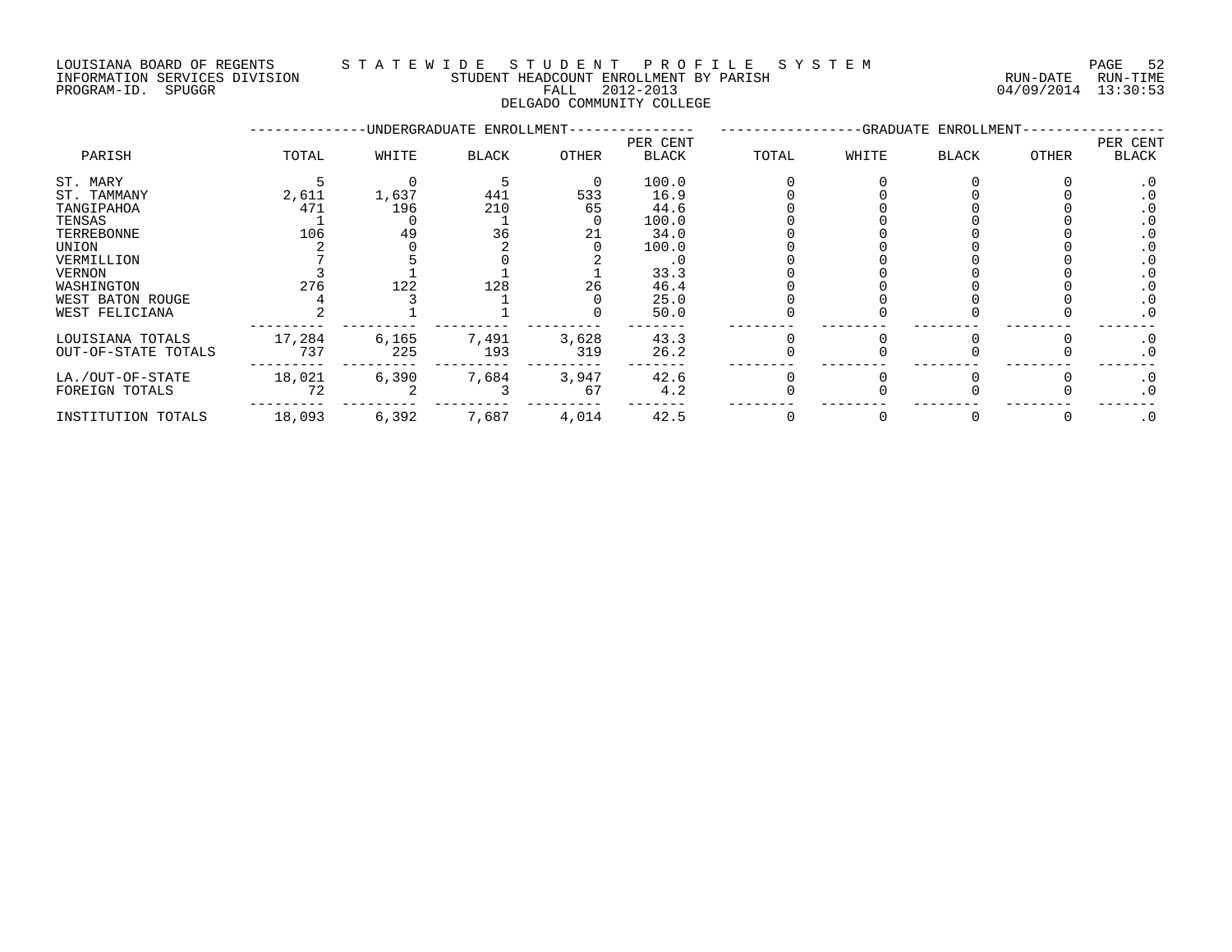### LOUISIANA BOARD OF REGENTS S T A T E W I D E S T U D E N T P R O F I L E S Y S T E M PAGE 52 INFORMATION SERVICES DIVISION STUDENT HEADCOUNT ENROLLMENT BY PARISH RUN-DATE RUN-TIME PROGRAM-ID. SPUGGR FALL 2012-2013 04/09/2014 13:30:53

### DELGADO COMMUNITY COLLEGE

|                     |        |       | -UNDERGRADUATE ENROLLMENT- |       |                   |       |       | -GRADUATE ENROLLMENT- |       |                   |
|---------------------|--------|-------|----------------------------|-------|-------------------|-------|-------|-----------------------|-------|-------------------|
| PARISH              | TOTAL  | WHITE | <b>BLACK</b>               | OTHER | PER CENT<br>BLACK | TOTAL | WHITE | <b>BLACK</b>          | OTHER | PER CENT<br>BLACK |
| ST. MARY            |        |       |                            |       | 100.0             |       |       |                       |       |                   |
| ST. TAMMANY         | 2,611  | 1,637 | 441                        | 533   | 16.9              |       |       |                       |       |                   |
| TANGIPAHOA          | 471    | 196   | 210                        | 65    | 44.6              |       |       |                       |       |                   |
| TENSAS              |        |       |                            |       | 100.0             |       |       |                       |       |                   |
| TERREBONNE          | 106    | 49    | 36                         | 21    | 34.0              |       |       |                       |       |                   |
| UNION               |        |       |                            |       | 100.0             |       |       |                       |       |                   |
| VERMILLION          |        |       |                            |       |                   |       |       |                       |       |                   |
| VERNON              |        |       |                            |       | 33.3              |       |       |                       |       |                   |
| WASHINGTON          | 276    | 122   | 128                        | 26    | 46.4              |       |       |                       |       |                   |
| WEST BATON ROUGE    |        |       |                            |       | 25.0              |       |       |                       |       |                   |
| WEST FELICIANA      |        |       |                            |       | 50.0              |       |       |                       |       | . 0               |
| LOUISIANA TOTALS    | 17,284 | 6,165 | 7,491                      | 3,628 | 43.3              |       |       |                       |       | . 0               |
| OUT-OF-STATE TOTALS | 737    | 225   | 193                        | 319   | 26.2              |       |       |                       |       | . 0               |
| LA./OUT-OF-STATE    | 18,021 | 6,390 | 7,684                      | 3,947 | 42.6              |       |       |                       |       | $\cdot$ 0         |
| FOREIGN TOTALS      | 72     |       |                            | 67    | 4.2               |       |       |                       |       | $\cdot$ 0         |
| INSTITUTION TOTALS  | 18,093 | 6,392 | 7,687                      | 4,014 | 42.5              |       |       |                       |       | $\cdot$ 0         |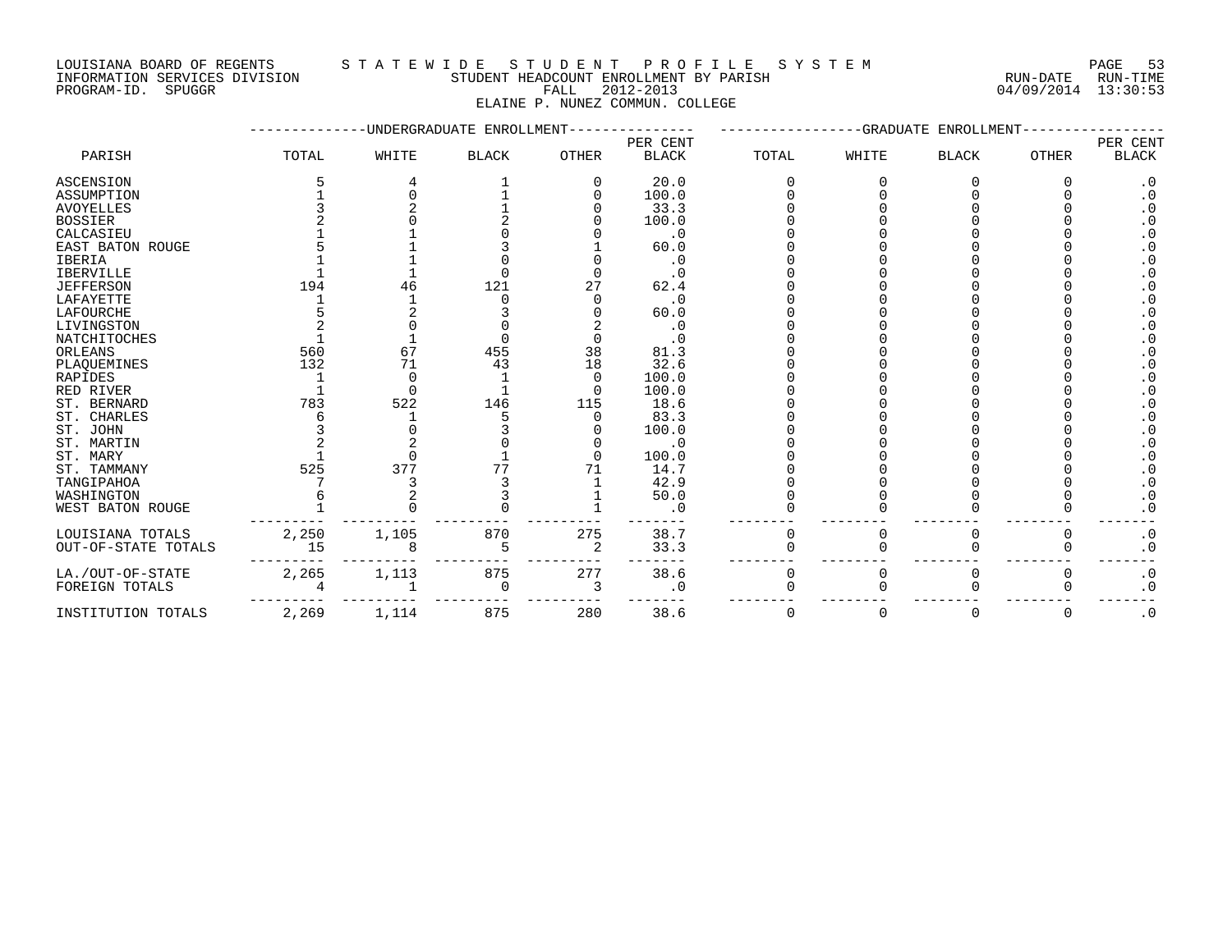INFORMATION SERVICES DIVISION STUDENT HEADCOUNT ENROLLMENT BY PARISH RUN-DATE RUN-TIME PROGRAM-ID. SPUGGR FALL 2012-2013 04/09/2014 13:30:53

### LOUISIANA BOARD OF REGENTS STA TEWIDE STUDENT PROFILE SYSTEM NAGE 53

ELAINE P. NUNEZ COMMUN. COLLEGE

|                     |       |       | -UNDERGRADUATE ENROLLMENT |          |              |             | -GRADUATE | ENROLLMENT   |              |              |
|---------------------|-------|-------|---------------------------|----------|--------------|-------------|-----------|--------------|--------------|--------------|
|                     |       |       |                           |          | PER CENT     |             |           |              |              | PER CENT     |
| PARISH              | TOTAL | WHITE | <b>BLACK</b>              | OTHER    | <b>BLACK</b> | TOTAL       | WHITE     | <b>BLACK</b> | <b>OTHER</b> | <b>BLACK</b> |
| <b>ASCENSION</b>    |       |       |                           |          | 20.0         |             |           |              |              | $\cdot$ 0    |
| ASSUMPTION          |       |       |                           |          | 100.0        |             |           |              |              | $\cdot$ 0    |
| AVOYELLES           |       |       |                           |          | 33.3         |             |           |              |              | . 0          |
| <b>BOSSIER</b>      |       |       |                           |          | 100.0        |             |           |              |              | . 0          |
| CALCASIEU           |       |       |                           |          | $\cdot$ 0    |             |           |              |              | $\cdot$ 0    |
| EAST BATON ROUGE    |       |       |                           |          | 60.0         |             |           |              |              | $\cdot$ 0    |
| <b>IBERIA</b>       |       |       |                           |          | $\cdot$ 0    |             |           |              |              | $\cdot$ 0    |
| <b>IBERVILLE</b>    |       |       |                           |          | . 0          |             |           |              |              | $\cdot$ 0    |
| JEFFERSON           | 194   | 46    | 121                       | 27       | 62.4         |             |           |              |              | $\cdot$ 0    |
| LAFAYETTE           |       |       |                           |          | $\cdot$ 0    |             |           |              |              | $\cdot$ 0    |
| LAFOURCHE           |       |       |                           |          | 60.0         |             |           |              |              | $\cdot$ 0    |
| LIVINGSTON          |       |       |                           |          | $\cdot$ 0    |             |           |              |              | . 0          |
| NATCHITOCHES        |       |       |                           |          |              |             |           |              |              | $\cdot$ 0    |
| ORLEANS             | 560   | 67    | 455                       | 38       | 81.3         |             |           |              |              | $\cdot$ 0    |
| PLAQUEMINES         | 132   | 71    | 43                        | 18       | 32.6         |             |           |              |              |              |
| RAPIDES             |       | 0     |                           | $\Omega$ | 100.0        |             |           |              |              |              |
| RED RIVER           |       | ∩     |                           | $\Omega$ | 100.0        |             |           |              |              | $\cdot$ 0    |
| ST. BERNARD         | 783   | 522   | 146                       | 115      | 18.6         |             |           |              |              | . 0          |
| ST. CHARLES         |       |       |                           |          | 83.3         |             |           |              |              | $\cdot$ 0    |
| ST. JOHN            |       |       |                           |          | 100.0        |             |           |              |              | $\cdot$ 0    |
| ST. MARTIN          |       |       |                           |          | . 0          |             |           |              |              | $\cdot$ 0    |
| ST. MARY            |       |       |                           |          | 100.0        |             |           |              |              | $\cdot$ 0    |
| ST. TAMMANY         | 525   | 377   |                           |          | 14.7         |             |           |              |              | $\cdot$ 0    |
| TANGIPAHOA          |       |       |                           |          | 42.9         |             |           |              |              | $\cdot$ 0    |
| WASHINGTON          |       |       |                           |          | 50.0         |             |           |              |              | $\cdot$ 0    |
| WEST BATON ROUGE    |       |       |                           |          | . 0          |             |           |              |              | $\cdot$ 0    |
| LOUISIANA TOTALS    | 2,250 | 1,105 | 870                       | 275      | 38.7         | 0           | 0         | O            | O            | $\cdot$ 0    |
| OUT-OF-STATE TOTALS | 15    |       | 5                         | 2        | 33.3         |             |           |              | ∩            | $\cdot$ 0    |
| LA./OUT-OF-STATE    | 2,265 | 1,113 | 875                       | 277      | 38.6         | 0           | 0         | O            | $\Omega$     | $\cdot$ 0    |
| FOREIGN TOTALS      |       |       | 0                         | 3        | $\cdot$ 0    |             |           |              |              | $\cdot$ 0    |
| INSTITUTION TOTALS  | 2,269 | 1,114 | 875                       | 280      | 38.6         | $\mathbf 0$ | $\Omega$  | 0            | 0            | $\cdot$ 0    |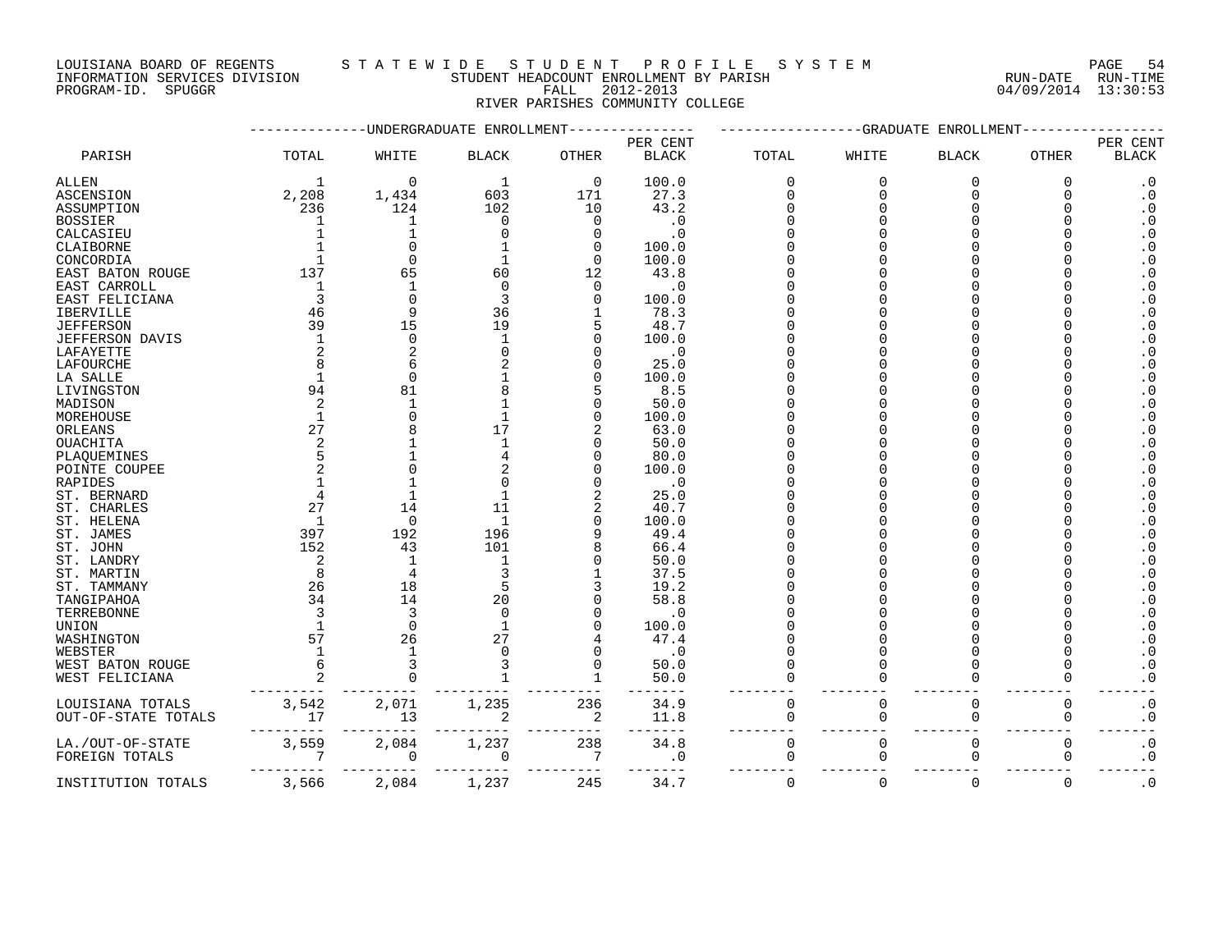LOUISIANA BOARD OF REGENTS STA TEWIDE STUDENT PROFILE SYSTEM NATIONAL PAGE 54

INFORMATION SERVICES DIVISION STUDENT HEADCOUNT ENROLLMENT BY PARISH RUN-DATE RUN-TIME

PROGRAM-ID. SPUGGR FALL 2012-2013 04/09/2014 13:30:53 RIVER PARISHES COMMUNITY COLLEGE

|                                    |                 | <b>UNDERGRADUATE</b> | ENROLLMENT     |              |              |          | -GRADUATE   | ENROLLMENT   |              |                        |
|------------------------------------|-----------------|----------------------|----------------|--------------|--------------|----------|-------------|--------------|--------------|------------------------|
|                                    |                 |                      |                |              | PER CENT     |          |             |              |              | PER CENT               |
| PARISH                             | TOTAL           | WHITE                | <b>BLACK</b>   | <b>OTHER</b> | <b>BLACK</b> | TOTAL    | WHITE       | <b>BLACK</b> | <b>OTHER</b> | <b>BLACK</b>           |
| ALLEN                              | -1              | $\Omega$             | 1              | $\mathbf 0$  | 100.0        | $\Omega$ | $\mathbf 0$ | $\Omega$     | $\mathbf 0$  | $\cdot$ 0              |
| ASCENSION                          | 2,208           | 1,434                | 603            | 171          | 27.3         | 0        | $\Omega$    | $\Omega$     | $\Omega$     | $\cdot$ 0              |
| ASSUMPTION                         | 236             | 124                  | 102            | 10           | 43.2         | N        |             | Λ            |              | $\cdot$ 0              |
| <b>BOSSIER</b>                     | 1               | 1                    | $\Omega$       | $\Omega$     | $\cdot$ 0    |          |             |              |              | $\boldsymbol{\cdot}$ 0 |
| CALCASIEU                          |                 |                      |                | U            | $\cdot$ 0    |          |             |              |              | $\cdot$ 0              |
| CLAIBORNE                          |                 | U                    |                | <sup>0</sup> | 100.0        |          |             |              |              | $\overline{0}$         |
| CONCORDIA                          |                 | U                    |                | $\Omega$     | 100.0        |          |             |              |              | $\cdot$ 0              |
| EAST BATON ROUGE                   | 137             | 65                   | 60             | 12           | 43.8         |          |             |              |              | $\cdot$ 0              |
|                                    | -1              |                      | $\cap$         | 0            | . 0          |          |             |              |              | $\cdot$ 0              |
| EAST CARROLL                       |                 |                      |                |              |              |          |             |              |              |                        |
| EAST FELICIANA                     |                 | $\Omega$             | 3              | <sup>0</sup> | 100.0        |          |             |              |              | $\cdot$ 0              |
| IBERVILLE                          | 46              | 9                    | 36             |              | 78.3         |          |             |              |              | $\cdot$ 0              |
| <b>JEFFERSON</b>                   | 39              | 15                   | 19             | 5            | 48.7         |          |             |              |              | $\cdot$ 0              |
| JEFFERSON DAVIS                    | $\overline{1}$  | $\Omega$             |                | 0            | 100.0        |          |             |              |              | $\cdot$ 0              |
| LAFAYETTE                          |                 | 2                    |                | O            | $\cdot$ 0    |          |             |              |              | $\cdot$ 0              |
| LAFOURCHE                          |                 | 6                    |                | O            | 25.0         |          |             |              |              | $\cdot$ 0              |
| LA SALLE                           |                 | $\Omega$             |                | O            | 100.0        |          |             |              |              | $\cdot$ 0              |
| LIVINGSTON                         | 94              | 81                   |                | 5            | 8.5          |          |             |              |              | $\cdot$ 0              |
| MADISON                            | 2               | $\mathbf{1}$         |                | O            | 50.0         |          |             |              |              | $\cdot$ 0              |
| MOREHOUSE                          | $\overline{1}$  | $\Omega$             |                | O            | 100.0        |          |             |              |              | $\cdot$ 0              |
| ORLEANS                            | 27              |                      | 17             |              | 63.0         |          |             |              |              | $\cdot$ 0              |
| <b>OUACHITA</b>                    |                 |                      |                | U            | 50.0         |          |             |              |              | $\cdot$ 0              |
|                                    |                 |                      |                |              |              |          |             |              |              | $\cdot$ 0              |
| PLAQUEMINES                        |                 |                      |                | O            | 80.0         |          |             |              |              |                        |
| POINTE COUPEE                      |                 | $\Omega$             |                |              | 100.0        |          |             |              |              | $\cdot$ 0              |
| RAPIDES                            |                 |                      |                |              | $\cdot$ 0    |          |             |              |              | $\cdot$ 0              |
| ST. BERNARD                        |                 |                      |                |              | 25.0         |          |             |              |              | $\cdot$ 0              |
| ST. CHARLES                        | 27              | 14                   | 11             | 2            | 40.7         |          |             |              |              | $\cdot$ 0              |
| ST. HELENA                         | $\mathbf{1}$    | $\Omega$             | $\mathbf{1}$   | <sup>0</sup> | 100.0        |          |             |              |              | $\cdot$ 0              |
| ST. JAMES                          | 397             | 192                  | 196            | 9            | 49.4         |          |             |              |              | $\cdot$ 0              |
| ST. JOHN                           | 152             | 43                   | 101            |              | 66.4         |          |             |              |              | $\cdot$ 0              |
| ST. LANDRY                         | 2               | $\mathbf{1}$         | $\mathbf{1}$   | O            | 50.0         |          |             |              |              | $\cdot$ 0              |
| ST. MARTIN                         | 8               | 4                    | 3              |              | 37.5         |          |             |              |              | $\cdot$ 0              |
| ST. TAMMANY                        | 26              | 18                   | 5              | 3            | 19.2         |          |             |              |              | $\cdot$ 0              |
| TANGIPAHOA                         | 34              | 14                   | 20             |              | 58.8         |          |             |              |              | $\cdot$ 0              |
| TERREBONNE                         | 3               | 3                    | $\Omega$       | O            | . 0          |          |             |              |              | $\cdot$ 0              |
|                                    | $\mathbf{1}$    | $\Omega$             | $\overline{1}$ | O            |              |          |             |              |              |                        |
| UNION                              |                 |                      |                |              | 100.0        |          |             |              |              | $\cdot$ 0              |
| WASHINGTON                         | 57              | 26                   | 27             |              | 47.4         |          |             |              |              | $\overline{0}$         |
| WEBSTER                            | $\mathbf{1}$    | $\mathbf{1}$         | $\cap$         | <sup>0</sup> | $\cdot$ 0    | N        |             | O            |              | $\boldsymbol{\cdot}$ 0 |
| WEST BATON ROUGE                   |                 | 3                    |                | $\Omega$     | 50.0         | N        |             | O            |              | $\boldsymbol{\cdot}$ 0 |
| WEST FELICIANA                     |                 | $\Omega$             |                |              | 50.0         | N        |             | O            | $\Omega$     | $\cdot$ 0              |
| LOUISIANA TOTALS                   |                 | 2,071                | 1,235          | 236          | 34.9         | 0        | 0           | 0            | $\mathbf 0$  | $\boldsymbol{\cdot}$ 0 |
| OUT-OF-STATE TOTALS                | $3,542$<br>$17$ | 13                   |                | 2            | 11.8         | 0        | $\Omega$    | $\Omega$     | 0            | $\boldsymbol{\cdot}$ 0 |
|                                    | 3,559           | 2,084                | 1,237          | 238          | 34.8         | 0        | 0           | $\Omega$     | $\mathbf 0$  | $\boldsymbol{\cdot}$ 0 |
| LA./OUT-OF-STATE<br>FOREIGN TOTALS | 7               | 0                    | 0              | 7            | $\cdot$ 0    | 0        | 0           | 0            | 0            | $\cdot$ 0              |
|                                    |                 |                      |                |              |              |          |             |              |              |                        |
| INSTITUTION TOTALS                 | 3,566           | 2,084                | 1,237          | 245          | 34.7         | 0        | $\Omega$    | $\Omega$     | $\mathbf 0$  | $\cdot$ 0              |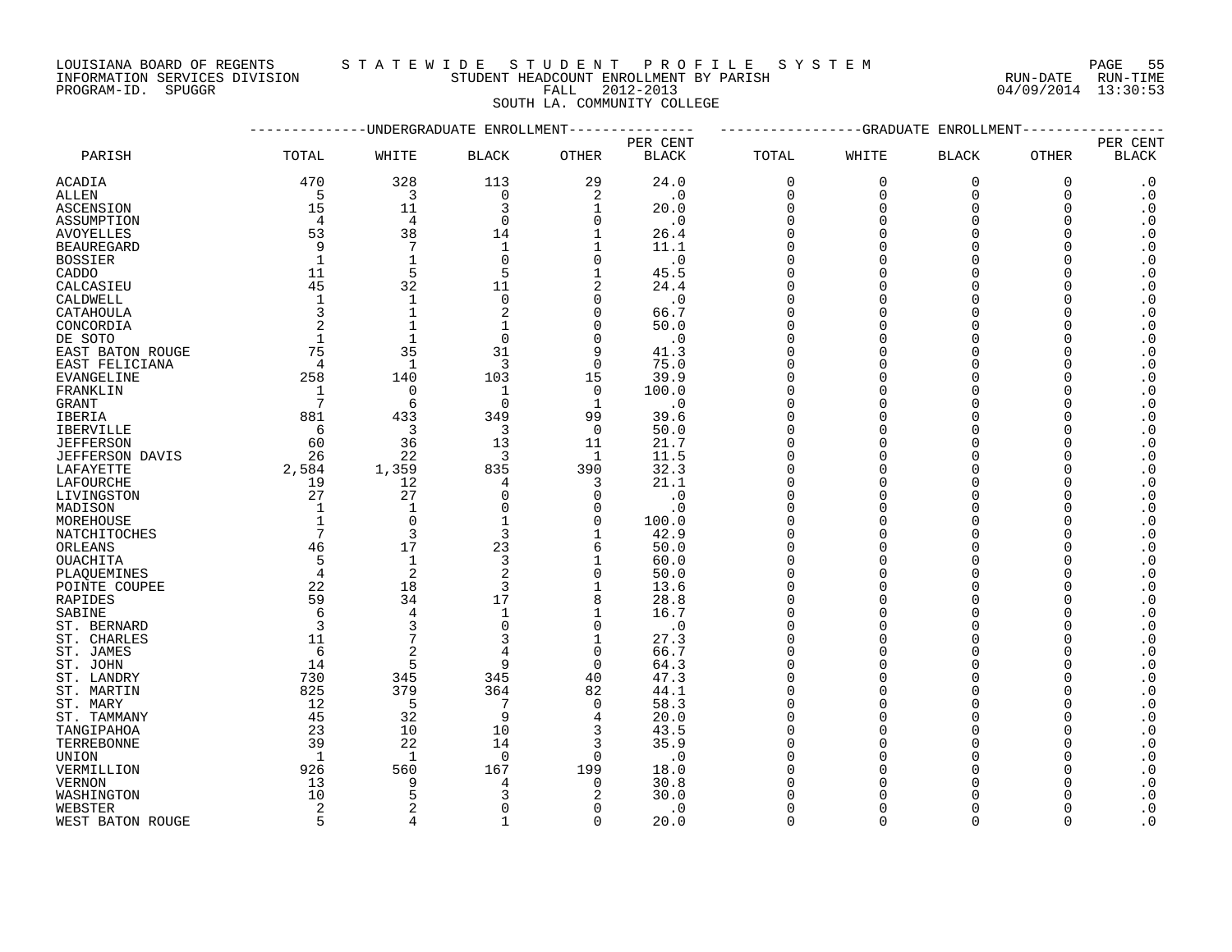INFORMATION SERVICES DIVISION STUDENT HEADCOUNT ENROLLMENT BY PARISH RUN-DATE RUN-TIME DOUISIANA BOARD OF REGENTS STAILMENT HEADCOUNT ENROLLMENT BY PARISH CONTRACTION SERVICES DIVISION STUDENT HEADCOUNT ENROLLMENT BY PARISH (RUN-DATE RUN-TIME PROGRAM-ID. SPUGGR (13:30:53)

### LOUISIANA BOARD OF REGENTS S T A T E W I D E S T U D E N T P R O F I L E S Y S T E M PAGE 55

SOUTH LA. COMMUNITY COLLEGE

|                   |                |                | -UNDERGRADUATE ENROLLMENT |                |              |             | -GRADUATE | ENROLLMENT     |          |                        |
|-------------------|----------------|----------------|---------------------------|----------------|--------------|-------------|-----------|----------------|----------|------------------------|
|                   |                |                |                           |                | PER CENT     |             |           |                |          | PER CENT               |
| PARISH            | TOTAL          | WHITE          | <b>BLACK</b>              | <b>OTHER</b>   | <b>BLACK</b> | TOTAL       | WHITE     | <b>BLACK</b>   | OTHER    | <b>BLACK</b>           |
| ACADIA            | 470            | 328            | 113                       | 29             | 24.0         | $\mathbf 0$ | $\Omega$  | $\overline{0}$ | 0        | $\cdot$ 0              |
| ALLEN             | 5              | 3              | $\mathbf 0$               | $\overline{2}$ | $\cdot$ 0    | $\Omega$    | $\Omega$  | $\Omega$       | $\Omega$ | $\cdot$ 0              |
| ASCENSION         | 15             | 11             | 3                         | $\mathbf{1}$   | 20.0         | $\mathbf 0$ | O         | $\Omega$       | 0        | $\cdot$ 0              |
| ASSUMPTION        | $\overline{4}$ | $\overline{4}$ | $\Omega$                  | $\Omega$       | $\cdot$ 0    | 0           | O         | $\Omega$       | $\Omega$ | $\cdot$ 0              |
| <b>AVOYELLES</b>  | 53             | 38             | 14                        |                | 26.4         | $\Omega$    |           | $\Omega$       | $\Omega$ | $\boldsymbol{\cdot}$ 0 |
| <b>BEAUREGARD</b> | 9              | 7              | $\mathbf 1$               | $\mathbf{1}$   |              | $\Omega$    |           | $\Omega$       | ∩        | $\cdot$ 0              |
|                   | $\mathbf{1}$   |                |                           |                | 11.1         |             | ∩         | $\Omega$       | $\Omega$ |                        |
| <b>BOSSIER</b>    |                | $\mathbf{1}$   | $\Omega$                  | $\Omega$       | $\cdot$ 0    | $\Omega$    |           |                |          | $\cdot$ 0              |
| CADDO             | 11             | 5              |                           | $\mathbf{1}$   | 45.5         | $\Omega$    |           |                |          | $\boldsymbol{\cdot}$ 0 |
| CALCASIEU         | 45             | 32             | 11                        | $\overline{2}$ | 24.4         | $\Omega$    |           | $\Omega$       |          | $\boldsymbol{\cdot}$ 0 |
| CALDWELL          | $\mathbf{1}$   | $\mathbf{1}$   | $\mathbf 0$               | $\Omega$       | $\cdot$ 0    | $\Omega$    |           |                |          | $\boldsymbol{\cdot}$ 0 |
| CATAHOULA         | $\overline{3}$ | $\mathbf{1}$   | 2                         | $\Omega$       | 66.7         | $\Omega$    |           | $\Omega$       |          | $\boldsymbol{\cdot}$ 0 |
| CONCORDIA         | $\overline{2}$ | $\mathbf{1}$   |                           | $\Omega$       | 50.0         | $\Omega$    |           | $\Omega$       | ∩        | $\boldsymbol{\cdot}$ 0 |
| DE SOTO           | $\mathbf{1}$   | $\mathbf{1}$   | $\Omega$                  | $\Omega$       | $\cdot$ 0    | $\Omega$    |           | $\Omega$       |          | $\boldsymbol{\cdot}$ 0 |
| EAST BATON ROUGE  | 75             | 35             | 31                        | 9              | 41.3         | $\Omega$    |           | $\Omega$       | $\Omega$ | $\cdot$ 0              |
| EAST FELICIANA    | $\overline{4}$ | $\mathbf{1}$   | 3                         | $\Omega$       | 75.0         | $\Omega$    | ∩         |                |          | $\cdot$ 0              |
| EVANGELINE        | 258            | 140            | 103                       | 15             | 39.9         | $\Omega$    |           | $\Omega$       | O        | $\cdot$ 0              |
| FRANKLIN          | - 1            | $\overline{0}$ | 1                         | $\overline{0}$ | 100.0        | $\Omega$    |           | $\Omega$       | U        | $\boldsymbol{\cdot}$ 0 |
| GRANT             | 7              | 6              | $\Omega$                  | $\mathbf{1}$   | $\cdot$ 0    | $\Omega$    |           |                |          | $\boldsymbol{\cdot}$ 0 |
|                   | 881            |                | 349                       | 99             |              | $\mathbf 0$ |           | $\cap$         |          | $\boldsymbol{\cdot}$ 0 |
| IBERIA            |                | 433            |                           |                | 39.6         |             | $\cap$    | $\cap$         |          |                        |
| <b>IBERVILLE</b>  | 6              | 3              | 3                         | $\Omega$       | 50.0         | $\Omega$    |           |                |          | $\boldsymbol{\cdot}$ 0 |
| <b>JEFFERSON</b>  | 60             | 36             | 13                        | 11             | 21.7         | $\Omega$    |           | $\Omega$       | O        | $\boldsymbol{\cdot}$ 0 |
| JEFFERSON DAVIS   | 26             | 22             | 3                         | 1              | 11.5         | $\Omega$    |           | $\Omega$       | O        | $\boldsymbol{\cdot}$ 0 |
| LAFAYETTE         | 2,584          | 1,359          | 835                       | 390            | 32.3         | $\Omega$    | ∩         | $\Omega$       | $\Omega$ | $\cdot$ 0              |
| LAFOURCHE         | 19             | 12             | 4                         | 3              | 21.1         | $\Omega$    | $\cap$    | $\Omega$       |          | $\cdot$ 0              |
| LIVINGSTON        | 27             | 27             | $\Omega$                  | $\Omega$       | $\cdot 0$    | $\Omega$    | $\cap$    | $\Omega$       |          | $\cdot$ 0              |
| MADISON           | $\mathbf 1$    | $\mathbf{1}$   | $\Omega$                  | $\Omega$       | $\cdot$ 0    | $\Omega$    |           | $\Omega$       | ∩        | $\boldsymbol{\cdot}$ 0 |
| MOREHOUSE         | $\mathbf{1}$   | $\overline{0}$ | 1                         | 0              | 100.0        | $\Omega$    |           | $\Omega$       |          | $\boldsymbol{\cdot}$ 0 |
| NATCHITOCHES      | 7              | $\overline{3}$ | 3                         | $\mathbf{1}$   | 42.9         | $\Omega$    |           |                |          | $\boldsymbol{\cdot}$ 0 |
| ORLEANS           | 46             | 17             | 23                        | 6              | 50.0         | $\Omega$    |           | $\Omega$       |          | $\boldsymbol{\cdot}$ 0 |
| OUACHITA          | 5              | $\mathbf{1}$   | 3                         | $\mathbf{1}$   | 60.0         | $\Omega$    | O         | $\Omega$       | $\Omega$ | $\cdot$ 0              |
| PLAOUEMINES       | $\overline{4}$ | $\overline{2}$ | 2                         | $\Omega$       | 50.0         | $\Omega$    |           | $\Omega$       |          | $\boldsymbol{\cdot}$ 0 |
| POINTE COUPEE     | 22             | 18             | 3                         | $\mathbf{1}$   | 13.6         | $\Omega$    |           | $\Omega$       | $\Omega$ | $\boldsymbol{\cdot}$ 0 |
|                   | 59             | 34             | 17                        | 8              | 28.8         | $\Omega$    | ∩         | $\Omega$       |          | $\cdot$ 0              |
| RAPIDES           | 6              | $\overline{4}$ | $\mathbf 1$               | $\mathbf{1}$   |              | $\Omega$    |           | $\Omega$       |          |                        |
| SABINE            |                |                |                           |                | 16.7         |             |           |                |          | $\boldsymbol{\cdot}$ 0 |
| ST. BERNARD       | 3              |                | $\Omega$                  | $\Omega$       | $\cdot$ 0    | $\Omega$    |           | $\Omega$       | ∩        | $\boldsymbol{\cdot}$ 0 |
| ST. CHARLES       | 11             |                | 3                         | $\mathbf{1}$   | 27.3         | $\Omega$    |           |                |          | $\boldsymbol{\cdot}$ 0 |
| ST. JAMES         | 6              | $\overline{2}$ |                           | $\mathbf 0$    | 66.7         | $\Omega$    |           | $\cap$         |          | $\boldsymbol{\cdot}$ 0 |
| ST. JOHN          | 14             | 5              | q                         | $\Omega$       | 64.3         | $\Omega$    |           |                |          | $\boldsymbol{\cdot}$ 0 |
| ST. LANDRY        | 730            | 345            | 345                       | 40             | 47.3         | 0           |           | $\Omega$       | O        | $\boldsymbol{\cdot}$ 0 |
| ST. MARTIN        | 825            | 379            | 364                       | 82             | 44.1         | $\Omega$    |           | $\Omega$       |          | $\boldsymbol{\cdot}$ 0 |
| ST. MARY          | 12             | 5              | 7                         | $\Omega$       | 58.3         | $\Omega$    |           | $\Omega$       | U        | $\boldsymbol{\cdot}$ 0 |
| ST. TAMMANY       | 45             | 32             | 9                         | 4              | 20.0         | $\Omega$    |           | $\cap$         |          | $\cdot$ 0              |
| TANGIPAHOA        | 23             | 10             | 10                        | 3              | 43.5         | $\Omega$    | O         | $\Omega$       |          | $\boldsymbol{\cdot}$ 0 |
| TERREBONNE        | 39             | 22             | 14                        | 3              | 35.9         | $\Omega$    |           | $\Omega$       |          | $\boldsymbol{\cdot}$ 0 |
| UNION             | 1              | $\mathbf{1}$   | $\mathbf 0$               | $\Omega$       | $\cdot$ 0    | 0           |           |                |          | $\boldsymbol{\cdot}$ 0 |
| VERMILLION        | 926            | 560            | 167                       | 199            | 18.0         | $\Omega$    |           |                |          | $\cdot$ 0              |
| VERNON            | 13             | 9              | 4                         | $\Omega$       | 30.8         | ∩           |           |                |          | $\boldsymbol{\cdot}$ 0 |
| WASHINGTON        | 10             | 5              | 3                         | 2              | 30.0         |             |           |                |          | $\cdot$ 0              |
|                   | 2              |                | $\Omega$                  | $\cap$         | $\cdot$ 0    | $\Omega$    |           | $\Omega$       |          | $\cdot$ 0              |
| WEBSTER           |                | $\Delta$       |                           |                |              |             | $\cap$    |                |          |                        |
| WEST BATON ROUGE  | 5              |                | $\mathbf{1}$              | $\Omega$       | 20.0         | $\Omega$    |           | $\Omega$       | $\Omega$ | $\cdot$ 0              |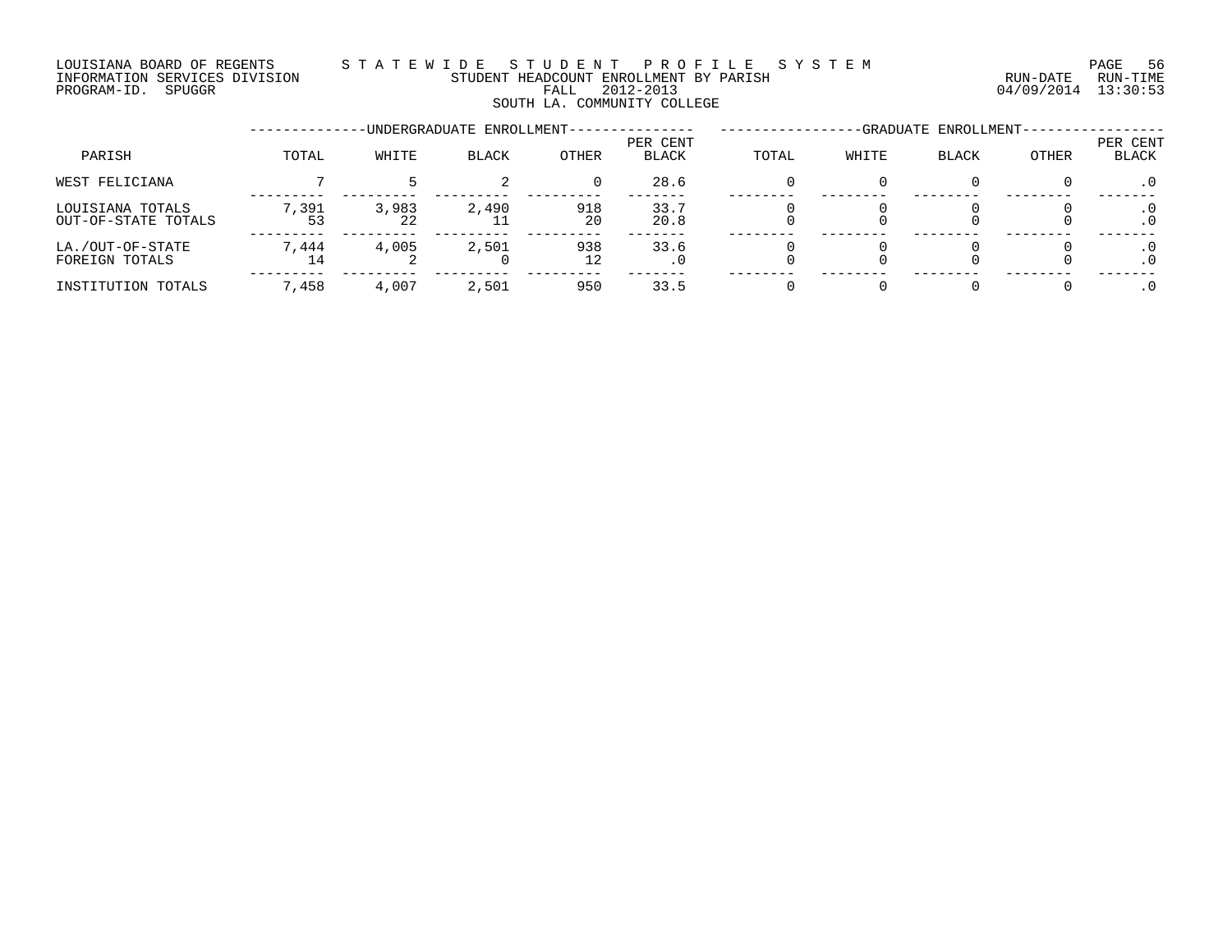### LOUISIANA BOARD OF REGENTS STATEWIDE STUDENT PROFILE SYSTEM CONDECTED PAGE 56 INFORMATION SERVICES DIVISION STUDENT HEADCOUNT ENROLLMENT BY PARISH STORMATION SERVICES DIVISION STUDENT HEADCOUNT ENROLLMENT BY PARISH PROGRAM-ID. SPUGGR FALL 2012-2013 04/09/2014 13:30:53 SOUTH LA. COMMUNITY COLLEGE

--------------UNDERGRADUATE ENROLLMENT--------------- -----------------GRADUATE ENROLLMENT----------------- PER CENT PER CENT PARISH TOTAL WHITE BLACK OTHER BLACK TOTAL WHITE BLACK OTHER BLACK WEST FELICIANA 7 5 2 0 28.6 0 0 0 0 .0 --------- --------- --------- --------- ------- -------- -------- -------- -------- ------- LOUISIANA TOTALS 7,391 3,983 2,490 918 33.7 0 0 0 0 .0 OUT-OF-STATE TOTALS 53 22 11 20 20.8 0 0 0 0 .0 --------- --------- --------- --------- ------- -------- -------- -------- -------- ------- LA./OUT-OF-STATE 7,444 4,005 2,501 938 33.6 0 0 0 0 .0 FOREIGN TOTALS 14 2 0 12 .0 0 0 0 0 .0 --------- --------- --------- --------- ------- -------- -------- -------- -------- ------- INSTITUTION TOTALS 7,458 4,007 2,501 950 33.5 0 0 0 0 .0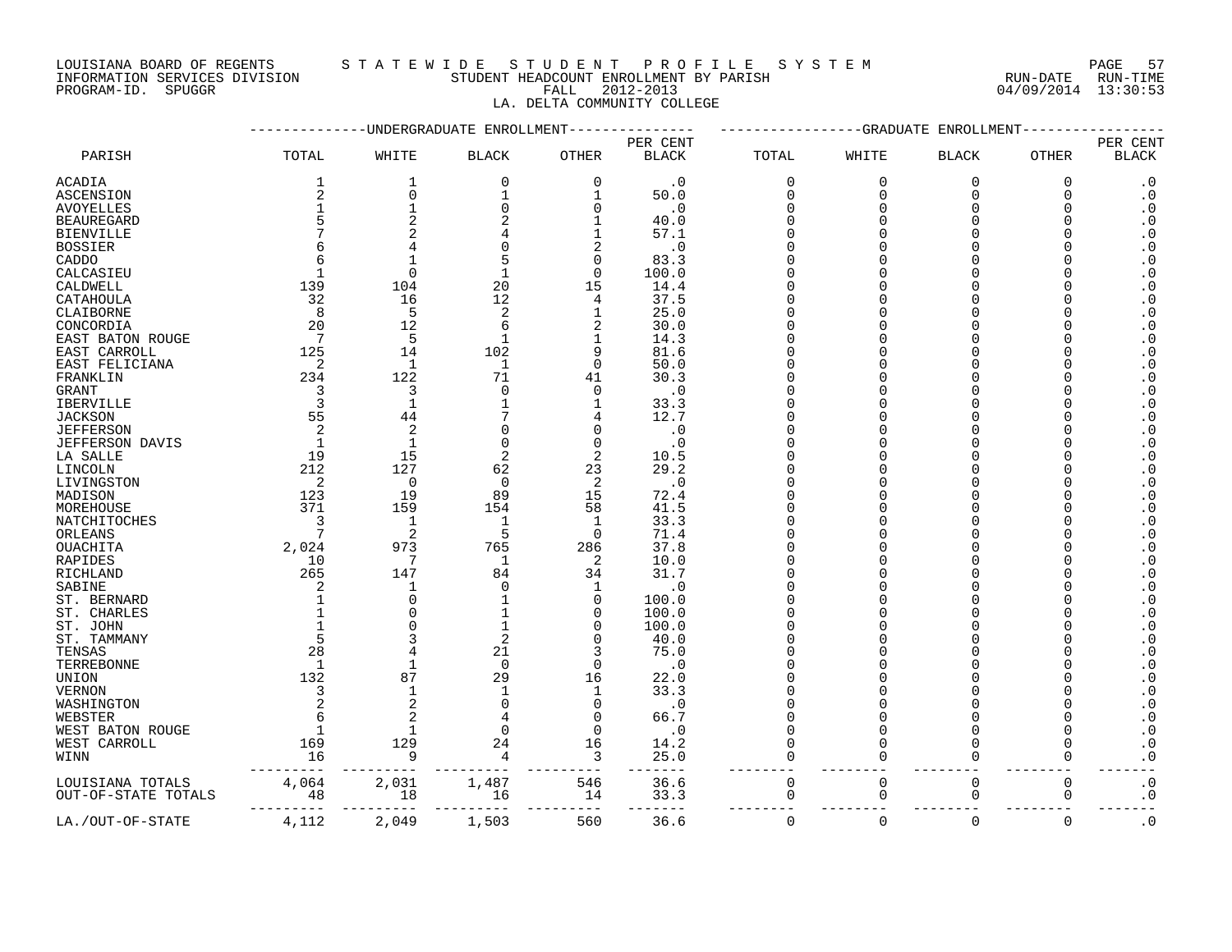INFORMATION SERVICES DIVISION STUDENT HEADCOUNT ENROLLMENT BY PARISH RUN-DATE RUN-TIME

## LOUISIANA BOARD OF REGENTS STATEWIDE STUDENT PROFILE SYSTEM PAGE 57<br>INFORMATION SERVICES DIVISION STUDENT HEADCOUNT ENROLLMENT BY PARISH NUN-DATE RUN-TIME

PROGRAM-ID. SPUGGR FALL 2012-2013 04/09/2014 13:30:53 LA. DELTA COMMUNITY COLLEGE

|                        |                         |                | UNDERGRADUATE ENROLLMEN |                |              |             | -GRADUATE   | ENROLLMEN <sup>®</sup> |          |                                                  |
|------------------------|-------------------------|----------------|-------------------------|----------------|--------------|-------------|-------------|------------------------|----------|--------------------------------------------------|
|                        |                         |                |                         |                | PER CENT     |             |             |                        |          | PER CENT                                         |
| PARISH                 | TOTAL                   | WHITE          | $\operatorname{BLACK}$  | <b>OTHER</b>   | <b>BLACK</b> | TOTAL       | WHITE       | <b>BLACK</b>           | OTHER    | <b>BLACK</b>                                     |
| ACADIA                 | 1                       | $\mathbf{1}$   | $\mathbf 0$             | $\Omega$       | $\cdot$ 0    | $\mathbf 0$ | $\mathbf 0$ | $\overline{0}$         | 0        | $\cdot$ 0                                        |
| <b>ASCENSION</b>       | 2                       | $\mathbf 0$    | 1                       | 1              | 50.0         | $\mathbf 0$ | $\mathbf 0$ | 0                      | 0        | $\boldsymbol{\cdot}$ 0                           |
| <b>AVOYELLES</b>       | $\mathbf 1$             |                | 0                       | 0              | $\cdot$ 0    | $\Omega$    |             |                        |          | $\cdot$ 0                                        |
| <b>BEAUREGARD</b>      | 5                       | 2              | 2                       | 1              | 40.0         | $\Omega$    | ∩           | <sup>0</sup>           |          | $\boldsymbol{\cdot}$ 0                           |
| <b>BIENVILLE</b>       | 7                       |                |                         | 1              | 57.1         | $\Omega$    |             |                        |          | $\cdot$ 0                                        |
| <b>BOSSIER</b>         | 6                       |                |                         | 2              | $\cdot$ 0    |             |             |                        |          | $\boldsymbol{\cdot}$ 0                           |
| CADDO                  | 6                       |                |                         | $\mathbf 0$    | 83.3         |             |             |                        |          | $\boldsymbol{\cdot}$ 0                           |
| CALCASIEU              | 1                       | $\overline{0}$ |                         | $\Omega$       | 100.0        |             |             |                        |          | $\boldsymbol{\cdot}$ 0                           |
| CALDWELL               | 139                     | 104            | 20                      | 15             | 14.4         |             |             |                        |          | $\cdot$ 0                                        |
| CATAHOULA              | 32                      | 16             | 12                      | $\overline{4}$ | 37.5         |             |             |                        |          | $\boldsymbol{\cdot}$ 0                           |
| CLAIBORNE              | 8                       | 5              | 2                       | 1              | 25.0         |             |             |                        |          | $\cdot$ 0                                        |
| CONCORDIA              | 20                      | 12             | 6                       | 2              | 30.0         |             |             |                        |          | $\cdot$ 0                                        |
| EAST BATON ROUGE       | $\overline{7}$          | 5              | $\mathbf{1}$            | $\mathbf{1}$   | 14.3         |             |             |                        |          | $\cdot$ 0                                        |
| EAST CARROLL           | 125                     | 14             | 102                     | 9              | 81.6         |             |             |                        |          | $\boldsymbol{\cdot}$ 0                           |
| EAST FELICIANA         | 2                       | $\mathbf{1}$   | 1                       | $\Omega$       | 50.0         |             |             |                        |          | $\boldsymbol{\cdot}$ 0                           |
| FRANKLIN               | 234                     | 122            | 71                      | 41             | 30.3         |             |             |                        |          | $\cdot$ 0                                        |
| <b>GRANT</b>           | 3                       | 3              |                         | $\Omega$       | $\cdot$ 0    |             |             |                        |          | $\boldsymbol{\cdot}$ 0                           |
|                        | $\overline{\mathbf{3}}$ | $\mathbf{1}$   |                         |                | 33.3         |             |             |                        |          | $\cdot$ 0                                        |
| IBERVILLE              | 55                      | 44             |                         |                | 12.7         |             |             |                        |          | $\boldsymbol{\cdot}$ 0                           |
| JACKSON                | 2                       | $\overline{2}$ |                         | $\Omega$       |              |             |             |                        |          |                                                  |
| <b>JEFFERSON</b>       | <sup>1</sup>            | $\mathbf{1}$   | $\Omega$                | $\Omega$       | $\cdot$ 0    |             |             |                        |          | $\boldsymbol{\cdot}$ 0<br>$\cdot$ 0              |
| <b>JEFFERSON DAVIS</b> | 19                      | 15             | 2                       | 2              | . 0          |             |             |                        |          | $\boldsymbol{\cdot}$ 0                           |
| LA SALLE               | 212                     | 127            | 62                      | 23             | 10.5         |             |             |                        |          | $\boldsymbol{\cdot}$ 0                           |
| LINCOLN                |                         |                | $\Omega$                |                | 29.2         |             |             |                        |          |                                                  |
| LIVINGSTON             | 2                       | $\mathbf 0$    |                         | 2              | $\cdot$ 0    |             |             |                        |          | $\cdot$ 0                                        |
| MADISON                | 123                     | 19             | 89                      | 15             | 72.4         |             |             |                        |          | $\boldsymbol{\cdot}$ 0                           |
| MOREHOUSE              | 371<br>$\overline{3}$   | 159            | 154                     | 58             | 41.5         |             |             |                        |          | $\boldsymbol{\cdot}$ 0<br>$\boldsymbol{\cdot}$ 0 |
| NATCHITOCHES           | 7                       | $\mathbf{1}$   | 1<br>$5\overline{5}$    | 1              | 33.3         |             |             |                        |          |                                                  |
| ORLEANS                |                         | $\overline{2}$ |                         | $\Omega$       | 71.4         |             |             |                        |          | $\boldsymbol{\cdot}$ 0                           |
| OUACHITA               | 2,024                   | 973            | 765                     | 286            | 37.8         |             |             |                        |          | $\boldsymbol{\cdot}$ 0                           |
| RAPIDES                | 10                      | 7              | 1                       | 2              | 10.0         |             |             |                        |          | $\cdot$ 0                                        |
| RICHLAND               | 265                     | 147            | 84                      | 34             | 31.7         |             |             |                        |          | $\overline{0}$                                   |
| SABINE                 | 2                       | 1              | $\Omega$                | 1              | $\cdot$ 0    |             |             |                        |          | $\boldsymbol{\cdot}$ 0                           |
| ST. BERNARD            |                         | $\Omega$       |                         | $\Omega$       | 100.0        |             |             |                        |          | $\cdot$ 0                                        |
| ST. CHARLES            |                         | $\bigcap$      |                         | 0              | 100.0        |             |             |                        |          | $\cdot$ 0                                        |
| ST. JOHN               |                         | $\bigcap$      |                         | O              | 100.0        |             |             |                        |          | . $\boldsymbol{0}$                               |
| ST. TAMMANY            | 5                       |                | 2                       | $\Omega$       | 40.0         |             |             |                        |          | $\boldsymbol{\cdot}$ 0                           |
| TENSAS                 | 28                      |                | 21                      | 3              | 75.0         |             |             |                        |          | $\cdot$ 0                                        |
| TERREBONNE             | 1                       |                | $\Omega$                | $\Omega$       | $\cdot$ 0    |             |             |                        |          | $\boldsymbol{\cdot}$ 0                           |
| UNION                  | 132                     | 87             | 29                      | 16             | 22.0         |             |             |                        |          | $\boldsymbol{\cdot}$ 0                           |
| <b>VERNON</b>          | 3                       | $\mathbf{1}$   |                         | 1              | 33.3         |             |             |                        |          | $\cdot$ 0                                        |
| WASHINGTON             | 2                       | $\overline{2}$ | 0                       | $\Omega$       | $\cdot$ 0    |             |             |                        |          | $\boldsymbol{\cdot}$ 0                           |
| WEBSTER                | 6                       |                |                         | $\Omega$       | 66.7         |             |             |                        |          | $\boldsymbol{\cdot}$ 0                           |
| WEST BATON ROUGE       | $\overline{1}$          |                |                         | $\Omega$       | $\cdot$ 0    | $\Omega$    |             |                        |          | $\cdot$ 0                                        |
| WEST CARROLL           | 169                     | 129            | 24                      | 16             | 14.2         | ∩           |             | $\Omega$               |          | $\boldsymbol{\cdot}$ 0                           |
| WINN                   | 16                      | 9              | 4                       | 3              | 25.0         | 0           | $\Omega$    | $\Omega$               | $\Omega$ | $\boldsymbol{\cdot}$ 0                           |
| LOUISIANA TOTALS       | $4\,,\,064$             | 2,031          | 1,487                   | 546            | 36.6         | $\mathbf 0$ | $\Omega$    | 0                      | 0        | $\boldsymbol{\cdot}$ 0                           |
| OUT-OF-STATE TOTALS    | 48<br>$- - - - - -$     | 18<br>-----    | 16                      | 14<br>$- - -$  | 33.3         | $\Omega$    | $\Omega$    | $\Omega$               | $\Omega$ | $\boldsymbol{\cdot}$ 0                           |
| LA./OUT-OF-STATE       | 4,112                   | 2,049          | 1,503                   | 560            | 36.6         | $\Omega$    | $\Omega$    | $\Omega$               | $\Omega$ | $\cdot$ 0                                        |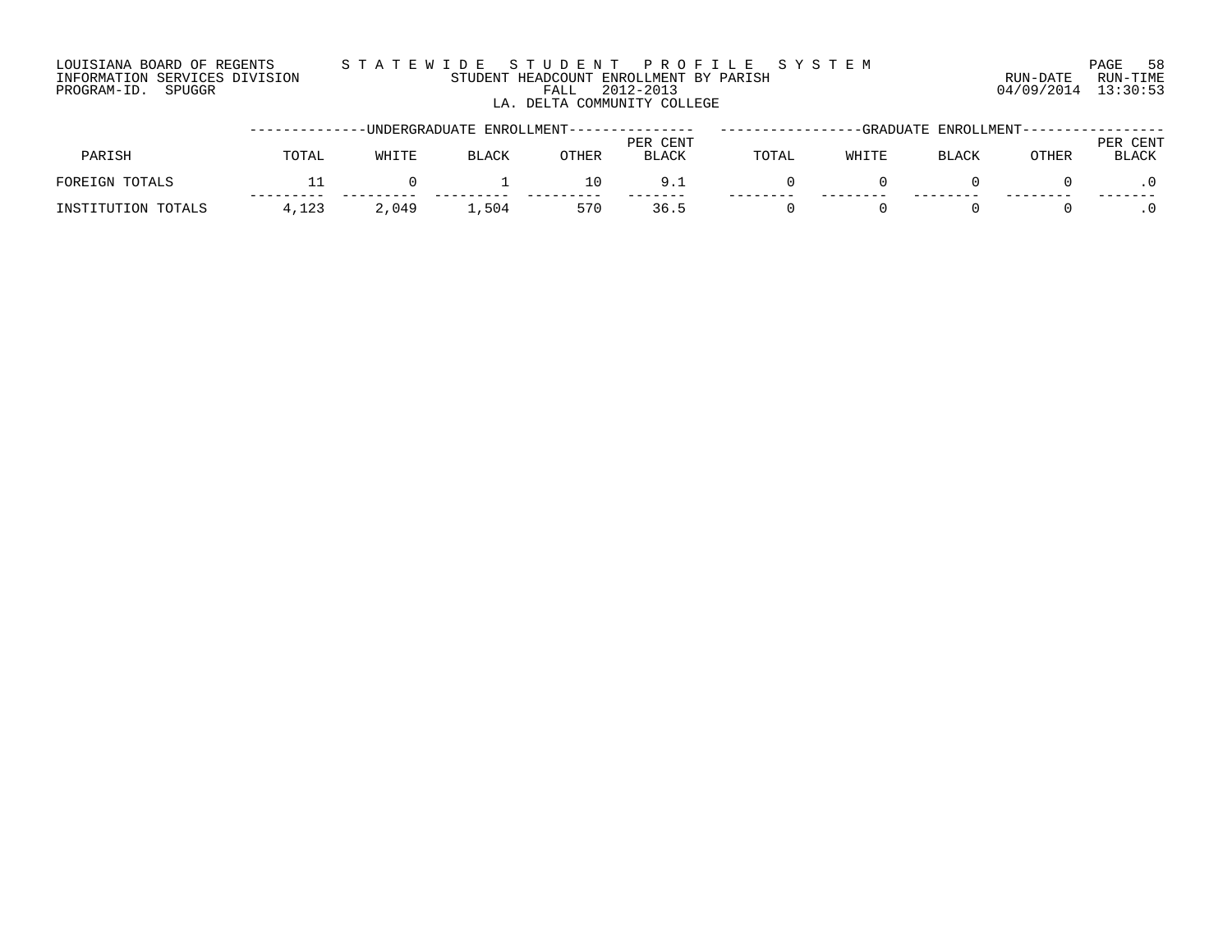### LOUISIANA BOARD OF REGENTS S T A T E W I D E S T U D E N T P R O F I L E S Y S T E M PAGE 58 INFORMATION SERVICES DIVISION STUDENT HEADCOUNT ENROLLMENT BY PARISH RUN-DATE RUN-TIME PROGRAM-ID. SPUGGR FALL 2012-2013 04/09/2014 13:30:53 LA. DELTA COMMUNITY COLLEGE

|                    |       |       | UNDERGRADUATE ENROLLMENT-------------- |       |                          |       | -GRADUATE | ENROLLMENT-- |       |                      |
|--------------------|-------|-------|----------------------------------------|-------|--------------------------|-------|-----------|--------------|-------|----------------------|
| PARISH             | TOTAL | WHITE | <b>BLACK</b>                           | OTHER | PER CENT<br><b>BLACK</b> | TOTAL | WHITE     | BLACK        | OTHER | CENT<br>PER<br>BLACK |
| FOREIGN TOTALS     |       |       |                                        | 10    | 9.1                      |       |           |              |       |                      |
| INSTITUTION TOTALS | 4.123 | 2,049 | 1,504                                  | 570   | 36.5                     |       |           |              |       |                      |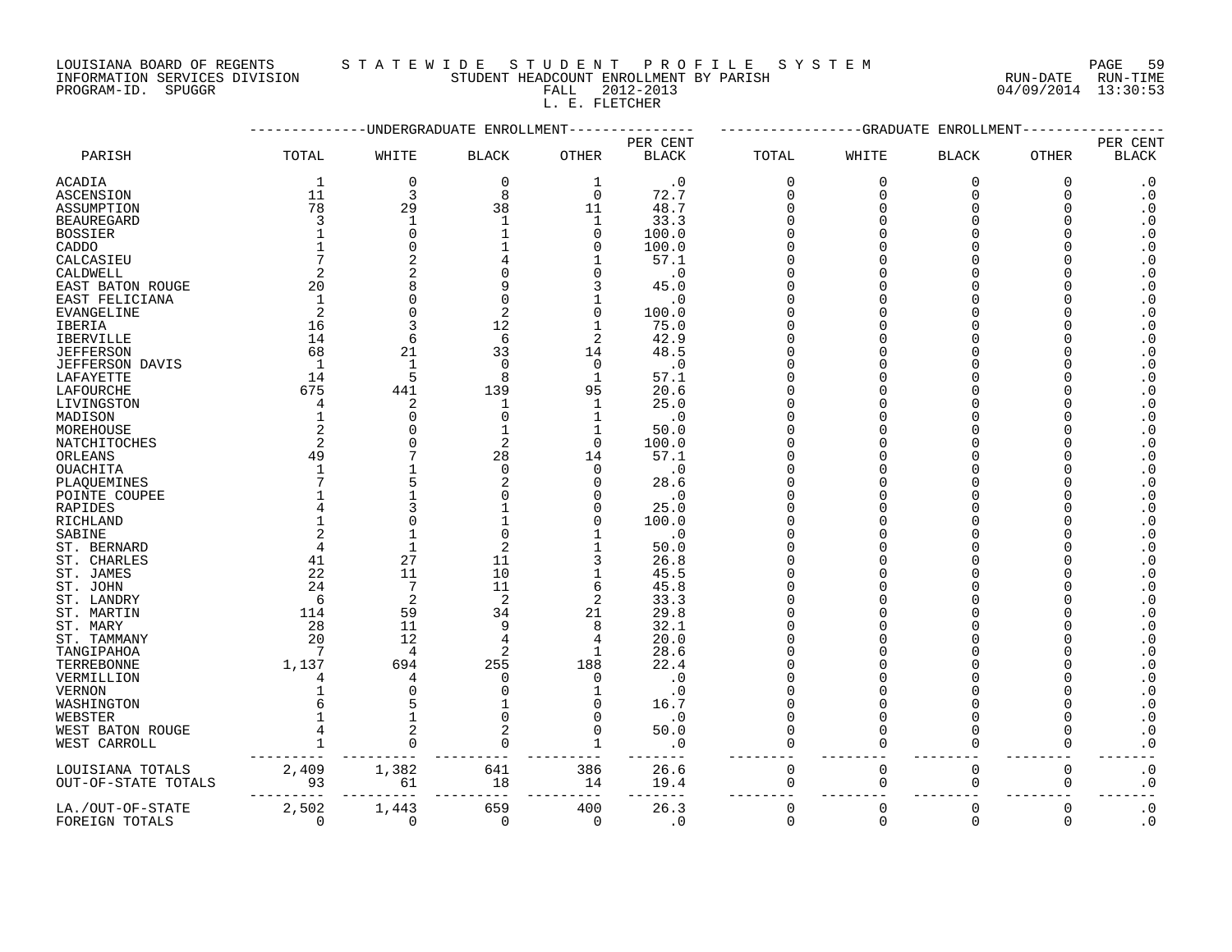## LOUISIANA BOARD OF REGENTS STATEWIDE STUDE STUDENT PROFILE SYSTEM PAGE 59<br>INFORMATION SERVICES DIVISION STUDENT HEADCOUNT ENROLLMENT BY PARISH NUN-DATE RUN-TIME

STUDENT HEADCOUNT ENROLLMENT BY PARISH PROGRAM-ID. SPUGGR FALL 2012-2013 04/09/2014 13:30:53 L. E. FLETCHER

| PER CENT<br>PER CENT<br>PARISH<br>TOTAL<br>WHITE<br><b>OTHER</b><br><b>BLACK</b><br>TOTAL<br>WHITE<br>OTHER<br><b>BLACK</b><br><b>BLACK</b><br><b>BLACK</b><br>$\mathbf 0$<br>$\mathbf 0$<br><b>ACADIA</b><br>$\mathbf{1}$<br>$\cdot$ 0<br>$\mathbf 0$<br>$\mathbf 0$<br>$\mathbf 0$<br>$\Omega$<br>$\cdot$ 0<br>1<br>11<br>$\overline{3}$<br>8<br>$\Omega$<br>$\cdot$ 0<br>72.7<br>$\mathbf 0$<br>$\Omega$<br>$\Omega$<br><b>ASCENSION</b><br>$\Omega$<br>78<br>29<br>38<br>$\cdot$ 0<br>11<br>48.7<br>$\Omega$<br>ASSUMPTION<br>$\Omega$<br>3<br>$\cdot$ 0<br>33.3<br><b>BEAUREGARD</b><br>1<br>-1<br>1<br>$\Omega$<br>∩<br>$\overline{0}$<br>$\boldsymbol{\cdot}$ 0<br>$\Omega$<br>100.0<br>$\Omega$<br><b>BOSSIER</b><br>$\boldsymbol{\cdot}$ 0<br>$\Omega$<br>100.0<br>CADDO<br>$\Omega$<br>∩<br>$\cdot$ 0<br>57.1<br>CALCASIEU<br>$\boldsymbol{\cdot}$ 0<br>CALDWELL<br>$\overline{2}$<br>2<br>.0<br>$\Omega$<br>20<br>$\cdot$ 0<br>8<br>9<br>3<br>45.0<br>EAST BATON ROUGE<br>$\boldsymbol{\cdot}$ 0<br>$\Omega$<br>EAST FELICIANA<br>1<br>$\Omega$<br>$\cdot$ 0<br>2<br>$\boldsymbol{\cdot}$ 0<br>2<br>$\Omega$<br>$\mathbf 0$<br>EVANGELINE<br>100.0<br>16<br>12<br>$\boldsymbol{\cdot}$ 0<br><b>IBERIA</b><br>75.0<br>$\mathbf{1}$<br>$\boldsymbol{\cdot}$ 0<br>14<br>6<br>$\overline{2}$<br>6<br>42.9<br><b>IBERVILLE</b><br>68<br>21<br>33<br>48.5<br>$\boldsymbol{\cdot}$ 0<br><b>JEFFERSON</b><br>14<br>$\mathbf{1}$<br>$\cdot$ 0<br>$\boldsymbol{\cdot}$ 0<br><b>JEFFERSON DAVIS</b><br>1<br>$\Omega$<br>$\Omega$<br>5<br>$\boldsymbol{\cdot}$ 0<br>14<br>8<br>57.1<br>LAFAYETTE<br>$\mathbf{1}$<br>675<br>441<br>$\boldsymbol{\cdot}$ 0<br>139<br>95<br>20.6<br>LAFOURCHE<br>$\boldsymbol{\cdot}$ 0<br>2<br>$\mathbf{1}$<br>25.0<br>LIVINGSTON<br>4<br>1<br>$\boldsymbol{\cdot}$ 0<br>$\Omega$<br>$\Omega$<br>$\cdot$ 0<br>MADISON<br>1<br>$\overline{a}$<br>$\cdot$ 0<br>MOREHOUSE<br>50.0<br>C<br>$\mathbf{1}$<br>2<br>$\cdot$ 0<br>2<br>$\Omega$<br>100.0<br>NATCHITOCHES<br>$\boldsymbol{\cdot}$ 0<br>49<br>28<br>57.1<br>ORLEANS<br>14<br>∩<br>$\boldsymbol{\cdot}$ 0<br><b>OUACHITA</b><br>$\Omega$<br>$\cdot$ 0<br>$\cap$<br>$\boldsymbol{\cdot}$ 0<br>2<br>28.6<br>PLAQUEMINES<br>n<br>$\cdot$ 0<br>$\cdot$ 0<br>POINTE COUPEE<br>$\boldsymbol{\cdot}$ 0<br>25.0<br>RAPIDES<br>4<br>n<br>$\cdot$ 0<br>100.0<br>RICHLAND<br>$\Omega$<br>∩<br>$\boldsymbol{\cdot}$ 0<br>$\Omega$<br>$\cdot$ 0<br>SABINE<br>$\cdot$ 0<br>$\overline{4}$<br>2<br>ST. BERNARD<br>50.0<br>∩<br>27<br>$\boldsymbol{\cdot}$ 0<br>41<br>ST. CHARLES<br>11<br>3<br>26.8<br>10<br>$\boldsymbol{\cdot}$ 0<br>22<br>11<br>$\mathbf{1}$<br>45.5<br>ST. JAMES<br>$\Omega$<br>7<br>11<br>24<br>6<br>45.8<br>$\boldsymbol{\cdot}$ 0<br>ST. JOHN<br>2<br>2<br>6<br>2<br>33.3<br>$\boldsymbol{\cdot}$ 0<br>ST. LANDRY<br>59<br>$\boldsymbol{\cdot}$ 0<br>114<br>34<br>21<br>29.8<br>ST. MARTIN<br>28<br>11<br>32.1<br>$\boldsymbol{\cdot}$ 0<br>ST. MARY<br>9<br>8<br>12<br>$\boldsymbol{\cdot}$ 0<br>20<br>4<br>20.0<br>ST. TAMMANY<br>4<br>$\overline{4}$<br>2<br>28.6<br>$\cdot$ 0<br>7<br>TANGIPAHOA<br>1<br>$\cdot$ 0<br>1,137<br>694<br>255<br>22.4<br>TERREBONNE<br>188<br>$\cdot$ 0<br>VERMILLION<br>0<br>$\Omega$<br>. 0<br>4<br>4<br>$\boldsymbol{\cdot}$ 0<br><b>VERNON</b><br>C<br>$\cdot$ 0<br>$\boldsymbol{\cdot}$ 0<br>$\Omega$<br>16.7<br>WASHINGTON<br>$\boldsymbol{\cdot}$ 0<br>WEBSTER<br>$\cap$<br>$\cdot$ 0<br>$\Omega$<br>$\Omega$<br>$\boldsymbol{\cdot}$ 0<br>50.0<br>$\Omega$<br>$\Omega$<br>$\cap$<br>WEST BATON ROUGE<br>$\cdot 0$<br>$\cdot$ 0<br>WEST CARROLL<br>$\Omega$<br>$\Omega$<br>$\Omega$<br>$\Omega$<br>2,409<br>1,382<br>641<br>386<br>26.6<br>$\mathbf 0$<br>$\mathbf 0$<br>$\mathsf 0$<br>$\boldsymbol{\cdot}$ 0<br>LOUISIANA TOTALS<br>0<br>93<br>$\boldsymbol{\cdot}$ 0<br>14<br>19.4<br>$\mathbf 0$<br>$\mathbf 0$<br>0<br>OUT-OF-STATE TOTALS<br>61<br>18<br>0<br>$\mathbf 0$<br>$\overline{0}$<br>$\cdot$ 0<br>2,502<br>659<br>400<br>26.3<br>$\Omega$<br>$\mathbf 0$<br>LA./OUT-OF-STATE<br>1,443<br>$\Omega$<br>$\Omega$<br>$\boldsymbol{\cdot}$ 0<br>$\Omega$<br>$\Omega$<br>$\Omega$<br>FOREIGN TOTALS<br>$\Omega$<br>$\mathbf 0$<br>$\Omega$<br>$\cdot$ 0 |  | UNDERGRADUATE ENROLLMENT |  | -GRADUATE | ENROLLMENT |  |
|---------------------------------------------------------------------------------------------------------------------------------------------------------------------------------------------------------------------------------------------------------------------------------------------------------------------------------------------------------------------------------------------------------------------------------------------------------------------------------------------------------------------------------------------------------------------------------------------------------------------------------------------------------------------------------------------------------------------------------------------------------------------------------------------------------------------------------------------------------------------------------------------------------------------------------------------------------------------------------------------------------------------------------------------------------------------------------------------------------------------------------------------------------------------------------------------------------------------------------------------------------------------------------------------------------------------------------------------------------------------------------------------------------------------------------------------------------------------------------------------------------------------------------------------------------------------------------------------------------------------------------------------------------------------------------------------------------------------------------------------------------------------------------------------------------------------------------------------------------------------------------------------------------------------------------------------------------------------------------------------------------------------------------------------------------------------------------------------------------------------------------------------------------------------------------------------------------------------------------------------------------------------------------------------------------------------------------------------------------------------------------------------------------------------------------------------------------------------------------------------------------------------------------------------------------------------------------------------------------------------------------------------------------------------------------------------------------------------------------------------------------------------------------------------------------------------------------------------------------------------------------------------------------------------------------------------------------------------------------------------------------------------------------------------------------------------------------------------------------------------------------------------------------------------------------------------------------------------------------------------------------------------------------------------------------------------------------------------------------------------------------------------------------------------------------------------------------------------------------------------------------------------------------------------------------------------------------------------------------------------------------------------------------------------------------------------------------------------------------------------------------------------------------------------------------------------------------------------------------------------------------------------------------------------------------------------------------------------------------------------------------------------------------------------------------------------------------------------------------------------------------------------------------------------------------------------------|--|--------------------------|--|-----------|------------|--|
|                                                                                                                                                                                                                                                                                                                                                                                                                                                                                                                                                                                                                                                                                                                                                                                                                                                                                                                                                                                                                                                                                                                                                                                                                                                                                                                                                                                                                                                                                                                                                                                                                                                                                                                                                                                                                                                                                                                                                                                                                                                                                                                                                                                                                                                                                                                                                                                                                                                                                                                                                                                                                                                                                                                                                                                                                                                                                                                                                                                                                                                                                                                                                                                                                                                                                                                                                                                                                                                                                                                                                                                                                                                                                                                                                                                                                                                                                                                                                                                                                                                                                                                                                                                                   |  |                          |  |           |            |  |
|                                                                                                                                                                                                                                                                                                                                                                                                                                                                                                                                                                                                                                                                                                                                                                                                                                                                                                                                                                                                                                                                                                                                                                                                                                                                                                                                                                                                                                                                                                                                                                                                                                                                                                                                                                                                                                                                                                                                                                                                                                                                                                                                                                                                                                                                                                                                                                                                                                                                                                                                                                                                                                                                                                                                                                                                                                                                                                                                                                                                                                                                                                                                                                                                                                                                                                                                                                                                                                                                                                                                                                                                                                                                                                                                                                                                                                                                                                                                                                                                                                                                                                                                                                                                   |  |                          |  |           |            |  |
|                                                                                                                                                                                                                                                                                                                                                                                                                                                                                                                                                                                                                                                                                                                                                                                                                                                                                                                                                                                                                                                                                                                                                                                                                                                                                                                                                                                                                                                                                                                                                                                                                                                                                                                                                                                                                                                                                                                                                                                                                                                                                                                                                                                                                                                                                                                                                                                                                                                                                                                                                                                                                                                                                                                                                                                                                                                                                                                                                                                                                                                                                                                                                                                                                                                                                                                                                                                                                                                                                                                                                                                                                                                                                                                                                                                                                                                                                                                                                                                                                                                                                                                                                                                                   |  |                          |  |           |            |  |
|                                                                                                                                                                                                                                                                                                                                                                                                                                                                                                                                                                                                                                                                                                                                                                                                                                                                                                                                                                                                                                                                                                                                                                                                                                                                                                                                                                                                                                                                                                                                                                                                                                                                                                                                                                                                                                                                                                                                                                                                                                                                                                                                                                                                                                                                                                                                                                                                                                                                                                                                                                                                                                                                                                                                                                                                                                                                                                                                                                                                                                                                                                                                                                                                                                                                                                                                                                                                                                                                                                                                                                                                                                                                                                                                                                                                                                                                                                                                                                                                                                                                                                                                                                                                   |  |                          |  |           |            |  |
|                                                                                                                                                                                                                                                                                                                                                                                                                                                                                                                                                                                                                                                                                                                                                                                                                                                                                                                                                                                                                                                                                                                                                                                                                                                                                                                                                                                                                                                                                                                                                                                                                                                                                                                                                                                                                                                                                                                                                                                                                                                                                                                                                                                                                                                                                                                                                                                                                                                                                                                                                                                                                                                                                                                                                                                                                                                                                                                                                                                                                                                                                                                                                                                                                                                                                                                                                                                                                                                                                                                                                                                                                                                                                                                                                                                                                                                                                                                                                                                                                                                                                                                                                                                                   |  |                          |  |           |            |  |
|                                                                                                                                                                                                                                                                                                                                                                                                                                                                                                                                                                                                                                                                                                                                                                                                                                                                                                                                                                                                                                                                                                                                                                                                                                                                                                                                                                                                                                                                                                                                                                                                                                                                                                                                                                                                                                                                                                                                                                                                                                                                                                                                                                                                                                                                                                                                                                                                                                                                                                                                                                                                                                                                                                                                                                                                                                                                                                                                                                                                                                                                                                                                                                                                                                                                                                                                                                                                                                                                                                                                                                                                                                                                                                                                                                                                                                                                                                                                                                                                                                                                                                                                                                                                   |  |                          |  |           |            |  |
|                                                                                                                                                                                                                                                                                                                                                                                                                                                                                                                                                                                                                                                                                                                                                                                                                                                                                                                                                                                                                                                                                                                                                                                                                                                                                                                                                                                                                                                                                                                                                                                                                                                                                                                                                                                                                                                                                                                                                                                                                                                                                                                                                                                                                                                                                                                                                                                                                                                                                                                                                                                                                                                                                                                                                                                                                                                                                                                                                                                                                                                                                                                                                                                                                                                                                                                                                                                                                                                                                                                                                                                                                                                                                                                                                                                                                                                                                                                                                                                                                                                                                                                                                                                                   |  |                          |  |           |            |  |
|                                                                                                                                                                                                                                                                                                                                                                                                                                                                                                                                                                                                                                                                                                                                                                                                                                                                                                                                                                                                                                                                                                                                                                                                                                                                                                                                                                                                                                                                                                                                                                                                                                                                                                                                                                                                                                                                                                                                                                                                                                                                                                                                                                                                                                                                                                                                                                                                                                                                                                                                                                                                                                                                                                                                                                                                                                                                                                                                                                                                                                                                                                                                                                                                                                                                                                                                                                                                                                                                                                                                                                                                                                                                                                                                                                                                                                                                                                                                                                                                                                                                                                                                                                                                   |  |                          |  |           |            |  |
|                                                                                                                                                                                                                                                                                                                                                                                                                                                                                                                                                                                                                                                                                                                                                                                                                                                                                                                                                                                                                                                                                                                                                                                                                                                                                                                                                                                                                                                                                                                                                                                                                                                                                                                                                                                                                                                                                                                                                                                                                                                                                                                                                                                                                                                                                                                                                                                                                                                                                                                                                                                                                                                                                                                                                                                                                                                                                                                                                                                                                                                                                                                                                                                                                                                                                                                                                                                                                                                                                                                                                                                                                                                                                                                                                                                                                                                                                                                                                                                                                                                                                                                                                                                                   |  |                          |  |           |            |  |
|                                                                                                                                                                                                                                                                                                                                                                                                                                                                                                                                                                                                                                                                                                                                                                                                                                                                                                                                                                                                                                                                                                                                                                                                                                                                                                                                                                                                                                                                                                                                                                                                                                                                                                                                                                                                                                                                                                                                                                                                                                                                                                                                                                                                                                                                                                                                                                                                                                                                                                                                                                                                                                                                                                                                                                                                                                                                                                                                                                                                                                                                                                                                                                                                                                                                                                                                                                                                                                                                                                                                                                                                                                                                                                                                                                                                                                                                                                                                                                                                                                                                                                                                                                                                   |  |                          |  |           |            |  |
|                                                                                                                                                                                                                                                                                                                                                                                                                                                                                                                                                                                                                                                                                                                                                                                                                                                                                                                                                                                                                                                                                                                                                                                                                                                                                                                                                                                                                                                                                                                                                                                                                                                                                                                                                                                                                                                                                                                                                                                                                                                                                                                                                                                                                                                                                                                                                                                                                                                                                                                                                                                                                                                                                                                                                                                                                                                                                                                                                                                                                                                                                                                                                                                                                                                                                                                                                                                                                                                                                                                                                                                                                                                                                                                                                                                                                                                                                                                                                                                                                                                                                                                                                                                                   |  |                          |  |           |            |  |
|                                                                                                                                                                                                                                                                                                                                                                                                                                                                                                                                                                                                                                                                                                                                                                                                                                                                                                                                                                                                                                                                                                                                                                                                                                                                                                                                                                                                                                                                                                                                                                                                                                                                                                                                                                                                                                                                                                                                                                                                                                                                                                                                                                                                                                                                                                                                                                                                                                                                                                                                                                                                                                                                                                                                                                                                                                                                                                                                                                                                                                                                                                                                                                                                                                                                                                                                                                                                                                                                                                                                                                                                                                                                                                                                                                                                                                                                                                                                                                                                                                                                                                                                                                                                   |  |                          |  |           |            |  |
|                                                                                                                                                                                                                                                                                                                                                                                                                                                                                                                                                                                                                                                                                                                                                                                                                                                                                                                                                                                                                                                                                                                                                                                                                                                                                                                                                                                                                                                                                                                                                                                                                                                                                                                                                                                                                                                                                                                                                                                                                                                                                                                                                                                                                                                                                                                                                                                                                                                                                                                                                                                                                                                                                                                                                                                                                                                                                                                                                                                                                                                                                                                                                                                                                                                                                                                                                                                                                                                                                                                                                                                                                                                                                                                                                                                                                                                                                                                                                                                                                                                                                                                                                                                                   |  |                          |  |           |            |  |
|                                                                                                                                                                                                                                                                                                                                                                                                                                                                                                                                                                                                                                                                                                                                                                                                                                                                                                                                                                                                                                                                                                                                                                                                                                                                                                                                                                                                                                                                                                                                                                                                                                                                                                                                                                                                                                                                                                                                                                                                                                                                                                                                                                                                                                                                                                                                                                                                                                                                                                                                                                                                                                                                                                                                                                                                                                                                                                                                                                                                                                                                                                                                                                                                                                                                                                                                                                                                                                                                                                                                                                                                                                                                                                                                                                                                                                                                                                                                                                                                                                                                                                                                                                                                   |  |                          |  |           |            |  |
|                                                                                                                                                                                                                                                                                                                                                                                                                                                                                                                                                                                                                                                                                                                                                                                                                                                                                                                                                                                                                                                                                                                                                                                                                                                                                                                                                                                                                                                                                                                                                                                                                                                                                                                                                                                                                                                                                                                                                                                                                                                                                                                                                                                                                                                                                                                                                                                                                                                                                                                                                                                                                                                                                                                                                                                                                                                                                                                                                                                                                                                                                                                                                                                                                                                                                                                                                                                                                                                                                                                                                                                                                                                                                                                                                                                                                                                                                                                                                                                                                                                                                                                                                                                                   |  |                          |  |           |            |  |
|                                                                                                                                                                                                                                                                                                                                                                                                                                                                                                                                                                                                                                                                                                                                                                                                                                                                                                                                                                                                                                                                                                                                                                                                                                                                                                                                                                                                                                                                                                                                                                                                                                                                                                                                                                                                                                                                                                                                                                                                                                                                                                                                                                                                                                                                                                                                                                                                                                                                                                                                                                                                                                                                                                                                                                                                                                                                                                                                                                                                                                                                                                                                                                                                                                                                                                                                                                                                                                                                                                                                                                                                                                                                                                                                                                                                                                                                                                                                                                                                                                                                                                                                                                                                   |  |                          |  |           |            |  |
|                                                                                                                                                                                                                                                                                                                                                                                                                                                                                                                                                                                                                                                                                                                                                                                                                                                                                                                                                                                                                                                                                                                                                                                                                                                                                                                                                                                                                                                                                                                                                                                                                                                                                                                                                                                                                                                                                                                                                                                                                                                                                                                                                                                                                                                                                                                                                                                                                                                                                                                                                                                                                                                                                                                                                                                                                                                                                                                                                                                                                                                                                                                                                                                                                                                                                                                                                                                                                                                                                                                                                                                                                                                                                                                                                                                                                                                                                                                                                                                                                                                                                                                                                                                                   |  |                          |  |           |            |  |
|                                                                                                                                                                                                                                                                                                                                                                                                                                                                                                                                                                                                                                                                                                                                                                                                                                                                                                                                                                                                                                                                                                                                                                                                                                                                                                                                                                                                                                                                                                                                                                                                                                                                                                                                                                                                                                                                                                                                                                                                                                                                                                                                                                                                                                                                                                                                                                                                                                                                                                                                                                                                                                                                                                                                                                                                                                                                                                                                                                                                                                                                                                                                                                                                                                                                                                                                                                                                                                                                                                                                                                                                                                                                                                                                                                                                                                                                                                                                                                                                                                                                                                                                                                                                   |  |                          |  |           |            |  |
|                                                                                                                                                                                                                                                                                                                                                                                                                                                                                                                                                                                                                                                                                                                                                                                                                                                                                                                                                                                                                                                                                                                                                                                                                                                                                                                                                                                                                                                                                                                                                                                                                                                                                                                                                                                                                                                                                                                                                                                                                                                                                                                                                                                                                                                                                                                                                                                                                                                                                                                                                                                                                                                                                                                                                                                                                                                                                                                                                                                                                                                                                                                                                                                                                                                                                                                                                                                                                                                                                                                                                                                                                                                                                                                                                                                                                                                                                                                                                                                                                                                                                                                                                                                                   |  |                          |  |           |            |  |
|                                                                                                                                                                                                                                                                                                                                                                                                                                                                                                                                                                                                                                                                                                                                                                                                                                                                                                                                                                                                                                                                                                                                                                                                                                                                                                                                                                                                                                                                                                                                                                                                                                                                                                                                                                                                                                                                                                                                                                                                                                                                                                                                                                                                                                                                                                                                                                                                                                                                                                                                                                                                                                                                                                                                                                                                                                                                                                                                                                                                                                                                                                                                                                                                                                                                                                                                                                                                                                                                                                                                                                                                                                                                                                                                                                                                                                                                                                                                                                                                                                                                                                                                                                                                   |  |                          |  |           |            |  |
|                                                                                                                                                                                                                                                                                                                                                                                                                                                                                                                                                                                                                                                                                                                                                                                                                                                                                                                                                                                                                                                                                                                                                                                                                                                                                                                                                                                                                                                                                                                                                                                                                                                                                                                                                                                                                                                                                                                                                                                                                                                                                                                                                                                                                                                                                                                                                                                                                                                                                                                                                                                                                                                                                                                                                                                                                                                                                                                                                                                                                                                                                                                                                                                                                                                                                                                                                                                                                                                                                                                                                                                                                                                                                                                                                                                                                                                                                                                                                                                                                                                                                                                                                                                                   |  |                          |  |           |            |  |
|                                                                                                                                                                                                                                                                                                                                                                                                                                                                                                                                                                                                                                                                                                                                                                                                                                                                                                                                                                                                                                                                                                                                                                                                                                                                                                                                                                                                                                                                                                                                                                                                                                                                                                                                                                                                                                                                                                                                                                                                                                                                                                                                                                                                                                                                                                                                                                                                                                                                                                                                                                                                                                                                                                                                                                                                                                                                                                                                                                                                                                                                                                                                                                                                                                                                                                                                                                                                                                                                                                                                                                                                                                                                                                                                                                                                                                                                                                                                                                                                                                                                                                                                                                                                   |  |                          |  |           |            |  |
|                                                                                                                                                                                                                                                                                                                                                                                                                                                                                                                                                                                                                                                                                                                                                                                                                                                                                                                                                                                                                                                                                                                                                                                                                                                                                                                                                                                                                                                                                                                                                                                                                                                                                                                                                                                                                                                                                                                                                                                                                                                                                                                                                                                                                                                                                                                                                                                                                                                                                                                                                                                                                                                                                                                                                                                                                                                                                                                                                                                                                                                                                                                                                                                                                                                                                                                                                                                                                                                                                                                                                                                                                                                                                                                                                                                                                                                                                                                                                                                                                                                                                                                                                                                                   |  |                          |  |           |            |  |
|                                                                                                                                                                                                                                                                                                                                                                                                                                                                                                                                                                                                                                                                                                                                                                                                                                                                                                                                                                                                                                                                                                                                                                                                                                                                                                                                                                                                                                                                                                                                                                                                                                                                                                                                                                                                                                                                                                                                                                                                                                                                                                                                                                                                                                                                                                                                                                                                                                                                                                                                                                                                                                                                                                                                                                                                                                                                                                                                                                                                                                                                                                                                                                                                                                                                                                                                                                                                                                                                                                                                                                                                                                                                                                                                                                                                                                                                                                                                                                                                                                                                                                                                                                                                   |  |                          |  |           |            |  |
|                                                                                                                                                                                                                                                                                                                                                                                                                                                                                                                                                                                                                                                                                                                                                                                                                                                                                                                                                                                                                                                                                                                                                                                                                                                                                                                                                                                                                                                                                                                                                                                                                                                                                                                                                                                                                                                                                                                                                                                                                                                                                                                                                                                                                                                                                                                                                                                                                                                                                                                                                                                                                                                                                                                                                                                                                                                                                                                                                                                                                                                                                                                                                                                                                                                                                                                                                                                                                                                                                                                                                                                                                                                                                                                                                                                                                                                                                                                                                                                                                                                                                                                                                                                                   |  |                          |  |           |            |  |
|                                                                                                                                                                                                                                                                                                                                                                                                                                                                                                                                                                                                                                                                                                                                                                                                                                                                                                                                                                                                                                                                                                                                                                                                                                                                                                                                                                                                                                                                                                                                                                                                                                                                                                                                                                                                                                                                                                                                                                                                                                                                                                                                                                                                                                                                                                                                                                                                                                                                                                                                                                                                                                                                                                                                                                                                                                                                                                                                                                                                                                                                                                                                                                                                                                                                                                                                                                                                                                                                                                                                                                                                                                                                                                                                                                                                                                                                                                                                                                                                                                                                                                                                                                                                   |  |                          |  |           |            |  |
|                                                                                                                                                                                                                                                                                                                                                                                                                                                                                                                                                                                                                                                                                                                                                                                                                                                                                                                                                                                                                                                                                                                                                                                                                                                                                                                                                                                                                                                                                                                                                                                                                                                                                                                                                                                                                                                                                                                                                                                                                                                                                                                                                                                                                                                                                                                                                                                                                                                                                                                                                                                                                                                                                                                                                                                                                                                                                                                                                                                                                                                                                                                                                                                                                                                                                                                                                                                                                                                                                                                                                                                                                                                                                                                                                                                                                                                                                                                                                                                                                                                                                                                                                                                                   |  |                          |  |           |            |  |
|                                                                                                                                                                                                                                                                                                                                                                                                                                                                                                                                                                                                                                                                                                                                                                                                                                                                                                                                                                                                                                                                                                                                                                                                                                                                                                                                                                                                                                                                                                                                                                                                                                                                                                                                                                                                                                                                                                                                                                                                                                                                                                                                                                                                                                                                                                                                                                                                                                                                                                                                                                                                                                                                                                                                                                                                                                                                                                                                                                                                                                                                                                                                                                                                                                                                                                                                                                                                                                                                                                                                                                                                                                                                                                                                                                                                                                                                                                                                                                                                                                                                                                                                                                                                   |  |                          |  |           |            |  |
|                                                                                                                                                                                                                                                                                                                                                                                                                                                                                                                                                                                                                                                                                                                                                                                                                                                                                                                                                                                                                                                                                                                                                                                                                                                                                                                                                                                                                                                                                                                                                                                                                                                                                                                                                                                                                                                                                                                                                                                                                                                                                                                                                                                                                                                                                                                                                                                                                                                                                                                                                                                                                                                                                                                                                                                                                                                                                                                                                                                                                                                                                                                                                                                                                                                                                                                                                                                                                                                                                                                                                                                                                                                                                                                                                                                                                                                                                                                                                                                                                                                                                                                                                                                                   |  |                          |  |           |            |  |
|                                                                                                                                                                                                                                                                                                                                                                                                                                                                                                                                                                                                                                                                                                                                                                                                                                                                                                                                                                                                                                                                                                                                                                                                                                                                                                                                                                                                                                                                                                                                                                                                                                                                                                                                                                                                                                                                                                                                                                                                                                                                                                                                                                                                                                                                                                                                                                                                                                                                                                                                                                                                                                                                                                                                                                                                                                                                                                                                                                                                                                                                                                                                                                                                                                                                                                                                                                                                                                                                                                                                                                                                                                                                                                                                                                                                                                                                                                                                                                                                                                                                                                                                                                                                   |  |                          |  |           |            |  |
|                                                                                                                                                                                                                                                                                                                                                                                                                                                                                                                                                                                                                                                                                                                                                                                                                                                                                                                                                                                                                                                                                                                                                                                                                                                                                                                                                                                                                                                                                                                                                                                                                                                                                                                                                                                                                                                                                                                                                                                                                                                                                                                                                                                                                                                                                                                                                                                                                                                                                                                                                                                                                                                                                                                                                                                                                                                                                                                                                                                                                                                                                                                                                                                                                                                                                                                                                                                                                                                                                                                                                                                                                                                                                                                                                                                                                                                                                                                                                                                                                                                                                                                                                                                                   |  |                          |  |           |            |  |
|                                                                                                                                                                                                                                                                                                                                                                                                                                                                                                                                                                                                                                                                                                                                                                                                                                                                                                                                                                                                                                                                                                                                                                                                                                                                                                                                                                                                                                                                                                                                                                                                                                                                                                                                                                                                                                                                                                                                                                                                                                                                                                                                                                                                                                                                                                                                                                                                                                                                                                                                                                                                                                                                                                                                                                                                                                                                                                                                                                                                                                                                                                                                                                                                                                                                                                                                                                                                                                                                                                                                                                                                                                                                                                                                                                                                                                                                                                                                                                                                                                                                                                                                                                                                   |  |                          |  |           |            |  |
|                                                                                                                                                                                                                                                                                                                                                                                                                                                                                                                                                                                                                                                                                                                                                                                                                                                                                                                                                                                                                                                                                                                                                                                                                                                                                                                                                                                                                                                                                                                                                                                                                                                                                                                                                                                                                                                                                                                                                                                                                                                                                                                                                                                                                                                                                                                                                                                                                                                                                                                                                                                                                                                                                                                                                                                                                                                                                                                                                                                                                                                                                                                                                                                                                                                                                                                                                                                                                                                                                                                                                                                                                                                                                                                                                                                                                                                                                                                                                                                                                                                                                                                                                                                                   |  |                          |  |           |            |  |
|                                                                                                                                                                                                                                                                                                                                                                                                                                                                                                                                                                                                                                                                                                                                                                                                                                                                                                                                                                                                                                                                                                                                                                                                                                                                                                                                                                                                                                                                                                                                                                                                                                                                                                                                                                                                                                                                                                                                                                                                                                                                                                                                                                                                                                                                                                                                                                                                                                                                                                                                                                                                                                                                                                                                                                                                                                                                                                                                                                                                                                                                                                                                                                                                                                                                                                                                                                                                                                                                                                                                                                                                                                                                                                                                                                                                                                                                                                                                                                                                                                                                                                                                                                                                   |  |                          |  |           |            |  |
|                                                                                                                                                                                                                                                                                                                                                                                                                                                                                                                                                                                                                                                                                                                                                                                                                                                                                                                                                                                                                                                                                                                                                                                                                                                                                                                                                                                                                                                                                                                                                                                                                                                                                                                                                                                                                                                                                                                                                                                                                                                                                                                                                                                                                                                                                                                                                                                                                                                                                                                                                                                                                                                                                                                                                                                                                                                                                                                                                                                                                                                                                                                                                                                                                                                                                                                                                                                                                                                                                                                                                                                                                                                                                                                                                                                                                                                                                                                                                                                                                                                                                                                                                                                                   |  |                          |  |           |            |  |
|                                                                                                                                                                                                                                                                                                                                                                                                                                                                                                                                                                                                                                                                                                                                                                                                                                                                                                                                                                                                                                                                                                                                                                                                                                                                                                                                                                                                                                                                                                                                                                                                                                                                                                                                                                                                                                                                                                                                                                                                                                                                                                                                                                                                                                                                                                                                                                                                                                                                                                                                                                                                                                                                                                                                                                                                                                                                                                                                                                                                                                                                                                                                                                                                                                                                                                                                                                                                                                                                                                                                                                                                                                                                                                                                                                                                                                                                                                                                                                                                                                                                                                                                                                                                   |  |                          |  |           |            |  |
|                                                                                                                                                                                                                                                                                                                                                                                                                                                                                                                                                                                                                                                                                                                                                                                                                                                                                                                                                                                                                                                                                                                                                                                                                                                                                                                                                                                                                                                                                                                                                                                                                                                                                                                                                                                                                                                                                                                                                                                                                                                                                                                                                                                                                                                                                                                                                                                                                                                                                                                                                                                                                                                                                                                                                                                                                                                                                                                                                                                                                                                                                                                                                                                                                                                                                                                                                                                                                                                                                                                                                                                                                                                                                                                                                                                                                                                                                                                                                                                                                                                                                                                                                                                                   |  |                          |  |           |            |  |
|                                                                                                                                                                                                                                                                                                                                                                                                                                                                                                                                                                                                                                                                                                                                                                                                                                                                                                                                                                                                                                                                                                                                                                                                                                                                                                                                                                                                                                                                                                                                                                                                                                                                                                                                                                                                                                                                                                                                                                                                                                                                                                                                                                                                                                                                                                                                                                                                                                                                                                                                                                                                                                                                                                                                                                                                                                                                                                                                                                                                                                                                                                                                                                                                                                                                                                                                                                                                                                                                                                                                                                                                                                                                                                                                                                                                                                                                                                                                                                                                                                                                                                                                                                                                   |  |                          |  |           |            |  |
|                                                                                                                                                                                                                                                                                                                                                                                                                                                                                                                                                                                                                                                                                                                                                                                                                                                                                                                                                                                                                                                                                                                                                                                                                                                                                                                                                                                                                                                                                                                                                                                                                                                                                                                                                                                                                                                                                                                                                                                                                                                                                                                                                                                                                                                                                                                                                                                                                                                                                                                                                                                                                                                                                                                                                                                                                                                                                                                                                                                                                                                                                                                                                                                                                                                                                                                                                                                                                                                                                                                                                                                                                                                                                                                                                                                                                                                                                                                                                                                                                                                                                                                                                                                                   |  |                          |  |           |            |  |
|                                                                                                                                                                                                                                                                                                                                                                                                                                                                                                                                                                                                                                                                                                                                                                                                                                                                                                                                                                                                                                                                                                                                                                                                                                                                                                                                                                                                                                                                                                                                                                                                                                                                                                                                                                                                                                                                                                                                                                                                                                                                                                                                                                                                                                                                                                                                                                                                                                                                                                                                                                                                                                                                                                                                                                                                                                                                                                                                                                                                                                                                                                                                                                                                                                                                                                                                                                                                                                                                                                                                                                                                                                                                                                                                                                                                                                                                                                                                                                                                                                                                                                                                                                                                   |  |                          |  |           |            |  |
|                                                                                                                                                                                                                                                                                                                                                                                                                                                                                                                                                                                                                                                                                                                                                                                                                                                                                                                                                                                                                                                                                                                                                                                                                                                                                                                                                                                                                                                                                                                                                                                                                                                                                                                                                                                                                                                                                                                                                                                                                                                                                                                                                                                                                                                                                                                                                                                                                                                                                                                                                                                                                                                                                                                                                                                                                                                                                                                                                                                                                                                                                                                                                                                                                                                                                                                                                                                                                                                                                                                                                                                                                                                                                                                                                                                                                                                                                                                                                                                                                                                                                                                                                                                                   |  |                          |  |           |            |  |
|                                                                                                                                                                                                                                                                                                                                                                                                                                                                                                                                                                                                                                                                                                                                                                                                                                                                                                                                                                                                                                                                                                                                                                                                                                                                                                                                                                                                                                                                                                                                                                                                                                                                                                                                                                                                                                                                                                                                                                                                                                                                                                                                                                                                                                                                                                                                                                                                                                                                                                                                                                                                                                                                                                                                                                                                                                                                                                                                                                                                                                                                                                                                                                                                                                                                                                                                                                                                                                                                                                                                                                                                                                                                                                                                                                                                                                                                                                                                                                                                                                                                                                                                                                                                   |  |                          |  |           |            |  |
|                                                                                                                                                                                                                                                                                                                                                                                                                                                                                                                                                                                                                                                                                                                                                                                                                                                                                                                                                                                                                                                                                                                                                                                                                                                                                                                                                                                                                                                                                                                                                                                                                                                                                                                                                                                                                                                                                                                                                                                                                                                                                                                                                                                                                                                                                                                                                                                                                                                                                                                                                                                                                                                                                                                                                                                                                                                                                                                                                                                                                                                                                                                                                                                                                                                                                                                                                                                                                                                                                                                                                                                                                                                                                                                                                                                                                                                                                                                                                                                                                                                                                                                                                                                                   |  |                          |  |           |            |  |
|                                                                                                                                                                                                                                                                                                                                                                                                                                                                                                                                                                                                                                                                                                                                                                                                                                                                                                                                                                                                                                                                                                                                                                                                                                                                                                                                                                                                                                                                                                                                                                                                                                                                                                                                                                                                                                                                                                                                                                                                                                                                                                                                                                                                                                                                                                                                                                                                                                                                                                                                                                                                                                                                                                                                                                                                                                                                                                                                                                                                                                                                                                                                                                                                                                                                                                                                                                                                                                                                                                                                                                                                                                                                                                                                                                                                                                                                                                                                                                                                                                                                                                                                                                                                   |  |                          |  |           |            |  |
|                                                                                                                                                                                                                                                                                                                                                                                                                                                                                                                                                                                                                                                                                                                                                                                                                                                                                                                                                                                                                                                                                                                                                                                                                                                                                                                                                                                                                                                                                                                                                                                                                                                                                                                                                                                                                                                                                                                                                                                                                                                                                                                                                                                                                                                                                                                                                                                                                                                                                                                                                                                                                                                                                                                                                                                                                                                                                                                                                                                                                                                                                                                                                                                                                                                                                                                                                                                                                                                                                                                                                                                                                                                                                                                                                                                                                                                                                                                                                                                                                                                                                                                                                                                                   |  |                          |  |           |            |  |
|                                                                                                                                                                                                                                                                                                                                                                                                                                                                                                                                                                                                                                                                                                                                                                                                                                                                                                                                                                                                                                                                                                                                                                                                                                                                                                                                                                                                                                                                                                                                                                                                                                                                                                                                                                                                                                                                                                                                                                                                                                                                                                                                                                                                                                                                                                                                                                                                                                                                                                                                                                                                                                                                                                                                                                                                                                                                                                                                                                                                                                                                                                                                                                                                                                                                                                                                                                                                                                                                                                                                                                                                                                                                                                                                                                                                                                                                                                                                                                                                                                                                                                                                                                                                   |  |                          |  |           |            |  |
|                                                                                                                                                                                                                                                                                                                                                                                                                                                                                                                                                                                                                                                                                                                                                                                                                                                                                                                                                                                                                                                                                                                                                                                                                                                                                                                                                                                                                                                                                                                                                                                                                                                                                                                                                                                                                                                                                                                                                                                                                                                                                                                                                                                                                                                                                                                                                                                                                                                                                                                                                                                                                                                                                                                                                                                                                                                                                                                                                                                                                                                                                                                                                                                                                                                                                                                                                                                                                                                                                                                                                                                                                                                                                                                                                                                                                                                                                                                                                                                                                                                                                                                                                                                                   |  |                          |  |           |            |  |
|                                                                                                                                                                                                                                                                                                                                                                                                                                                                                                                                                                                                                                                                                                                                                                                                                                                                                                                                                                                                                                                                                                                                                                                                                                                                                                                                                                                                                                                                                                                                                                                                                                                                                                                                                                                                                                                                                                                                                                                                                                                                                                                                                                                                                                                                                                                                                                                                                                                                                                                                                                                                                                                                                                                                                                                                                                                                                                                                                                                                                                                                                                                                                                                                                                                                                                                                                                                                                                                                                                                                                                                                                                                                                                                                                                                                                                                                                                                                                                                                                                                                                                                                                                                                   |  |                          |  |           |            |  |
|                                                                                                                                                                                                                                                                                                                                                                                                                                                                                                                                                                                                                                                                                                                                                                                                                                                                                                                                                                                                                                                                                                                                                                                                                                                                                                                                                                                                                                                                                                                                                                                                                                                                                                                                                                                                                                                                                                                                                                                                                                                                                                                                                                                                                                                                                                                                                                                                                                                                                                                                                                                                                                                                                                                                                                                                                                                                                                                                                                                                                                                                                                                                                                                                                                                                                                                                                                                                                                                                                                                                                                                                                                                                                                                                                                                                                                                                                                                                                                                                                                                                                                                                                                                                   |  |                          |  |           |            |  |
|                                                                                                                                                                                                                                                                                                                                                                                                                                                                                                                                                                                                                                                                                                                                                                                                                                                                                                                                                                                                                                                                                                                                                                                                                                                                                                                                                                                                                                                                                                                                                                                                                                                                                                                                                                                                                                                                                                                                                                                                                                                                                                                                                                                                                                                                                                                                                                                                                                                                                                                                                                                                                                                                                                                                                                                                                                                                                                                                                                                                                                                                                                                                                                                                                                                                                                                                                                                                                                                                                                                                                                                                                                                                                                                                                                                                                                                                                                                                                                                                                                                                                                                                                                                                   |  |                          |  |           |            |  |
|                                                                                                                                                                                                                                                                                                                                                                                                                                                                                                                                                                                                                                                                                                                                                                                                                                                                                                                                                                                                                                                                                                                                                                                                                                                                                                                                                                                                                                                                                                                                                                                                                                                                                                                                                                                                                                                                                                                                                                                                                                                                                                                                                                                                                                                                                                                                                                                                                                                                                                                                                                                                                                                                                                                                                                                                                                                                                                                                                                                                                                                                                                                                                                                                                                                                                                                                                                                                                                                                                                                                                                                                                                                                                                                                                                                                                                                                                                                                                                                                                                                                                                                                                                                                   |  |                          |  |           |            |  |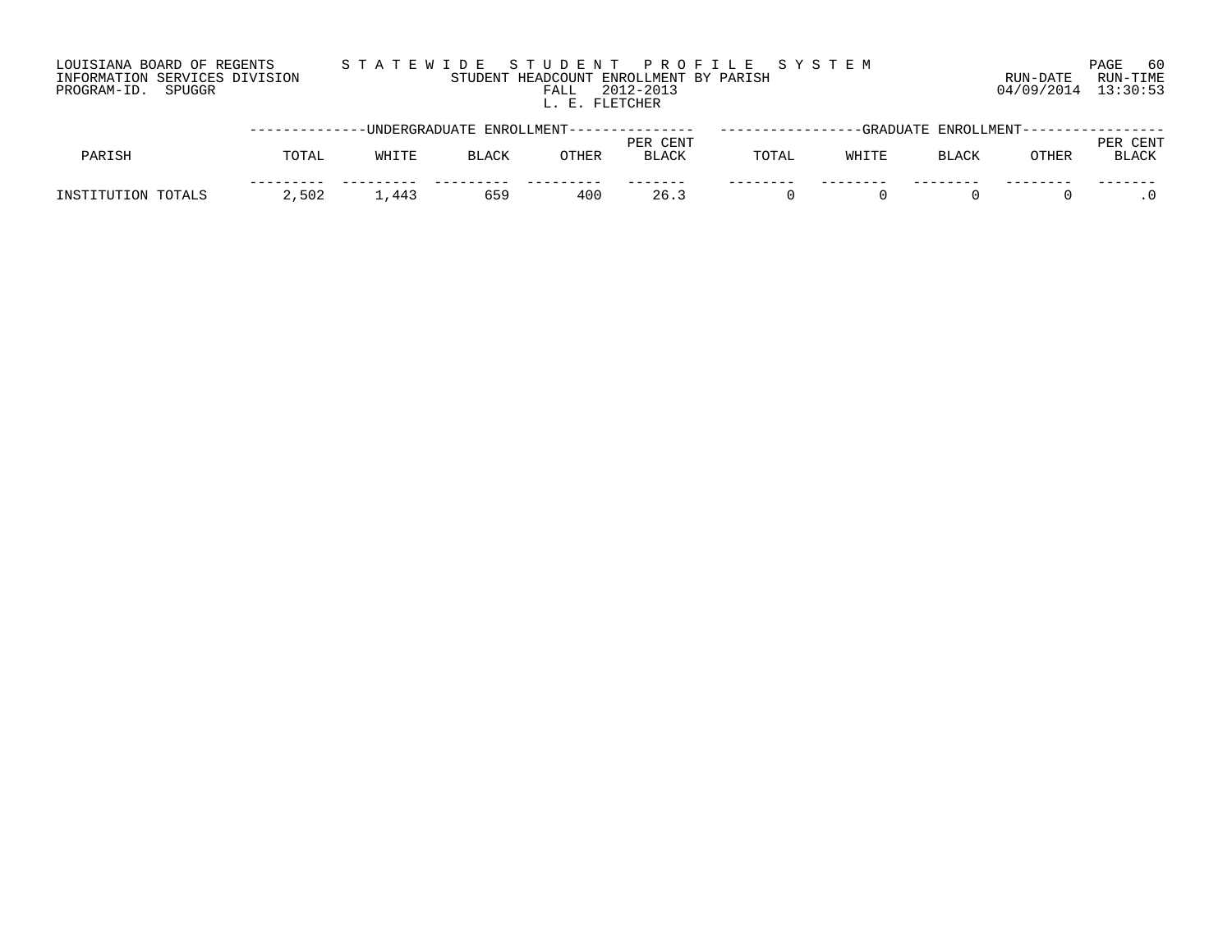### LOUISIANA BOARD OF REGENTS S T A T E W I D E S T U D E N T P R O F I L E S Y S T E M PAGE 60 INFORMATION SERVICES DIVISION STUDENT HEADCOUNT ENROLLMENT BY PARISH RUN-DATE RUN-TIME PROGRAM-ID. SPUGGR FALL 2012-2013 04/09/2014 13:30:53 FALL 2012-2013<br>L. E. FLETCHER

|                       |       |       |              | --UNDERGRADUATE ENROLLMENT--------------- |                          | ---------------- | -GRADUATE |              | ENROLLMENT----------------- |                      |
|-----------------------|-------|-------|--------------|-------------------------------------------|--------------------------|------------------|-----------|--------------|-----------------------------|----------------------|
| PARISH                | TOTAL | WHITE | <b>BLACK</b> | OTHER                                     | PER CENT<br><b>BLACK</b> | TOTAL            | WHITE     | <b>BLACK</b> | OTHER                       | CENT<br><b>BLACK</b> |
| INSTITUTION<br>TOTALS | 2,502 | 1,443 | 659          | 400                                       | 26.3                     |                  |           |              |                             |                      |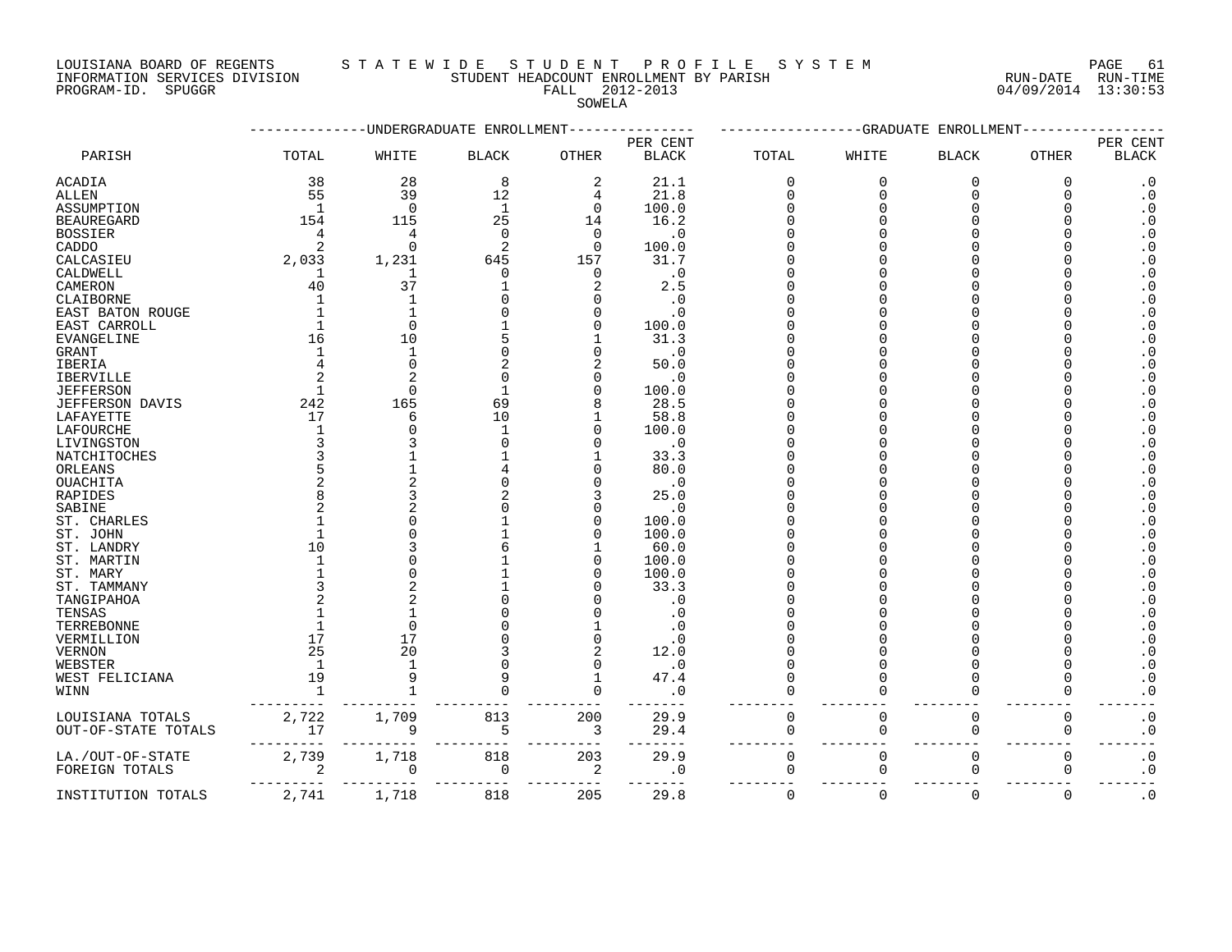#### LOUISIANA BOARD OF REGENTS S T A T E W I D E S T U D E N T P R O F I L E S Y S T E M PAGE 61

INFORMATION SERVICES DIVISION STUDENT HEADCOUNT ENROLLMENT BY PARISH RUN-DATE RUN-TIME

### PROGRAM-ID. SPUGGR FALL 2012-2013 04/09/2014 13:30:53 SOWELA

|                     |                         |                | -UNDERGRADUATE ENROLLMENT |                         | -GRADUATE ENROLLMENT               |             |             |              |              |                          |
|---------------------|-------------------------|----------------|---------------------------|-------------------------|------------------------------------|-------------|-------------|--------------|--------------|--------------------------|
| PARISH              | TOTAL                   | WHITE          | $\operatorname{BLACK}$    | <b>OTHER</b>            | PER CENT<br>$\operatorname{BLACK}$ | TOTAL       | WHITE       | <b>BLACK</b> | <b>OTHER</b> | PER CENT<br><b>BLACK</b> |
| ACADIA              | 38                      | 28             | 8                         | $\overline{2}$          | 21.1                               | $\Omega$    | $\mathbf 0$ | $\mathbf 0$  | $\Omega$     | $\cdot$ 0                |
| ALLEN               | 55                      | 39             | 12                        | 4                       | 21.8                               | U           | $\Omega$    | $\Omega$     | ∩            | $\cdot$ 0                |
| ASSUMPTION          | <sup>1</sup>            | $\Omega$       | 1                         | 0                       | 100.0                              |             | 0           |              |              | $\cdot$ 0                |
| BEAUREGARD          | 154                     | 115            | 25                        | 14                      | 16.2                               |             |             |              |              | $\cdot$ 0                |
| <b>BOSSIER</b>      |                         | 4              | $\Omega$                  | $\Omega$                | $\cdot$ 0                          |             |             |              |              | $\boldsymbol{\cdot}$ 0   |
| CADDO               |                         | $\Omega$       | 2                         | $\Omega$                | 100.0                              |             |             |              |              | $\cdot$ 0                |
| CALCASIEU           | 2,033                   | 1,231          | 645                       | 157                     | 31.7                               |             |             |              |              | $\cdot$ 0                |
| CALDWELL            | -1                      | 1              | $\Omega$                  | $\Omega$                | $\cdot$ 0                          |             |             |              |              | . 0                      |
| CAMERON             | 40                      | 37             | 1                         |                         | 2.5                                |             |             |              |              | $\cdot$ 0                |
| CLAIBORNE           |                         |                | $\Omega$                  |                         | $\cdot$ 0                          |             |             |              |              | $\cdot$ 0                |
| EAST BATON ROUGE    |                         |                |                           |                         | . 0                                |             |             |              |              | $\cdot$ 0                |
| EAST CARROLL        |                         | $\Omega$       |                           |                         | 100.0                              |             |             |              |              | $\cdot$ 0                |
| EVANGELINE          | 16                      | 10             |                           |                         | 31.3                               |             |             |              |              | . 0                      |
| GRANT               |                         |                |                           |                         | $\cdot$ 0                          |             |             |              |              | $\cdot$ 0                |
| IBERIA              |                         |                |                           |                         | 50.0                               |             |             |              |              | $\cdot$ 0                |
| IBERVILLE           |                         |                | $\Omega$                  |                         | $\cdot$ 0                          |             |             |              |              | $\cdot$ 0                |
| JEFFERSON           | -1                      | $\Omega$       | 1                         |                         | 100.0                              |             |             |              |              | $\cdot$ 0                |
| JEFFERSON DAVIS     | 242                     | 165            | 69                        |                         | 28.5                               |             |             |              |              | $\cdot$ 0                |
| LAFAYETTE           | 17                      | 6              | 10                        |                         | 58.8                               |             |             |              |              | $\cdot$ 0                |
| LAFOURCHE           |                         |                | $\mathbf{1}$              |                         | 100.0                              |             |             |              |              | . 0                      |
| LIVINGSTON          |                         |                | $\Omega$                  |                         | $\cdot$ 0                          |             |             |              |              | $\cdot$ 0                |
|                     |                         |                |                           |                         | 33.3                               |             |             |              |              | $\cdot$ 0                |
| NATCHITOCHES        |                         |                |                           |                         | 80.0                               |             |             |              |              |                          |
| ORLEANS             |                         |                | $\Omega$                  |                         |                                    |             |             |              |              | . 0                      |
| OUACHITA            |                         |                |                           |                         | $\cdot$ 0                          |             |             |              |              | $\cdot$ 0                |
| RAPIDES             |                         |                | $\Omega$                  |                         | 25.0                               |             |             |              |              | $\cdot$ 0                |
| SABINE              |                         |                |                           |                         | $\cdot$ 0                          |             |             |              |              | $\boldsymbol{\cdot}$ 0   |
| ST. CHARLES         |                         |                |                           |                         | 100.0                              |             |             |              |              | . 0                      |
| ST. JOHN            |                         |                |                           |                         | 100.0                              |             |             |              |              | $\boldsymbol{\cdot}$ 0   |
| ST. LANDRY          | 10                      |                |                           |                         | 60.0                               |             |             |              |              | . 0                      |
| ST. MARTIN          |                         |                |                           |                         | 100.0                              |             |             |              |              | $\cdot$ 0                |
| ST. MARY            |                         |                |                           |                         | 100.0                              |             |             |              |              | . 0                      |
| ST. TAMMANY         |                         |                |                           |                         | 33.3                               |             |             |              |              | $\cdot$ 0                |
| TANGIPAHOA          |                         |                |                           |                         | $\cdot$ 0                          |             |             |              |              | $\cdot$ 0                |
| TENSAS              |                         |                |                           |                         |                                    |             |             |              |              | $\cdot$ 0                |
| TERREBONNE          |                         | $\Omega$       |                           |                         | . 0                                |             |             |              |              | $\cdot$ 0                |
| VERMILLION          | 17                      | 17             |                           |                         | . 0                                |             |             |              |              | $\cdot$ 0                |
| VERNON              | 25                      | 20             |                           |                         | 12.0                               |             |             |              |              | $\cdot$ 0                |
| WEBSTER             | 1                       |                | $\Omega$                  |                         | $\cdot$ 0                          |             | U           |              |              | $\boldsymbol{\cdot}$ 0   |
| WEST FELICIANA      | 19                      |                |                           |                         | 47.4                               |             | O           |              |              | $\cdot$ 0                |
| WINN                | $\mathbf{1}$            |                | $\Omega$                  |                         | $\cdot$ 0                          |             | 0           |              |              | . 0                      |
| LOUISIANA TOTALS    | 2,722                   | 1,709          | 813                       | 200                     | 29.9                               | 0           | $\mathbf 0$ | 0            | $\Omega$     | $\cdot$ 0                |
| OUT-OF-STATE TOTALS | 17                      | 9<br>--------- | 5                         | $\overline{\mathbf{3}}$ | 29.4<br>$- - - - -$                | 0           | 0           | 0            | 0            | $\cdot$ 0                |
| LA./OUT-OF-STATE    | 2,739                   | 1,718          | 818                       | 203                     | 29.9                               | $\mathbf 0$ | $\mathbf 0$ | $\mathbf 0$  | $\Omega$     | $\cdot$ 0                |
| FOREIGN TOTALS      | $\overline{\mathbf{c}}$ | $\mathbf 0$    | $\overline{0}$<br>----    | $\overline{c}$<br>----  | $\cdot$ 0                          | 0           | $\mathbf 0$ | 0            | $\Omega$     | $\cdot$ 0                |
| INSTITUTION TOTALS  | 2,741                   | 1,718          | 818                       | 205                     | 29.8                               | $\Omega$    | $\mathbf 0$ | $\Omega$     | $\Omega$     | $\cdot$ 0                |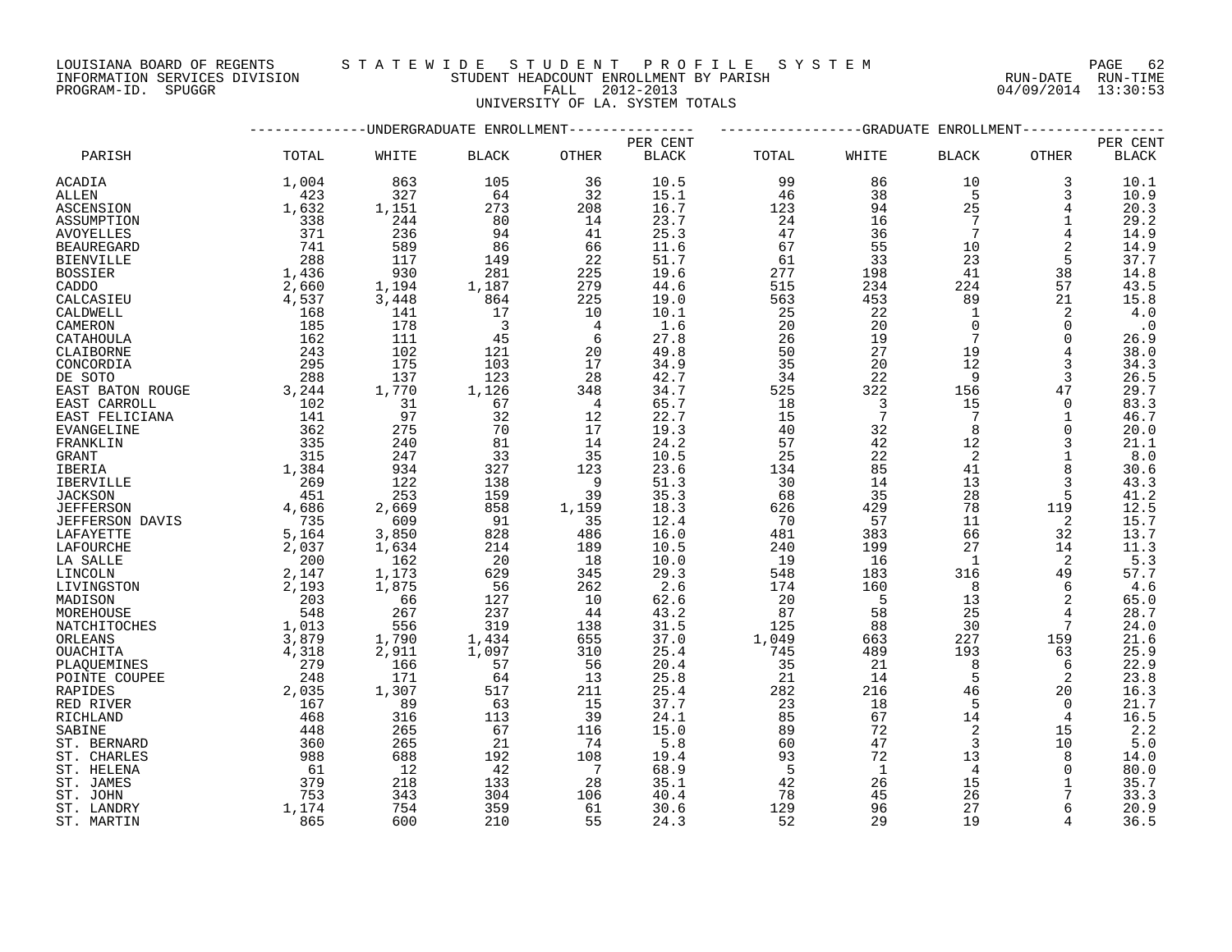INFORMATION SERVICES DIVISION STUDENT HEADCOUNT ENROLLMENT BY PARISH RUN-DATE RUN-TIME PROGRAM-ID. SPUGGR FALL 2012-2013 04/09/2014 13:30:53

### LOUISIANA BOARD OF REGENTS S T A T E W I D E S T U D E N T P R O F I L E S Y S T E M PAGE 62

UNIVERSITY OF LA. SYSTEM TOTALS

|                        |                                             | ----------UNDERGRADUATE ENROLLMENT-------------- |                          |                |              |       | ------------GRADUATE | ENROLLMENT-    |             |               |
|------------------------|---------------------------------------------|--------------------------------------------------|--------------------------|----------------|--------------|-------|----------------------|----------------|-------------|---------------|
|                        |                                             |                                                  |                          |                | PER CENT     |       |                      |                |             | PER CENT      |
| PARISH                 | TOTAL                                       | WHITE                                            | <b>BLACK</b>             | OTHER          | <b>BLACK</b> | TOTAL | WHITE                | <b>BLACK</b>   | OTHER       | <b>BLACK</b>  |
| ACADIA                 | 1,004                                       | 863                                              | 105                      | 36             | 10.5         | 99    | 86                   | 10             | 3           | 10.1          |
| ALLEN                  | 423                                         | 327                                              | 64                       | 32             | 15.1         | 46    | 38                   | 5              | 3           | 10.9          |
| ASCENSION              | 1,632                                       | 1,151                                            | 273                      | 208            | 16.7         | 123   | 94                   | 25             | 4           | 20.3          |
| ASSUMPTION             | 338                                         | 244                                              | 80                       | 14             | 23.7         | 24    | 16                   | 7              | 1           | 29.2          |
| <b>AVOYELLES</b>       | 371                                         | 236                                              | 94                       | 41             | 25.3         | 47    | 36                   | 7              | 4           | 14.9          |
| <b>BEAUREGARD</b>      | 741                                         | 589                                              | 86                       | 66             | 11.6         | 67    | 55                   | 10             | 2           | 14.9          |
| <b>BIENVILLE</b>       | 288                                         | 117                                              | 149                      | 22             | 51.7         | 61    | 33                   | 23             | 5           | 37.7          |
| <b>BOSSIER</b>         | 1,436<br>2,660                              | 930                                              | 281                      | 225            | 19.6         | 277   | 198                  | 41             | 38          | 14.8          |
| CADDO                  |                                             | 1,194                                            | 1,187                    | 279            | 44.6         | 515   | 234                  | 224            | 57          | 43.5          |
| CALCASIEU              | 4,537                                       | 3,448                                            | 864                      | 225            | 19.0         | 563   | 453                  | 89             | 21          | 15.8          |
| CALDWELL               | <sup>168</sup>                              | 141                                              | 17                       | 10             | 10.1         | 25    | 22                   | 1              | 2           | 4.0           |
| CAMERON                | 185                                         | 178                                              | $\overline{\phantom{a}}$ | $\overline{4}$ | 1.6          | 20    | 20                   | $\Omega$       | 0           | $\cdot$ 0     |
| CATAHOULA              | 162                                         | 111                                              | 45                       | 6              | 27.8         | 26    | 19                   | 7              | $\Omega$    | 26.9          |
| CLAIBORNE              | 243                                         | 102                                              | 121                      | 20             | 49.8         | 50    | 27                   | 19             | 4           | 38.0          |
| CONCORDIA              | 295<br>288                                  | 175                                              | 103                      | 17             | 34.9         | 35    | 20                   | 12             | 3           | 34.3          |
| DE SOTO                |                                             | 137                                              | 123                      | 28             | 42.7         | 34    | 22                   | 9              | 3           | 26.5          |
| EAST BATON ROUGE       | 3,244                                       | 1,770                                            | 1,126                    | 348            | 34.7         | 525   | 322                  | 156            | 47          | 29.7          |
| EAST CARROLL           | $\frac{102}{141}$                           | 31                                               | 67                       | $\overline{4}$ | 65.7         | 18    | $\overline{3}$       | 15             | $\mathbf 0$ | 83.3          |
| EAST FELICIANA         |                                             | 97                                               | 32                       | 12             | 22.7         | 15    | $\overline{7}$       | 7              | 1           | 46.7          |
| <b>EVANGELINE</b>      | 362                                         | 275                                              | 70                       | 17             | 19.3         | 40    | 32                   | 8              | $\Omega$    | 20.0          |
| FRANKLIN               | 335                                         | 240                                              | 81                       | 14             | 24.2         | 57    | 42                   | 12             | 3           | 21.1          |
| <b>GRANT</b>           | 315                                         | 247                                              | 33                       | 35             | 10.5         | 25    | 22                   | 2              |             | 8.0           |
| IBERIA                 | 1,384                                       | 934                                              | 327                      | 123            | 23.6         | 134   | 85                   | 41             |             | 30.6          |
| <b>IBERVILLE</b>       | $269$<br>$45$                               | 122                                              | 138                      | $\overline{9}$ | 51.3         | 30    | 14                   | 13             | 3           | 43.3          |
| <b>JACKSON</b>         |                                             | 253                                              | 159                      | 39             | 35.3         | 68    | 35                   | 28             | 5           | 41.2          |
| <b>JEFFERSON</b>       | $451$<br>$735$<br>$5,164$<br>$2,037$<br>200 | 2,669                                            | 858                      | 1,159          | 18.3         | 626   | 429                  | 78             | 119         | 12.5          |
| <b>JEFFERSON DAVIS</b> |                                             | 609                                              | 91                       | 35             | 12.4         | 70    | 57                   | 11             | 2           | 15.7          |
| LAFAYETTE              |                                             | 3,850                                            | 828                      | 486            | 16.0         | 481   | 383                  | 66             | 32          | 13.7          |
| LAFOURCHE              |                                             | 1,634                                            | 214                      | 189            | 10.5         | 240   | 199                  | 27             | 14          | 11.3          |
| LA SALLE               | 200                                         | 162                                              | 20                       | 18             | 10.0         | 19    | 16                   | <sup>1</sup>   | 2           | $5.3$<br>57.7 |
| LINCOLN                | 2,147                                       | 1,173                                            | 629                      | 345            | 29.3         | 548   | 183                  | 316            | 49          |               |
| LIVINGSTON             | 2,193                                       | 1,875                                            | 56                       | 262            | 2.6          | 174   | 160                  | 8              | 6           | 4.6           |
| MADISON                | 203                                         | 66                                               | 127                      | 10             | 62.6         | 20    | $5^{\circ}$          | 13             | 2           | 65.0          |
| MOREHOUSE              | 548                                         | 267                                              | 237                      | 44             | 43.2         | 87    | 58                   | 25             | 4           | 28.7          |
| NATCHITOCHES           |                                             | 556                                              | 319                      | 138            | 31.5         | 125   | 88                   | 30             | 7           | 24.0          |
| ORLEANS                | 1,013<br>3,879<br>4,318                     | 1,790                                            | 1,434                    | 655            | 37.0         | 1,049 | 663                  | 227            | 159         | 21.6          |
| OUACHITA               |                                             | 2,911                                            | 1,097                    | 310            | 25.4         | 745   | 489                  | 193            | 63          | 25.9          |
| PLAQUEMINES            | 279                                         | 166                                              | 57                       | 56             | 20.4         | 35    | 21                   | 8              | 6           | 22.9          |
| POINTE COUPEE          | 248                                         | 171                                              | 64                       | 13             | 25.8         | 21    | 14                   | 5              | 2           | 23.8          |
| RAPIDES                | 2,035                                       | 1,307                                            | 517                      | 211            | 25.4         | 282   | 216                  | 46             | 20          | 16.3          |
| RED RIVER              | 167                                         | 89                                               | 63                       | 15             | 37.7         | 23    | 18                   | 5              | $\Omega$    | 21.7          |
| RICHLAND               | 468                                         | 316                                              | 113                      | 39             | 24.1         | 85    | 67                   | 14             | 4           | 16.5          |
| SABINE                 | 448                                         | 265                                              | 67                       | 116            | 15.0         | 89    | 72                   | 2              | 15          | 2.2           |
| ST. BERNARD            | 360                                         | 265                                              | 21                       | 74             | 5.8          | 60    | 47                   | 3              | 10          | 5.0           |
| ST. CHARLES            | 988                                         | 688                                              | 192                      | 108            | 19.4         | 93    | 72                   | 13             | 8           | 14.0          |
| ST. HELENA             | 61                                          | 12                                               | 42                       | $\overline{7}$ | 68.9         | 5     | $\mathbf{1}$         | $\overline{4}$ | $\Omega$    | 80.0          |
| ST. JAMES              | 379                                         | 218                                              | 133                      | 28             | 35.1         | 42    | 26                   | 15             | $\mathbf 1$ | 35.7          |
| ST. JOHN               | 753                                         | 343                                              | 304                      | 106            | 40.4         | 78    | 45                   | 26             |             | 33.3          |
| ST. LANDRY             | 1,174                                       | 754                                              | 359                      | 61             | 30.6         | 129   | 96                   | 27             | 6           | 20.9          |
| ST. MARTIN             | 865                                         | 600                                              | 210                      | 55             | 24.3         | 52    | 29                   | 19             | 4           | 36.5          |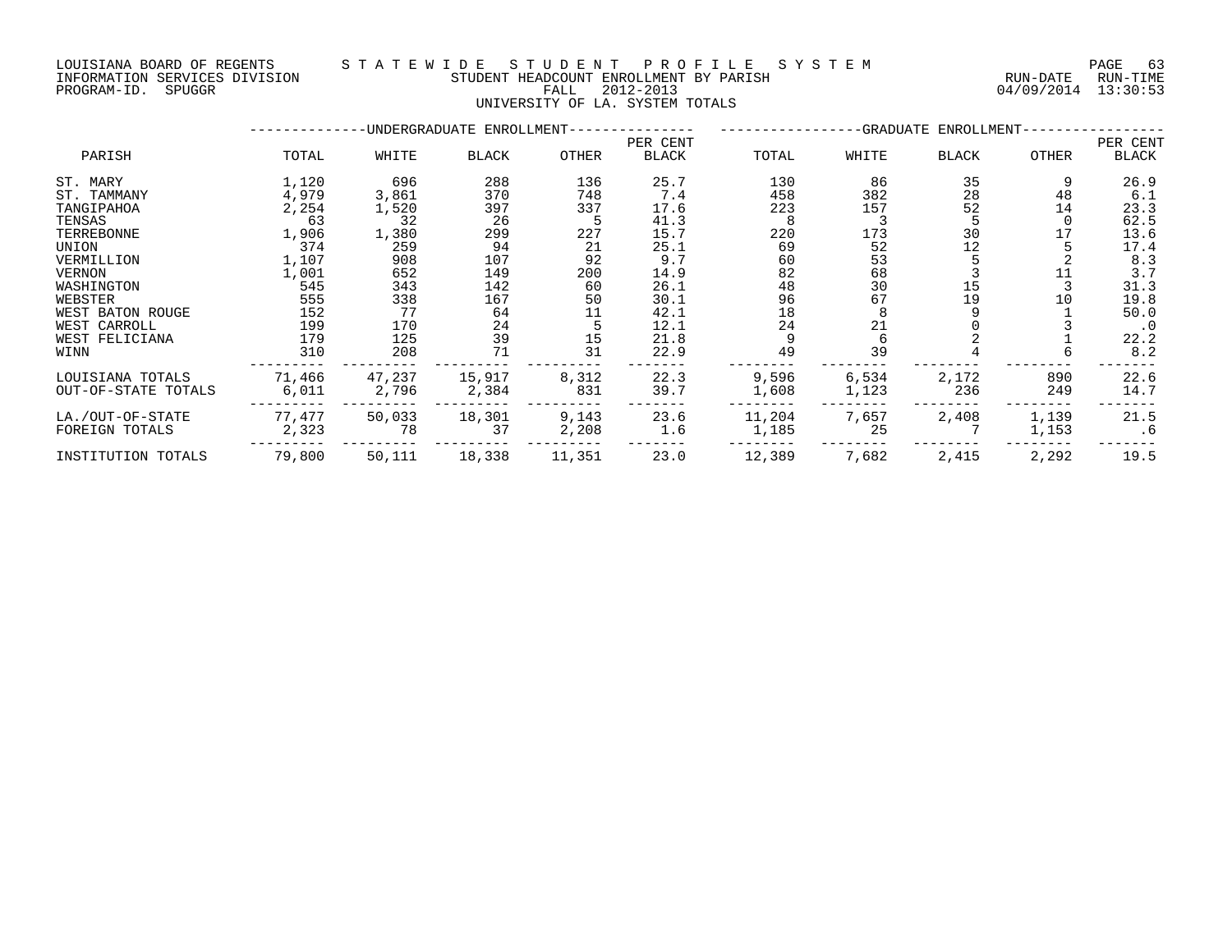### LOUISIANA BOARD OF REGENTS S T A T E W I D E S T U D E N T P R O F I L E S Y S T E M PAGE 63 INFORMATION SERVICES DIVISION STUDENT HEADCOUNT ENROLLMENT BY PARISH RUN-DATE RUN-TIME DOULSIANA BOARD OF REGENIS (2014) INFORMATION SERVICES DIVISION<br>INFORMATION SERVICES DIVISION STUDENT HEADCOUNT ENROLLMENT BY PARISH<br>PROGRAM-ID. SPUGGR (2012-2013 64/09/2014 13:30:53

UNIVERSITY OF LA. SYSTEM TOTALS

|                     |        |        | -UNDERGRADUATE ENROLLMENT----- |        |          |        | -GRADUATE ENROLLMENT-- |              |       |           |
|---------------------|--------|--------|--------------------------------|--------|----------|--------|------------------------|--------------|-------|-----------|
|                     |        |        |                                |        | PER CENT |        |                        |              |       | PER CENT  |
| PARISH              | TOTAL  | WHITE  | BLACK                          | OTHER  | BLACK    | TOTAL  | WHITE                  | <b>BLACK</b> | OTHER | BLACK     |
| ST. MARY            | 1,120  | 696    | 288                            | 136    | 25.7     | 130    | 86                     | 35           | 9     | 26.9      |
| ST. TAMMANY         | 4,979  | 3,861  | 370                            | 748    | 7.4      | 458    | 382                    | 28           | 48    | 6.1       |
| TANGIPAHOA          | 2,254  | 1,520  | 397                            | 337    | 17.6     | 223    | 157                    | 52           | 14    | 23.3      |
| TENSAS              | 63     | 32     | 26                             |        | 41.3     |        |                        |              |       | 62.5      |
| TERREBONNE          | 1,906  | 1,380  | 299                            | 227    | 15.7     | 220    | 173                    | 30           |       | 13.6      |
| UNION               | 374    | 259    | 94                             | 21     | 25.1     | 69     | 52                     | 12           |       | 17.4      |
| VERMILLION          | 1,107  | 908    | 107                            | 92     | 9.7      | 60     | 53                     |              |       | 8.3       |
| VERNON              | 1,001  | 652    | 149                            | 200    | 14.9     | 82     | 68                     |              |       | 3.7       |
| WASHINGTON          | 545    | 343    | 142                            | 60     | 26.1     | 48     | 30                     | 15           |       | 31.3      |
| WEBSTER             | 555    | 338    | 167                            | 50     | 30.1     | 96     | 67                     | 19           | 10    | 19.8      |
| WEST BATON ROUGE    | 152    | 77     | 64                             | 11     | 42.1     | 18     |                        |              |       | 50.0      |
| WEST CARROLL        | 199    | 170    | 24                             |        | 12.1     | 24     | 21                     |              |       | $\cdot$ 0 |
| WEST FELICIANA      | 179    | 125    | 39                             | 15     | 21.8     |        |                        |              |       | 22.2      |
| WINN                | 310    | 208    | 71                             | 31     | 22.9     | 49     | 39                     |              |       | 8.2       |
| LOUISIANA TOTALS    | 71,466 | 47,237 | 15,917                         | 8,312  | 22.3     | 9,596  | 6,534                  | 2,172        | 890   | 22.6      |
| OUT-OF-STATE TOTALS | 6,011  | 2,796  | 2,384                          | 831    | 39.7     | 1,608  | 1,123                  | 236          | 249   | 14.7      |
| LA./OUT-OF-STATE    | 77,477 | 50,033 | 18,301                         | 9,143  | 23.6     | 11,204 | 7,657                  | 2,408        | 1,139 | 21.5      |
| FOREIGN TOTALS      | 2,323  | 78     | 37                             | 2,208  | 1.6      | 1,185  | 25                     |              | 1,153 | . 6       |
| INSTITUTION TOTALS  | 79,800 | 50,111 | 18,338                         | 11,351 | 23.0     | 12,389 | 7,682                  | 2,415        | 2,292 | 19.5      |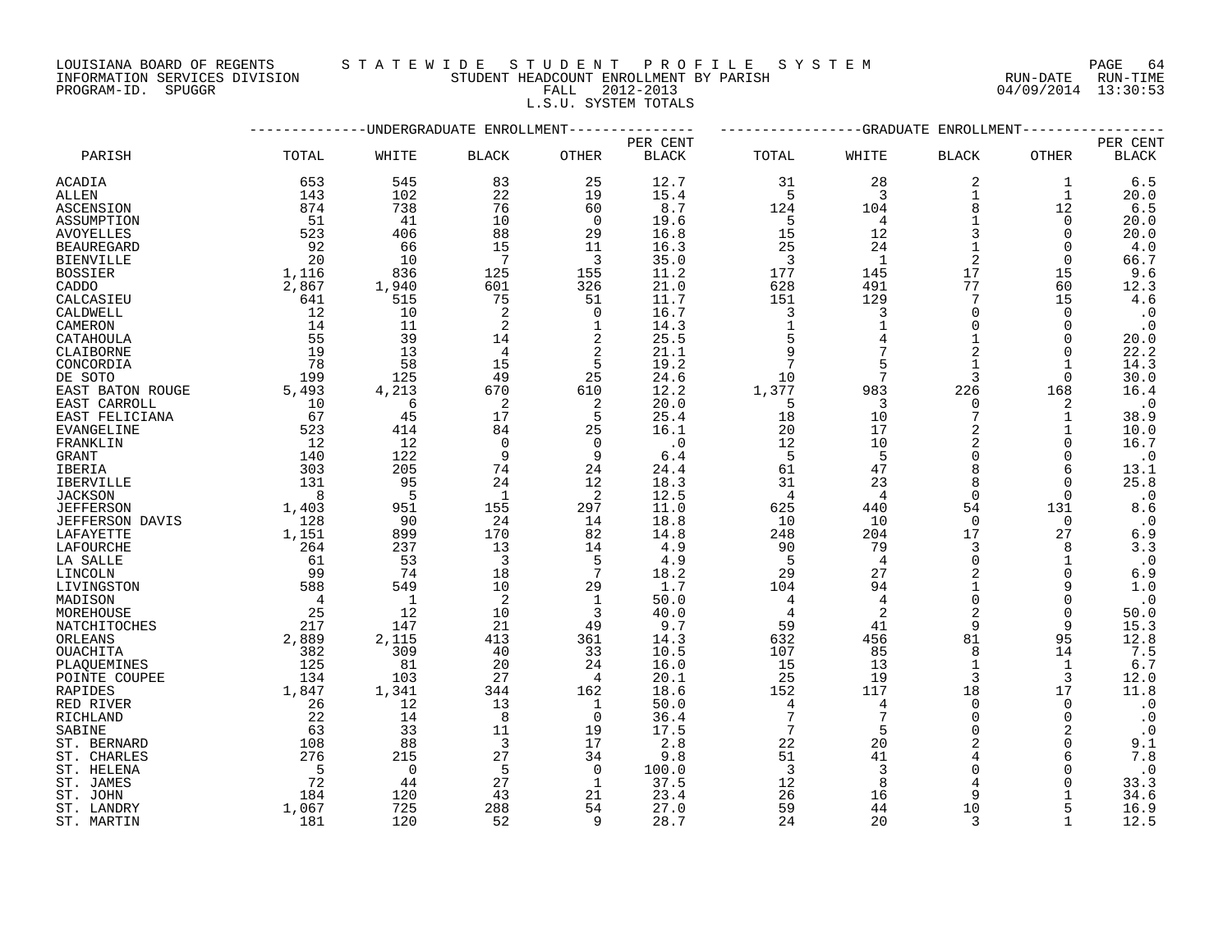LOUISIANA BOARD OF REGENTS S T A T E W I D E S T U D E N T P R O F I L E S Y S T E M PAGE 64

PROGRAM-ID. SPUGGR FALL 2012-2013 04/09/2014 13:30:53

L.S.U. SYSTEM TOTALS

|                         |                |                    | -UNDERGRADUATE ENROLLMENT |                     |              |                |                | -GRADUATE ENROLLMENT       |              |              |
|-------------------------|----------------|--------------------|---------------------------|---------------------|--------------|----------------|----------------|----------------------------|--------------|--------------|
|                         |                |                    |                           |                     | PER CENT     |                |                |                            |              | PER CENT     |
| PARISH                  | TOTAL          | WHITE              | <b>BLACK</b>              | <b>OTHER</b>        | <b>BLACK</b> | TOTAL          | WHITE          | <b>BLACK</b>               | <b>OTHER</b> | <b>BLACK</b> |
| ACADIA                  | 653            | 545                | 83                        | 25                  | 12.7         | 31             | 28             | 2                          | 1            | $6.5$        |
| ALLEN                   | 143            | 102                | 22                        | 19                  | 15.4         | 5              | $\overline{3}$ | 1                          | $\mathbf{1}$ | 20.0         |
| ASCENSION               | 874            | 738                | 76                        | 60                  | 8.7          | 124            | 104            | 8                          | 12           | 6.5          |
| ASSUMPTION              | 51             | 41                 | 10                        | $\overline{0}$      | 19.6         | -5             | $\overline{4}$ | $\mathbf{1}$               | $\Omega$     | 20.0         |
| <b>AVOYELLES</b>        | 523            | 406                | 88                        | 29                  | 16.8         | 15             | 12             | 3                          | $\Omega$     | 20.0         |
| <b>BEAUREGARD</b>       | 92             | 66                 | 15                        | 11                  | 16.3         | 25             | 24             | $\mathbf{1}$               | $\Omega$     | 4.0          |
| <b>BIENVILLE</b>        | 20             | 10                 | 7                         | 3                   | 35.0         | $\overline{3}$ | 1              | $\overline{2}$             | $\Omega$     | 66.7         |
| <b>BOSSIER</b>          | 1,116          | 836                | 125                       | 155                 | 11.2         | 177            | 145            | 17                         | 15           | 9.6          |
| CADDO                   | 2,867          | 1,940              | 601                       | 326                 | 21.0         | 628            | 491            | 77                         | 60           | 12.3         |
| CALCASIEU               | 641            | 515                | 75                        | 51                  | 11.7         | 151            | 129            | 7                          | 15           | 4.6          |
| CALDWELL                | 12             | 10                 | 2                         | 0                   | 16.7         | 3              | 3              | $\mathbf 0$                | 0            | $\cdot$ 0    |
| CAMERON                 | 14             | 11                 | 2                         | 1                   | 14.3         | $\mathbf{1}$   |                | $\Omega$                   | $\Omega$     | $\cdot$ 0    |
| CATAHOULA               | 55             | 39                 | 14                        | 2                   | 25.5         | 5              |                | $\mathbf{1}$               | $\Omega$     | 20.0         |
| CLAIBORNE               | 19             | 13                 | $\overline{4}$            | 2                   | 21.1         | 9              |                | $\overline{a}$             | $\Omega$     | 22.2         |
| CONCORDIA               | 78             | 58                 | 15                        | 5                   | 19.2         |                |                | 1                          | 1            | 14.3         |
| DE SOTO                 | 199            | 125                | 49                        | 25                  | 24.6         | 10             | 7              | 3                          | 0            | 30.0         |
| EAST BATON ROUGE        | 5,493          | 4,213              | 670                       | 610                 | 12.2         | 1,377          | 983            | 226                        | 168          | 16.4         |
| EAST CARROLL            | 10             | 6                  | 2                         | 2                   | 20.0         | 5              | 3              | $\Omega$                   | 2            | $\cdot$ 0    |
| EAST FELICIANA          | 67             | 45                 | 17                        | 5                   | 25.4         | 18             | 10             | 7                          | 1            | 38.9         |
| EVANGELINE              | 523            | 414                | 84                        | 25                  | 16.1         | 20             | 17             |                            | 1            | 10.0         |
| FRANKLIN                | 12             | 12                 | $\Omega$                  | $\Omega$            | $\cdot$ 0    | 12             | 10             | $\overline{a}$             | $\Omega$     | 16.7         |
| <b>GRANT</b>            | 140            | 122                | 9                         | 9                   | 6.4          | 5              | 5              | $\Omega$                   | $\Omega$     | $\cdot$ 0    |
| IBERIA                  | 303            | 205                | 74                        | 24                  | 24.4         | 61             | 47             | 8                          | 6            | 13.1         |
| IBERVILLE               | 131            | 95                 | 24                        | 12                  | 18.3         | 31             | 23             | 8                          | 0            | 25.8         |
| <b>JACKSON</b>          | 8              | - 5                | $\mathbf{1}$              | 2                   | 12.5         | 4              | 4              | $\Omega$                   | $\Omega$     | $\cdot$ 0    |
| <b>JEFFERSON</b>        | 1,403          | 951                | 155                       | 297                 | 11.0         | 625            | 440            | 54                         | 131          | 8.6          |
| <b>JEFFERSON DAVIS</b>  | 128            | -90                | 24                        | 14                  | 18.8         | 10             | 10             | $\Omega$                   | $\Omega$     | $\cdot$ 0    |
| LAFAYETTE               | 1,151          | 899                | 170                       | 82                  | 14.8         | 248            | 204            | 17                         | 27           | $6.9$        |
| LAFOURCHE               | 264            | 237                | 13                        | 14                  | 4.9          | 90             | 79             | 3                          | 8            | 3.3          |
| LA SALLE                | 61             | 53                 | 3                         | 5                   | 4.9          | -5             | $\overline{4}$ | $\Omega$                   | $\mathbf{1}$ | $\cdot$ 0    |
| LINCOLN                 | 99             | 74                 | 18                        | 7                   | 18.2         | 29             | 27             | $\overline{a}$             | $\Omega$     | 6.9          |
| LIVINGSTON              | 588            | 549                | 10                        | 29                  | 1.7          | 104            | 94             | $\mathbf{1}$               | 9            | 1.0          |
| MADISON                 | $\overline{4}$ | $\overline{1}$     | 2                         | 1                   | 50.0         | 4              |                | $\Omega$                   | $\Omega$     | $\cdot$ 0    |
| MOREHOUSE               | 25             | 12                 | 10                        | 3                   | 40.0         | 4              | 2              | $\overline{2}$             | $\Omega$     | 50.0         |
|                         | 217            | 147                | 21                        | 49                  | 9.7          | 59             | 41             | 9                          | 9            | 15.3         |
| NATCHITOCHES<br>ORLEANS | 2,889          | 2,115              | 413                       | 361                 | 14.3         | 632            | 456            | 81                         | 95           | 12.8         |
| <b>OUACHITA</b>         | 382            | 309                | 40                        | 33                  | 10.5         | 107            | 85             | 8                          | 14           | 7.5          |
|                         |                |                    |                           |                     |              |                |                | $\mathbf{1}$               | 1            |              |
| PLAQUEMINES             | 125<br>134     | 81<br>103          | 20<br>27                  | 24<br>4             | 16.0<br>20.1 | 15<br>25       | 13<br>19       | 3                          | 3            | 6.7<br>12.0  |
| POINTE COUPEE           |                |                    | 344                       |                     | 18.6         | 152            | 117            | 18                         | 17           | 11.8         |
| RAPIDES<br>RED RIVER    | 1,847<br>26    | 1,341<br>12        | 13                        | 162<br>$\mathbf{1}$ | 50.0         | $\overline{4}$ | 4              | $\Omega$                   | $\Omega$     | $\cdot$ 0    |
|                         | 22             | 14                 |                           | 0                   | 36.4         | 7              |                | $\Omega$                   | $\Omega$     | $\cdot$ 0    |
| RICHLAND                |                |                    | 8                         |                     |              |                |                |                            |              |              |
| SABINE                  | 63             | 33                 | 11                        | 19                  | 17.5         | 7              | 5              | $\Omega$<br>$\overline{2}$ |              | $\cdot$ 0    |
| ST. BERNARD             | 108<br>276     | 88                 | 3                         | 17                  | 2.8          | 22             | 20             | 4                          | $\Omega$     | 9.1          |
| ST. CHARLES             |                | 215<br>$\mathbf 0$ | 27                        | 34                  | 9.8          | 51             | 41<br>3        | $\Omega$                   | 6            | 7.8          |
| ST. HELENA              | $-5$<br>72     |                    | 5<br>27                   | $\overline{0}$      | 100.0        | 3              |                |                            | O            | $\cdot$ 0    |
| ST. JAMES               |                | 44                 |                           | 1                   | 37.5         | 12             | 8              | 4                          |              | 33.3         |
| ST. JOHN                | 184            | 120                | 43                        | 21                  | 23.4         | 26             | 16             | 9                          |              | 34.6         |
| ST. LANDRY              | 1,067          | 725                | 288                       | 54                  | 27.0         | 59             | 44             | 10                         |              | 16.9         |
| ST. MARTIN              | 181            | 120                | 52                        | 9                   | 28.7         | 24             | 20             | 3                          | $\mathbf{1}$ | 12.5         |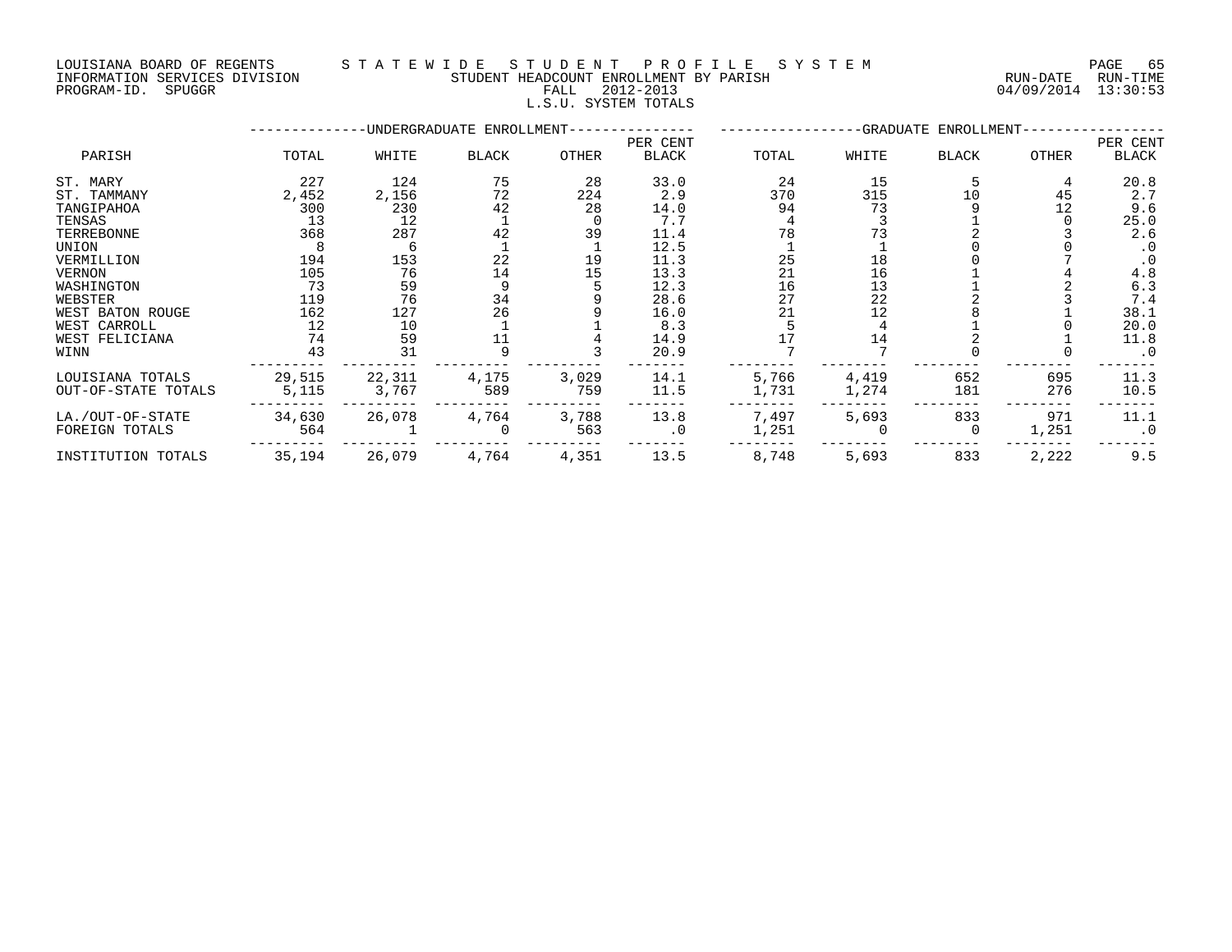LOUISIANA BOARD OF REGENTS S T A T E W I D E S T U D E N T P R O F I L E S Y S T E M PAGE 65 INFORMATION SERVICES DIVISION STUDENT HEADCOUNT ENROLLMENT BY PARISH RUN-DATE RUN-TIME

### PROGRAM-ID. SPUGGR FALL 2012-2013 04/09/2014 13:30:53 L.S.U. SYSTEM TOTALS

|                     | -------- |        | -UNDERGRADUATE ENROLLMENT-              |       |                          |       |       | -GRADUATE ENROLLMENT- |       |                   |
|---------------------|----------|--------|-----------------------------------------|-------|--------------------------|-------|-------|-----------------------|-------|-------------------|
| PARISH              | TOTAL    | WHITE  | <b>BLACK</b>                            | OTHER | PER CENT<br><b>BLACK</b> | TOTAL | WHITE | <b>BLACK</b>          | OTHER | PER CENT<br>BLACK |
| ST. MARY            | 227      | 124    | 75                                      | 28    | 33.0                     | 24    | 15    |                       | 4     | 20.8              |
| ST. TAMMANY         | 2,452    | 2,156  | 72                                      | 224   | 2.9                      | 370   | 315   | 10                    | 45    | 2.7               |
| TANGIPAHOA          | 300      | 230    | 42                                      | 28    | 14.0                     | 94    | 73    |                       | 12    | 9.6               |
| TENSAS              | 13       | 12     |                                         |       | 7.7                      |       |       |                       |       | 25.0              |
| TERREBONNE          | 368      | 287    | 42                                      | 39    | 11.4                     | 78    |       |                       |       | 2.6               |
| UNION               |          | 6      |                                         |       | 12.5                     |       |       |                       |       | $\cdot$ 0         |
| VERMILLION          | 194      | 153    | 22                                      | 19    | 11.3                     | 25    | 18    |                       |       | $\cdot$ 0         |
| VERNON              | 105      | 76     | 14                                      | 15    | 13.3                     | 21    | 16    |                       |       | 4.8               |
| WASHINGTON          | 73       | 59     | 9                                       |       | 12.3                     | 16    | 13    |                       |       | 6.3               |
| WEBSTER             | 119      | 76     |                                         |       | 28.6                     | 27    | 22    |                       |       | 7.4               |
| WEST BATON ROUGE    | 162      | 127    | $\begin{array}{c} 34 \\ 26 \end{array}$ |       | 16.0                     | 21    | 12    |                       |       | 38.1              |
| WEST CARROLL        | 12       | 10     |                                         |       | 8.3                      |       |       |                       |       | 20.0              |
| WEST FELICIANA      | 74       | 59     | 11                                      |       | 14.9                     |       | 14    |                       |       | 11.8              |
| WINN                | 43       | 31     |                                         |       | 20.9                     |       |       |                       |       | $\cdot$ 0         |
| LOUISIANA TOTALS    | 29,515   | 22,311 | 4,175                                   | 3,029 | 14.1                     | 5,766 | 4,419 | 652                   | 695   | 11.3              |
| OUT-OF-STATE TOTALS | 5,115    | 3,767  | 589                                     | 759   | 11.5                     | 1,731 | 1,274 | 181                   | 276   | 10.5              |
| LA./OUT-OF-STATE    | 34,630   | 26,078 | 4,764                                   | 3,788 | 13.8                     | 7,497 | 5,693 | 833                   | 971   | 11.1              |
| FOREIGN TOTALS      | 564      |        | $\Omega$                                | 563   | $\cdot$ 0                | 1,251 |       | 0                     | 1,251 | $\cdot$ 0         |
| INSTITUTION TOTALS  | 35,194   | 26,079 | 4,764                                   | 4,351 | 13.5                     | 8,748 | 5,693 | 833                   | 2,222 | 9.5               |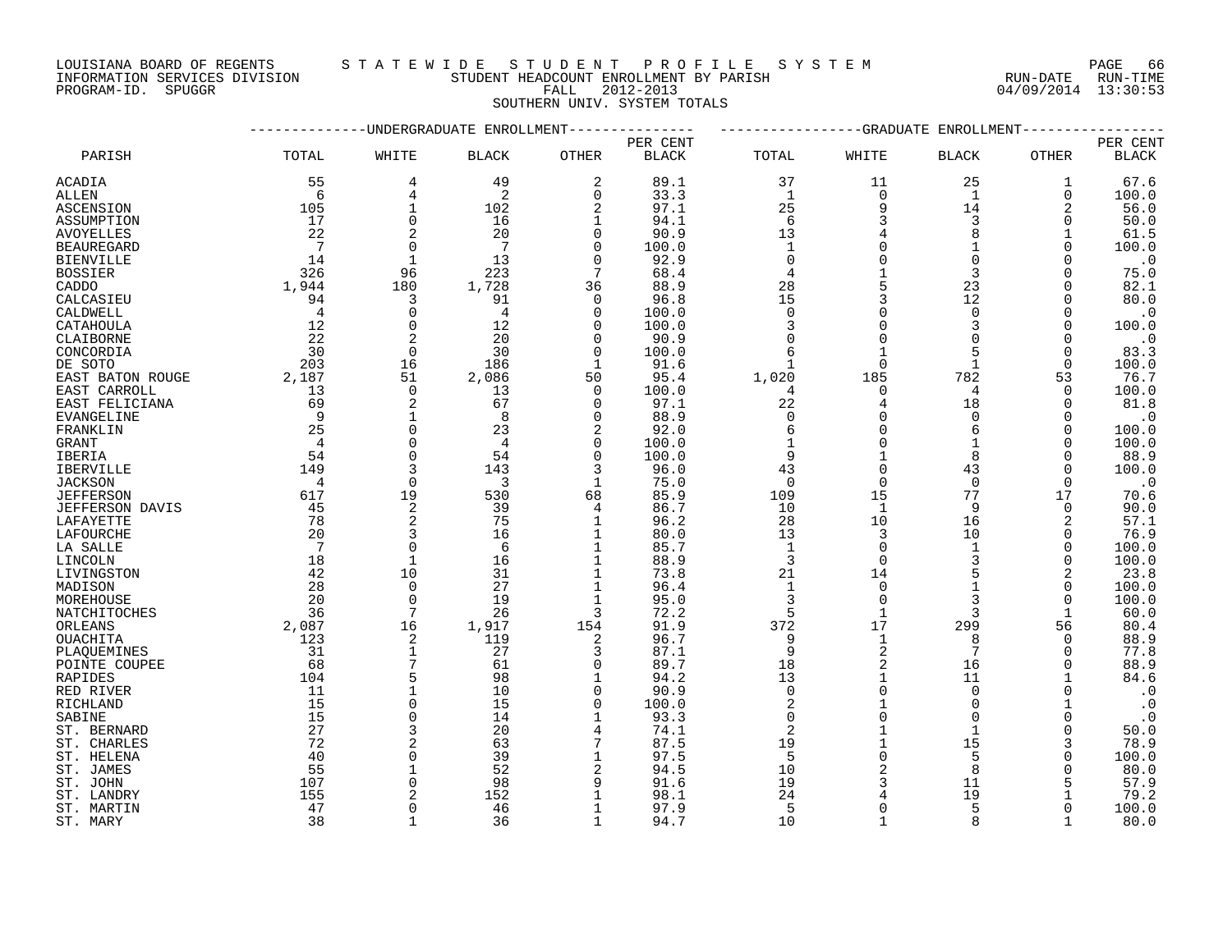INFORMATION SERVICES DIVISION STUDENT HEADCOUNT ENROLLMENT BY PARISH RUN-DATE RUN-TIME DOUISIANA BOARD OF REGENIS (SUITE IN THE READCOUNT ENROLLMENT BY PARISH (RUN-DATE RUN-DATE RUN-TIME STUDENT HEADCOUNT ENROLLMENT BY PARISH (RUN-DATE RUN-TIME PROGRAM-ID. SPUGGR (13:30:53)

#### LOUISIANA BOARD OF REGENTS S T A T E W I D E S T U D E N T P R O F I L E S Y S T E M PAGE 66

SOUTHERN UNIV. SYSTEM TOTALS

|                        |                 |                | UNDERGRADUATE ENROLLMENT |                | PER CENT     |                | -GRADUATE      | ENROLLMENT   |              | PER CENT     |
|------------------------|-----------------|----------------|--------------------------|----------------|--------------|----------------|----------------|--------------|--------------|--------------|
| PARISH                 | TOTAL           | WHITE          | <b>BLACK</b>             | OTHER          | <b>BLACK</b> | TOTAL          | WHITE          | BLACK        | OTHER        | <b>BLACK</b> |
| ACADIA                 | 55              | 4              | 49                       | 2              | 89.1         | 37             | 11             | 25           | 1            | 67.6         |
| ALLEN                  | -6              | 4              | 2                        | $\Omega$       | 33.3         | <sup>1</sup>   | $\Omega$       | 1            | $\Omega$     | 100.0        |
| ASCENSION              | 105             | $\mathbf{1}$   | 102                      | 2              | 97.1         | 25             | 9              | 14           | 2            | 56.0         |
| ASSUMPTION             | 17              | $\Omega$       | 16                       | $\mathbf{1}$   | 94.1         | 6              | 3              | 3            | $\Omega$     | 50.0         |
| <b>AVOYELLES</b>       | 22              |                | 20                       | $\Omega$       | 90.9         | 13             |                | 8            |              | 61.5         |
| <b>BEAUREGARD</b>      | 7               | $\Omega$       | -7                       | $\Omega$       | 100.0        | $\mathbf{1}$   | $\Omega$       | $\mathbf{1}$ | $\Omega$     | 100.0        |
| <b>BIENVILLE</b>       | 14              | $\mathbf{1}$   | 13                       | $\Omega$       | 92.9         | $\Omega$       |                | $\Omega$     |              | $\cdot$ 0    |
| <b>BOSSIER</b>         | 326             | 96             | 223                      | 7              | 68.4         | 4              |                | 3            |              | 75.0         |
| CADDO                  | 1,944           | 180            | 1,728                    | 36             | 88.9         | 28             |                | 23           | $\Omega$     | 82.1         |
| CALCASIEU              | 94              | 3              | 91                       | $\Omega$       | 96.8         | 15             |                | 12           | $\Omega$     | 80.0         |
| CALDWELL               | $\overline{4}$  | $\Omega$       | $\overline{4}$           | $\Omega$       | 100.0        | $\Omega$       | $\Omega$       | $\Omega$     | $\Omega$     | $\cdot$ 0    |
| CATAHOULA              | 12              | $\mathbf 0$    | 12                       | $\Omega$       | 100.0        | 3              | $\Omega$       | 3            | $\mathbf 0$  | 100.0        |
| CLAIBORNE              | 22              | $\overline{2}$ | 20                       | $\Omega$       | 90.9         | $\mathbf 0$    | $\Omega$       |              | $\Omega$     | $\cdot$ 0    |
| CONCORDIA              | 30              | $\mathbf 0$    | 30                       | $\Omega$       | 100.0        | 6              |                | 5            | 0            | 83.3         |
| DE SOTO                | 203             | 16             | 186                      | $\mathbf{1}$   | 91.6         |                | $\Omega$       |              | $\Omega$     | 100.0        |
| EAST BATON ROUGE       | 2,187           | 51             | 2,086                    | 50             | 95.4         | 1,020          | 185            | 782          | 53           | 76.7         |
| EAST CARROLL           | 13              | $\mathbf 0$    | 13                       | $\Omega$       | 100.0        | 4              | $\Omega$       | 4            | 0            | 100.0        |
|                        | 69              | $\overline{2}$ | 67                       | $\Omega$       | 97.1         | 22             | $\overline{4}$ | 18           | $\Omega$     | 81.8         |
| EAST FELICIANA         | 9               |                | 8                        | $\Omega$       |              | $\mathbf 0$    | $\Omega$       | $\Omega$     |              |              |
| EVANGELINE             | 25              | $\mathbf{1}$   |                          |                | 88.9         |                |                | 6            | $\Omega$     | $\cdot$ 0    |
| FRANKLIN               |                 | $\Omega$       | 23                       | 2              | 92.0         | $\epsilon$     | $\Omega$       |              | $\Omega$     | 100.0        |
| GRANT                  | $\overline{4}$  | $\mathbf 0$    | $\overline{4}$           | $\mathbf 0$    | 100.0        | $\mathbf{1}$   | $\Omega$       | $\mathbf{1}$ | $\Omega$     | 100.0        |
| IBERIA                 | 54              | $\Omega$       | 54                       | $\Omega$       | 100.0        | 9              |                | 8            | $\Omega$     | 88.9         |
| <b>IBERVILLE</b>       | 149             |                | 143                      | 3              | 96.0         | 43             |                | 43           | $\Omega$     | 100.0        |
| <b>JACKSON</b>         | $\overline{4}$  | $\overline{0}$ | $\overline{3}$           | 1              | 75.0         | $\mathbf 0$    | $\Omega$       | $\Omega$     | $\Omega$     | $\cdot$ 0    |
| <b>JEFFERSON</b>       | 617             | 19             | 530                      | 68             | 85.9         | 109            | 15             | 77           | 17           | 70.6         |
| <b>JEFFERSON DAVIS</b> | 45              | 2              | 39                       | 4              | 86.7         | 10             | $\mathbf{1}$   | 9            | $\Omega$     | 90.0         |
| LAFAYETTE              | 78              | $\overline{2}$ | 75                       | $\mathbf{1}$   | 96.2         | 28             | 10             | 16           | 2            | 57.1         |
| LAFOURCHE              | 20              | 3              | 16                       | 1              | 80.0         | 13             | 3              | 10           | 0            | 76.9         |
| LA SALLE               | $7\overline{ }$ | $\Omega$       | 6                        | 1              | 85.7         | $\mathbf{1}$   | $\Omega$       | 1            | 0            | 100.0        |
| LINCOLN                | 18              | $\mathbf{1}$   | 16                       | $\mathbf{1}$   | 88.9         | $\overline{3}$ | $\Omega$       | 3            | $\Omega$     | 100.0        |
| LIVINGSTON             | 42              | 10             | 31                       | $\mathbf 1$    | 73.8         | 21             | 14             |              | 2            | 23.8         |
| MADISON                | 28              | $\Omega$       | 27                       | $\mathbf 1$    | 96.4         | $\mathbf{1}$   | $\Omega$       |              | 0            | 100.0        |
| MOREHOUSE              | 20              | $\Omega$       | 19                       | $\mathbf 1$    | 95.0         | $\overline{3}$ | $\Omega$       |              | $\Omega$     | 100.0        |
| NATCHITOCHES           | 36              | 7              | 26                       | 3              | 72.2         | 5              | $\mathbf{1}$   | 3            | $\mathbf{1}$ | 60.0         |
| ORLEANS                | 2,087           | 16             | 1,917                    | 154            | 91.9         | 372            | 17             | 299          | 56           | 80.4         |
| OUACHITA               | 123             | 2              | 119                      | 2              | 96.7         | 9              | 1              | 8            | 0            | 88.9         |
| PLAQUEMINES            | 31              | $\mathbf{1}$   | 27                       | 3              | 87.1         | 9              | 2              | 7            | 0            | 77.8         |
| POINTE COUPEE          | 68              |                | 61                       | $\Omega$       | 89.7         | 18             |                | 16           | $\Omega$     | 88.9         |
| RAPIDES                | 104             | 5              | 98                       | 1              | 94.2         | 13             | $\mathbf{1}$   | 11           |              | 84.6         |
| RED RIVER              | 11              | $\mathbf{1}$   | 10                       | $\Omega$       | 90.9         | $\mathbf 0$    | $\Omega$       | $\Omega$     | $\Omega$     | $\cdot$ 0    |
| RICHLAND               | 15              | $\Omega$       | 15                       | $\Omega$       | 100.0        | $\overline{2}$ |                | $\Omega$     |              | $\cdot$ 0    |
| SABINE                 | 15              | $\Omega$       | 14                       | 1              | 93.3         | $\Omega$       |                | $\Omega$     | $\Omega$     | $\cdot$ 0    |
| ST. BERNARD            | 27              | 3              | 20                       |                | 74.1         | $\overline{c}$ |                | $\mathbf{1}$ | $\Omega$     | 50.0         |
| ST. CHARLES            | 72              |                | 63                       | 7              | 87.5         | 19             |                | 15           | 3            | 78.9         |
| ST. HELENA             | 40              | $\Omega$       | 39                       | 1              | 97.5         | 5              | $\Omega$       | 5            | $\Omega$     | 100.0        |
| ST. JAMES              | 55              |                | 52                       | $\overline{2}$ | 94.5         | 10             |                | $\mathsf{R}$ |              | 80.0         |
| ST. JOHN               | 107             | $\Omega$       | 98                       | 9              | 91.6         | 19             | 3              | 11           |              | 57.9         |
| ST. LANDRY             | 155             |                | 152                      |                | 98.1         | 24             |                | 19           |              | 79.2         |
| ST. MARTIN             | 47              | $\Omega$       | 46                       | 1              | 97.9         | 5              | $\Omega$       | 5            |              | 100.0        |
| ST. MARY               | 38              |                | 36                       | $\mathbf{1}$   | 94.7         | 10             |                | $\mathsf{R}$ |              | 80.0         |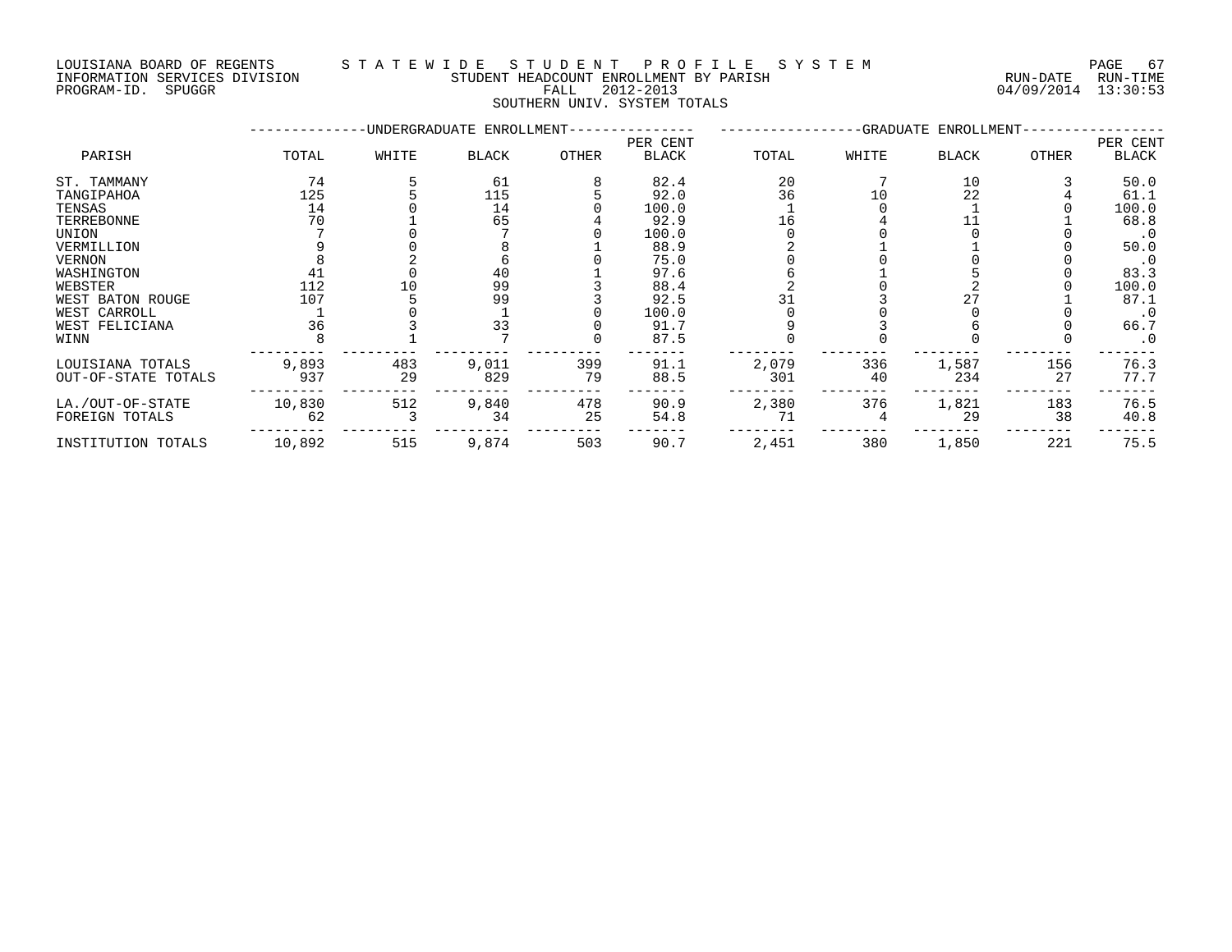INFORMATION SERVICES DIVISION STUDENT HEADCOUNT ENROLLMENT BY PARISH RUN-DATE RUN-TIME NOULSIANA BOARD OF REGENISMENT BY A CHANNEL AND RESERVE THE STUDENT HEADCOUNT ENROLLMENT BY PARISH THE THE CHANNEL RUN-DATE RUN-TIME<br>INFORMATION SEVICES DIVISION FALL 2012-2013 PALL 2012-2013 04/09/2014 13:30:53

### LOUISIANA BOARD OF REGENTS S T A T E W I D E S T U D E N T P R O F I L E S Y S T E M PAGE 67

SOUTHERN UNIV. SYSTEM TOTALS

|                     |        |       | -UNDERGRADUATE ENROLLMENT- |       | -GRADUATE ENROLLMENT- |       |       |       |              |           |
|---------------------|--------|-------|----------------------------|-------|-----------------------|-------|-------|-------|--------------|-----------|
|                     |        |       |                            |       | PER CENT              |       |       |       |              | PER CENT  |
| PARISH              | TOTAL  | WHITE | <b>BLACK</b>               | OTHER | BLACK                 | TOTAL | WHITE | BLACK | <b>OTHER</b> | BLACK     |
| ST. TAMMANY         | 74     |       | 61                         |       | 82.4                  | 20    |       | 10    |              | 50.0      |
| TANGIPAHOA          | 125    |       | 115                        |       | 92.0                  | 36    | 10    | 22    |              | 61.1      |
| TENSAS              | 14     |       | 14                         |       | 100.0                 |       |       |       |              | 100.0     |
| TERREBONNE          | 70     |       | 65                         |       | 92.9                  | 16    |       |       |              | 68.8      |
| UNION               |        |       |                            |       | 100.0                 |       |       |       |              | $\cdot$ 0 |
| VERMILLION          |        |       |                            |       | 88.9                  |       |       |       |              | 50.0      |
| VERNON              |        |       |                            |       | 75.0                  |       |       |       |              | $\cdot$ 0 |
| WASHINGTON          |        |       | 40                         |       | 97.6                  |       |       |       |              | 83.3      |
| WEBSTER             | 112    |       | 99                         |       | 88.4                  |       |       |       |              | 100.0     |
| WEST BATON ROUGE    | 107    |       | 99                         |       | 92.5                  |       |       |       |              | 87.1      |
| WEST CARROLL        |        |       |                            |       | 100.0                 |       |       |       |              | .0        |
| WEST FELICIANA      | 36     |       | 33                         |       | 91.7                  |       |       |       |              | 66.7      |
| WINN                |        |       |                            |       | 87.5                  |       |       |       |              | $\cdot$ 0 |
| LOUISIANA TOTALS    | 9,893  | 483   | 9,011                      | 399   | 91.1                  | 2,079 | 336   | 1,587 | 156          | 76.3      |
| OUT-OF-STATE TOTALS | 937    | 29    | 829                        | 79    | 88.5                  | 301   | 40    | 234   | 27           | 77.7      |
| LA./OUT-OF-STATE    | 10,830 | 512   | 9,840                      | 478   | 90.9                  | 2,380 | 376   | 1,821 | 183          | 76.5      |
| FOREIGN TOTALS      | 62     |       | 34                         | 25    | 54.8                  | 71    |       | 29    | 38           | 40.8      |
| INSTITUTION TOTALS  | 10,892 | 515   | 9,874                      | 503   | 90.7                  | 2,451 | 380   | 1,850 | 221          | 75.5      |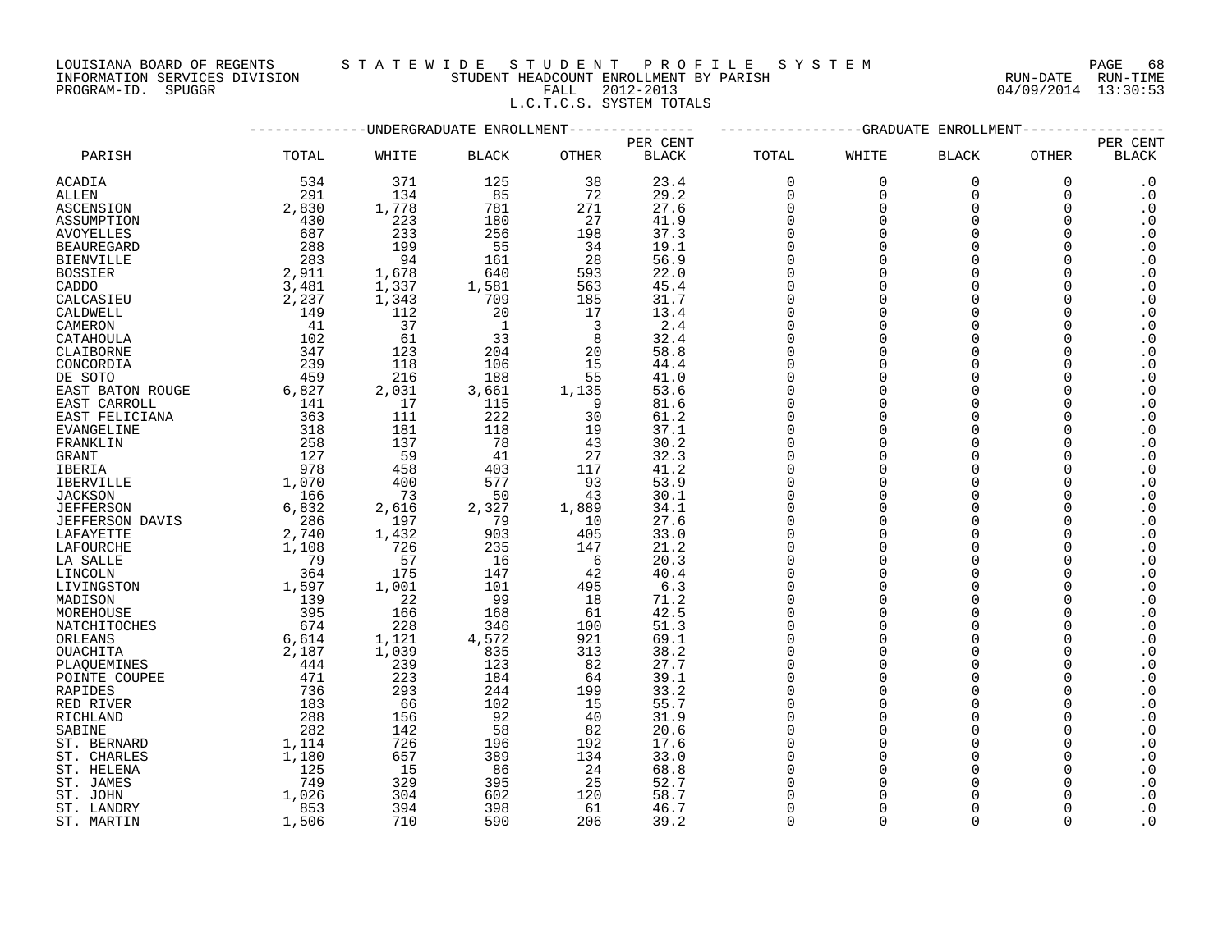### LOUISIANA BOARD OF REGENTS STATEWIDE STUDENT PROFILE SYSTEM PAGE 68<br>INFORMATION SERVICES DIVISION STUDENT HEADCOUNT ENROLLMENT BY PARISH NUN-DATE RUN-TIME INFORMATION SERVICES DIVISION STUDENT HEADCOUNT ENROLLMENT BY PARISH RUN-DATE RUN-TIME PROGRAM-ID. SPUGGR FALL 2012-2013 04/09/2014 13:30:53

L.C.T.C.S. SYSTEM TOTALS

|                        |                                           |       | UNDERGRADUATE ENROLLMENT |                         | <b>GRADUATE</b><br>ENROLLMENT |          |             |              |             |                        |
|------------------------|-------------------------------------------|-------|--------------------------|-------------------------|-------------------------------|----------|-------------|--------------|-------------|------------------------|
|                        |                                           |       |                          |                         | PER CENT                      |          |             |              |             | PER CENT               |
| PARISH                 | TOTAL                                     | WHITE | <b>BLACK</b>             | OTHER                   | <b>BLACK</b>                  | TOTAL    | WHITE       | <b>BLACK</b> | OTHER       | <b>BLACK</b>           |
| ACADIA                 | 534                                       | 371   | 125                      | 38                      | 23.4                          | $\Omega$ | $\mathbf 0$ | $\mathbf 0$  | $\mathbf 0$ | $\cdot$ 0              |
| ALLEN                  | 291                                       | 134   | 85                       | 72                      | 29.2                          | $\Omega$ | $\Omega$    | $\Omega$     | $\Omega$    | $\cdot$ 0              |
| ASCENSION              | 2,830                                     | 1,778 | 781                      | 271                     | 27.6                          | $\Omega$ | $\Omega$    | $\Omega$     | $\Omega$    | $\cdot$ 0              |
| ASSUMPTION             | 430                                       | 223   | 180                      | 27                      | 41.9                          | $\Omega$ | $\Omega$    | $\Omega$     | 0           | $\cdot$ 0              |
| <b>AVOYELLES</b>       | 687                                       | 233   | 256                      | 198                     | 37.3                          | $\Omega$ | $\Omega$    | $\Omega$     |             | $\cdot$ 0              |
| <b>BEAUREGARD</b>      | 288                                       | 199   | 55                       | 34                      | 19.1                          | $\Omega$ | $\Omega$    | $\Omega$     |             | $\cdot$ 0              |
|                        | 283                                       | 94    | 161                      | 28                      | 56.9                          | $\Omega$ | $\Omega$    | $\Omega$     |             | $\cdot$ 0              |
| <b>BIENVILLE</b>       |                                           |       |                          |                         |                               |          |             |              |             |                        |
| <b>BOSSIER</b>         | 2,911                                     | 1,678 | 640                      | 593                     | 22.0                          | $\Omega$ | $\Omega$    | $\Omega$     |             | $\cdot$ 0              |
| CADDO                  | 3,481                                     | 1,337 | 1,581                    | 563                     | 45.4                          | $\Omega$ | $\Omega$    | $\Omega$     |             | $\cdot$ 0              |
| CALCASIEU              | 2,237                                     | 1,343 | 709                      | 185                     | 31.7                          | $\Omega$ | $\cap$      | $\Omega$     |             | $\cdot$ 0              |
| CALDWELL               | 149                                       | 112   | 20                       | 17                      | 13.4                          | $\Omega$ | $\Omega$    | $\Omega$     |             | $\cdot$ 0              |
| CAMERON                | 41                                        | 37    | $\mathbf{1}$             | $\overline{\mathbf{3}}$ | 2.4                           | $\Omega$ | $\Omega$    | $\Omega$     |             | $\cdot$ 0              |
| CATAHOULA              | 102                                       | 61    | 33                       | 8                       | 32.4                          | $\Omega$ | $\Omega$    | $\Omega$     |             | $\cdot$ 0              |
| CLAIBORNE              | 347                                       | 123   | 204                      | 20                      | 58.8                          | $\Omega$ | $\Omega$    | $\Omega$     |             | $\cdot$ 0              |
| CONCORDIA              | 239                                       | 118   | 106                      | 15                      | 44.4                          | $\Omega$ | $\Omega$    | $\Omega$     |             | $\cdot$ 0              |
| DE SOTO                | 459                                       | 216   | 188                      | 55                      | 41.0                          | $\Omega$ | $\Omega$    | $\Omega$     |             | $\cdot$ 0              |
| EAST BATON ROUGE       | 6,827                                     | 2,031 | 3,661                    | 1,135                   | 53.6                          | $\Omega$ | $\Omega$    | $\Omega$     |             | $\cdot$ 0              |
| EAST CARROLL           |                                           | 17    | 115                      | - 9                     | 81.6                          | $\Omega$ | $\Omega$    | $\Omega$     |             | $\boldsymbol{\cdot}$ 0 |
| EAST FELICIANA         | $\begin{array}{c} 141 \\ 363 \end{array}$ | 111   | 222                      | 30                      | 61.2                          | $\Omega$ | $\Omega$    | $\Omega$     |             | $\cdot$ 0              |
| <b>EVANGELINE</b>      | 318                                       | 181   | 118                      | 19                      | 37.1                          | $\Omega$ | $\Omega$    | $\Omega$     |             | $\cdot$ 0              |
|                        |                                           |       |                          |                         |                               | $\Omega$ | $\Omega$    | $\Omega$     |             |                        |
| FRANKLIN               | 258                                       | 137   | 78                       | 43                      | 30.2                          |          |             |              |             | $\cdot$ 0              |
| <b>GRANT</b>           | 127                                       | 59    | 41                       | 27                      | 32.3                          | $\Omega$ | $\Omega$    | $\Omega$     |             | $\boldsymbol{\cdot}$ 0 |
| IBERIA                 | 978                                       | 458   | 403                      | 117                     | 41.2                          | $\Omega$ | $\Omega$    | $\Omega$     |             | $\cdot$ 0              |
| <b>IBERVILLE</b>       | 1,070                                     | 400   | 577                      | 93                      | 53.9                          | $\Omega$ | $\Omega$    | $\Omega$     |             | $\cdot$ 0              |
| <b>JACKSON</b>         | 166                                       | 73    | 50                       | 43                      | 30.1                          | $\Omega$ | $\Omega$    | $\Omega$     |             | $\cdot$ 0              |
| <b>JEFFERSON</b>       | 6,832                                     | 2,616 | 2,327                    | 1,889                   | 34.1                          | $\Omega$ | $\Omega$    | $\Omega$     |             | $\cdot$ 0              |
| <b>JEFFERSON DAVIS</b> | 286                                       | 197   | 79                       | 10                      | 27.6                          | $\Omega$ | $\Omega$    | $\Omega$     |             | $\cdot$ 0              |
| LAFAYETTE              | 2,740                                     | 1,432 | 903                      | 405                     | 33.0                          | $\Omega$ | $\Omega$    | $\Omega$     |             | $\cdot$ 0              |
| LAFOURCHE              | 1,108                                     | 726   | 235                      | 147                     | 21.2                          | $\Omega$ | $\Omega$    | $\Omega$     |             | $\cdot$ 0              |
| LA SALLE               | 79                                        | 57    | 16                       | - 6                     | 20.3                          | $\Omega$ | $\Omega$    | $\Omega$     |             | $\cdot$ 0              |
| LINCOLN                | 364                                       | 175   | 147                      | 42                      | 40.4                          | $\Omega$ | $\Omega$    | $\Omega$     |             | $\cdot$ 0              |
| LIVINGSTON             | 1,597                                     | 1,001 | 101                      | 495                     | 6.3                           | $\Omega$ | $\Omega$    | $\Omega$     |             | $\cdot$ 0              |
| MADISON                | 139                                       | 22    | 99                       | 18                      | 71.2                          | $\Omega$ | $\Omega$    | $\Omega$     |             | $\cdot$ 0              |
| MOREHOUSE              | 395                                       | 166   | 168                      | 61                      | 42.5                          | $\Omega$ | $\Omega$    | $\Omega$     |             | $\cdot$ 0              |
| NATCHITOCHES           | 674                                       | 228   | 346                      | 100                     | 51.3                          | $\Omega$ | $\Omega$    | $\Omega$     |             | $\cdot$ 0              |
|                        |                                           |       |                          | 921                     | 69.1                          | $\cap$   | $\cap$      | $\Omega$     |             | $\cdot$ 0              |
| ORLEANS                | 6,614                                     | 1,121 | 4,572                    |                         |                               | $\Omega$ | $\Omega$    |              |             | $\cdot$ 0              |
| OUACHITA               | 2,187                                     | 1,039 | 835                      | 313                     | 38.2                          |          |             | $\Omega$     |             |                        |
| PLAOUEMINES            | 444                                       | 239   | 123                      | 82                      | 27.7                          | $\Omega$ | $\Omega$    | $\Omega$     |             | $\cdot$ 0              |
| POINTE COUPEE          | 471                                       | 223   | 184                      | 64                      | 39.1                          | $\cap$   | $\Omega$    | $\Omega$     |             | $\cdot$ 0              |
| RAPIDES                | 736                                       | 293   | 244                      | 199                     | 33.2                          | $\Omega$ | $\Omega$    | $\Omega$     |             | $\cdot$ 0              |
| RED RIVER              | 183                                       | 66    | 102                      | 15                      | 55.7                          | $\Omega$ | $\Omega$    | $\Omega$     |             | $\cdot$ 0              |
| RICHLAND               | 288                                       | 156   | 92                       | 40                      | 31.9                          | $\Omega$ | $\Omega$    | $\Omega$     |             | $\cdot$ 0              |
| SABINE                 | 282                                       | 142   | 58                       | 82                      | 20.6                          | $\cap$   | $\Omega$    | $\Omega$     |             | $\cdot$ 0              |
| ST. BERNARD            | 1,114                                     | 726   | 196                      | 192                     | 17.6                          | $\Omega$ | $\Omega$    | $\Omega$     |             | $\cdot$ 0              |
| ST. CHARLES            | 1,180                                     | 657   | 389                      | 134                     | 33.0                          | $\Omega$ | $\Omega$    | $\Omega$     |             | $\cdot$ 0              |
| ST. HELENA             | 125                                       | 15    | 86                       | 24                      | 68.8                          | $\Omega$ | $\Omega$    | $\Omega$     |             | $\cdot$ 0              |
| ST. JAMES              | 749                                       | 329   | 395                      | 25                      | 52.7                          | $\Omega$ | $\Omega$    | $\Omega$     |             | $\cdot$ 0              |
| ST. JOHN               | 1,026                                     | 304   | 602                      | 120                     | 58.7                          | $\Omega$ | $\Omega$    | $\cap$       |             | $\cdot$ 0              |
| ST. LANDRY             | 853                                       | 394   | 398                      | 61                      | 46.7                          | $\Omega$ | $\Omega$    |              |             | $\cdot$ 0              |
| ST. MARTIN             | 1,506                                     | 710   | 590                      | 206                     | 39.2                          | $\Omega$ | $\Omega$    | $\Omega$     | $\Omega$    | $\boldsymbol{\cdot}$ 0 |
|                        |                                           |       |                          |                         |                               |          |             |              |             |                        |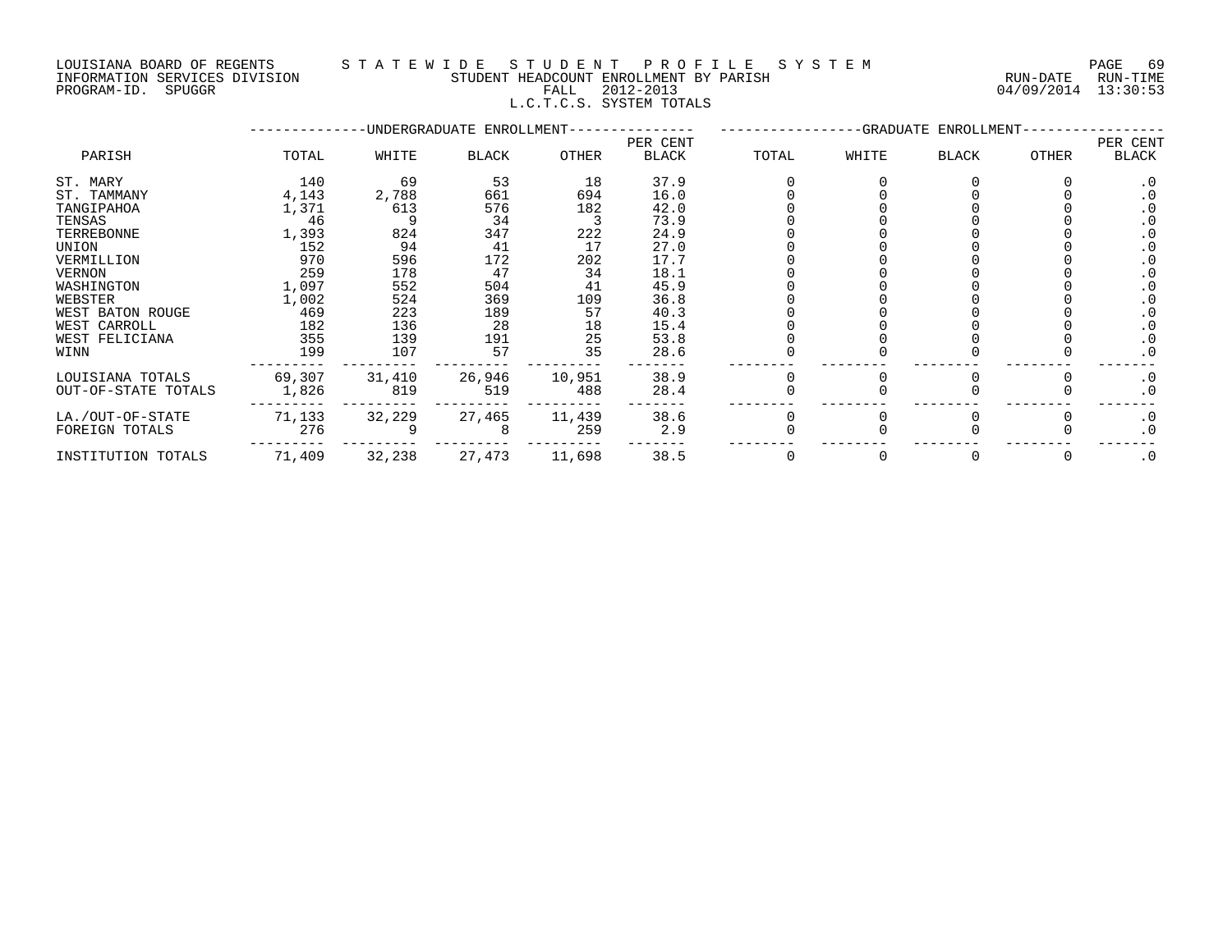### LOUISIANA BOARD OF REGENTS S T A T E W I D E S T U D E N T P R O F I L E S Y S T E M PAGE 69 INFORMATION SERVICES DIVISION STUDENT HEADCOUNT ENROLLMENT BY PARISH RUN-DATE RUN-TIME PROGRAM-ID. SPUGGR FALL 2012-2013 04/09/2014 13:30:53 L.C.T.C.S. SYSTEM TOTALS

|                     |        |        | -UNDERGRADUATE ENROLLMENT- |        | -GRADUATE ENROLLMENT-    |       |       |       |       |                   |
|---------------------|--------|--------|----------------------------|--------|--------------------------|-------|-------|-------|-------|-------------------|
| PARISH              | TOTAL  | WHITE  | BLACK                      | OTHER  | PER CENT<br><b>BLACK</b> | TOTAL | WHITE | BLACK | OTHER | PER CENT<br>BLACK |
| ST. MARY            | 140    | 69     | 53                         | 18     | 37.9                     |       |       |       |       | $\cdot$ 0         |
| ST. TAMMANY         | 4,143  | 2,788  | 661                        | 694    | 16.0                     |       |       |       |       |                   |
| TANGIPAHOA          | 1,371  | 613    | 576                        | 182    | 42.0                     |       |       |       |       |                   |
| TENSAS              | 46     |        | 34                         |        | 73.9                     |       |       |       |       |                   |
| TERREBONNE          | 1,393  | 824    | 347                        | 222    | 24.9                     |       |       |       |       |                   |
| UNION               | 152    | 94     | 41                         | 17     | 27.0                     |       |       |       |       |                   |
| VERMILLION          | 970    | 596    | 172                        | 202    | 17.7                     |       |       |       |       |                   |
| VERNON              | 259    | 178    | 47                         | 34     | 18.1                     |       |       |       |       |                   |
| WASHINGTON          | 1,097  | 552    | 504                        | 41     | 45.9                     |       |       |       |       |                   |
| WEBSTER             | 1,002  | 524    | 369                        | 109    | 36.8                     |       |       |       |       |                   |
| WEST BATON ROUGE    | 469    | 223    | 189                        | 57     | 40.3                     |       |       |       |       |                   |
| WEST CARROLL        | 182    | 136    | 28                         | 18     | 15.4                     |       |       |       |       |                   |
| WEST FELICIANA      | 355    | 139    | 191                        | 25     | 53.8                     |       |       |       |       | $\cdot$ 0         |
| WINN                | 199    | 107    | 57                         | 35     | 28.6                     |       |       |       |       | $\cdot$ 0         |
| LOUISIANA TOTALS    | 69,307 | 31,410 | 26,946                     | 10,951 | 38.9                     |       |       |       |       | $\cdot$ 0         |
| OUT-OF-STATE TOTALS | 1,826  | 819    | 519                        | 488    | 28.4                     |       |       |       |       | $\cdot$ 0         |
| LA./OUT-OF-STATE    | 71,133 | 32,229 | 27,465                     | 11,439 | 38.6                     |       |       |       |       | $\cdot$ 0         |
| FOREIGN TOTALS      | 276    |        |                            | 259    | 2.9                      |       |       |       |       | $\cdot$ 0         |
| INSTITUTION TOTALS  | 71,409 | 32,238 | 27,473                     | 11,698 | 38.5                     |       |       |       |       | $\cdot$ 0         |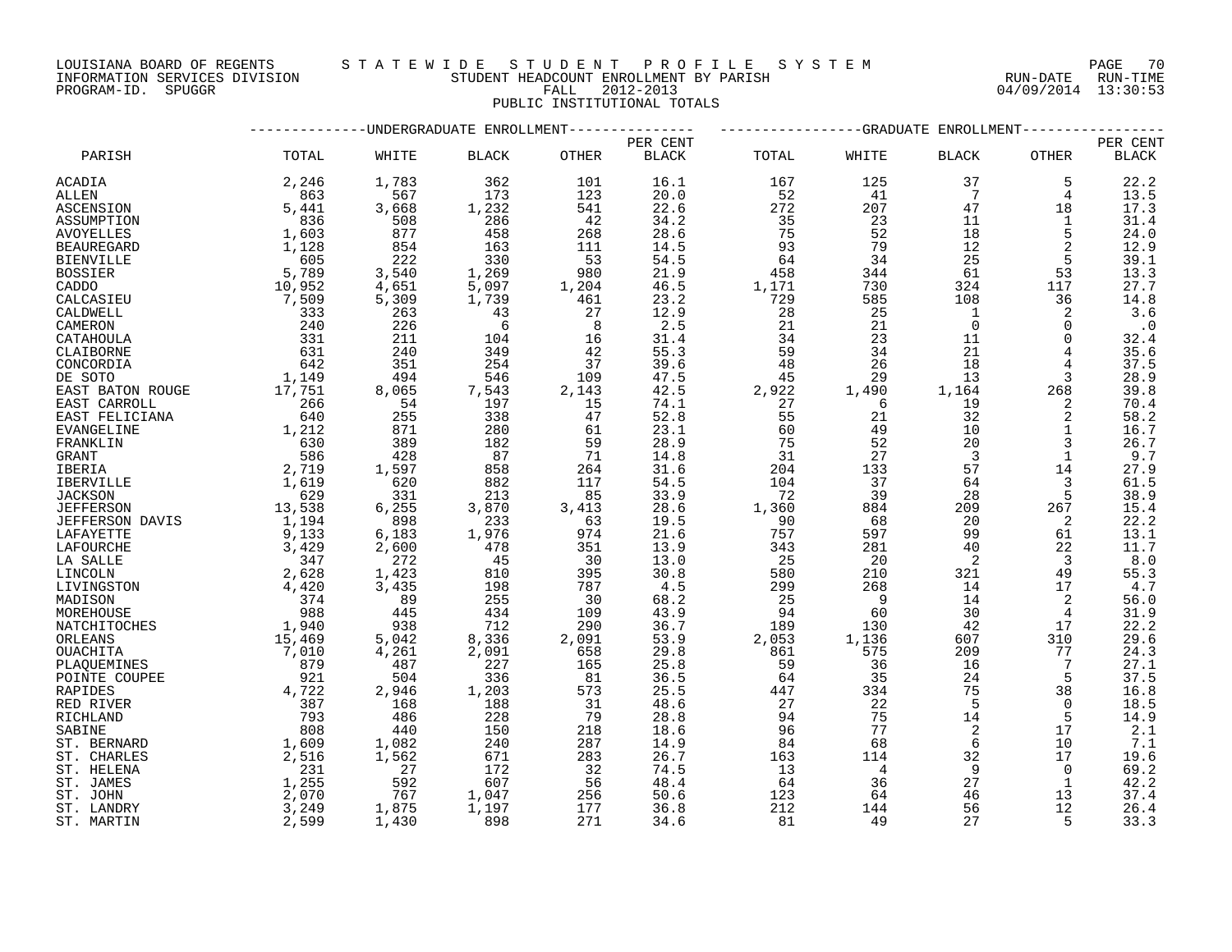LOUISIANA BOARD OF REGENTS S T A T E W I D E S T U D E N T P R O F I L E S Y S T E M PAGE 70 PROGRAM-ID. SPUGGR FALL 2012-2013 04/09/2014 13:30:53

INFORMATION SERVICES DIVISION STUDENT HEADCOUNT ENROLLMENT BY PARISH RUN-DATE RUN-TIME

## PUBLIC INSTITUTIONAL TOTALS

|                   |                                                    | ---------UNDERGRADUATE ENROLLMENT- |              |                 |              |       |                | ----------------GRADUATE ENROLLMENT- |                |                         |  |  |
|-------------------|----------------------------------------------------|------------------------------------|--------------|-----------------|--------------|-------|----------------|--------------------------------------|----------------|-------------------------|--|--|
|                   |                                                    |                                    |              |                 | PER CENT     |       |                |                                      |                | PER CENT                |  |  |
| PARISH            | TOTAL                                              | WHITE                              | <b>BLACK</b> | OTHER           | <b>BLACK</b> | TOTAL | WHITE          | <b>BLACK</b>                         | OTHER          | <b>BLACK</b>            |  |  |
| ACADIA            | 2,246                                              | 1,783<br>$-7/83$<br>567<br>3       | 362          | 101             | 16.1         | 167   | 125            | 37                                   | 5              | 22.2                    |  |  |
| ALLEN             | 863                                                |                                    | 173          | 123             | 20.0         | 52    | 41             | $\overline{7}$                       | $\overline{4}$ | 13.5                    |  |  |
| ASCENSION         | 5,441                                              |                                    | 1,232        | 541             | 22.6         | 272   | 207            | 47                                   | 18             | 17.3                    |  |  |
| ASSUMPTION        | 836                                                | 508                                | 286          | 42              | 34.2         | 35    | 23             | 11                                   | 1              | 31.4                    |  |  |
| AVOYELLES         | 1,603                                              | 877                                | 458          | 268             | 28.6         | 75    | 52             | 18                                   | 5              | 24.0                    |  |  |
| <b>BEAUREGARD</b> | 1,128                                              | 854                                | 163          | 111             | 14.5         | 93    | 79             | 12                                   |                | 12.9                    |  |  |
| <b>BIENVILLE</b>  | 605                                                | 222                                | 330          | 53              | 54.5         | 64    | 34             | 25                                   | 5              | 39.1                    |  |  |
| <b>BOSSIER</b>    | 5,789                                              | 3,540                              | 1,269        | 980             | 21.9         | 458   | 344            | 61                                   | 53             | 13.3                    |  |  |
| CADDO             | 10,952                                             | 4,651                              | 5,097        |                 | 46.5         | 1,171 | 730            | 324                                  | 117            | 27.7                    |  |  |
| CALCASIEU         | 7,509                                              | 5,309                              | 1,739        | $\frac{1}{461}$ | 23.2         | 729   | 585            | 108                                  | 36             | 14.8                    |  |  |
| CALDWELL          | 333                                                | 263                                | 43           |                 | 12.9         | 28    | 25             | $\overline{1}$                       | 2              | 3.6                     |  |  |
| CAMERON           | 240                                                | 226                                | 6            | 8               | 2.5          | 21    | 21             | $\overline{0}$                       | $\Omega$       | $\ddot{\phantom{0}}$ .0 |  |  |
|                   | 331                                                | 211                                |              |                 | 31.4         | 34    | 23             | 11                                   | $\Omega$       |                         |  |  |
| CATAHOULA         |                                                    |                                    | 104<br>349   | 16              |              |       | 34             | 21                                   |                | 32.4                    |  |  |
| CLAIBORNE         | 631                                                | 240                                |              | 42              | 55.3         | 59    |                |                                      | 4              | 35.6                    |  |  |
| CONCORDIA         | 642<br>1,149                                       | 351                                | 254          | 37              | 39.6         | 48    | 26             | 18                                   |                | 37.5                    |  |  |
| DE SOTO           | 17,751                                             | 494                                | 546          | 109             | 47.5         | 45    | 29             | 13                                   | 3              | 28.9                    |  |  |
| EAST BATON ROUGE  |                                                    | 8,065                              | 7,543        | 2,143           | 42.5         | 2,922 | 1,490          | 1,164                                | 268            | 39.8                    |  |  |
| EAST CARROLL      |                                                    | 54                                 | 197          | 15              | 74.1         | 27    | 6              | 19                                   | 2              | $70.4\,$                |  |  |
| EAST FELICIANA    | $\begin{array}{r} 266 \\ 640 \\ 1,212 \end{array}$ | 255                                | 338          | 47              | 52.8         | 55    | 21             | 32                                   | 2              | 58.2                    |  |  |
| <b>EVANGELINE</b> |                                                    | 871                                | 280          | 61              | 23.1         | 60    | 49             | 10                                   | $\mathbf{1}$   | 16.7                    |  |  |
| FRANKLIN          | $\begin{array}{c} 630 \\ 586 \end{array}$          | 389                                | 182          | 59              | 28.9         | 75    | 52             | 20                                   | 3              | 26.7                    |  |  |
| <b>GRANT</b>      |                                                    | 428                                | 87           | 71              | 14.8         | 31    | 27             | $\overline{3}$                       | $\mathbf{1}$   | 9.7                     |  |  |
| <b>IBERIA</b>     | 2,719<br>1,619                                     | 1,597                              | 858          | 264             | 31.6         | 204   | 133            | 57                                   | 14             | 27.9                    |  |  |
| IBERVILLE         |                                                    | $620$                              | 882          | 117             | 54.5         | 104   | 37             | 64                                   | 3              | 61.5                    |  |  |
| <b>JACKSON</b>    | 629                                                | 331                                | 213          | 85              | 33.9         | 72    | 39             | 28                                   | 5              | 38.9                    |  |  |
| JEFFERSON         | 13,538                                             | 6, 255                             | 3,870        | 3,413           | 28.6         | 1,360 | 884            | 209                                  | 267            | 15.4                    |  |  |
| JEFFERSON DAVIS   |                                                    | 898                                | 233          | 63              | 19.5         | 90    | 68             | 20                                   | 2              | 22.2                    |  |  |
| LAFAYETTE         | $1,194$<br>9,133                                   | 6,183                              | 1,976        | 974             | 21.6         | 757   | 597            | 99                                   | 61             | 13.1                    |  |  |
| LAFOURCHE         | 3,429                                              | 2,600                              | 478          | 351             | 13.9         | 343   | 281            | 40                                   | 22             | 11.7                    |  |  |
| LA SALLE          | 347                                                | 272                                | 45           | 30              | 13.0         | 25    | 20             | $\overline{2}$                       | $\overline{3}$ | 8.0                     |  |  |
| LINCOLN           | 2,628                                              | 1,423                              | 810          | 395             | 30.8         | 580   | 210            | 321                                  | 49             | 55.3                    |  |  |
| LIVINGSTON        | 4,420                                              | 3,435                              | 198          | 787             | 4.5          | 299   | 268            | 14                                   | 17             | 4.7                     |  |  |
| MADISON           | 374                                                | 89                                 | 255          | 30              | 68.2         | 25    | $\overline{9}$ | 14                                   | 2              | 56.0                    |  |  |
| MOREHOUSE         | 988                                                | 445                                | 434          | 109             | 43.9         | 94    | 60             | 30                                   | 4              | 31.9                    |  |  |
| NATCHITOCHES      |                                                    | 938                                | 712          | 290             | 36.7         | 189   | 130            | 42                                   | 17             | 22.2                    |  |  |
| ORLEANS           | 1,940<br>15,469                                    | 5,042                              | 8,336        | 2,091           | 53.9         | 2,053 | 1,136          | 607                                  | 310            | 29.6                    |  |  |
| OUACHITA          | 7,010                                              | 4,261                              | 2,091        | 658             | 29.8         | 861   | 575            | 209                                  | 77             | 24.3                    |  |  |
| PLAQUEMINES       | $\begin{array}{c} 879 \\ 921 \end{array}$          | 487                                | 227          | 165             | 25.8         | 59    | 36             | 16                                   | 7              | 27.1                    |  |  |
| POINTE COUPEE     |                                                    | 504                                | 336          | 81              | 36.5         | 64    | 35             | 24                                   | 5              | 37.5                    |  |  |
| RAPIDES           | 4,722                                              | 2,946                              | 1,203        | 573             | 25.5         | 447   | 334            | 75                                   | 38             | 16.8                    |  |  |
| RED RIVER         | 387                                                | 168                                | 188          | 31              | 48.6         | 27    | 22             | - 5                                  | $\Omega$       | 18.5                    |  |  |
| RICHLAND          | 793                                                | 486                                | 228          | 79              | 28.8         | 94    | 75             | 14                                   | 5              | 14.9                    |  |  |
| SABINE            | 808                                                | 440                                | 150          | 218             | 18.6         | 96    | 77             | 2                                    | 17             | 2.1                     |  |  |
| ST. BERNARD       | 1,609                                              | 1,082                              | 240          | 287             | 14.9         | 84    | 68             | 6                                    | 10             | 7.1                     |  |  |
| ST. CHARLES       | 2,516                                              | 1,562                              | 671          | 283             | 26.7         | 163   | 114            | 32                                   | 17             | 19.6                    |  |  |
| ST. HELENA        | 231                                                | 27                                 | 172          | 32              | 74.5         | 13    | $\overline{4}$ | 9                                    | 0              | 69.2                    |  |  |
| ST. JAMES         | 1,255                                              | 592                                | 607          | 56              | 48.4         | 64    | 36             | $2\,7$                               | 1              | 42.2                    |  |  |
| ST. JOHN          | 2,070                                              | 767                                | 1,047        | 256             | 50.6         | 123   | 64             | 46                                   | 13             | 37.4                    |  |  |
| ST. LANDRY        | 3,249                                              | 1,875                              | 1,197        | 177             | 36.8         | 212   | 144            | 56                                   | 12             | 26.4                    |  |  |
| ST. MARTIN        | 2,599                                              | 1,430                              | 898          | 271             | 34.6         | 81    | 49             | 27                                   | -5             | 33.3                    |  |  |
|                   |                                                    |                                    |              |                 |              |       |                |                                      |                |                         |  |  |